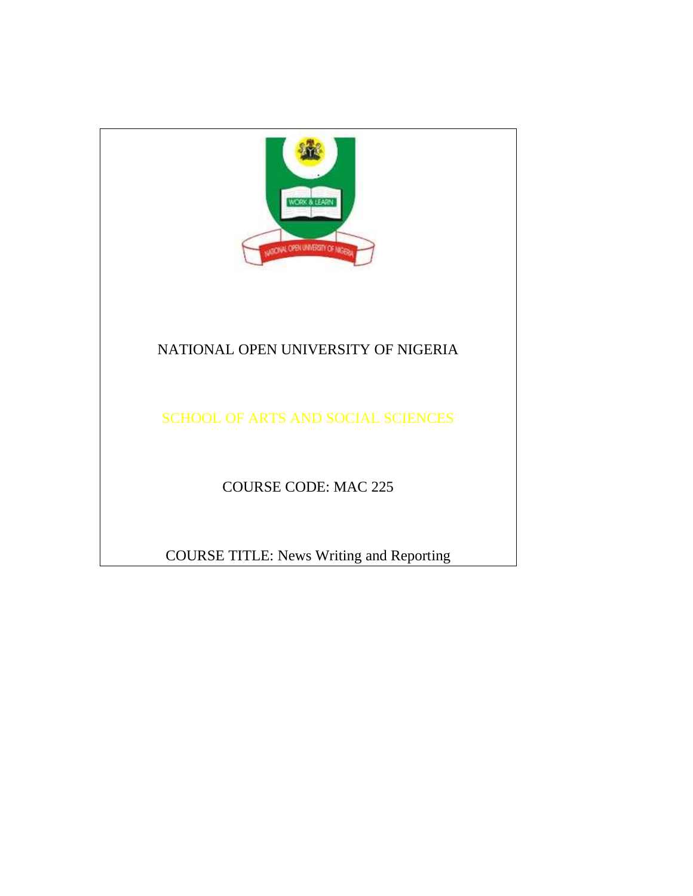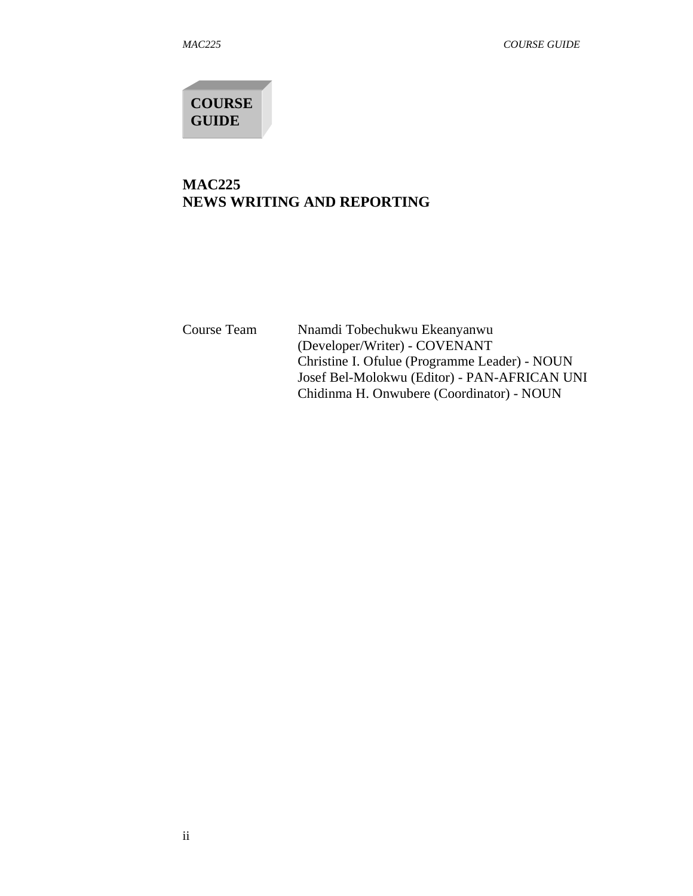**COURSE GUIDE** 

# **MAC225 NEWS WRITING AND REPORTING**

Course Team Nnamdi Tobechukwu Ekeanyanwu (Developer/Writer) - COVENANT Christine I. Ofulue (Programme Leader) - NOUN Josef Bel-Molokwu (Editor) - PAN-AFRICAN UNI Chidinma H. Onwubere (Coordinator) - NOUN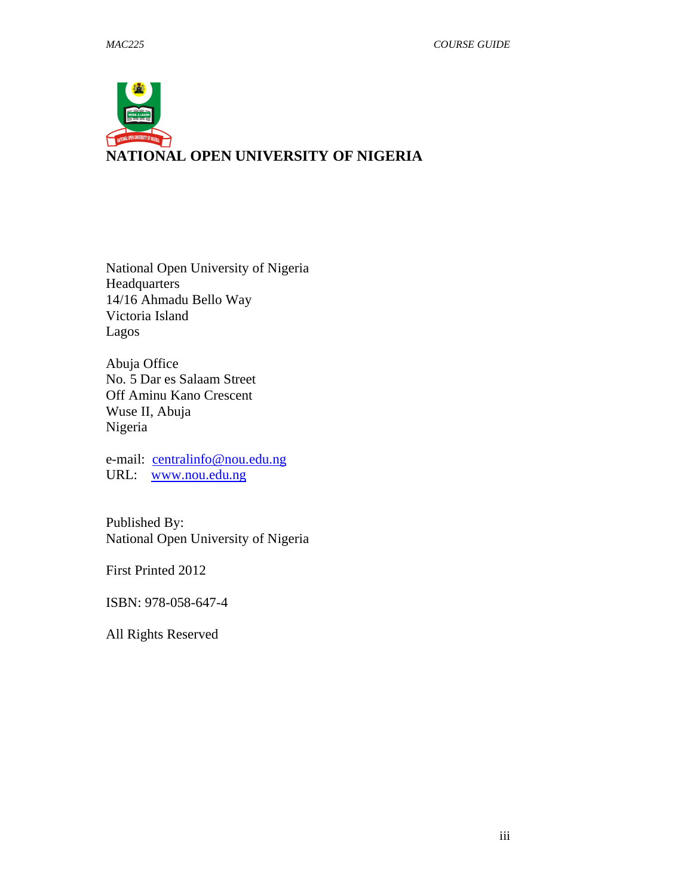# **NATIONAL OPEN UNIVERSITY OF NIGERIA**

National Open University of Nigeria Headquarters 14/16 Ahmadu Bello Way Victoria Island Lagos

Abuja Office No. 5 Dar es Salaam Street Off Aminu Kano Crescent Wuse II, Abuja Nigeria

e-mail: centralinfo@nou.edu.ng URL: www.nou.edu.ng

Published By: National Open University of Nigeria

First Printed 2012

ISBN: 978-058-647-4

All Rights Reserved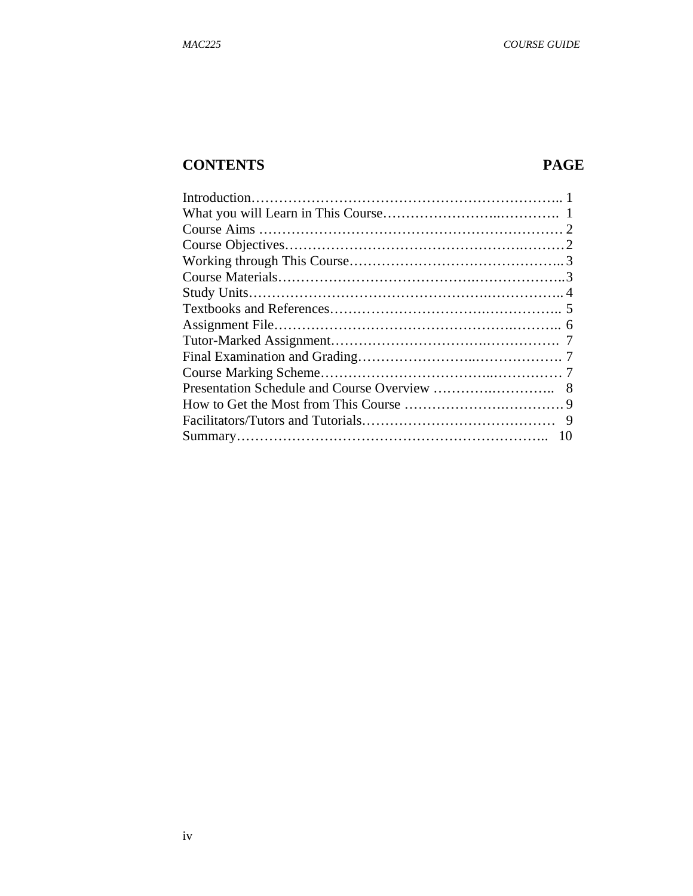# **CONTENTS PAGE**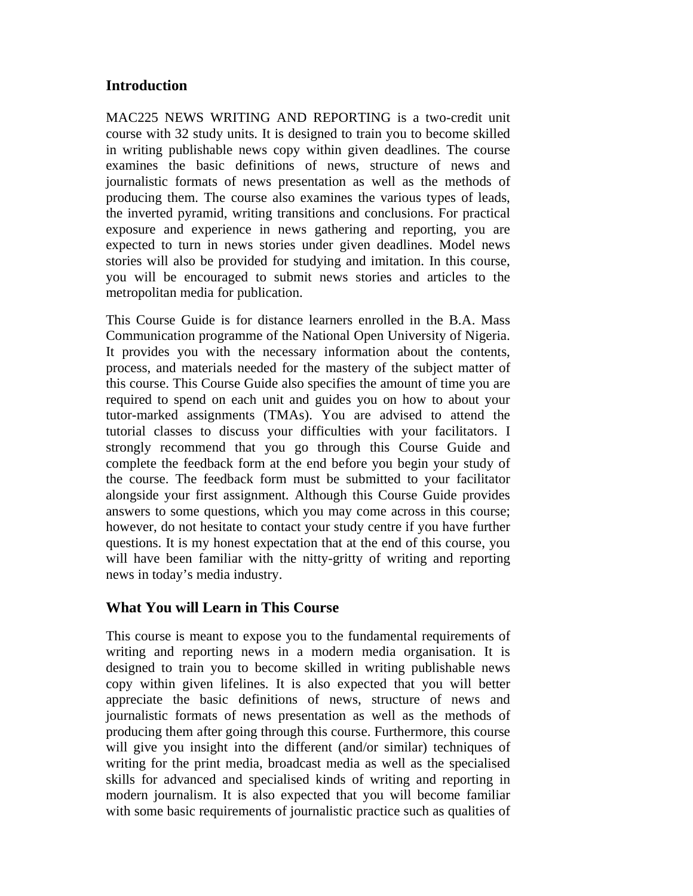# **Introduction**

MAC225 NEWS WRITING AND REPORTING is a two-credit unit course with 32 study units. It is designed to train you to become skilled in writing publishable news copy within given deadlines. The course examines the basic definitions of news, structure of news and journalistic formats of news presentation as well as the methods of producing them. The course also examines the various types of leads, the inverted pyramid, writing transitions and conclusions. For practical exposure and experience in news gathering and reporting, you are expected to turn in news stories under given deadlines. Model news stories will also be provided for studying and imitation. In this course, you will be encouraged to submit news stories and articles to the metropolitan media for publication.

This Course Guide is for distance learners enrolled in the B.A. Mass Communication programme of the National Open University of Nigeria. It provides you with the necessary information about the contents, process, and materials needed for the mastery of the subject matter of this course. This Course Guide also specifies the amount of time you are required to spend on each unit and guides you on how to about your tutor-marked assignments (TMAs). You are advised to attend the tutorial classes to discuss your difficulties with your facilitators. I strongly recommend that you go through this Course Guide and complete the feedback form at the end before you begin your study of the course. The feedback form must be submitted to your facilitator alongside your first assignment. Although this Course Guide provides answers to some questions, which you may come across in this course; however, do not hesitate to contact your study centre if you have further questions. It is my honest expectation that at the end of this course, you will have been familiar with the nitty-gritty of writing and reporting news in today's media industry.

# **What You will Learn in This Course**

This course is meant to expose you to the fundamental requirements of writing and reporting news in a modern media organisation. It is designed to train you to become skilled in writing publishable news copy within given lifelines. It is also expected that you will better appreciate the basic definitions of news, structure of news and journalistic formats of news presentation as well as the methods of producing them after going through this course. Furthermore, this course will give you insight into the different (and/or similar) techniques of writing for the print media, broadcast media as well as the specialised skills for advanced and specialised kinds of writing and reporting in modern journalism. It is also expected that you will become familiar with some basic requirements of journalistic practice such as qualities of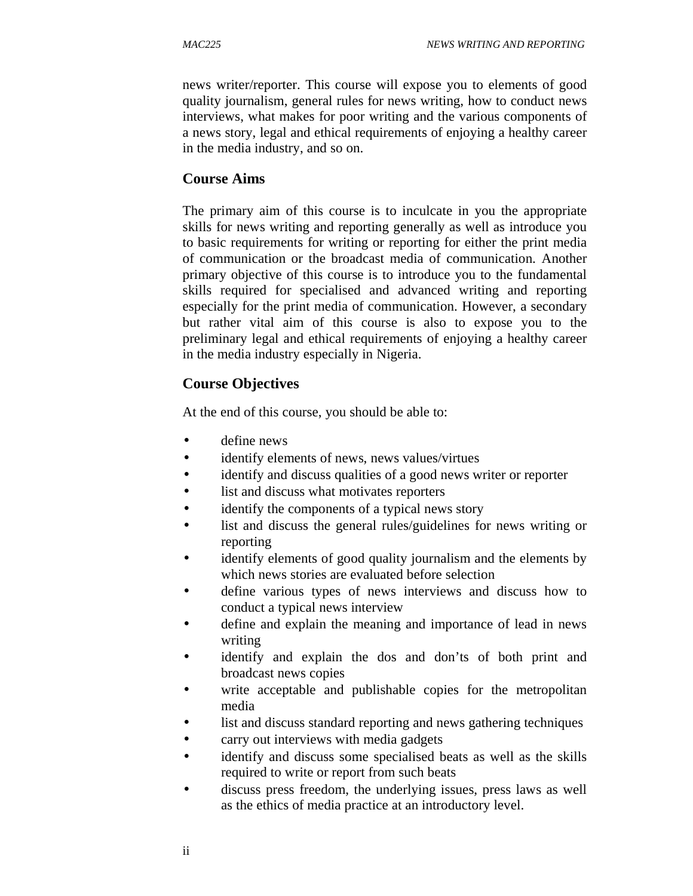news writer/reporter. This course will expose you to elements of good quality journalism, general rules for news writing, how to conduct news interviews, what makes for poor writing and the various components of a news story, legal and ethical requirements of enjoying a healthy career in the media industry, and so on.

#### **Course Aims**

The primary aim of this course is to inculcate in you the appropriate skills for news writing and reporting generally as well as introduce you to basic requirements for writing or reporting for either the print media of communication or the broadcast media of communication. Another primary objective of this course is to introduce you to the fundamental skills required for specialised and advanced writing and reporting especially for the print media of communication. However, a secondary but rather vital aim of this course is also to expose you to the preliminary legal and ethical requirements of enjoying a healthy career in the media industry especially in Nigeria.

# **Course Objectives**

At the end of this course, you should be able to:

- define news
- identify elements of news, news values/virtues
- identify and discuss qualities of a good news writer or reporter
- list and discuss what motivates reporters
- identify the components of a typical news story
- list and discuss the general rules/guidelines for news writing or reporting
- identify elements of good quality journalism and the elements by which news stories are evaluated before selection
- define various types of news interviews and discuss how to conduct a typical news interview
- define and explain the meaning and importance of lead in news writing
- identify and explain the dos and don'ts of both print and broadcast news copies
- write acceptable and publishable copies for the metropolitan media
- list and discuss standard reporting and news gathering techniques
- carry out interviews with media gadgets
- identify and discuss some specialised beats as well as the skills required to write or report from such beats
- discuss press freedom, the underlying issues, press laws as well as the ethics of media practice at an introductory level.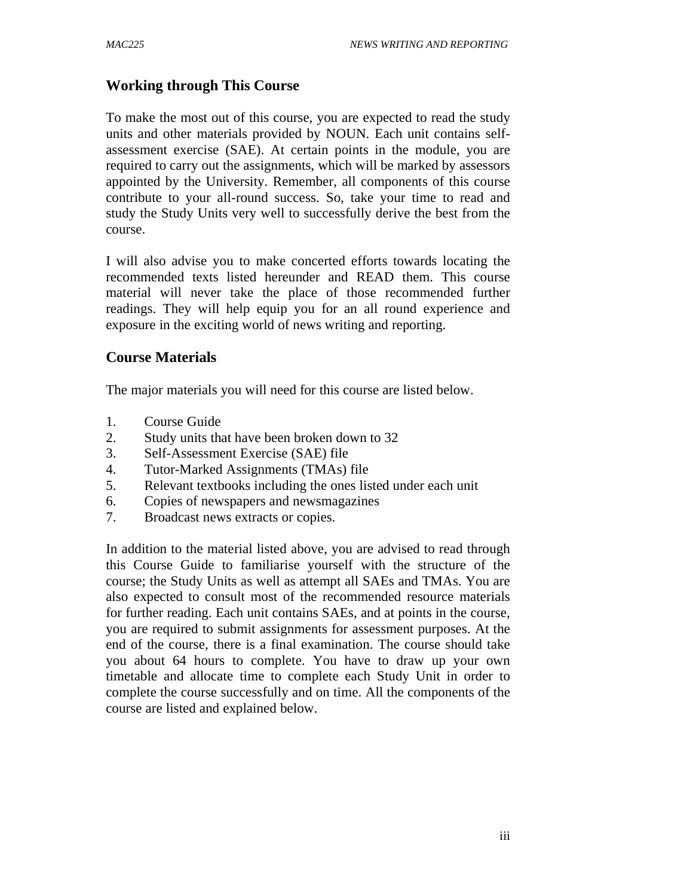# **Working through This Course**

To make the most out of this course, you are expected to read the study units and other materials provided by NOUN. Each unit contains selfassessment exercise (SAE). At certain points in the module, you are required to carry out the assignments, which will be marked by assessors appointed by the University. Remember, all components of this course contribute to your all-round success. So, take your time to read and study the Study Units very well to successfully derive the best from the course.

I will also advise you to make concerted efforts towards locating the recommended texts listed hereunder and READ them. This course material will never take the place of those recommended further readings. They will help equip you for an all round experience and exposure in the exciting world of news writing and reporting.

# **Course Materials**

The major materials you will need for this course are listed below.

- 1. Course Guide
- 2. Study units that have been broken down to 32
- 3. Self-Assessment Exercise (SAE) file
- 4. Tutor-Marked Assignments (TMAs) file
- 5. Relevant textbooks including the ones listed under each unit
- 6. Copies of newspapers and newsmagazines
- 7. Broadcast news extracts or copies.

In addition to the material listed above, you are advised to read through this Course Guide to familiarise yourself with the structure of the course; the Study Units as well as attempt all SAEs and TMAs. You are also expected to consult most of the recommended resource materials for further reading. Each unit contains SAEs, and at points in the course, you are required to submit assignments for assessment purposes. At the end of the course, there is a final examination. The course should take you about 64 hours to complete. You have to draw up your own timetable and allocate time to complete each Study Unit in order to complete the course successfully and on time. All the components of the course are listed and explained below.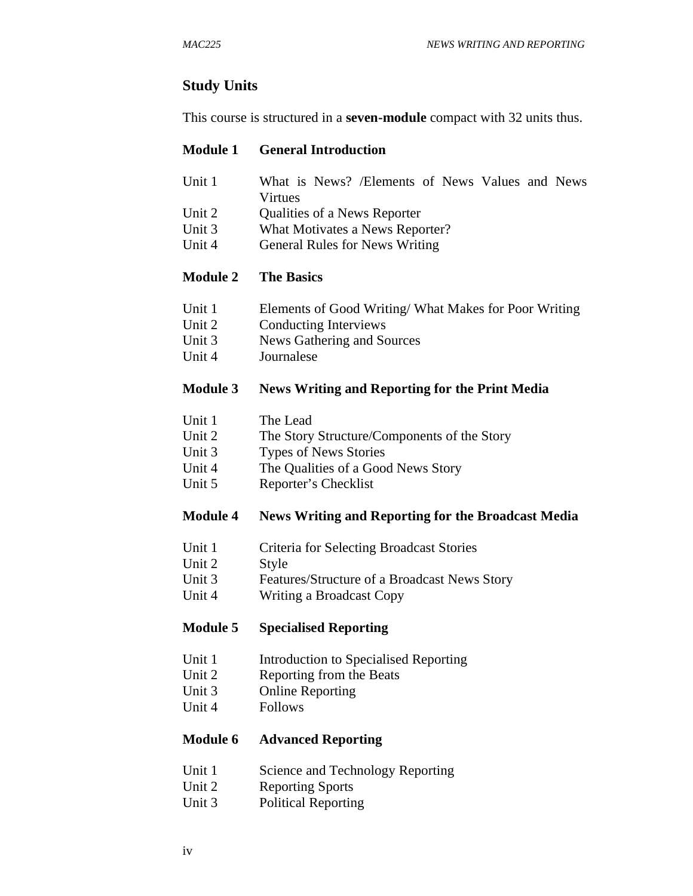# **Study Units**

This course is structured in a **seven-module** compact with 32 units thus.

#### **Module 1 General Introduction**

- Unit 1 What is News? */Elements* of News Values and News Virtues
- Unit 2 Cualities of a News Reporter
- Unit 3 What Motivates a News Reporter?
- Unit 4 General Rules for News Writing

#### **Module 2 The Basics**

- Unit 1 Elements of Good Writing/ What Makes for Poor Writing
- Unit 2 Conducting Interviews
- Unit 3 News Gathering and Sources
- Unit 4 Journalese

#### **Module 3 News Writing and Reporting for the Print Media**

- Unit 1 The Lead
- Unit 2 The Story Structure/Components of the Story
- Unit 3 Types of News Stories
- Unit 4 The Qualities of a Good News Story
- Unit 5 Reporter's Checklist

#### **Module 4 News Writing and Reporting for the Broadcast Media**

- Unit 1 Criteria for Selecting Broadcast Stories
- Unit 2 Style
- Unit 3 Features/Structure of a Broadcast News Story
- Unit 4 Writing a Broadcast Copy

# **Module 5 Specialised Reporting**

- Unit 1 Introduction to Specialised Reporting
- Unit 2 Reporting from the Beats
- Unit 3 Online Reporting
- Unit 4 Follows

#### **Module 6 Advanced Reporting**

- Unit 1 Science and Technology Reporting
- Unit 2 Reporting Sports
- Unit 3 Political Reporting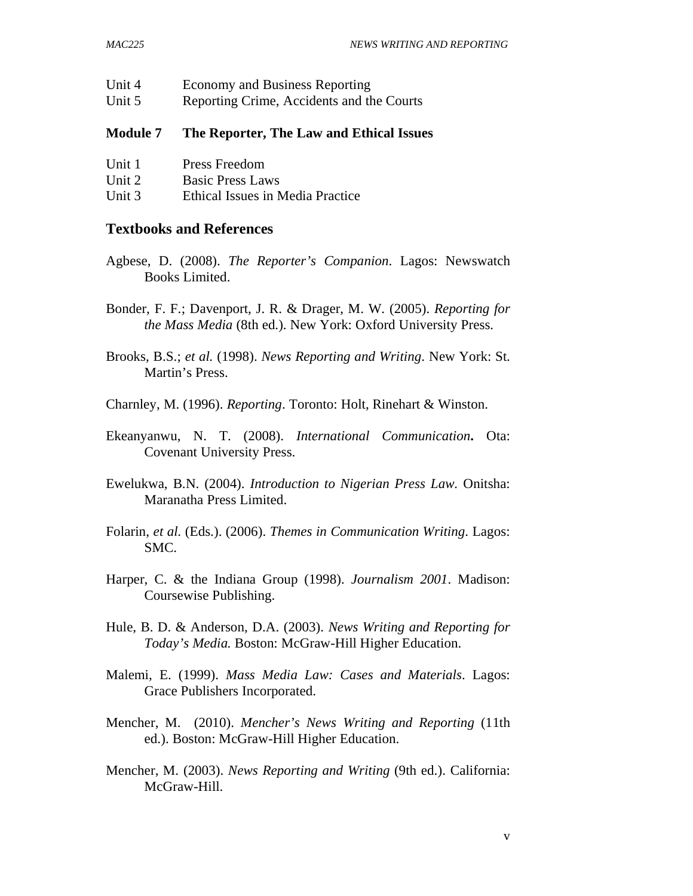| <b>Module 7</b> | The Reporter, The Law and Ethical Issues  |
|-----------------|-------------------------------------------|
| Unit 5          | Reporting Crime, Accidents and the Courts |
| Unit 4          | <b>Economy and Business Reporting</b>     |

| Unit 1 | <b>Press Freedom</b>    |
|--------|-------------------------|
| Unit 2 | <b>Basic Press Laws</b> |

Unit 3 Ethical Issues in Media Practice

#### **Textbooks and References**

- Agbese, D. (2008). *The Reporter's Companion*. Lagos: Newswatch Books Limited.
- Bonder, F. F.; Davenport, J. R. & Drager, M. W. (2005). *Reporting for the Mass Media* (8th ed.). New York: Oxford University Press.
- Brooks, B.S.; *et al.* (1998). *News Reporting and Writing*. New York: St. Martin's Press.
- Charnley, M. (1996). *Reporting*. Toronto: Holt, Rinehart & Winston.
- Ekeanyanwu, N. T. (2008). *International Communication***.** Ota: Covenant University Press.
- Ewelukwa, B.N. (2004). *Introduction to Nigerian Press Law.* Onitsha: Maranatha Press Limited.
- Folarin, *et al*. (Eds.). (2006). *Themes in Communication Writing*. Lagos: SMC.
- Harper, C. & the Indiana Group (1998). *Journalism 2001*. Madison: Coursewise Publishing.
- Hule, B. D. & Anderson, D.A. (2003). *News Writing and Reporting for Today's Media.* Boston: McGraw-Hill Higher Education.
- Malemi, E. (1999). *Mass Media Law: Cases and Materials*. Lagos: Grace Publishers Incorporated.
- Mencher, M. (2010). *Mencher's News Writing and Reporting* (11th ed.). Boston: McGraw-Hill Higher Education.
- Mencher, M. (2003). *News Reporting and Writing* (9th ed.). California: McGraw-Hill.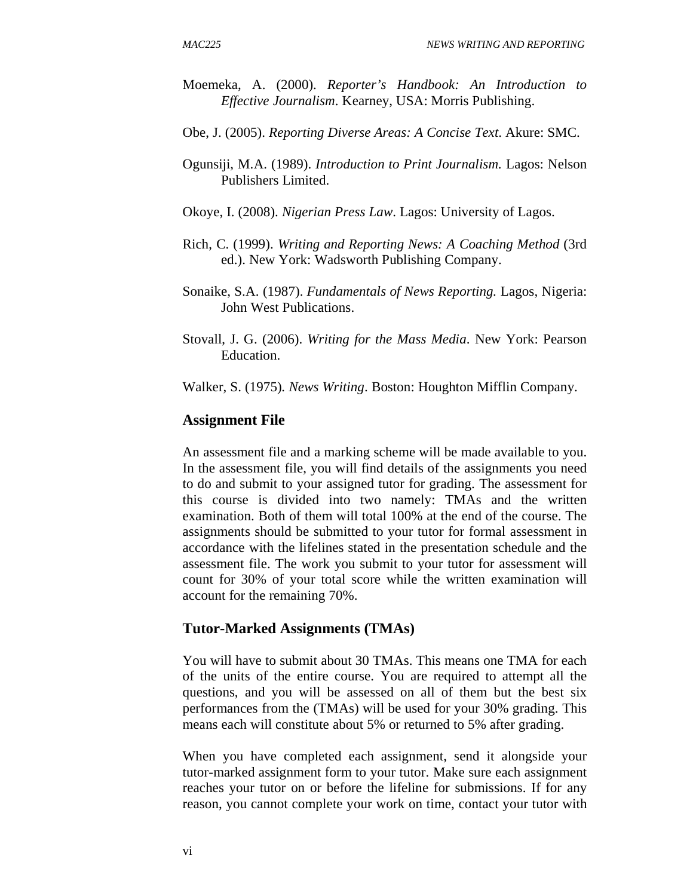- Moemeka, A. (2000). *Reporter's Handbook: An Introduction to Effective Journalism*. Kearney, USA: Morris Publishing.
- Obe, J. (2005). *Reporting Diverse Areas: A Concise Text*. Akure: SMC.
- Ogunsiji, M.A. (1989). *Introduction to Print Journalism.* Lagos: Nelson Publishers Limited.
- Okoye, I. (2008). *Nigerian Press Law*. Lagos: University of Lagos.
- Rich, C. (1999). *Writing and Reporting News: A Coaching Method* (3rd ed.). New York: Wadsworth Publishing Company.
- Sonaike, S.A. (1987). *Fundamentals of News Reporting.* Lagos, Nigeria: John West Publications.
- Stovall, J. G. (2006). *Writing for the Mass Media*. New York: Pearson Education.
- Walker, S. (1975)*. News Writing*. Boston: Houghton Mifflin Company.

#### **Assignment File**

An assessment file and a marking scheme will be made available to you. In the assessment file, you will find details of the assignments you need to do and submit to your assigned tutor for grading. The assessment for this course is divided into two namely: TMAs and the written examination. Both of them will total 100% at the end of the course. The assignments should be submitted to your tutor for formal assessment in accordance with the lifelines stated in the presentation schedule and the assessment file. The work you submit to your tutor for assessment will count for 30% of your total score while the written examination will account for the remaining 70%.

#### **Tutor-Marked Assignments (TMAs)**

You will have to submit about 30 TMAs. This means one TMA for each of the units of the entire course. You are required to attempt all the questions, and you will be assessed on all of them but the best six performances from the (TMAs) will be used for your 30% grading. This means each will constitute about 5% or returned to 5% after grading.

When you have completed each assignment, send it alongside your tutor-marked assignment form to your tutor. Make sure each assignment reaches your tutor on or before the lifeline for submissions. If for any reason, you cannot complete your work on time, contact your tutor with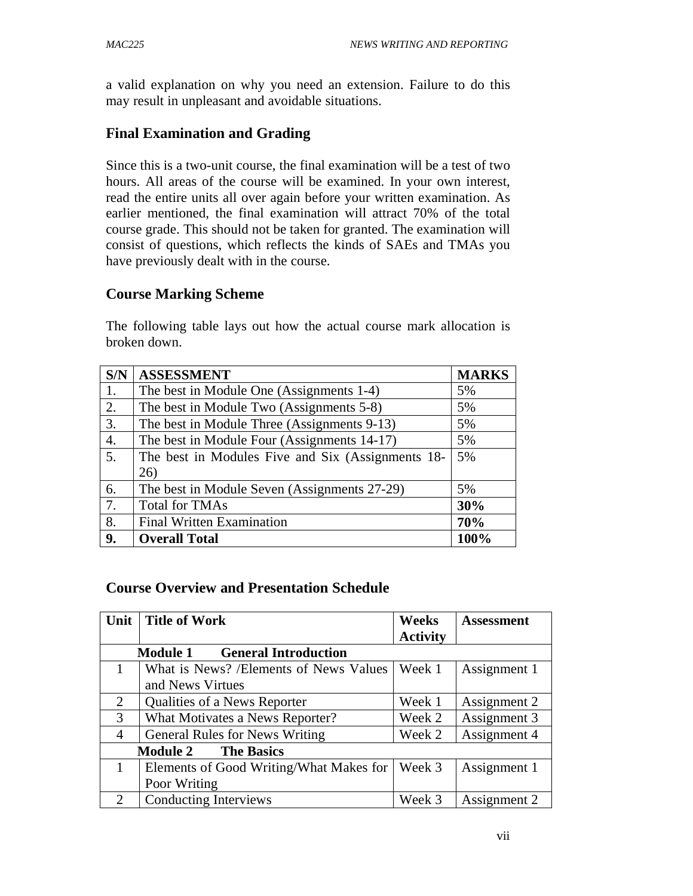a valid explanation on why you need an extension. Failure to do this may result in unpleasant and avoidable situations.

# **Final Examination and Grading**

Since this is a two-unit course, the final examination will be a test of two hours. All areas of the course will be examined. In your own interest, read the entire units all over again before your written examination. As earlier mentioned, the final examination will attract 70% of the total course grade. This should not be taken for granted. The examination will consist of questions, which reflects the kinds of SAEs and TMAs you have previously dealt with in the course.

# **Course Marking Scheme**

The following table lays out how the actual course mark allocation is broken down.

| S/N              | <b>ASSESSMENT</b>                                 | <b>MARKS</b> |
|------------------|---------------------------------------------------|--------------|
| 1.               | The best in Module One (Assignments 1-4)          | 5%           |
| 2.               | The best in Module Two (Assignments 5-8)          | 5%           |
| 3.               | The best in Module Three (Assignments 9-13)       | 5%           |
| $\overline{4}$ . | The best in Module Four (Assignments 14-17)       | 5%           |
| 5.               | The best in Modules Five and Six (Assignments 18- | 5%           |
|                  | 26)                                               |              |
| 6.               | The best in Module Seven (Assignments 27-29)      | 5%           |
| 7.               | <b>Total for TMAs</b>                             | 30%          |
| 8.               | <b>Final Written Examination</b>                  | 70%          |
| 9.               | <b>Overall Total</b>                              | 100%         |

# **Course Overview and Presentation Schedule**

| Unit                                 | <b>Title of Work</b>                           | Weeks           | <b>Assessment</b> |
|--------------------------------------|------------------------------------------------|-----------------|-------------------|
|                                      |                                                | <b>Activity</b> |                   |
|                                      | <b>General Introduction</b><br><b>Module 1</b> |                 |                   |
| 1                                    | What is News? /Elements of News Values         | Week 1          | Assignment 1      |
|                                      | and News Virtues                               |                 |                   |
| 2                                    | Qualities of a News Reporter                   | Week 1          | Assignment 2      |
| 3                                    | What Motivates a News Reporter?                | Week 2          | Assignment 3      |
| $\overline{4}$                       | <b>General Rules for News Writing</b>          | Week 2          | Assignment 4      |
| <b>The Basics</b><br><b>Module 2</b> |                                                |                 |                   |
|                                      | Elements of Good Writing/What Makes for        | Week 3          | Assignment 1      |
|                                      | Poor Writing                                   |                 |                   |
| 2                                    | Conducting Interviews                          | Week 3          | Assignment 2      |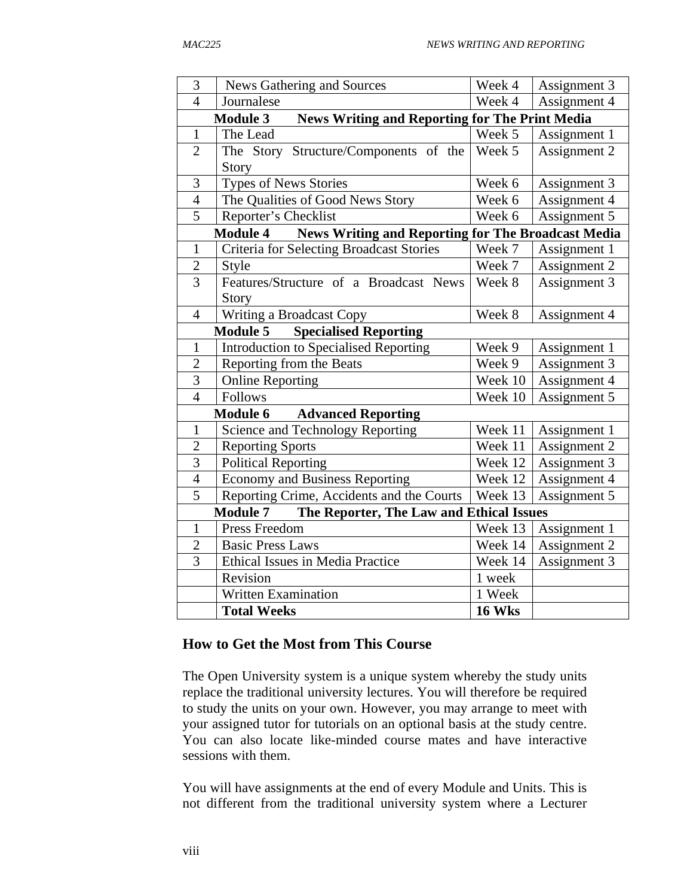| 3                                                           | <b>News Gathering and Sources</b>                                            | Week 4        | Assignment 3 |
|-------------------------------------------------------------|------------------------------------------------------------------------------|---------------|--------------|
| $\overline{4}$                                              | Journalese                                                                   | Week 4        | Assignment 4 |
|                                                             | <b>News Writing and Reporting for The Print Media</b><br><b>Module 3</b>     |               |              |
| $\mathbf{1}$                                                | The Lead                                                                     | Week 5        | Assignment 1 |
| $\overline{2}$                                              | The Story Structure/Components of the                                        | Week 5        | Assignment 2 |
|                                                             | Story                                                                        |               |              |
| 3                                                           | <b>Types of News Stories</b>                                                 | Week 6        | Assignment 3 |
| $\overline{4}$                                              | The Qualities of Good News Story                                             | Week 6        | Assignment 4 |
| $\overline{5}$                                              | Reporter's Checklist                                                         | Week 6        | Assignment 5 |
|                                                             | <b>News Writing and Reporting for The Broadcast Media</b><br><b>Module 4</b> |               |              |
| $\mathbf{1}$                                                | Criteria for Selecting Broadcast Stories                                     | Week 7        | Assignment 1 |
| $\overline{2}$                                              | Style                                                                        | Week 7        | Assignment 2 |
| $\overline{3}$                                              | Features/Structure of a Broadcast News                                       | Week 8        | Assignment 3 |
|                                                             | Story                                                                        |               |              |
| $\overline{4}$                                              | Writing a Broadcast Copy                                                     | Week 8        | Assignment 4 |
|                                                             | <b>Module 5</b><br><b>Specialised Reporting</b>                              |               |              |
| $\mathbf{1}$                                                | <b>Introduction to Specialised Reporting</b>                                 | Week 9        | Assignment 1 |
| $\overline{2}$                                              | Reporting from the Beats                                                     | Week 9        | Assignment 3 |
| 3                                                           | <b>Online Reporting</b>                                                      | Week 10       | Assignment 4 |
| $\overline{4}$                                              | Follows                                                                      | Week 10       | Assignment 5 |
| Module 6<br><b>Advanced Reporting</b>                       |                                                                              |               |              |
| $\mathbf{1}$                                                | Science and Technology Reporting                                             | Week 11       | Assignment 1 |
| $\overline{2}$                                              | <b>Reporting Sports</b>                                                      | Week 11       | Assignment 2 |
| 3                                                           | <b>Political Reporting</b>                                                   | Week 12       | Assignment 3 |
| $\overline{4}$                                              | <b>Economy and Business Reporting</b>                                        | Week 12       | Assignment 4 |
| $\overline{5}$                                              | Reporting Crime, Accidents and the Courts                                    | Week 13       | Assignment 5 |
| The Reporter, The Law and Ethical Issues<br><b>Module 7</b> |                                                                              |               |              |
| $\mathbf{1}$                                                | Press Freedom                                                                | Week 13       | Assignment 1 |
| $\overline{2}$                                              | <b>Basic Press Laws</b>                                                      | Week 14       | Assignment 2 |
| 3                                                           | Ethical Issues in Media Practice                                             | Week 14       | Assignment 3 |
|                                                             | Revision                                                                     | 1 week        |              |
|                                                             | <b>Written Examination</b>                                                   | 1 Week        |              |
|                                                             | <b>Total Weeks</b>                                                           | <b>16 Wks</b> |              |

# **How to Get the Most from This Course**

The Open University system is a unique system whereby the study units replace the traditional university lectures. You will therefore be required to study the units on your own. However, you may arrange to meet with your assigned tutor for tutorials on an optional basis at the study centre. You can also locate like-minded course mates and have interactive sessions with them.

You will have assignments at the end of every Module and Units. This is not different from the traditional university system where a Lecturer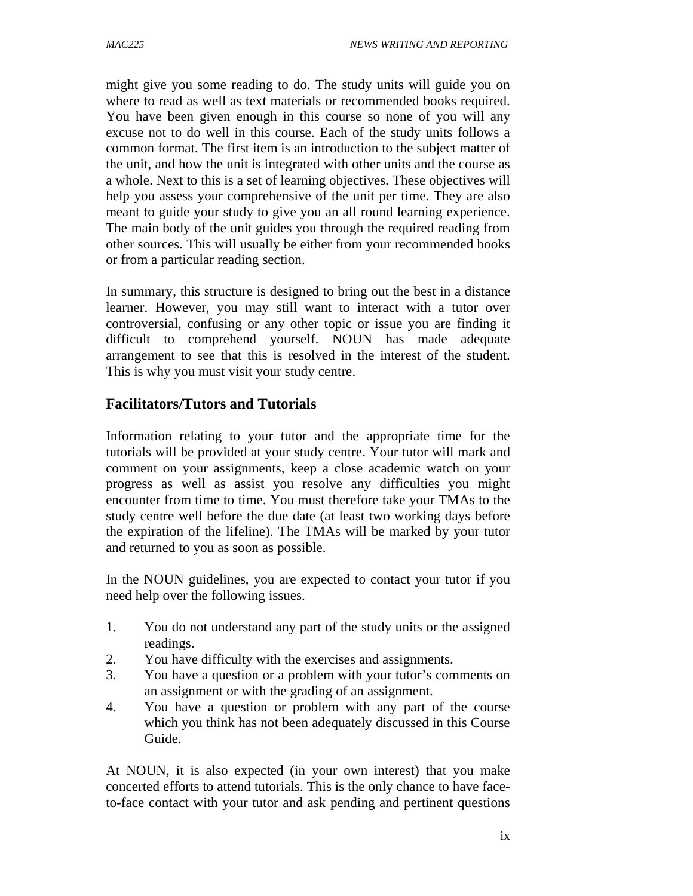might give you some reading to do. The study units will guide you on where to read as well as text materials or recommended books required. You have been given enough in this course so none of you will any excuse not to do well in this course. Each of the study units follows a common format. The first item is an introduction to the subject matter of the unit, and how the unit is integrated with other units and the course as a whole. Next to this is a set of learning objectives. These objectives will help you assess your comprehensive of the unit per time. They are also meant to guide your study to give you an all round learning experience. The main body of the unit guides you through the required reading from other sources. This will usually be either from your recommended books or from a particular reading section.

In summary, this structure is designed to bring out the best in a distance learner. However, you may still want to interact with a tutor over controversial, confusing or any other topic or issue you are finding it difficult to comprehend yourself. NOUN has made adequate arrangement to see that this is resolved in the interest of the student. This is why you must visit your study centre.

# **Facilitators/Tutors and Tutorials**

Information relating to your tutor and the appropriate time for the tutorials will be provided at your study centre. Your tutor will mark and comment on your assignments, keep a close academic watch on your progress as well as assist you resolve any difficulties you might encounter from time to time. You must therefore take your TMAs to the study centre well before the due date (at least two working days before the expiration of the lifeline). The TMAs will be marked by your tutor and returned to you as soon as possible.

In the NOUN guidelines, you are expected to contact your tutor if you need help over the following issues.

- 1. You do not understand any part of the study units or the assigned readings.
- 2. You have difficulty with the exercises and assignments.
- 3. You have a question or a problem with your tutor's comments on an assignment or with the grading of an assignment.
- 4. You have a question or problem with any part of the course which you think has not been adequately discussed in this Course Guide.

At NOUN, it is also expected (in your own interest) that you make concerted efforts to attend tutorials. This is the only chance to have faceto-face contact with your tutor and ask pending and pertinent questions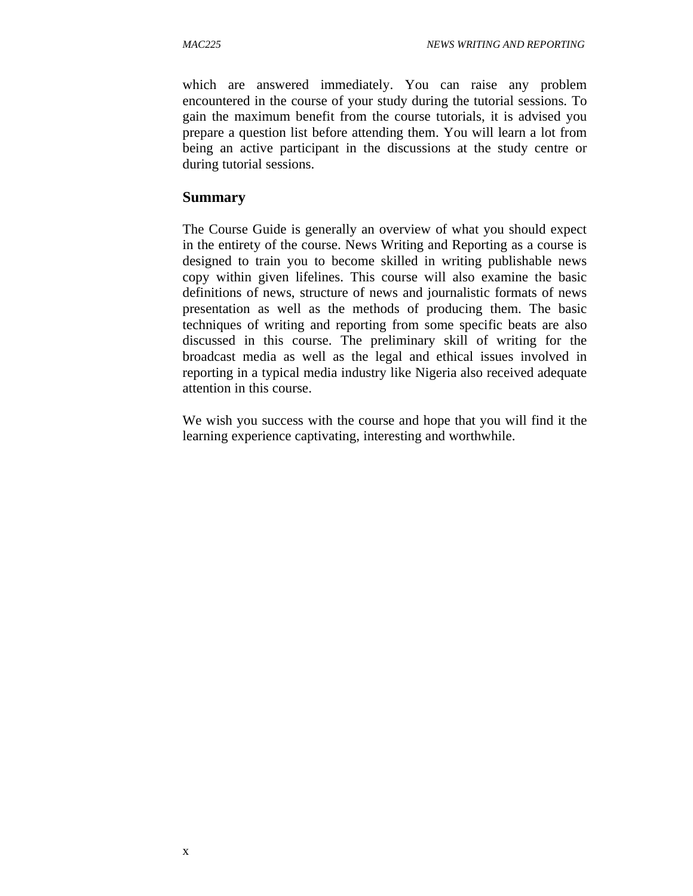which are answered immediately. You can raise any problem encountered in the course of your study during the tutorial sessions. To gain the maximum benefit from the course tutorials, it is advised you prepare a question list before attending them. You will learn a lot from being an active participant in the discussions at the study centre or during tutorial sessions.

#### **Summary**

The Course Guide is generally an overview of what you should expect in the entirety of the course. News Writing and Reporting as a course is designed to train you to become skilled in writing publishable news copy within given lifelines. This course will also examine the basic definitions of news, structure of news and journalistic formats of news presentation as well as the methods of producing them. The basic techniques of writing and reporting from some specific beats are also discussed in this course. The preliminary skill of writing for the broadcast media as well as the legal and ethical issues involved in reporting in a typical media industry like Nigeria also received adequate attention in this course.

We wish you success with the course and hope that you will find it the learning experience captivating, interesting and worthwhile.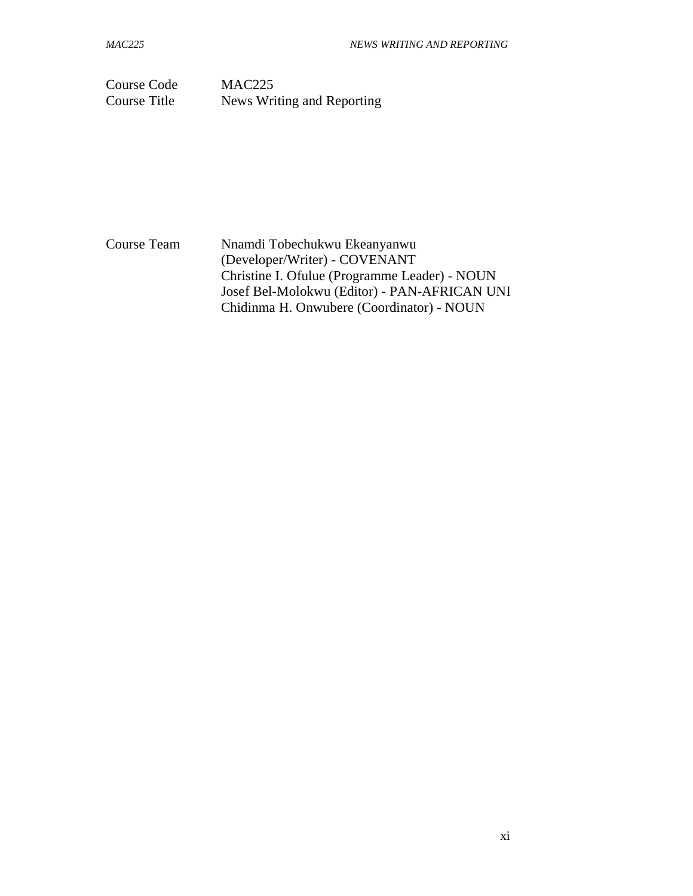Course Code MAC225 Course Title News Writing and Reporting

Course Team Nnamdi Tobechukwu Ekeanyanwu (Developer/Writer) - COVENANT Christine I. Ofulue (Programme Leader) - NOUN Josef Bel-Molokwu (Editor) - PAN-AFRICAN UNI Chidinma H. Onwubere (Coordinator) - NOUN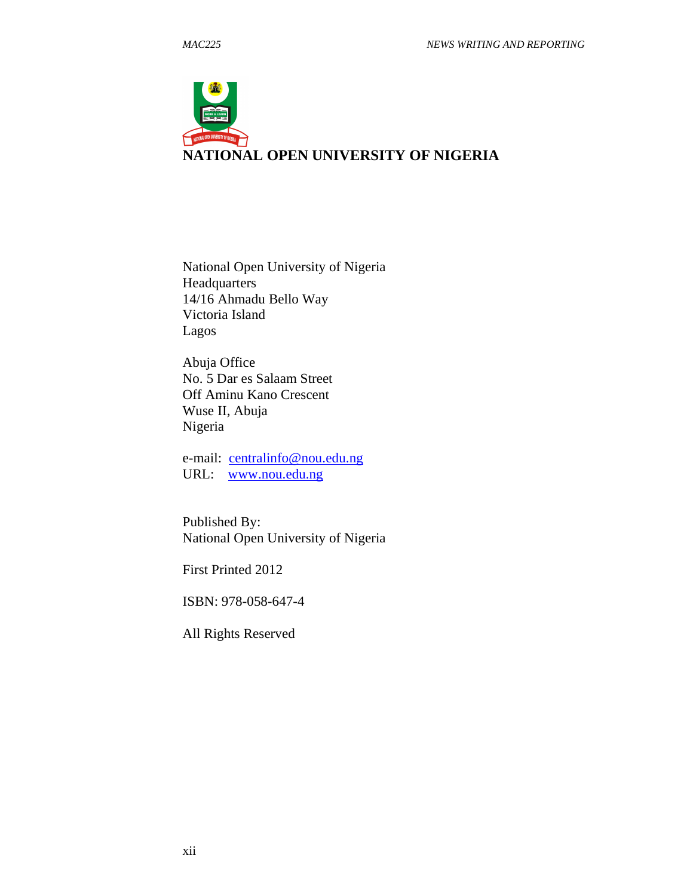

National Open University of Nigeria Headquarters 14/16 Ahmadu Bello Way Victoria Island Lagos

Abuja Office No. 5 Dar es Salaam Street Off Aminu Kano Crescent Wuse II, Abuja Nigeria

e-mail: centralinfo@nou.edu.ng URL: www.nou.edu.ng

Published By: National Open University of Nigeria

First Printed 2012

ISBN: 978-058-647-4

All Rights Reserved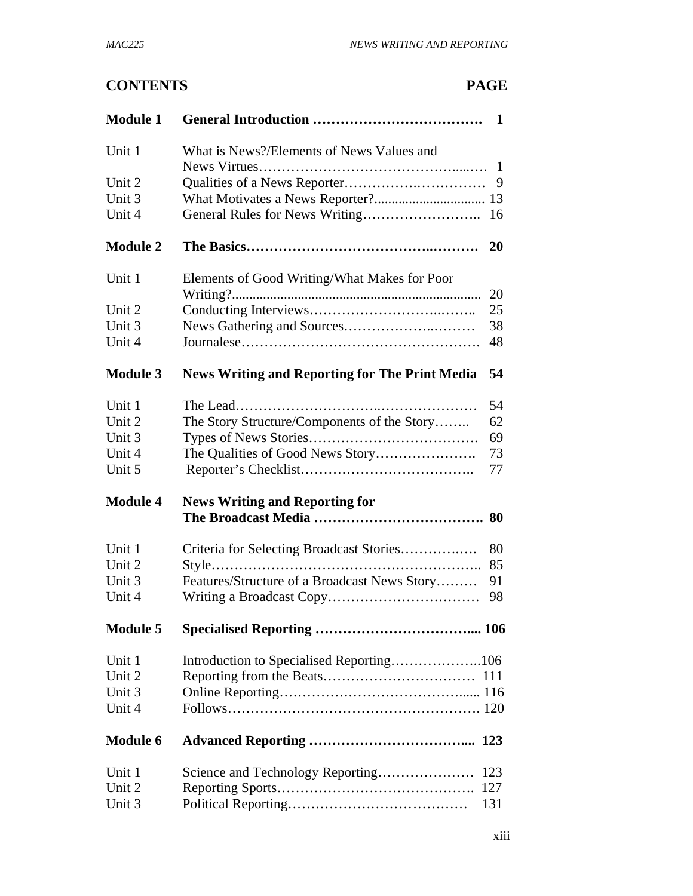# **CONTENTS PAGE**

| <b>Module 1</b> | $\mathbf{1}$                                                |  |
|-----------------|-------------------------------------------------------------|--|
| Unit 1          | What is News?/Elements of News Values and<br>1              |  |
| Unit 2          | 9                                                           |  |
| Unit 3          |                                                             |  |
| Unit 4          | 16                                                          |  |
| <b>Module 2</b> | 20                                                          |  |
| Unit 1          | Elements of Good Writing/What Makes for Poor<br>20          |  |
| Unit 2          | 25                                                          |  |
| Unit 3          | 38                                                          |  |
| Unit 4          | 48                                                          |  |
| <b>Module 3</b> | 54<br><b>News Writing and Reporting for The Print Media</b> |  |
| Unit 1          | 54                                                          |  |
| Unit 2          | The Story Structure/Components of the Story<br>62           |  |
| Unit 3          | 69                                                          |  |
| Unit 4          | 73                                                          |  |
| Unit 5          | 77                                                          |  |
| <b>Module 4</b> | <b>News Writing and Reporting for</b>                       |  |
|                 |                                                             |  |
| Unit 1          | 80<br>Criteria for Selecting Broadcast Stories              |  |
| Unit 2          | 85                                                          |  |
| Unit 3          | Features/Structure of a Broadcast News Story<br>91          |  |
| Unit 4          | 98                                                          |  |
| <b>Module 5</b> |                                                             |  |
| Unit 1          |                                                             |  |
| Unit 2          |                                                             |  |
| Unit 3          |                                                             |  |
| Unit 4          |                                                             |  |
| <b>Module 6</b> |                                                             |  |
| Unit 1          | Science and Technology Reporting<br>123                     |  |
| Unit 2          | 127                                                         |  |
| Unit 3          | 131                                                         |  |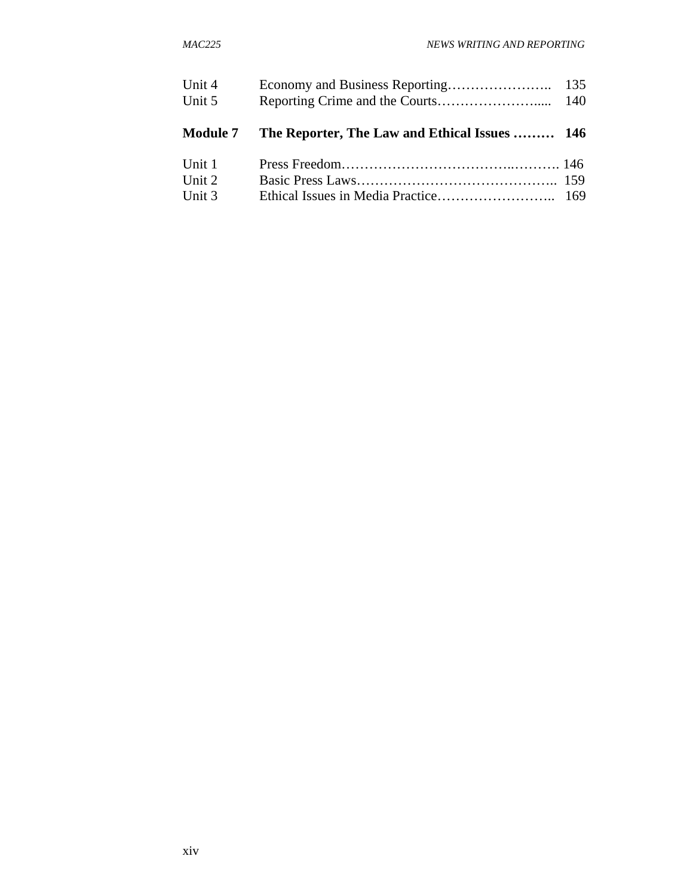| Unit 4          |                                               |  |
|-----------------|-----------------------------------------------|--|
| Unit 5          |                                               |  |
|                 |                                               |  |
| <b>Module 7</b> | The Reporter, The Law and Ethical Issues  146 |  |
| Unit 1          |                                               |  |
| Unit 2          |                                               |  |
| Unit 3          |                                               |  |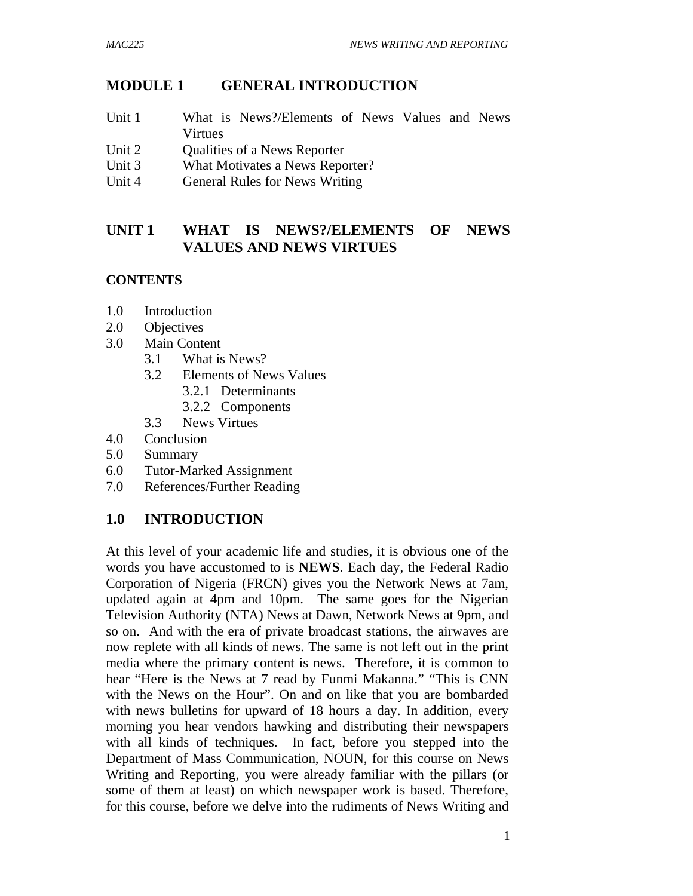# **MODULE 1 GENERAL INTRODUCTION**

- Unit 1 What is News?/Elements of News Values and News Virtues
- Unit 2 Qualities of a News Reporter
- Unit 3 What Motivates a News Reporter?
- Unit 4 General Rules for News Writing

# **UNIT 1 WHAT IS NEWS?/ELEMENTS OF NEWS VALUES AND NEWS VIRTUES**

# **CONTENTS**

- 1.0 Introduction
- 2.0 Objectives
- 3.0 Main Content
	- 3.1 What is News?
	- 3.2 Elements of News Values
		- 3.2.1 Determinants
		- 3.2.2 Components
	- 3.3 News Virtues
- 4.0 Conclusion
- 5.0 Summary
- 6.0 Tutor-Marked Assignment
- 7.0 References/Further Reading

# **1.0 INTRODUCTION**

At this level of your academic life and studies, it is obvious one of the words you have accustomed to is **NEWS**. Each day, the Federal Radio Corporation of Nigeria (FRCN) gives you the Network News at 7am, updated again at 4pm and 10pm. The same goes for the Nigerian Television Authority (NTA) News at Dawn, Network News at 9pm, and so on. And with the era of private broadcast stations, the airwaves are now replete with all kinds of news. The same is not left out in the print media where the primary content is news. Therefore, it is common to hear "Here is the News at 7 read by Funmi Makanna." "This is CNN with the News on the Hour". On and on like that you are bombarded with news bulletins for upward of 18 hours a day. In addition, every morning you hear vendors hawking and distributing their newspapers with all kinds of techniques. In fact, before you stepped into the Department of Mass Communication, NOUN, for this course on News Writing and Reporting, you were already familiar with the pillars (or some of them at least) on which newspaper work is based. Therefore, for this course, before we delve into the rudiments of News Writing and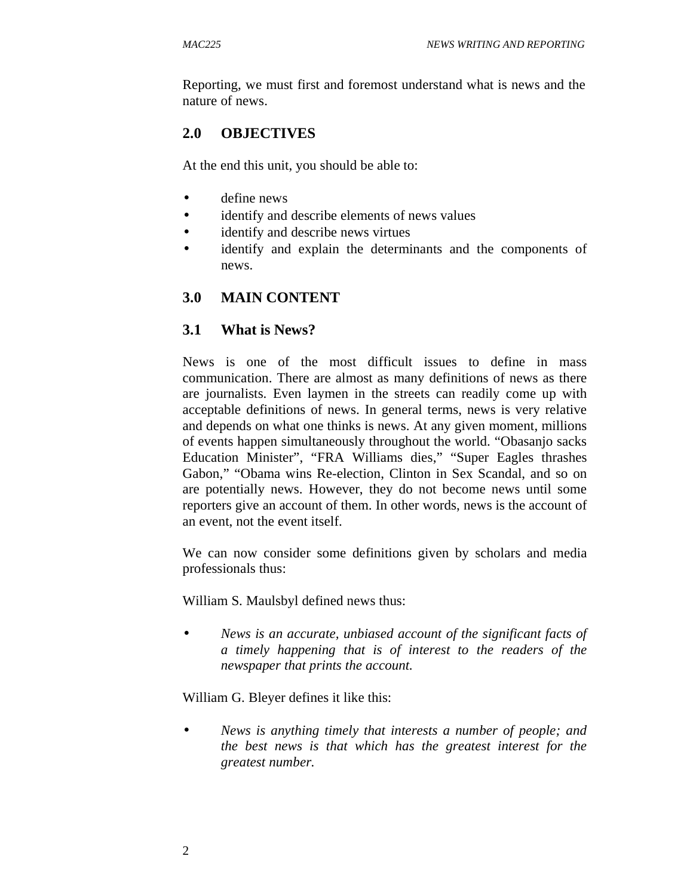Reporting, we must first and foremost understand what is news and the nature of news.

# **2.0 OBJECTIVES**

At the end this unit, you should be able to:

- define news
- identify and describe elements of news values
- identify and describe news virtues
- identify and explain the determinants and the components of news.

#### **3.0 MAIN CONTENT**

#### **3.1 What is News?**

News is one of the most difficult issues to define in mass communication. There are almost as many definitions of news as there are journalists. Even laymen in the streets can readily come up with acceptable definitions of news. In general terms, news is very relative and depends on what one thinks is news. At any given moment, millions of events happen simultaneously throughout the world. "Obasanjo sacks Education Minister", "FRA Williams dies," "Super Eagles thrashes Gabon," "Obama wins Re-election, Clinton in Sex Scandal, and so on are potentially news. However, they do not become news until some reporters give an account of them. In other words, news is the account of an event, not the event itself.

We can now consider some definitions given by scholars and media professionals thus:

William S. Maulsbyl defined news thus:

• *News is an accurate, unbiased account of the significant facts of a timely happening that is of interest to the readers of the newspaper that prints the account.* 

William G. Bleyer defines it like this:

• *News is anything timely that interests a number of people; and the best news is that which has the greatest interest for the greatest number.*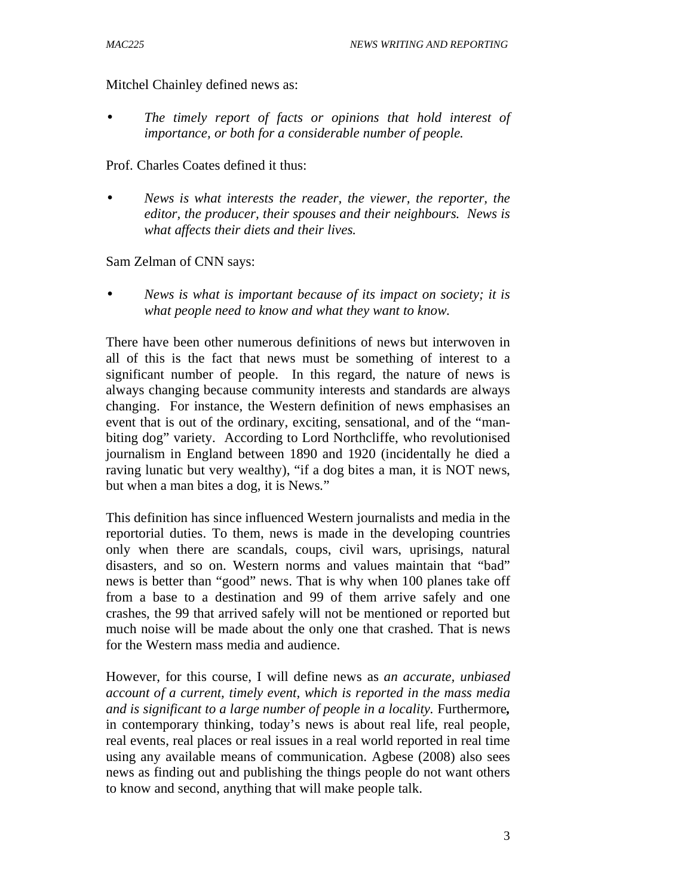Mitchel Chainley defined news as:

• *The timely report of facts or opinions that hold interest of importance, or both for a considerable number of people.*

Prof. Charles Coates defined it thus:

• *News is what interests the reader, the viewer, the reporter, the editor, the producer, their spouses and their neighbours. News is what affects their diets and their lives.* 

Sam Zelman of CNN says:

• *News is what is important because of its impact on society; it is what people need to know and what they want to know.* 

There have been other numerous definitions of news but interwoven in all of this is the fact that news must be something of interest to a significant number of people. In this regard, the nature of news is always changing because community interests and standards are always changing. For instance, the Western definition of news emphasises an event that is out of the ordinary, exciting, sensational, and of the "manbiting dog" variety. According to Lord Northcliffe, who revolutionised journalism in England between 1890 and 1920 (incidentally he died a raving lunatic but very wealthy), "if a dog bites a man, it is NOT news, but when a man bites a dog, it is News."

This definition has since influenced Western journalists and media in the reportorial duties. To them, news is made in the developing countries only when there are scandals, coups, civil wars, uprisings, natural disasters, and so on. Western norms and values maintain that "bad" news is better than "good" news. That is why when 100 planes take off from a base to a destination and 99 of them arrive safely and one crashes, the 99 that arrived safely will not be mentioned or reported but much noise will be made about the only one that crashed. That is news for the Western mass media and audience.

However, for this course, I will define news as *an accurate, unbiased account of a current, timely event, which is reported in the mass media and is significant to a large number of people in a locality.* Furthermore*,*  in contemporary thinking, today's news is about real life, real people, real events, real places or real issues in a real world reported in real time using any available means of communication. Agbese (2008) also sees news as finding out and publishing the things people do not want others to know and second, anything that will make people talk.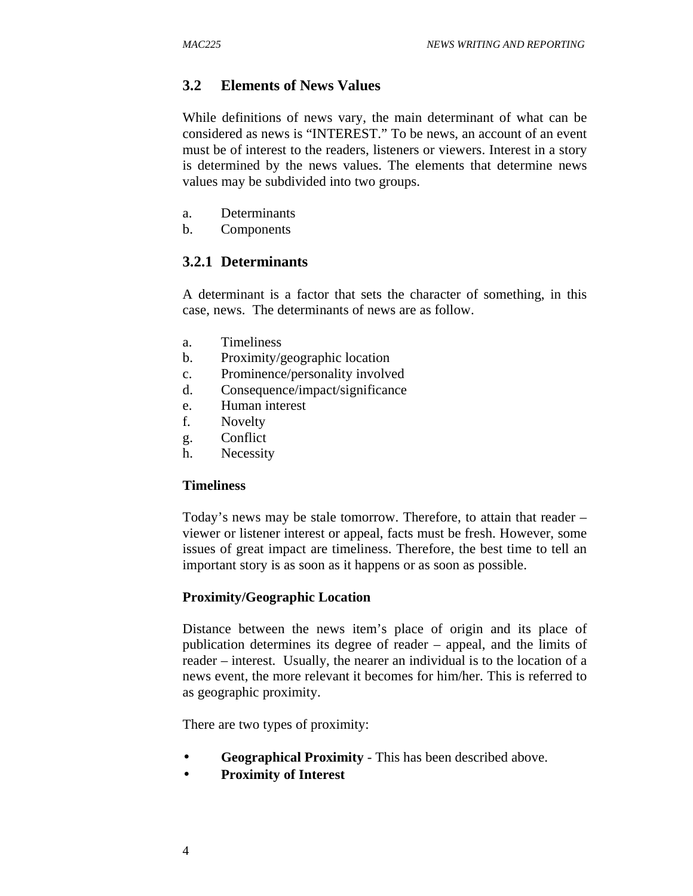# **3.2 Elements of News Values**

While definitions of news vary, the main determinant of what can be considered as news is "INTEREST." To be news, an account of an event must be of interest to the readers, listeners or viewers. Interest in a story is determined by the news values. The elements that determine news values may be subdivided into two groups.

- a. Determinants
- b. Components

# **3.2.1 Determinants**

A determinant is a factor that sets the character of something, in this case, news. The determinants of news are as follow.

- a. Timeliness
- b. Proximity/geographic location
- c. Prominence/personality involved
- d. Consequence/impact/significance
- e. Human interest
- f. Novelty
- g. Conflict
- h. Necessity

#### **Timeliness**

Today's news may be stale tomorrow. Therefore, to attain that reader – viewer or listener interest or appeal, facts must be fresh. However, some issues of great impact are timeliness. Therefore, the best time to tell an important story is as soon as it happens or as soon as possible.

#### **Proximity/Geographic Location**

Distance between the news item's place of origin and its place of publication determines its degree of reader – appeal, and the limits of reader – interest. Usually, the nearer an individual is to the location of a news event, the more relevant it becomes for him/her. This is referred to as geographic proximity.

There are two types of proximity:

- **Geographical Proximity** This has been described above.
- **Proximity of Interest**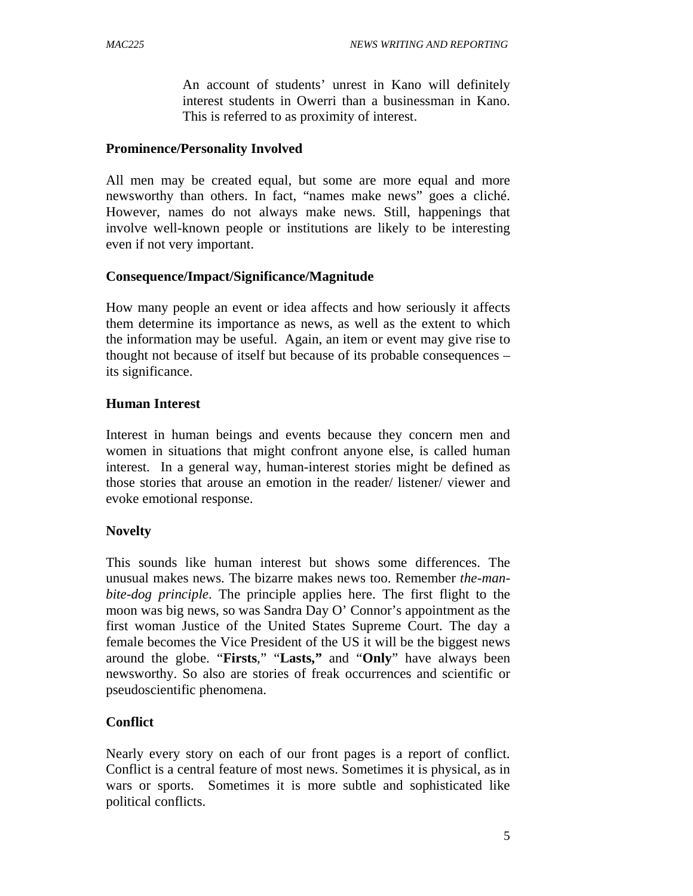An account of students' unrest in Kano will definitely interest students in Owerri than a businessman in Kano. This is referred to as proximity of interest.

#### **Prominence/Personality Involved**

All men may be created equal, but some are more equal and more newsworthy than others. In fact, "names make news" goes a cliché. However, names do not always make news. Still, happenings that involve well-known people or institutions are likely to be interesting even if not very important.

#### **Consequence/Impact/Significance/Magnitude**

How many people an event or idea affects and how seriously it affects them determine its importance as news, as well as the extent to which the information may be useful. Again, an item or event may give rise to thought not because of itself but because of its probable consequences – its significance.

#### **Human Interest**

Interest in human beings and events because they concern men and women in situations that might confront anyone else, is called human interest. In a general way, human-interest stories might be defined as those stories that arouse an emotion in the reader/ listener/ viewer and evoke emotional response.

# **Novelty**

This sounds like human interest but shows some differences. The unusual makes news. The bizarre makes news too. Remember *the-manbite-dog principle*. The principle applies here. The first flight to the moon was big news, so was Sandra Day O' Connor's appointment as the first woman Justice of the United States Supreme Court. The day a female becomes the Vice President of the US it will be the biggest news around the globe. "**Firsts**," "**Lasts,"** and "**Only**" have always been newsworthy. So also are stories of freak occurrences and scientific or pseudoscientific phenomena.

# **Conflict**

Nearly every story on each of our front pages is a report of conflict. Conflict is a central feature of most news. Sometimes it is physical, as in wars or sports. Sometimes it is more subtle and sophisticated like political conflicts.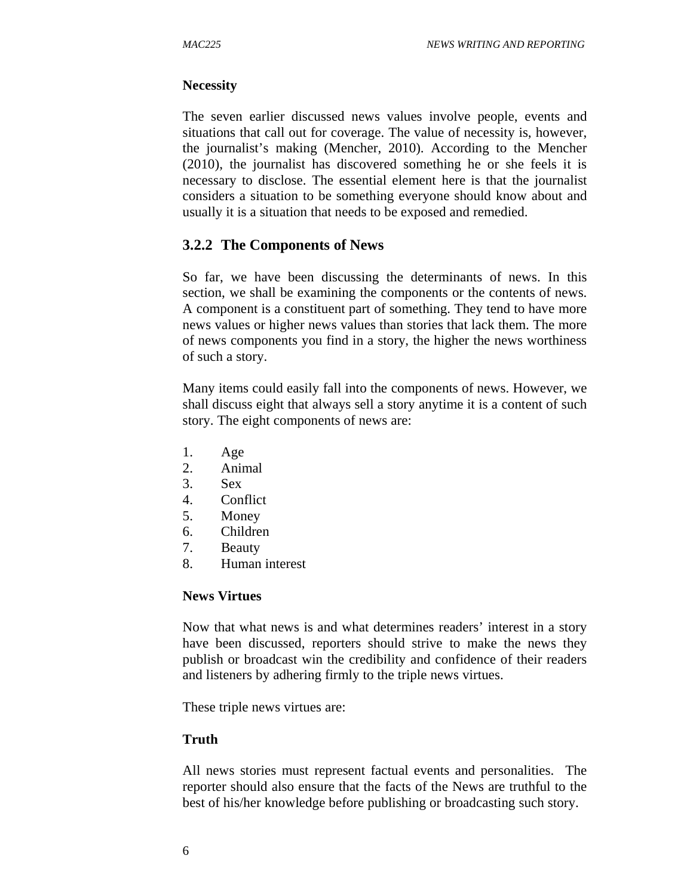#### **Necessity**

The seven earlier discussed news values involve people, events and situations that call out for coverage. The value of necessity is, however, the journalist's making (Mencher, 2010). According to the Mencher (2010), the journalist has discovered something he or she feels it is necessary to disclose. The essential element here is that the journalist considers a situation to be something everyone should know about and usually it is a situation that needs to be exposed and remedied.

# **3.2.2 The Components of News**

So far, we have been discussing the determinants of news. In this section, we shall be examining the components or the contents of news. A component is a constituent part of something. They tend to have more news values or higher news values than stories that lack them. The more of news components you find in a story, the higher the news worthiness of such a story.

Many items could easily fall into the components of news. However, we shall discuss eight that always sell a story anytime it is a content of such story. The eight components of news are:

- 1. Age
- 2. Animal
- 3. Sex
- 4. Conflict
- 5. Money
- 6. Children
- 7. Beauty
- 8. Human interest

#### **News Virtues**

Now that what news is and what determines readers' interest in a story have been discussed, reporters should strive to make the news they publish or broadcast win the credibility and confidence of their readers and listeners by adhering firmly to the triple news virtues.

These triple news virtues are:

# **Truth**

All news stories must represent factual events and personalities. The reporter should also ensure that the facts of the News are truthful to the best of his/her knowledge before publishing or broadcasting such story.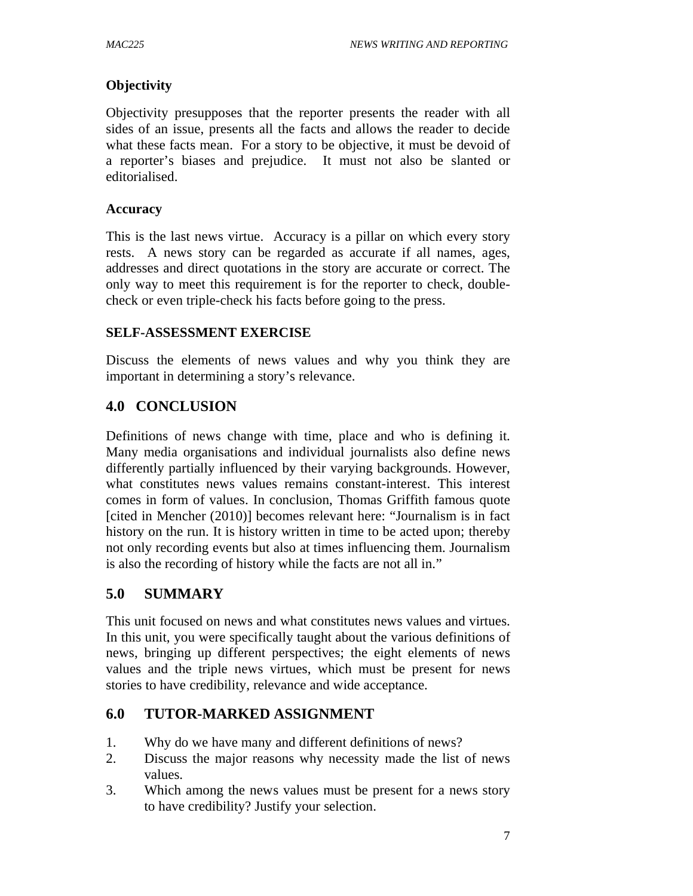#### **Objectivity**

Objectivity presupposes that the reporter presents the reader with all sides of an issue, presents all the facts and allows the reader to decide what these facts mean. For a story to be objective, it must be devoid of a reporter's biases and prejudice. It must not also be slanted or editorialised.

#### **Accuracy**

This is the last news virtue. Accuracy is a pillar on which every story rests. A news story can be regarded as accurate if all names, ages, addresses and direct quotations in the story are accurate or correct. The only way to meet this requirement is for the reporter to check, doublecheck or even triple-check his facts before going to the press.

#### **SELF-ASSESSMENT EXERCISE**

Discuss the elements of news values and why you think they are important in determining a story's relevance.

# **4.0 CONCLUSION**

Definitions of news change with time, place and who is defining it. Many media organisations and individual journalists also define news differently partially influenced by their varying backgrounds. However, what constitutes news values remains constant-interest. This interest comes in form of values. In conclusion, Thomas Griffith famous quote [cited in Mencher (2010)] becomes relevant here: "Journalism is in fact history on the run. It is history written in time to be acted upon; thereby not only recording events but also at times influencing them. Journalism is also the recording of history while the facts are not all in."

# **5.0 SUMMARY**

This unit focused on news and what constitutes news values and virtues. In this unit, you were specifically taught about the various definitions of news, bringing up different perspectives; the eight elements of news values and the triple news virtues, which must be present for news stories to have credibility, relevance and wide acceptance.

# **6.0 TUTOR-MARKED ASSIGNMENT**

- 1. Why do we have many and different definitions of news?
- 2. Discuss the major reasons why necessity made the list of news values.
- 3. Which among the news values must be present for a news story to have credibility? Justify your selection.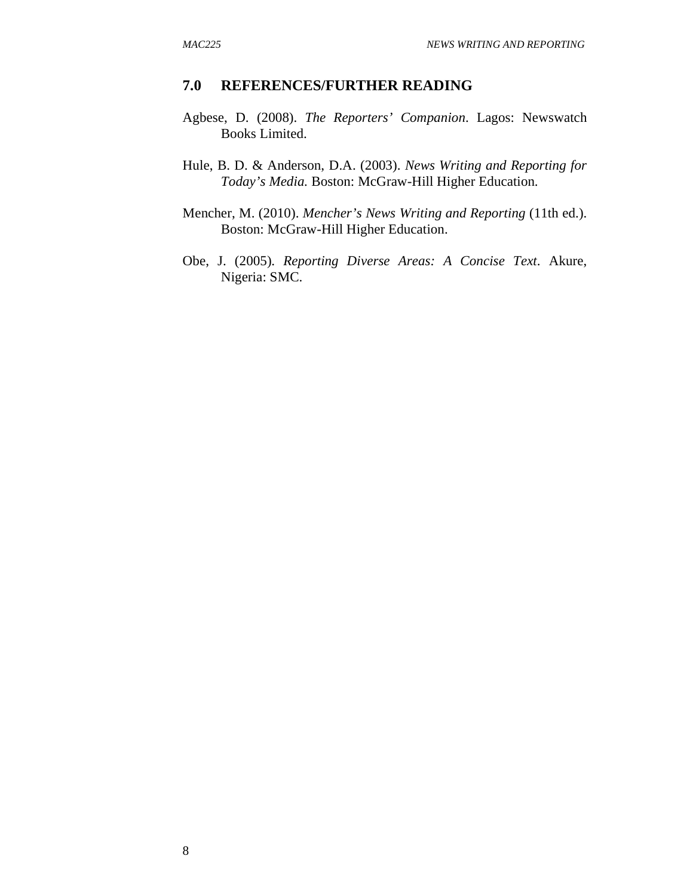#### **7.0 REFERENCES/FURTHER READING**

- Agbese, D. (2008). *The Reporters' Companion*. Lagos: Newswatch Books Limited.
- Hule, B. D. & Anderson, D.A. (2003). *News Writing and Reporting for Today's Media.* Boston: McGraw-Hill Higher Education.
- Mencher, M. (2010). *Mencher's News Writing and Reporting* (11th ed.). Boston: McGraw-Hill Higher Education.
- Obe, J. (2005). *Reporting Diverse Areas: A Concise Text*. Akure, Nigeria: SMC.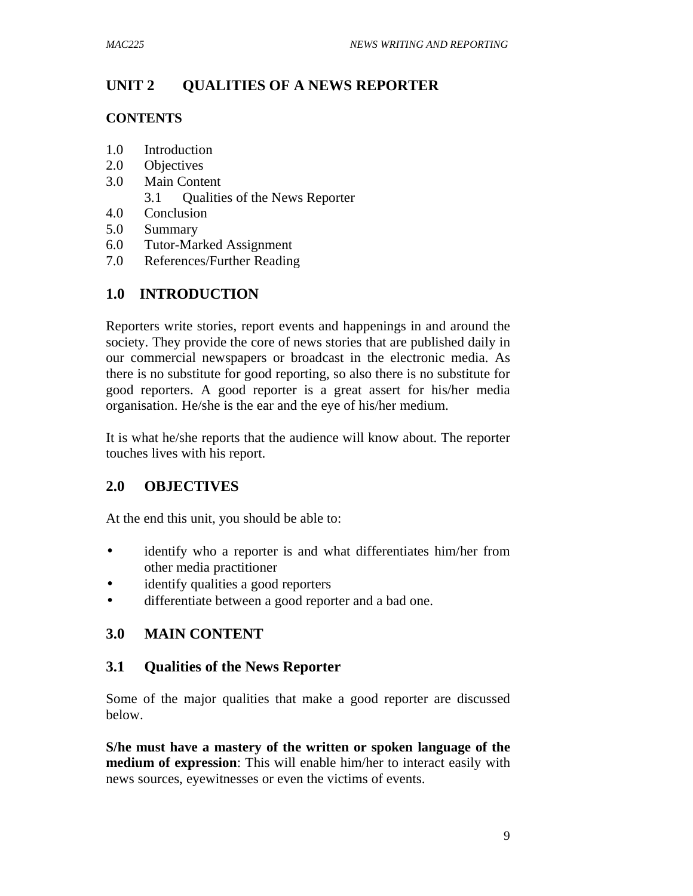# **UNIT 2 QUALITIES OF A NEWS REPORTER**

#### **CONTENTS**

- 1.0 Introduction
- 2.0 Objectives
- 3.0 Main Content
	- 3.1 Qualities of the News Reporter
- 4.0 Conclusion
- 5.0 Summary
- 6.0 Tutor-Marked Assignment
- 7.0 References/Further Reading

# **1.0 INTRODUCTION**

Reporters write stories, report events and happenings in and around the society. They provide the core of news stories that are published daily in our commercial newspapers or broadcast in the electronic media. As there is no substitute for good reporting, so also there is no substitute for good reporters. A good reporter is a great assert for his/her media organisation. He/she is the ear and the eye of his/her medium.

It is what he/she reports that the audience will know about. The reporter touches lives with his report.

# **2.0 OBJECTIVES**

At the end this unit, you should be able to:

- identify who a reporter is and what differentiates him/her from other media practitioner
- identify qualities a good reporters
- differentiate between a good reporter and a bad one.

# **3.0 MAIN CONTENT**

# **3.1 Qualities of the News Reporter**

Some of the major qualities that make a good reporter are discussed below.

**S/he must have a mastery of the written or spoken language of the medium of expression**: This will enable him/her to interact easily with news sources, eyewitnesses or even the victims of events.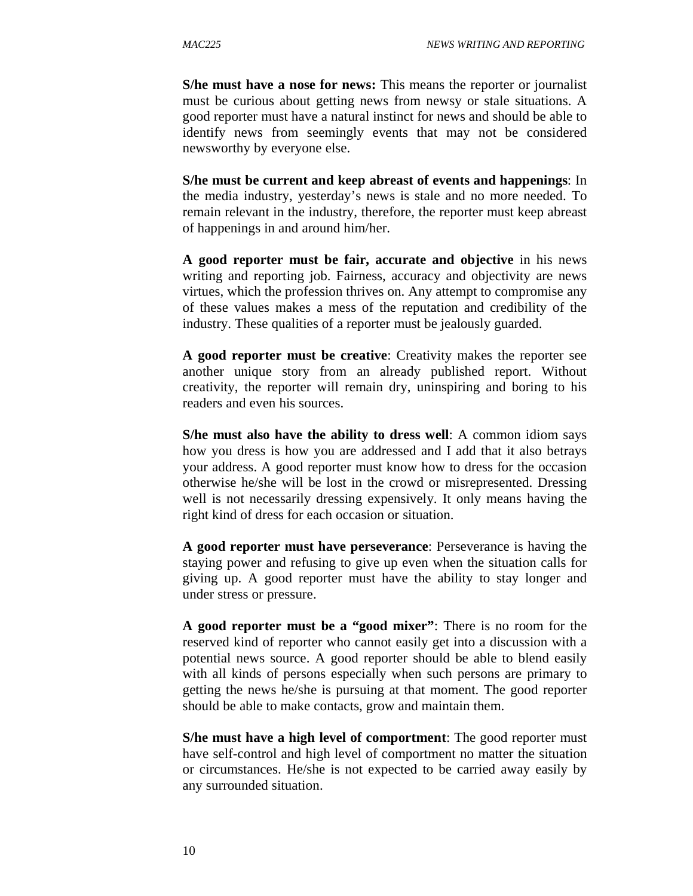**S/he must have a nose for news:** This means the reporter or journalist must be curious about getting news from newsy or stale situations. A good reporter must have a natural instinct for news and should be able to identify news from seemingly events that may not be considered newsworthy by everyone else.

**S/he must be current and keep abreast of events and happenings**: In the media industry, yesterday's news is stale and no more needed. To remain relevant in the industry, therefore, the reporter must keep abreast of happenings in and around him/her.

**A good reporter must be fair, accurate and objective** in his news writing and reporting job. Fairness, accuracy and objectivity are news virtues, which the profession thrives on. Any attempt to compromise any of these values makes a mess of the reputation and credibility of the industry. These qualities of a reporter must be jealously guarded.

**A good reporter must be creative**: Creativity makes the reporter see another unique story from an already published report. Without creativity, the reporter will remain dry, uninspiring and boring to his readers and even his sources.

**S/he must also have the ability to dress well**: A common idiom says how you dress is how you are addressed and I add that it also betrays your address. A good reporter must know how to dress for the occasion otherwise he/she will be lost in the crowd or misrepresented. Dressing well is not necessarily dressing expensively. It only means having the right kind of dress for each occasion or situation.

**A good reporter must have perseverance**: Perseverance is having the staying power and refusing to give up even when the situation calls for giving up. A good reporter must have the ability to stay longer and under stress or pressure.

**A good reporter must be a "good mixer"**: There is no room for the reserved kind of reporter who cannot easily get into a discussion with a potential news source. A good reporter should be able to blend easily with all kinds of persons especially when such persons are primary to getting the news he/she is pursuing at that moment. The good reporter should be able to make contacts, grow and maintain them.

**S/he must have a high level of comportment**: The good reporter must have self-control and high level of comportment no matter the situation or circumstances. He/she is not expected to be carried away easily by any surrounded situation.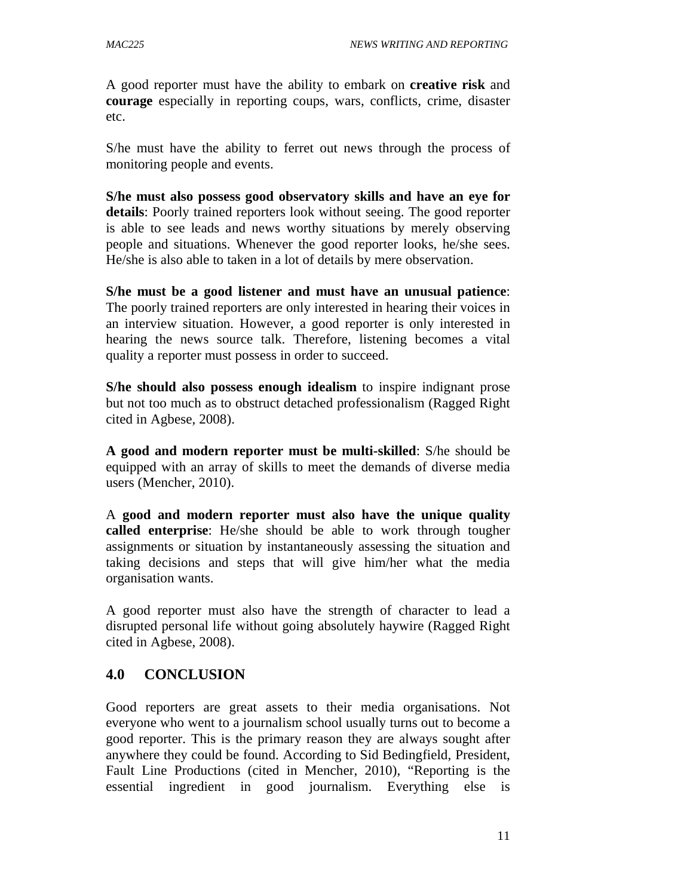A good reporter must have the ability to embark on **creative risk** and **courage** especially in reporting coups, wars, conflicts, crime, disaster etc.

S/he must have the ability to ferret out news through the process of monitoring people and events.

**S/he must also possess good observatory skills and have an eye for details**: Poorly trained reporters look without seeing. The good reporter is able to see leads and news worthy situations by merely observing people and situations. Whenever the good reporter looks, he/she sees. He/she is also able to taken in a lot of details by mere observation.

**S/he must be a good listener and must have an unusual patience**: The poorly trained reporters are only interested in hearing their voices in an interview situation. However, a good reporter is only interested in hearing the news source talk. Therefore, listening becomes a vital quality a reporter must possess in order to succeed.

**S/he should also possess enough idealism** to inspire indignant prose but not too much as to obstruct detached professionalism (Ragged Right cited in Agbese, 2008).

**A good and modern reporter must be multi-skilled**: S/he should be equipped with an array of skills to meet the demands of diverse media users (Mencher, 2010).

A **good and modern reporter must also have the unique quality called enterprise**: He/she should be able to work through tougher assignments or situation by instantaneously assessing the situation and taking decisions and steps that will give him/her what the media organisation wants.

A good reporter must also have the strength of character to lead a disrupted personal life without going absolutely haywire (Ragged Right cited in Agbese, 2008).

# **4.0 CONCLUSION**

Good reporters are great assets to their media organisations. Not everyone who went to a journalism school usually turns out to become a good reporter. This is the primary reason they are always sought after anywhere they could be found. According to Sid Bedingfield, President, Fault Line Productions (cited in Mencher, 2010), "Reporting is the essential ingredient in good journalism. Everything else is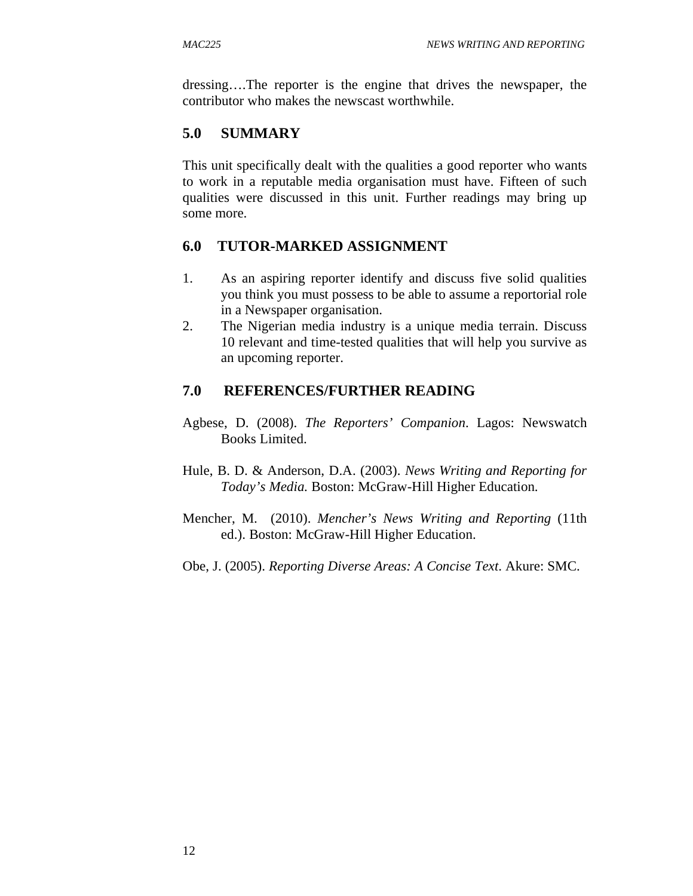dressing….The reporter is the engine that drives the newspaper, the contributor who makes the newscast worthwhile.

# **5.0 SUMMARY**

This unit specifically dealt with the qualities a good reporter who wants to work in a reputable media organisation must have. Fifteen of such qualities were discussed in this unit. Further readings may bring up some more.

# **6.0 TUTOR-MARKED ASSIGNMENT**

- 1. As an aspiring reporter identify and discuss five solid qualities you think you must possess to be able to assume a reportorial role in a Newspaper organisation.
- 2. The Nigerian media industry is a unique media terrain. Discuss 10 relevant and time-tested qualities that will help you survive as an upcoming reporter.

# **7.0 REFERENCES/FURTHER READING**

- Agbese, D. (2008). *The Reporters' Companion*. Lagos: Newswatch Books Limited.
- Hule, B. D. & Anderson, D.A. (2003). *News Writing and Reporting for Today's Media.* Boston: McGraw-Hill Higher Education.
- Mencher, M. (2010). *Mencher's News Writing and Reporting* (11th ed.). Boston: McGraw-Hill Higher Education.
- Obe, J. (2005). *Reporting Diverse Areas: A Concise Text*. Akure: SMC.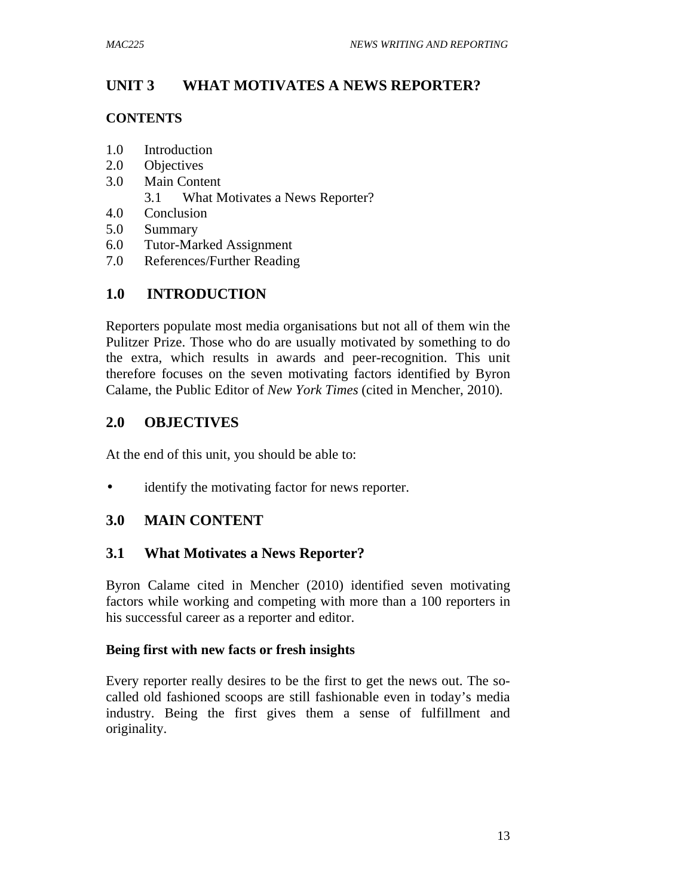# **UNIT 3 WHAT MOTIVATES A NEWS REPORTER?**

#### **CONTENTS**

- 1.0 Introduction
- 2.0 Objectives
- 3.0 Main Content
	- 3.1 What Motivates a News Reporter?
- 4.0 Conclusion
- 5.0 Summary
- 6.0 Tutor-Marked Assignment
- 7.0 References/Further Reading

# **1.0 INTRODUCTION**

Reporters populate most media organisations but not all of them win the Pulitzer Prize. Those who do are usually motivated by something to do the extra, which results in awards and peer-recognition. This unit therefore focuses on the seven motivating factors identified by Byron Calame, the Public Editor of *New York Times* (cited in Mencher, 2010).

# **2.0 OBJECTIVES**

At the end of this unit, you should be able to:

• identify the motivating factor for news reporter.

# **3.0 MAIN CONTENT**

# **3.1 What Motivates a News Reporter?**

Byron Calame cited in Mencher (2010) identified seven motivating factors while working and competing with more than a 100 reporters in his successful career as a reporter and editor.

# **Being first with new facts or fresh insights**

Every reporter really desires to be the first to get the news out. The socalled old fashioned scoops are still fashionable even in today's media industry. Being the first gives them a sense of fulfillment and originality.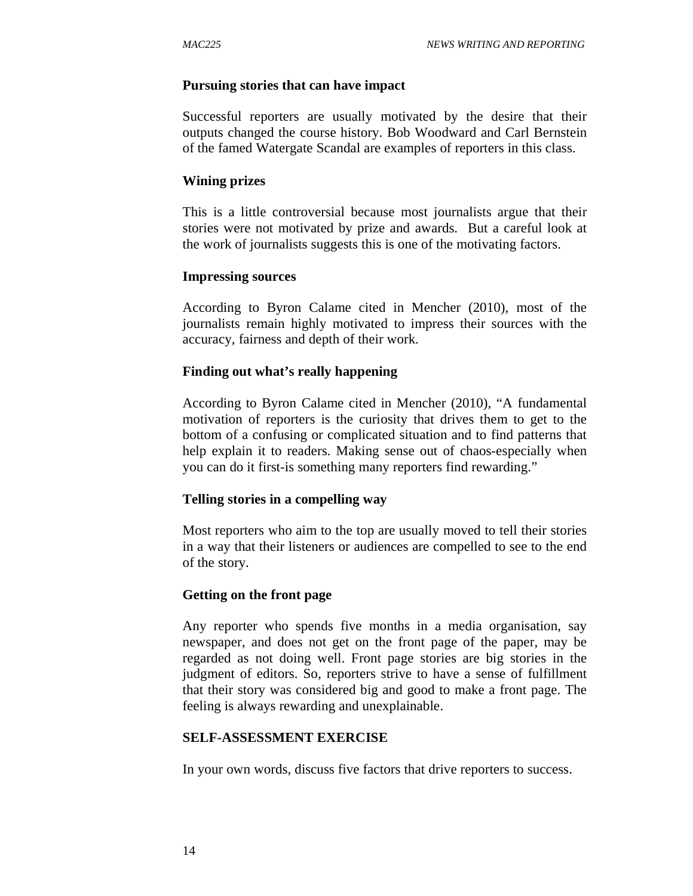#### **Pursuing stories that can have impact**

Successful reporters are usually motivated by the desire that their outputs changed the course history. Bob Woodward and Carl Bernstein of the famed Watergate Scandal are examples of reporters in this class.

#### **Wining prizes**

This is a little controversial because most journalists argue that their stories were not motivated by prize and awards. But a careful look at the work of journalists suggests this is one of the motivating factors.

#### **Impressing sources**

According to Byron Calame cited in Mencher (2010), most of the journalists remain highly motivated to impress their sources with the accuracy, fairness and depth of their work.

#### **Finding out what's really happening**

According to Byron Calame cited in Mencher (2010), "A fundamental motivation of reporters is the curiosity that drives them to get to the bottom of a confusing or complicated situation and to find patterns that help explain it to readers. Making sense out of chaos-especially when you can do it first-is something many reporters find rewarding."

#### **Telling stories in a compelling way**

Most reporters who aim to the top are usually moved to tell their stories in a way that their listeners or audiences are compelled to see to the end of the story.

#### **Getting on the front page**

Any reporter who spends five months in a media organisation, say newspaper, and does not get on the front page of the paper, may be regarded as not doing well. Front page stories are big stories in the judgment of editors. So, reporters strive to have a sense of fulfillment that their story was considered big and good to make a front page. The feeling is always rewarding and unexplainable.

#### **SELF-ASSESSMENT EXERCISE**

In your own words, discuss five factors that drive reporters to success.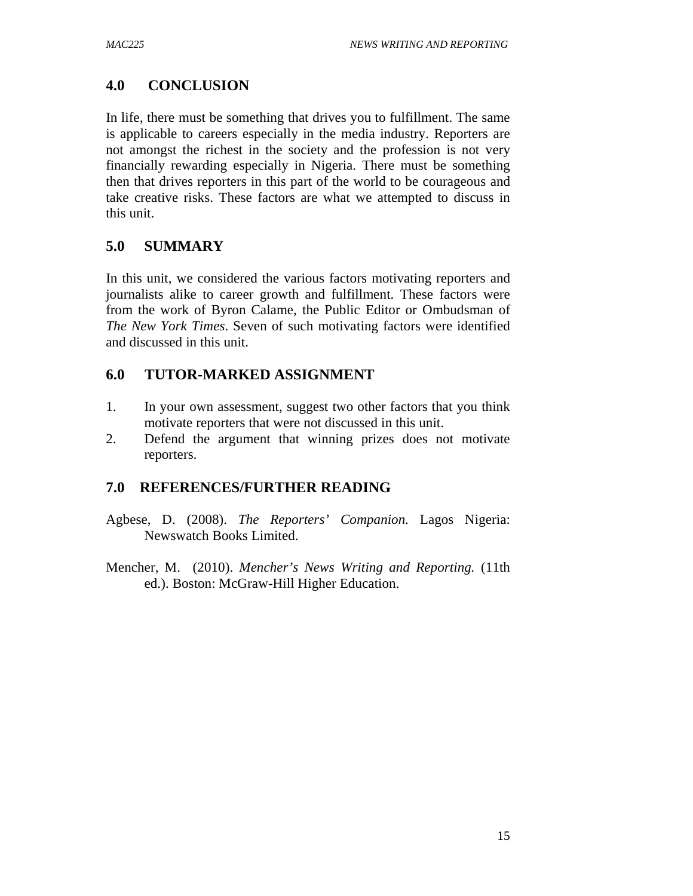# **4.0 CONCLUSION**

In life, there must be something that drives you to fulfillment. The same is applicable to careers especially in the media industry. Reporters are not amongst the richest in the society and the profession is not very financially rewarding especially in Nigeria. There must be something then that drives reporters in this part of the world to be courageous and take creative risks. These factors are what we attempted to discuss in this unit.

# **5.0 SUMMARY**

In this unit, we considered the various factors motivating reporters and journalists alike to career growth and fulfillment. These factors were from the work of Byron Calame, the Public Editor or Ombudsman of *The New York Times*. Seven of such motivating factors were identified and discussed in this unit.

# **6.0 TUTOR-MARKED ASSIGNMENT**

- 1. In your own assessment, suggest two other factors that you think motivate reporters that were not discussed in this unit.
- 2. Defend the argument that winning prizes does not motivate reporters.

# **7.0 REFERENCES/FURTHER READING**

- Agbese, D. (2008). *The Reporters' Companion*. Lagos Nigeria: Newswatch Books Limited.
- Mencher, M. (2010). *Mencher's News Writing and Reporting.* (11th ed.). Boston: McGraw-Hill Higher Education.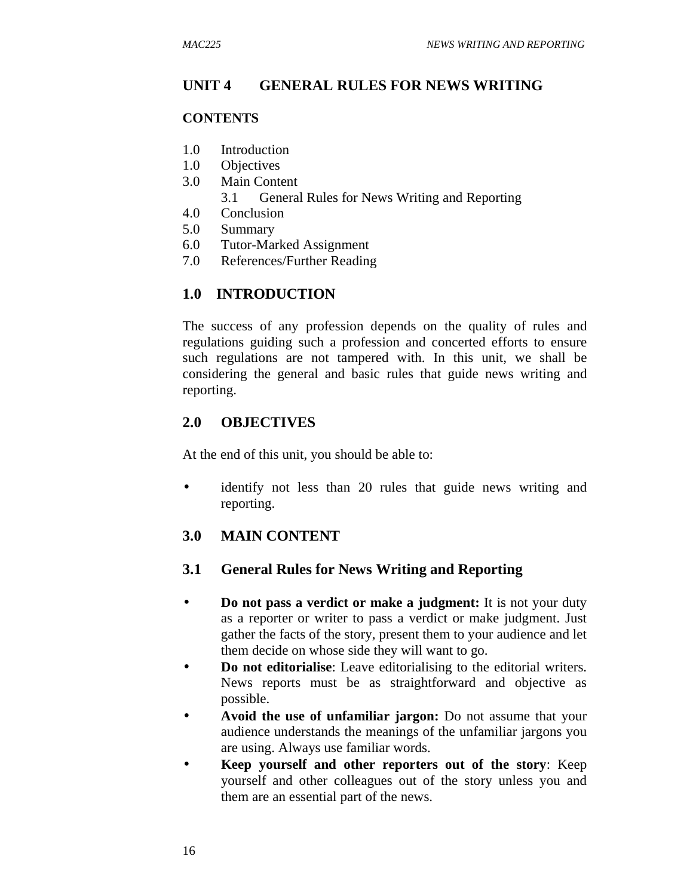# **UNIT 4 GENERAL RULES FOR NEWS WRITING**

#### **CONTENTS**

- 1.0 Introduction
- 1.0 Objectives
- 3.0 Main Content
	- 3.1 General Rules for News Writing and Reporting
- 4.0 Conclusion
- 5.0 Summary
- 6.0 Tutor-Marked Assignment
- 7.0 References/Further Reading

# **1.0 INTRODUCTION**

The success of any profession depends on the quality of rules and regulations guiding such a profession and concerted efforts to ensure such regulations are not tampered with. In this unit, we shall be considering the general and basic rules that guide news writing and reporting.

# **2.0 OBJECTIVES**

At the end of this unit, you should be able to:

• identify not less than 20 rules that guide news writing and reporting.

# **3.0 MAIN CONTENT**

#### **3.1 General Rules for News Writing and Reporting**

- **Do not pass a verdict or make a judgment:** It is not your duty as a reporter or writer to pass a verdict or make judgment. Just gather the facts of the story, present them to your audience and let them decide on whose side they will want to go.
- **Do not editorialise**: Leave editorialising to the editorial writers. News reports must be as straightforward and objective as possible.
- **Avoid the use of unfamiliar jargon:** Do not assume that your audience understands the meanings of the unfamiliar jargons you are using. Always use familiar words.
- **Keep yourself and other reporters out of the story**: Keep yourself and other colleagues out of the story unless you and them are an essential part of the news.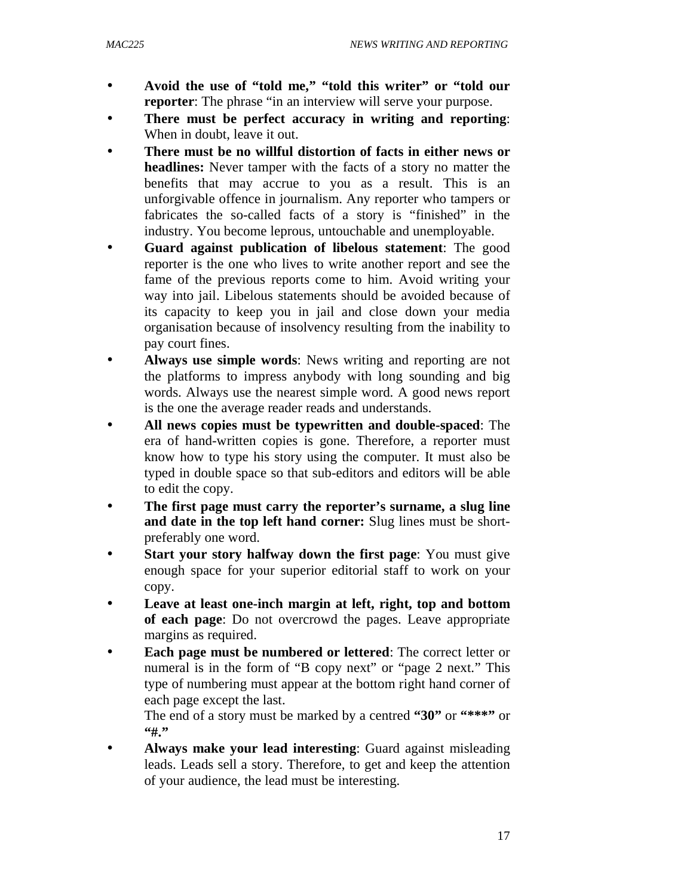- **Avoid the use of "told me," "told this writer" or "told our reporter**: The phrase "in an interview will serve your purpose.
- **There must be perfect accuracy in writing and reporting**: When in doubt, leave it out.
- **There must be no willful distortion of facts in either news or headlines:** Never tamper with the facts of a story no matter the benefits that may accrue to you as a result. This is an unforgivable offence in journalism. Any reporter who tampers or fabricates the so-called facts of a story is "finished" in the industry. You become leprous, untouchable and unemployable.
- **Guard against publication of libelous statement**: The good reporter is the one who lives to write another report and see the fame of the previous reports come to him. Avoid writing your way into jail. Libelous statements should be avoided because of its capacity to keep you in jail and close down your media organisation because of insolvency resulting from the inability to pay court fines.
- **Always use simple words**: News writing and reporting are not the platforms to impress anybody with long sounding and big words. Always use the nearest simple word. A good news report is the one the average reader reads and understands.
- **All news copies must be typewritten and double-spaced**: The era of hand-written copies is gone. Therefore, a reporter must know how to type his story using the computer. It must also be typed in double space so that sub-editors and editors will be able to edit the copy.
- **The first page must carry the reporter's surname, a slug line and date in the top left hand corner:** Slug lines must be shortpreferably one word.
- **Start your story halfway down the first page:** You must give enough space for your superior editorial staff to work on your copy.
- **Leave at least one-inch margin at left, right, top and bottom of each page**: Do not overcrowd the pages. Leave appropriate margins as required.
- **Each page must be numbered or lettered**: The correct letter or numeral is in the form of "B copy next" or "page 2 next." This type of numbering must appear at the bottom right hand corner of each page except the last.

The end of a story must be marked by a centred **"30"** or **"\*\*\*"** or **"#."** 

• **Always make your lead interesting**: Guard against misleading leads. Leads sell a story. Therefore, to get and keep the attention of your audience, the lead must be interesting.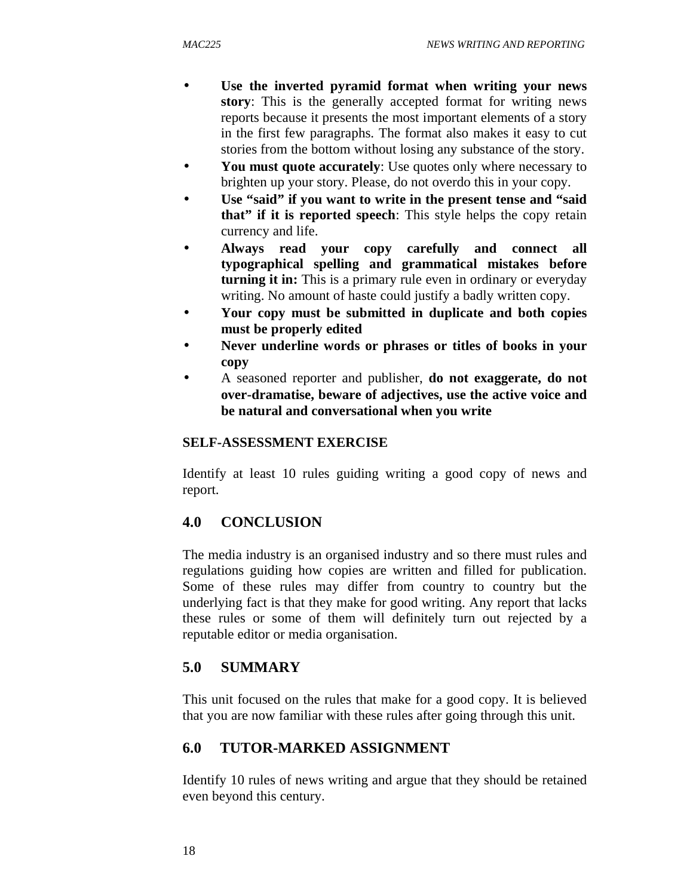- Use the inverted pyramid format when writing your news **story**: This is the generally accepted format for writing news reports because it presents the most important elements of a story in the first few paragraphs. The format also makes it easy to cut stories from the bottom without losing any substance of the story.
- You must quote accurately: Use quotes only where necessary to brighten up your story. Please, do not overdo this in your copy.
- Use "said" if you want to write in the present tense and "said **that" if it is reported speech**: This style helps the copy retain currency and life.
- **Always read your copy carefully and connect all typographical spelling and grammatical mistakes before turning it in:** This is a primary rule even in ordinary or everyday writing. No amount of haste could justify a badly written copy.
- **Your copy must be submitted in duplicate and both copies must be properly edited**
- **Never underline words or phrases or titles of books in your copy**
- A seasoned reporter and publisher, **do not exaggerate, do not over-dramatise, beware of adjectives, use the active voice and be natural and conversational when you write**

# **SELF-ASSESSMENT EXERCISE**

Identify at least 10 rules guiding writing a good copy of news and report.

# **4.0 CONCLUSION**

The media industry is an organised industry and so there must rules and regulations guiding how copies are written and filled for publication. Some of these rules may differ from country to country but the underlying fact is that they make for good writing. Any report that lacks these rules or some of them will definitely turn out rejected by a reputable editor or media organisation.

# **5.0 SUMMARY**

This unit focused on the rules that make for a good copy. It is believed that you are now familiar with these rules after going through this unit.

# **6.0 TUTOR-MARKED ASSIGNMENT**

Identify 10 rules of news writing and argue that they should be retained even beyond this century.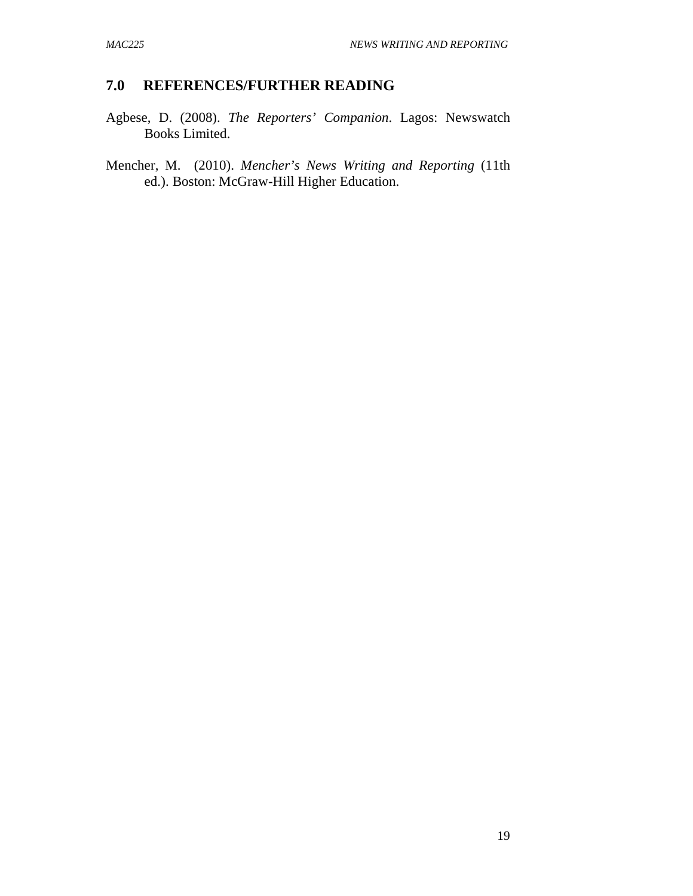## **7.0 REFERENCES/FURTHER READING**

- Agbese, D. (2008). *The Reporters' Companion*. Lagos: Newswatch Books Limited.
- Mencher, M. (2010). *Mencher's News Writing and Reporting* (11th ed.). Boston: McGraw-Hill Higher Education.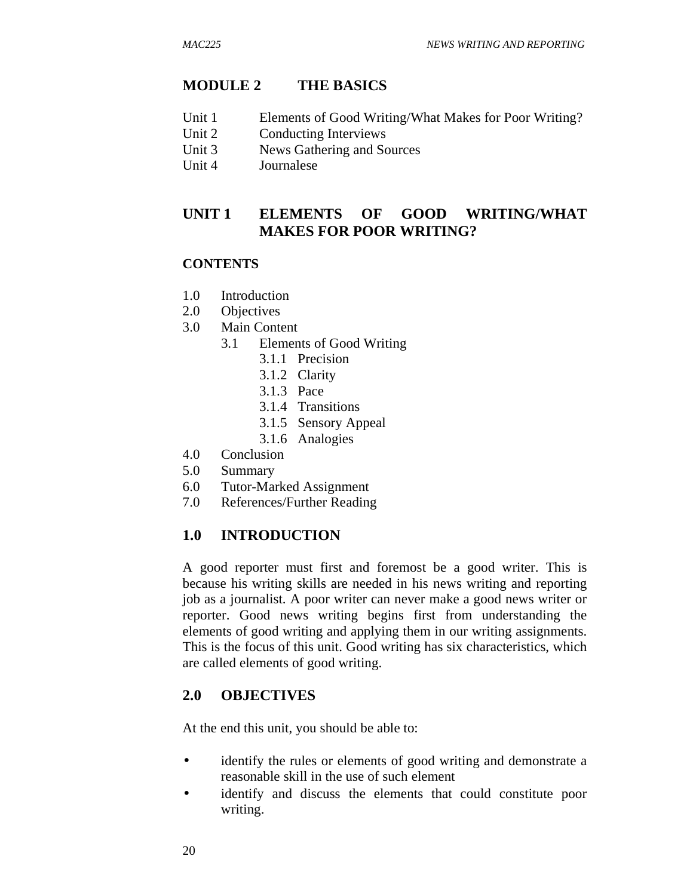### **MODULE 2 THE BASICS**

- Unit 1 Elements of Good Writing/What Makes for Poor Writing?
- Unit 2 Conducting Interviews
- Unit 3 News Gathering and Sources
- Unit 4 Journalese

## **UNIT 1 ELEMENTS OF GOOD WRITING/WHAT MAKES FOR POOR WRITING?**

#### **CONTENTS**

- 1.0 Introduction
- 2.0 Objectives
- 3.0 Main Content
	- 3.1 Elements of Good Writing
		- 3.1.1 Precision
		- 3.1.2 Clarity
		- 3.1.3 Pace
		- 3.1.4 Transitions
		- 3.1.5 Sensory Appeal
		- 3.1.6 Analogies
- 4.0 Conclusion
- 5.0 Summary
- 6.0 Tutor-Marked Assignment
- 7.0 References/Further Reading

#### **1.0 INTRODUCTION**

A good reporter must first and foremost be a good writer. This is because his writing skills are needed in his news writing and reporting job as a journalist. A poor writer can never make a good news writer or reporter. Good news writing begins first from understanding the elements of good writing and applying them in our writing assignments. This is the focus of this unit. Good writing has six characteristics, which are called elements of good writing.

#### **2.0 OBJECTIVES**

At the end this unit, you should be able to:

- identify the rules or elements of good writing and demonstrate a reasonable skill in the use of such element
- identify and discuss the elements that could constitute poor writing.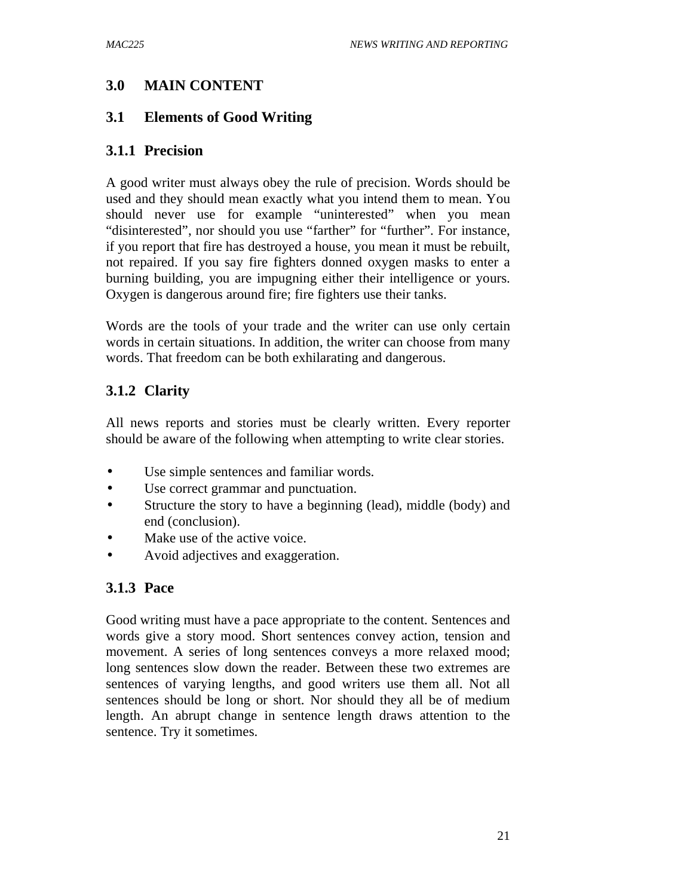# **3.0 MAIN CONTENT**

## **3.1 Elements of Good Writing**

## **3.1.1 Precision**

A good writer must always obey the rule of precision. Words should be used and they should mean exactly what you intend them to mean. You should never use for example "uninterested" when you mean "disinterested", nor should you use "farther" for "further". For instance, if you report that fire has destroyed a house, you mean it must be rebuilt, not repaired. If you say fire fighters donned oxygen masks to enter a burning building, you are impugning either their intelligence or yours. Oxygen is dangerous around fire; fire fighters use their tanks.

Words are the tools of your trade and the writer can use only certain words in certain situations. In addition, the writer can choose from many words. That freedom can be both exhilarating and dangerous.

# **3.1.2 Clarity**

All news reports and stories must be clearly written. Every reporter should be aware of the following when attempting to write clear stories.

- Use simple sentences and familiar words.
- Use correct grammar and punctuation.
- Structure the story to have a beginning (lead), middle (body) and end (conclusion).
- Make use of the active voice.
- Avoid adjectives and exaggeration.

# **3.1.3 Pace**

Good writing must have a pace appropriate to the content. Sentences and words give a story mood. Short sentences convey action, tension and movement. A series of long sentences conveys a more relaxed mood; long sentences slow down the reader. Between these two extremes are sentences of varying lengths, and good writers use them all. Not all sentences should be long or short. Nor should they all be of medium length. An abrupt change in sentence length draws attention to the sentence. Try it sometimes.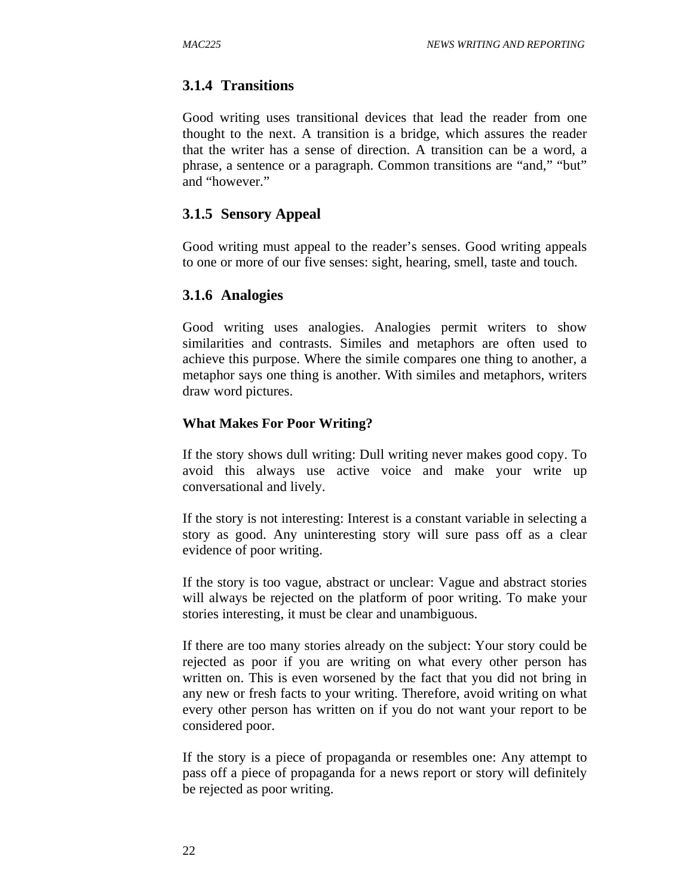### **3.1.4 Transitions**

Good writing uses transitional devices that lead the reader from one thought to the next. A transition is a bridge, which assures the reader that the writer has a sense of direction. A transition can be a word, a phrase, a sentence or a paragraph. Common transitions are "and," "but" and "however."

### **3.1.5 Sensory Appeal**

Good writing must appeal to the reader's senses. Good writing appeals to one or more of our five senses: sight, hearing, smell, taste and touch.

#### **3.1.6 Analogies**

Good writing uses analogies. Analogies permit writers to show similarities and contrasts. Similes and metaphors are often used to achieve this purpose. Where the simile compares one thing to another, a metaphor says one thing is another. With similes and metaphors, writers draw word pictures.

#### **What Makes For Poor Writing?**

If the story shows dull writing: Dull writing never makes good copy. To avoid this always use active voice and make your write up conversational and lively.

If the story is not interesting: Interest is a constant variable in selecting a story as good. Any uninteresting story will sure pass off as a clear evidence of poor writing.

If the story is too vague, abstract or unclear: Vague and abstract stories will always be rejected on the platform of poor writing. To make your stories interesting, it must be clear and unambiguous.

If there are too many stories already on the subject: Your story could be rejected as poor if you are writing on what every other person has written on. This is even worsened by the fact that you did not bring in any new or fresh facts to your writing. Therefore, avoid writing on what every other person has written on if you do not want your report to be considered poor.

If the story is a piece of propaganda or resembles one: Any attempt to pass off a piece of propaganda for a news report or story will definitely be rejected as poor writing.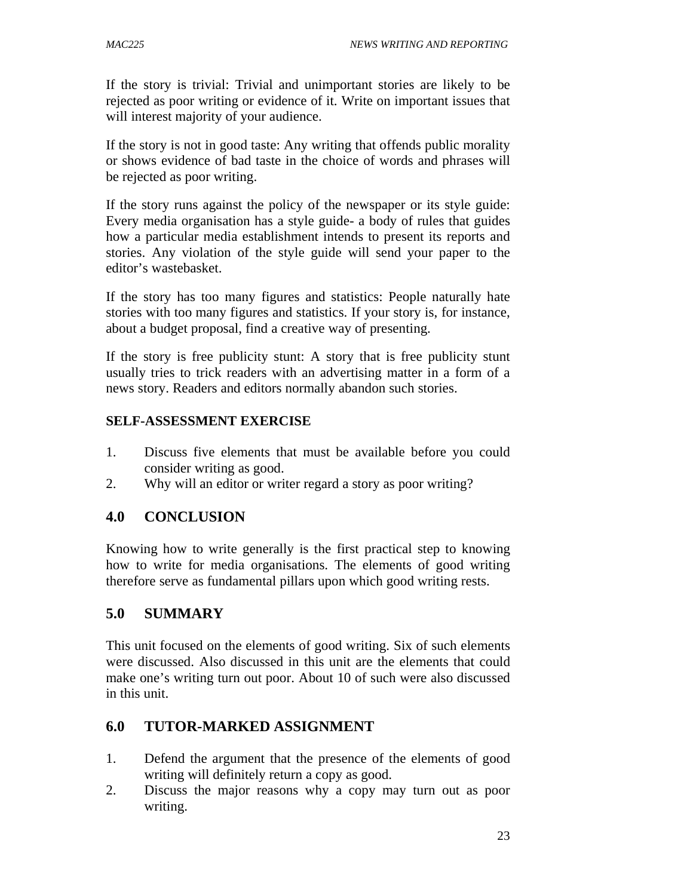If the story is trivial: Trivial and unimportant stories are likely to be rejected as poor writing or evidence of it. Write on important issues that will interest majority of your audience.

If the story is not in good taste: Any writing that offends public morality or shows evidence of bad taste in the choice of words and phrases will be rejected as poor writing.

If the story runs against the policy of the newspaper or its style guide: Every media organisation has a style guide- a body of rules that guides how a particular media establishment intends to present its reports and stories. Any violation of the style guide will send your paper to the editor's wastebasket.

If the story has too many figures and statistics: People naturally hate stories with too many figures and statistics. If your story is, for instance, about a budget proposal, find a creative way of presenting.

If the story is free publicity stunt: A story that is free publicity stunt usually tries to trick readers with an advertising matter in a form of a news story. Readers and editors normally abandon such stories.

## **SELF-ASSESSMENT EXERCISE**

- 1. Discuss five elements that must be available before you could consider writing as good.
- 2. Why will an editor or writer regard a story as poor writing?

# **4.0 CONCLUSION**

Knowing how to write generally is the first practical step to knowing how to write for media organisations. The elements of good writing therefore serve as fundamental pillars upon which good writing rests.

# **5.0 SUMMARY**

This unit focused on the elements of good writing. Six of such elements were discussed. Also discussed in this unit are the elements that could make one's writing turn out poor. About 10 of such were also discussed in this unit.

# **6.0 TUTOR-MARKED ASSIGNMENT**

- 1. Defend the argument that the presence of the elements of good writing will definitely return a copy as good.
- 2. Discuss the major reasons why a copy may turn out as poor writing.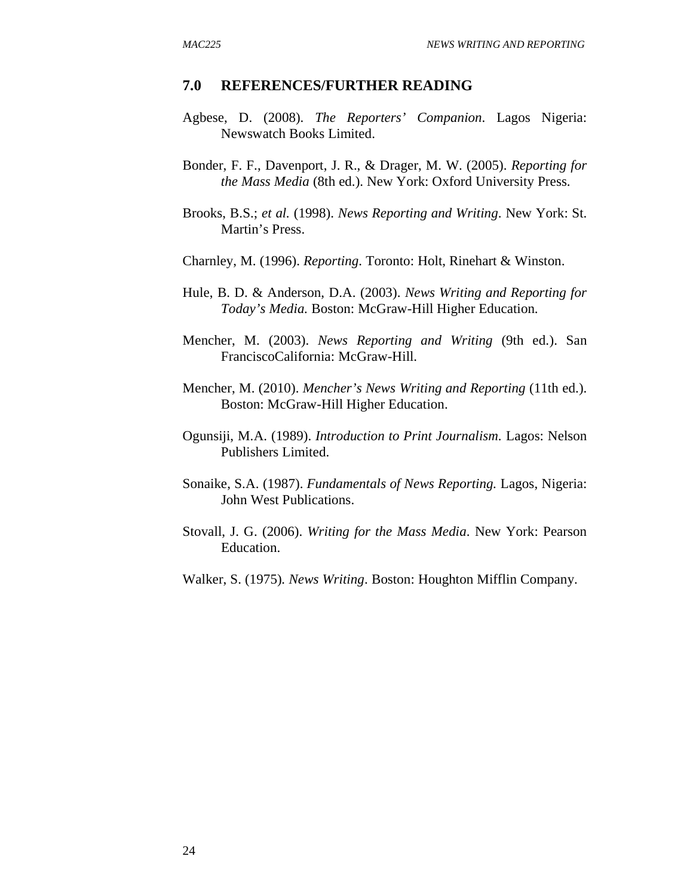#### **7.0 REFERENCES/FURTHER READING**

- Agbese, D. (2008). *The Reporters' Companion*. Lagos Nigeria: Newswatch Books Limited.
- Bonder, F. F., Davenport, J. R., & Drager, M. W. (2005). *Reporting for the Mass Media* (8th ed.). New York: Oxford University Press.
- Brooks, B.S.; *et al.* (1998). *News Reporting and Writing*. New York: St. Martin's Press.
- Charnley, M. (1996). *Reporting*. Toronto: Holt, Rinehart & Winston.
- Hule, B. D. & Anderson, D.A. (2003). *News Writing and Reporting for Today's Media.* Boston: McGraw-Hill Higher Education.
- Mencher, M. (2003). *News Reporting and Writing* (9th ed.). San FranciscoCalifornia: McGraw-Hill.
- Mencher, M. (2010). *Mencher's News Writing and Reporting* (11th ed.). Boston: McGraw-Hill Higher Education.
- Ogunsiji, M.A. (1989). *Introduction to Print Journalism.* Lagos: Nelson Publishers Limited.
- Sonaike, S.A. (1987). *Fundamentals of News Reporting.* Lagos, Nigeria: John West Publications.
- Stovall, J. G. (2006). *Writing for the Mass Media*. New York: Pearson Education.
- Walker, S. (1975)*. News Writing*. Boston: Houghton Mifflin Company.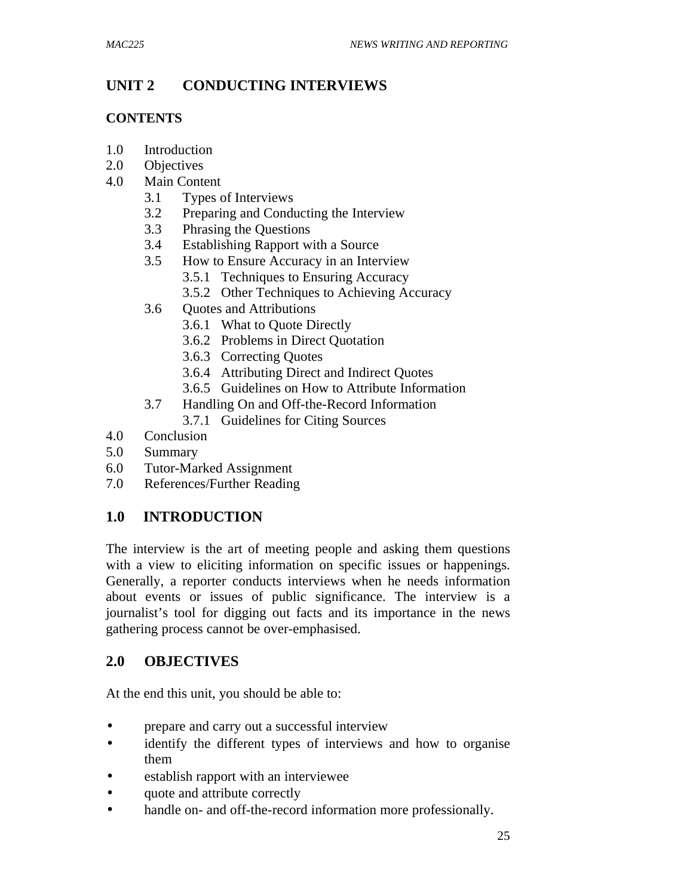# **UNIT 2 CONDUCTING INTERVIEWS**

## **CONTENTS**

- 1.0 Introduction
- 2.0 Objectives
- 4.0 Main Content
	- 3.1 Types of Interviews
	- 3.2 Preparing and Conducting the Interview
	- 3.3 Phrasing the Questions
	- 3.4 Establishing Rapport with a Source
	- 3.5 How to Ensure Accuracy in an Interview
		- 3.5.1 Techniques to Ensuring Accuracy
		- 3.5.2 Other Techniques to Achieving Accuracy
	- 3.6 Quotes and Attributions
		- 3.6.1 What to Quote Directly
		- 3.6.2 Problems in Direct Quotation
		- 3.6.3 Correcting Quotes
		- 3.6.4 Attributing Direct and Indirect Quotes
		- 3.6.5 Guidelines on How to Attribute Information
	- 3.7 Handling On and Off-the-Record Information
		- 3.7.1 Guidelines for Citing Sources
- 4.0 Conclusion
- 5.0 Summary
- 6.0 Tutor-Marked Assignment
- 7.0 References/Further Reading

# **1.0 INTRODUCTION**

The interview is the art of meeting people and asking them questions with a view to eliciting information on specific issues or happenings. Generally, a reporter conducts interviews when he needs information about events or issues of public significance. The interview is a journalist's tool for digging out facts and its importance in the news gathering process cannot be over-emphasised.

# **2.0 OBJECTIVES**

At the end this unit, you should be able to:

- prepare and carry out a successful interview
- identify the different types of interviews and how to organise them
- establish rapport with an interviewee
- quote and attribute correctly
- handle on- and off-the-record information more professionally.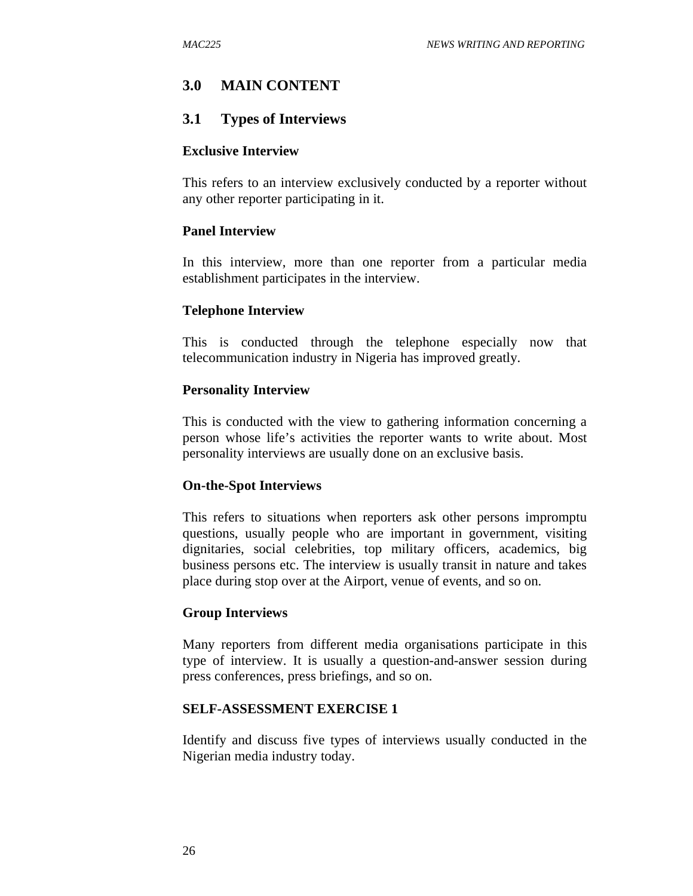# **3.0 MAIN CONTENT**

### **3.1 Types of Interviews**

#### **Exclusive Interview**

This refers to an interview exclusively conducted by a reporter without any other reporter participating in it.

#### **Panel Interview**

In this interview, more than one reporter from a particular media establishment participates in the interview.

#### **Telephone Interview**

This is conducted through the telephone especially now that telecommunication industry in Nigeria has improved greatly.

#### **Personality Interview**

This is conducted with the view to gathering information concerning a person whose life's activities the reporter wants to write about. Most personality interviews are usually done on an exclusive basis.

#### **On-the-Spot Interviews**

This refers to situations when reporters ask other persons impromptu questions, usually people who are important in government, visiting dignitaries, social celebrities, top military officers, academics, big business persons etc. The interview is usually transit in nature and takes place during stop over at the Airport, venue of events, and so on.

#### **Group Interviews**

Many reporters from different media organisations participate in this type of interview. It is usually a question-and-answer session during press conferences, press briefings, and so on.

#### **SELF-ASSESSMENT EXERCISE 1**

Identify and discuss five types of interviews usually conducted in the Nigerian media industry today.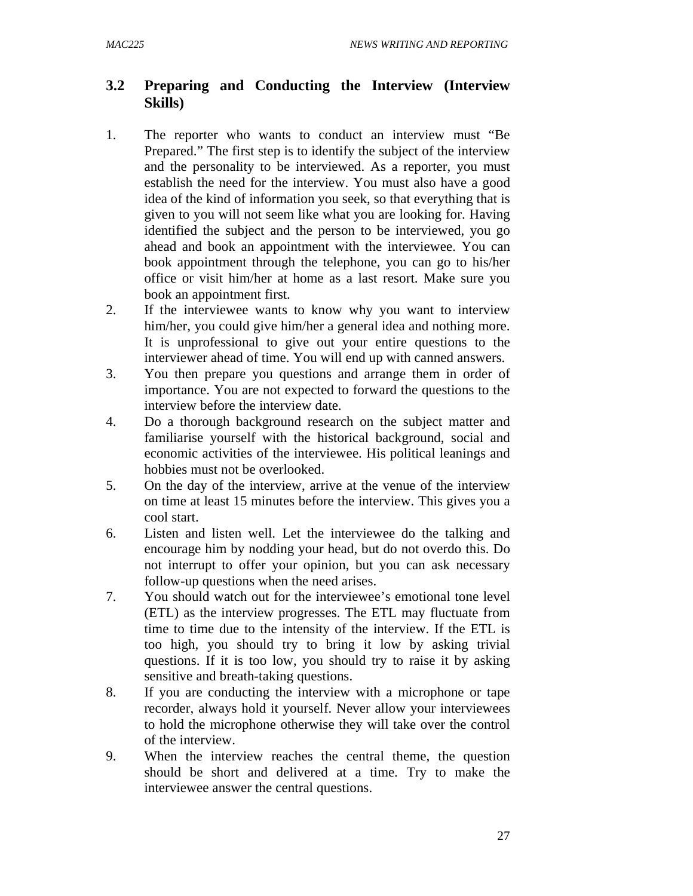# **3.2 Preparing and Conducting the Interview (Interview Skills)**

- 1. The reporter who wants to conduct an interview must "Be Prepared." The first step is to identify the subject of the interview and the personality to be interviewed. As a reporter, you must establish the need for the interview. You must also have a good idea of the kind of information you seek, so that everything that is given to you will not seem like what you are looking for. Having identified the subject and the person to be interviewed, you go ahead and book an appointment with the interviewee. You can book appointment through the telephone, you can go to his/her office or visit him/her at home as a last resort. Make sure you book an appointment first.
- 2. If the interviewee wants to know why you want to interview him/her, you could give him/her a general idea and nothing more. It is unprofessional to give out your entire questions to the interviewer ahead of time. You will end up with canned answers.
- 3. You then prepare you questions and arrange them in order of importance. You are not expected to forward the questions to the interview before the interview date.
- 4. Do a thorough background research on the subject matter and familiarise yourself with the historical background, social and economic activities of the interviewee. His political leanings and hobbies must not be overlooked.
- 5. On the day of the interview, arrive at the venue of the interview on time at least 15 minutes before the interview. This gives you a cool start.
- 6. Listen and listen well. Let the interviewee do the talking and encourage him by nodding your head, but do not overdo this. Do not interrupt to offer your opinion, but you can ask necessary follow-up questions when the need arises.
- 7. You should watch out for the interviewee's emotional tone level (ETL) as the interview progresses. The ETL may fluctuate from time to time due to the intensity of the interview. If the ETL is too high, you should try to bring it low by asking trivial questions. If it is too low, you should try to raise it by asking sensitive and breath-taking questions.
- 8. If you are conducting the interview with a microphone or tape recorder, always hold it yourself. Never allow your interviewees to hold the microphone otherwise they will take over the control of the interview.
- 9. When the interview reaches the central theme, the question should be short and delivered at a time. Try to make the interviewee answer the central questions.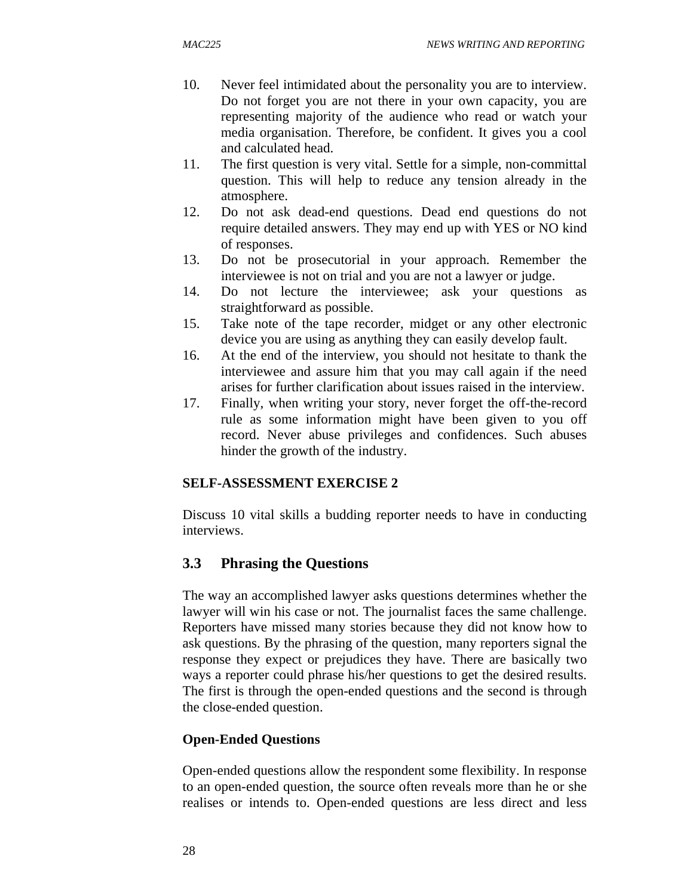- 10. Never feel intimidated about the personality you are to interview. Do not forget you are not there in your own capacity, you are representing majority of the audience who read or watch your media organisation. Therefore, be confident. It gives you a cool and calculated head.
- 11. The first question is very vital. Settle for a simple, non-committal question. This will help to reduce any tension already in the atmosphere.
- 12. Do not ask dead-end questions. Dead end questions do not require detailed answers. They may end up with YES or NO kind of responses.
- 13. Do not be prosecutorial in your approach. Remember the interviewee is not on trial and you are not a lawyer or judge.
- 14. Do not lecture the interviewee; ask your questions as straightforward as possible.
- 15. Take note of the tape recorder, midget or any other electronic device you are using as anything they can easily develop fault.
- 16. At the end of the interview, you should not hesitate to thank the interviewee and assure him that you may call again if the need arises for further clarification about issues raised in the interview.
- 17. Finally, when writing your story, never forget the off-the-record rule as some information might have been given to you off record. Never abuse privileges and confidences. Such abuses hinder the growth of the industry.

### **SELF-ASSESSMENT EXERCISE 2**

Discuss 10 vital skills a budding reporter needs to have in conducting interviews.

# **3.3 Phrasing the Questions**

The way an accomplished lawyer asks questions determines whether the lawyer will win his case or not. The journalist faces the same challenge. Reporters have missed many stories because they did not know how to ask questions. By the phrasing of the question, many reporters signal the response they expect or prejudices they have. There are basically two ways a reporter could phrase his/her questions to get the desired results. The first is through the open-ended questions and the second is through the close-ended question.

### **Open-Ended Questions**

Open-ended questions allow the respondent some flexibility. In response to an open-ended question, the source often reveals more than he or she realises or intends to. Open-ended questions are less direct and less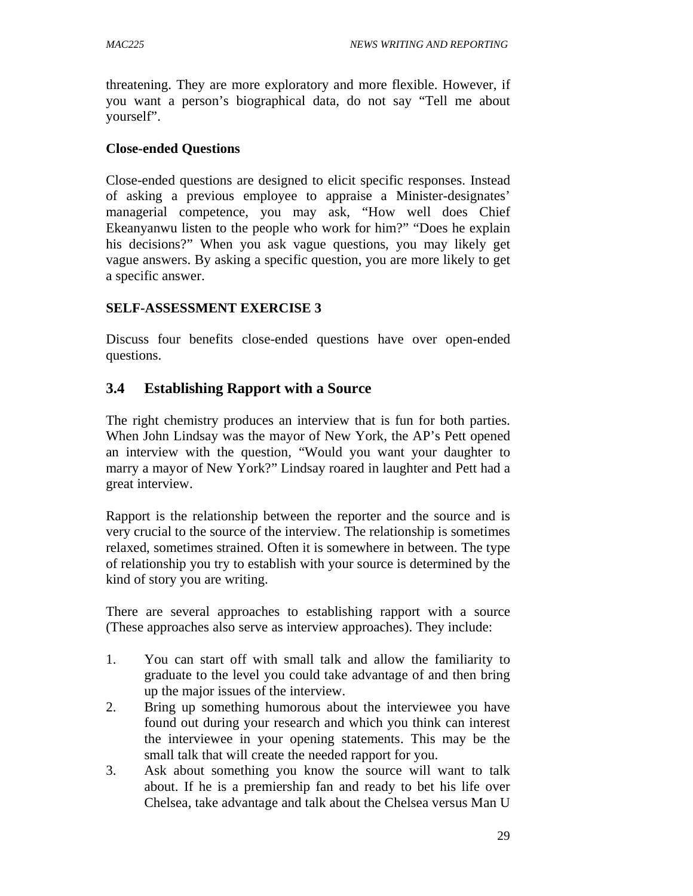threatening. They are more exploratory and more flexible. However, if you want a person's biographical data, do not say "Tell me about yourself".

#### **Close-ended Questions**

Close-ended questions are designed to elicit specific responses. Instead of asking a previous employee to appraise a Minister-designates' managerial competence, you may ask, "How well does Chief Ekeanyanwu listen to the people who work for him?" "Does he explain his decisions?" When you ask vague questions, you may likely get vague answers. By asking a specific question, you are more likely to get a specific answer.

### **SELF-ASSESSMENT EXERCISE 3**

Discuss four benefits close-ended questions have over open-ended questions.

## **3.4 Establishing Rapport with a Source**

The right chemistry produces an interview that is fun for both parties. When John Lindsay was the mayor of New York, the AP's Pett opened an interview with the question, "Would you want your daughter to marry a mayor of New York?" Lindsay roared in laughter and Pett had a great interview.

Rapport is the relationship between the reporter and the source and is very crucial to the source of the interview. The relationship is sometimes relaxed, sometimes strained. Often it is somewhere in between. The type of relationship you try to establish with your source is determined by the kind of story you are writing.

There are several approaches to establishing rapport with a source (These approaches also serve as interview approaches). They include:

- 1. You can start off with small talk and allow the familiarity to graduate to the level you could take advantage of and then bring up the major issues of the interview.
- 2. Bring up something humorous about the interviewee you have found out during your research and which you think can interest the interviewee in your opening statements. This may be the small talk that will create the needed rapport for you.
- 3. Ask about something you know the source will want to talk about. If he is a premiership fan and ready to bet his life over Chelsea, take advantage and talk about the Chelsea versus Man U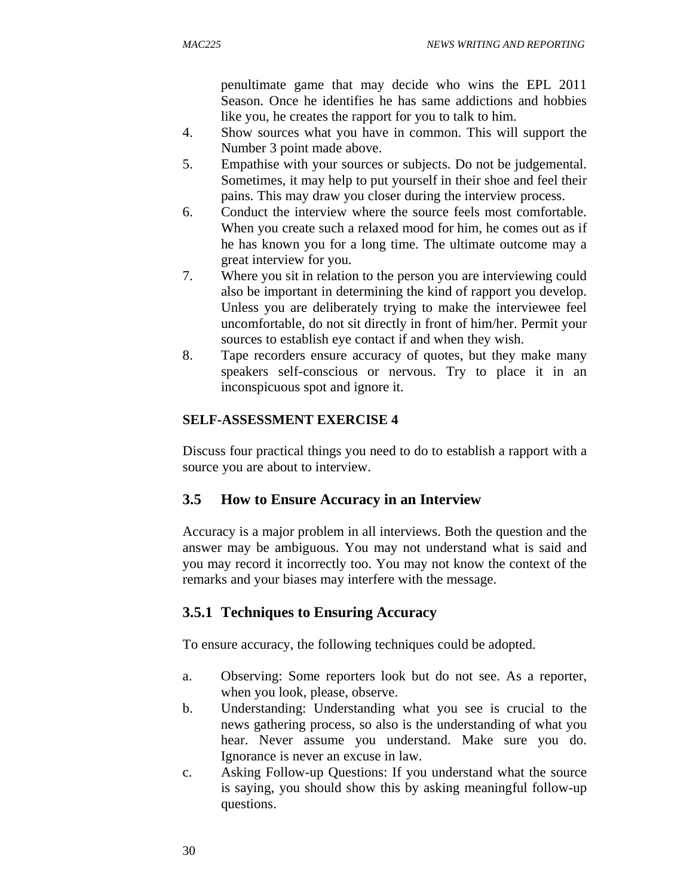penultimate game that may decide who wins the EPL 2011 Season. Once he identifies he has same addictions and hobbies like you, he creates the rapport for you to talk to him.

- 4. Show sources what you have in common. This will support the Number 3 point made above.
- 5. Empathise with your sources or subjects. Do not be judgemental. Sometimes, it may help to put yourself in their shoe and feel their pains. This may draw you closer during the interview process.
- 6. Conduct the interview where the source feels most comfortable. When you create such a relaxed mood for him, he comes out as if he has known you for a long time. The ultimate outcome may a great interview for you.
- 7. Where you sit in relation to the person you are interviewing could also be important in determining the kind of rapport you develop. Unless you are deliberately trying to make the interviewee feel uncomfortable, do not sit directly in front of him/her. Permit your sources to establish eye contact if and when they wish.
- 8. Tape recorders ensure accuracy of quotes, but they make many speakers self-conscious or nervous. Try to place it in an inconspicuous spot and ignore it.

# **SELF-ASSESSMENT EXERCISE 4**

Discuss four practical things you need to do to establish a rapport with a source you are about to interview.

# **3.5 How to Ensure Accuracy in an Interview**

Accuracy is a major problem in all interviews. Both the question and the answer may be ambiguous. You may not understand what is said and you may record it incorrectly too. You may not know the context of the remarks and your biases may interfere with the message.

# **3.5.1 Techniques to Ensuring Accuracy**

To ensure accuracy, the following techniques could be adopted.

- a. Observing: Some reporters look but do not see. As a reporter, when you look, please, observe.
- b. Understanding: Understanding what you see is crucial to the news gathering process, so also is the understanding of what you hear. Never assume you understand. Make sure you do. Ignorance is never an excuse in law.
- c. Asking Follow-up Questions: If you understand what the source is saying, you should show this by asking meaningful follow-up questions.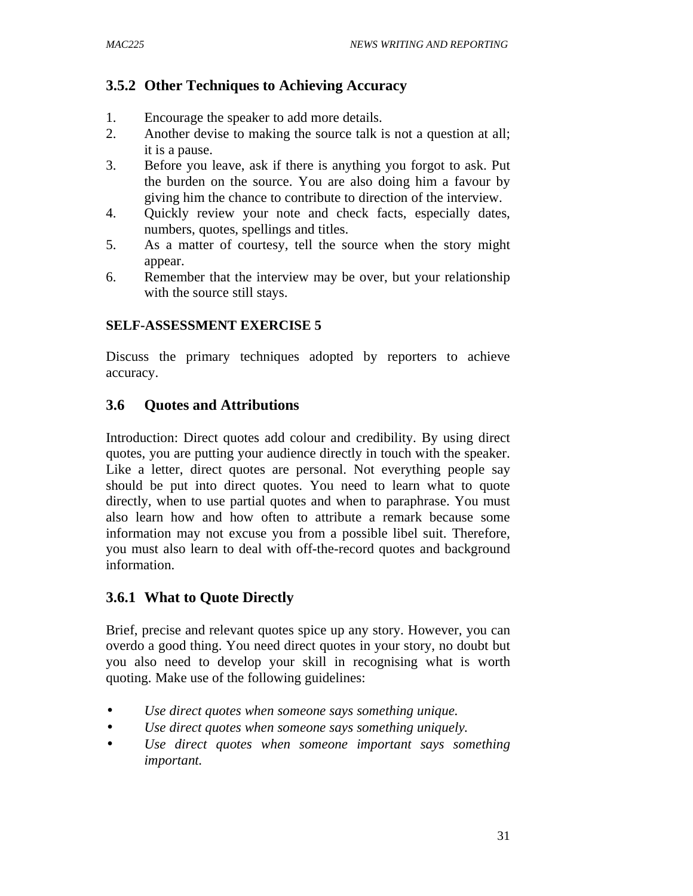# **3.5.2 Other Techniques to Achieving Accuracy**

- 1. Encourage the speaker to add more details.
- 2. Another devise to making the source talk is not a question at all; it is a pause.
- 3. Before you leave, ask if there is anything you forgot to ask. Put the burden on the source. You are also doing him a favour by giving him the chance to contribute to direction of the interview.
- 4. Quickly review your note and check facts, especially dates, numbers, quotes, spellings and titles.
- 5. As a matter of courtesy, tell the source when the story might appear.
- 6. Remember that the interview may be over, but your relationship with the source still stays.

### **SELF-ASSESSMENT EXERCISE 5**

Discuss the primary techniques adopted by reporters to achieve accuracy.

# **3.6 Quotes and Attributions**

Introduction: Direct quotes add colour and credibility. By using direct quotes, you are putting your audience directly in touch with the speaker. Like a letter, direct quotes are personal. Not everything people say should be put into direct quotes. You need to learn what to quote directly, when to use partial quotes and when to paraphrase. You must also learn how and how often to attribute a remark because some information may not excuse you from a possible libel suit. Therefore, you must also learn to deal with off-the-record quotes and background information.

# **3.6.1 What to Quote Directly**

Brief, precise and relevant quotes spice up any story. However, you can overdo a good thing. You need direct quotes in your story, no doubt but you also need to develop your skill in recognising what is worth quoting. Make use of the following guidelines:

- *Use direct quotes when someone says something unique.*
- *Use direct quotes when someone says something uniquely.*
- *Use direct quotes when someone important says something important.*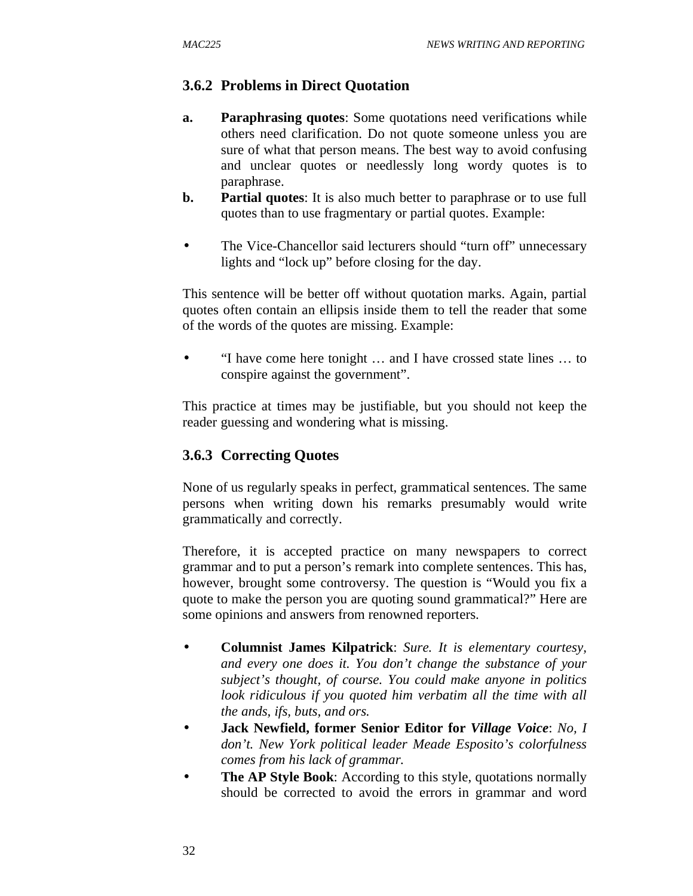### **3.6.2 Problems in Direct Quotation**

- **a. Paraphrasing quotes**: Some quotations need verifications while others need clarification. Do not quote someone unless you are sure of what that person means. The best way to avoid confusing and unclear quotes or needlessly long wordy quotes is to paraphrase.
- **b. Partial quotes**: It is also much better to paraphrase or to use full quotes than to use fragmentary or partial quotes. Example:
- The Vice-Chancellor said lecturers should "turn off" unnecessary lights and "lock up" before closing for the day.

This sentence will be better off without quotation marks. Again, partial quotes often contain an ellipsis inside them to tell the reader that some of the words of the quotes are missing. Example:

• "I have come here tonight … and I have crossed state lines … to conspire against the government".

This practice at times may be justifiable, but you should not keep the reader guessing and wondering what is missing.

### **3.6.3 Correcting Quotes**

None of us regularly speaks in perfect, grammatical sentences. The same persons when writing down his remarks presumably would write grammatically and correctly.

Therefore, it is accepted practice on many newspapers to correct grammar and to put a person's remark into complete sentences. This has, however, brought some controversy. The question is "Would you fix a quote to make the person you are quoting sound grammatical?" Here are some opinions and answers from renowned reporters.

- **Columnist James Kilpatrick**: *Sure. It is elementary courtesy, and every one does it. You don't change the substance of your subject's thought, of course. You could make anyone in politics look ridiculous if you quoted him verbatim all the time with all the ands, ifs, buts, and ors.*
- **Jack Newfield, former Senior Editor for** *Village Voice*: *No, I don't. New York political leader Meade Esposito's colorfulness comes from his lack of grammar.*
- **The AP Style Book:** According to this style, quotations normally should be corrected to avoid the errors in grammar and word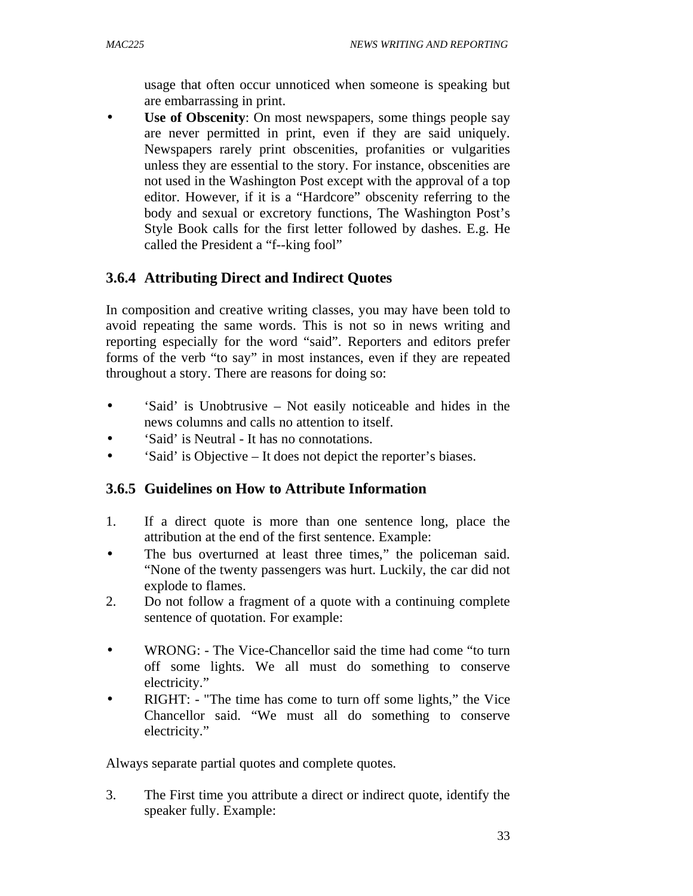usage that often occur unnoticed when someone is speaking but are embarrassing in print.

**Use of Obscenity**: On most newspapers, some things people say are never permitted in print, even if they are said uniquely. Newspapers rarely print obscenities, profanities or vulgarities unless they are essential to the story. For instance, obscenities are not used in the Washington Post except with the approval of a top editor. However, if it is a "Hardcore" obscenity referring to the body and sexual or excretory functions, The Washington Post's Style Book calls for the first letter followed by dashes. E.g. He called the President a "f--king fool"

# **3.6.4 Attributing Direct and Indirect Quotes**

In composition and creative writing classes, you may have been told to avoid repeating the same words. This is not so in news writing and reporting especially for the word "said". Reporters and editors prefer forms of the verb "to say" in most instances, even if they are repeated throughout a story. There are reasons for doing so:

- 'Said' is Unobtrusive Not easily noticeable and hides in the news columns and calls no attention to itself.
- 'Said' is Neutral It has no connotations.
- 'Said' is Objective It does not depict the reporter's biases.

# **3.6.5 Guidelines on How to Attribute Information**

- 1. If a direct quote is more than one sentence long, place the attribution at the end of the first sentence. Example:
- The bus overturned at least three times," the policeman said. "None of the twenty passengers was hurt. Luckily, the car did not explode to flames.
- 2. Do not follow a fragment of a quote with a continuing complete sentence of quotation. For example:
- WRONG: The Vice-Chancellor said the time had come "to turn off some lights. We all must do something to conserve electricity."
- RIGHT: "The time has come to turn off some lights," the Vice Chancellor said. "We must all do something to conserve electricity."

Always separate partial quotes and complete quotes.

3. The First time you attribute a direct or indirect quote, identify the speaker fully. Example: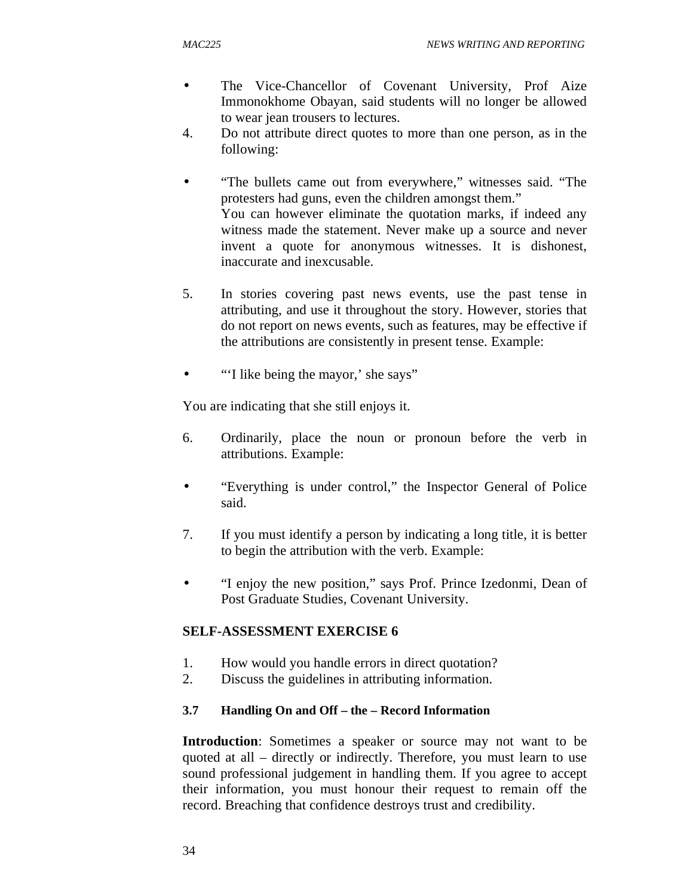- The Vice-Chancellor of Covenant University, Prof Aize Immonokhome Obayan, said students will no longer be allowed to wear jean trousers to lectures.
- 4. Do not attribute direct quotes to more than one person, as in the following:
- "The bullets came out from everywhere," witnesses said. "The protesters had guns, even the children amongst them." You can however eliminate the quotation marks, if indeed any witness made the statement. Never make up a source and never invent a quote for anonymous witnesses. It is dishonest, inaccurate and inexcusable.
- 5. In stories covering past news events, use the past tense in attributing, and use it throughout the story. However, stories that do not report on news events, such as features, may be effective if the attributions are consistently in present tense. Example:
- "I like being the mayor,' she says"

You are indicating that she still enjoys it.

- 6. Ordinarily, place the noun or pronoun before the verb in attributions. Example:
- "Everything is under control," the Inspector General of Police said.
- 7. If you must identify a person by indicating a long title, it is better to begin the attribution with the verb. Example:
- "I enjoy the new position," says Prof. Prince Izedonmi, Dean of Post Graduate Studies, Covenant University.

### **SELF-ASSESSMENT EXERCISE 6**

- 1. How would you handle errors in direct quotation?
- 2. Discuss the guidelines in attributing information.

#### **3.7 Handling On and Off – the – Record Information**

**Introduction**: Sometimes a speaker or source may not want to be quoted at all – directly or indirectly. Therefore, you must learn to use sound professional judgement in handling them. If you agree to accept their information, you must honour their request to remain off the record. Breaching that confidence destroys trust and credibility.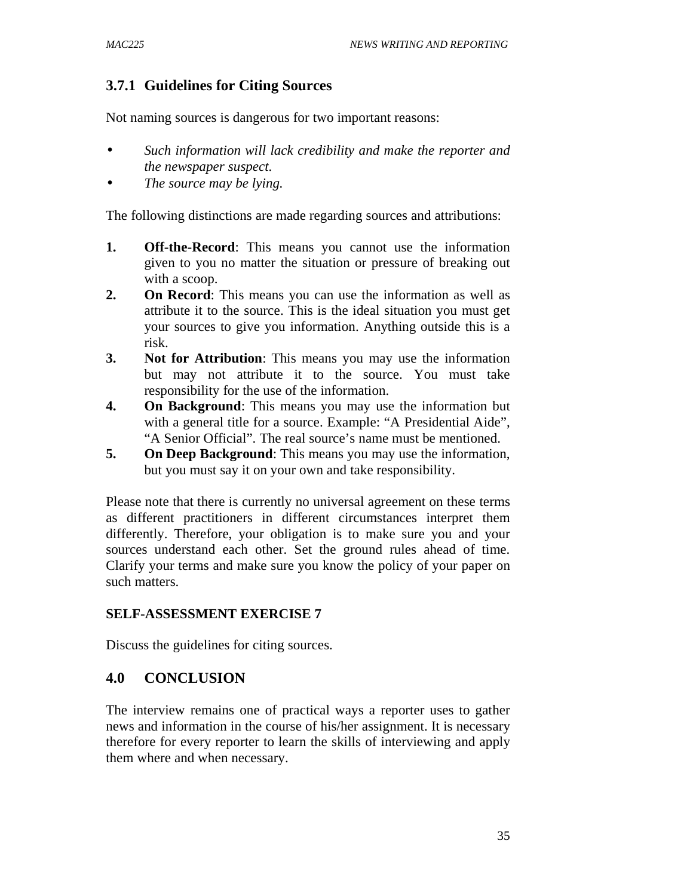# **3.7.1 Guidelines for Citing Sources**

Not naming sources is dangerous for two important reasons:

- *Such information will lack credibility and make the reporter and the newspaper suspect.*
- *The source may be lying.*

The following distinctions are made regarding sources and attributions:

- **1. Off-the-Record**: This means you cannot use the information given to you no matter the situation or pressure of breaking out with a scoop.
- **2. On Record**: This means you can use the information as well as attribute it to the source. This is the ideal situation you must get your sources to give you information. Anything outside this is a risk.
- **3. Not for Attribution**: This means you may use the information but may not attribute it to the source. You must take responsibility for the use of the information.
- **4. On Background**: This means you may use the information but with a general title for a source. Example: "A Presidential Aide", "A Senior Official". The real source's name must be mentioned.
- **5. On Deep Background**: This means you may use the information, but you must say it on your own and take responsibility.

Please note that there is currently no universal agreement on these terms as different practitioners in different circumstances interpret them differently. Therefore, your obligation is to make sure you and your sources understand each other. Set the ground rules ahead of time. Clarify your terms and make sure you know the policy of your paper on such matters.

#### **SELF-ASSESSMENT EXERCISE 7**

Discuss the guidelines for citing sources.

### **4.0 CONCLUSION**

The interview remains one of practical ways a reporter uses to gather news and information in the course of his/her assignment. It is necessary therefore for every reporter to learn the skills of interviewing and apply them where and when necessary.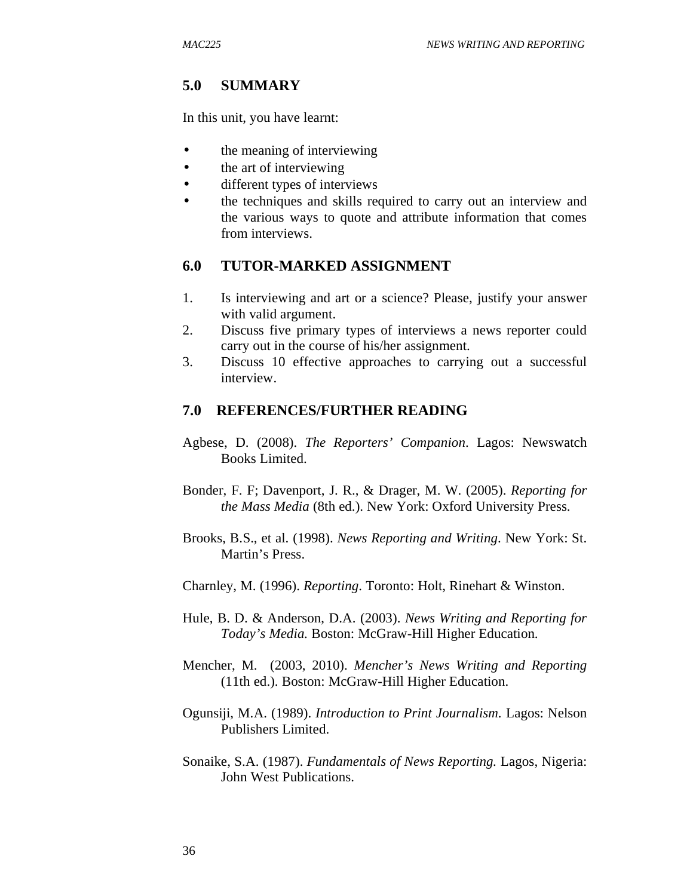## **5.0 SUMMARY**

In this unit, you have learnt:

- the meaning of interviewing
- the art of interviewing
- different types of interviews
- the techniques and skills required to carry out an interview and the various ways to quote and attribute information that comes from interviews.

#### **6.0 TUTOR-MARKED ASSIGNMENT**

- 1. Is interviewing and art or a science? Please, justify your answer with valid argument.
- 2. Discuss five primary types of interviews a news reporter could carry out in the course of his/her assignment.
- 3. Discuss 10 effective approaches to carrying out a successful interview.

#### **7.0 REFERENCES/FURTHER READING**

- Agbese, D. (2008). *The Reporters' Companion*. Lagos: Newswatch Books Limited.
- Bonder, F. F; Davenport, J. R., & Drager, M. W. (2005). *Reporting for the Mass Media* (8th ed.). New York: Oxford University Press.
- Brooks, B.S., et al. (1998). *News Reporting and Writing*. New York: St. Martin's Press.
- Charnley, M. (1996). *Reporting*. Toronto: Holt, Rinehart & Winston.
- Hule, B. D. & Anderson, D.A. (2003). *News Writing and Reporting for Today's Media.* Boston: McGraw-Hill Higher Education.
- Mencher, M. (2003, 2010). *Mencher's News Writing and Reporting*  (11th ed.). Boston: McGraw-Hill Higher Education.
- Ogunsiji, M.A. (1989). *Introduction to Print Journalism.* Lagos: Nelson Publishers Limited.
- Sonaike, S.A. (1987). *Fundamentals of News Reporting.* Lagos, Nigeria: John West Publications.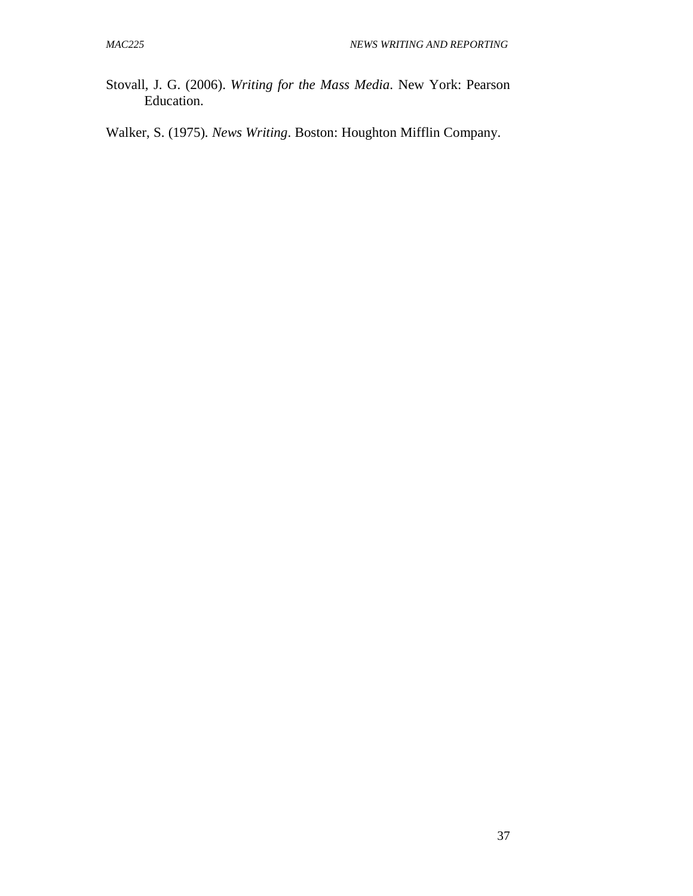- Stovall, J. G. (2006). *Writing for the Mass Media*. New York: Pearson Education.
- Walker, S. (1975)*. News Writing*. Boston: Houghton Mifflin Company.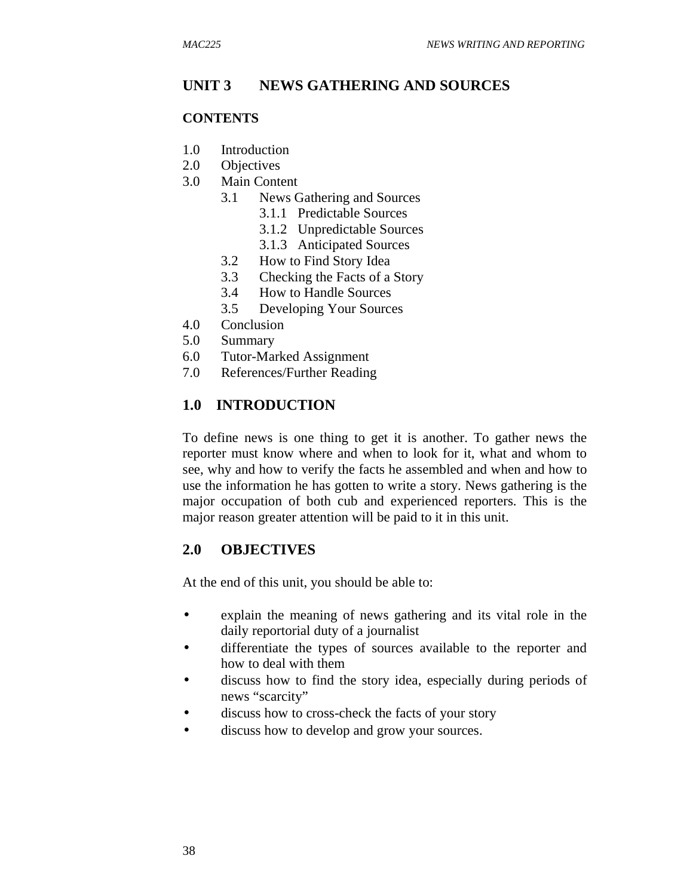## **UNIT 3 NEWS GATHERING AND SOURCES**

#### **CONTENTS**

- 1.0 Introduction
- 2.0 Objectives
- 3.0 Main Content
	- 3.1 News Gathering and Sources
		- 3.1.1 Predictable Sources
		- 3.1.2 Unpredictable Sources
		- 3.1.3 Anticipated Sources
	- 3.2 How to Find Story Idea
	- 3.3 Checking the Facts of a Story
	- 3.4 How to Handle Sources
	- 3.5 Developing Your Sources
- 4.0 Conclusion
- 5.0 Summary
- 6.0 Tutor-Marked Assignment
- 7.0 References/Further Reading

#### **1.0 INTRODUCTION**

To define news is one thing to get it is another. To gather news the reporter must know where and when to look for it, what and whom to see, why and how to verify the facts he assembled and when and how to use the information he has gotten to write a story. News gathering is the major occupation of both cub and experienced reporters. This is the major reason greater attention will be paid to it in this unit.

### **2.0 OBJECTIVES**

At the end of this unit, you should be able to:

- explain the meaning of news gathering and its vital role in the daily reportorial duty of a journalist
- differentiate the types of sources available to the reporter and how to deal with them
- discuss how to find the story idea, especially during periods of news "scarcity"
- discuss how to cross-check the facts of your story
- discuss how to develop and grow your sources.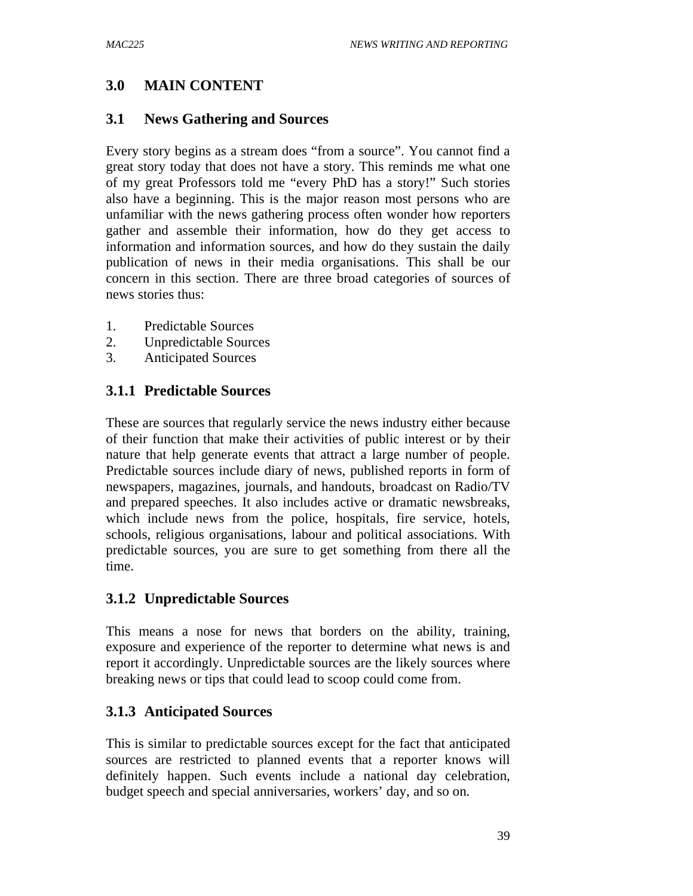# **3.0 MAIN CONTENT**

## **3.1 News Gathering and Sources**

Every story begins as a stream does "from a source". You cannot find a great story today that does not have a story. This reminds me what one of my great Professors told me "every PhD has a story!" Such stories also have a beginning. This is the major reason most persons who are unfamiliar with the news gathering process often wonder how reporters gather and assemble their information, how do they get access to information and information sources, and how do they sustain the daily publication of news in their media organisations. This shall be our concern in this section. There are three broad categories of sources of news stories thus:

- 1. Predictable Sources
- 2. Unpredictable Sources
- 3. Anticipated Sources

# **3.1.1 Predictable Sources**

These are sources that regularly service the news industry either because of their function that make their activities of public interest or by their nature that help generate events that attract a large number of people. Predictable sources include diary of news, published reports in form of newspapers, magazines, journals, and handouts, broadcast on Radio/TV and prepared speeches. It also includes active or dramatic newsbreaks, which include news from the police, hospitals, fire service, hotels, schools, religious organisations, labour and political associations. With predictable sources, you are sure to get something from there all the time.

### **3.1.2 Unpredictable Sources**

This means a nose for news that borders on the ability, training, exposure and experience of the reporter to determine what news is and report it accordingly. Unpredictable sources are the likely sources where breaking news or tips that could lead to scoop could come from.

# **3.1.3 Anticipated Sources**

This is similar to predictable sources except for the fact that anticipated sources are restricted to planned events that a reporter knows will definitely happen. Such events include a national day celebration, budget speech and special anniversaries, workers' day, and so on.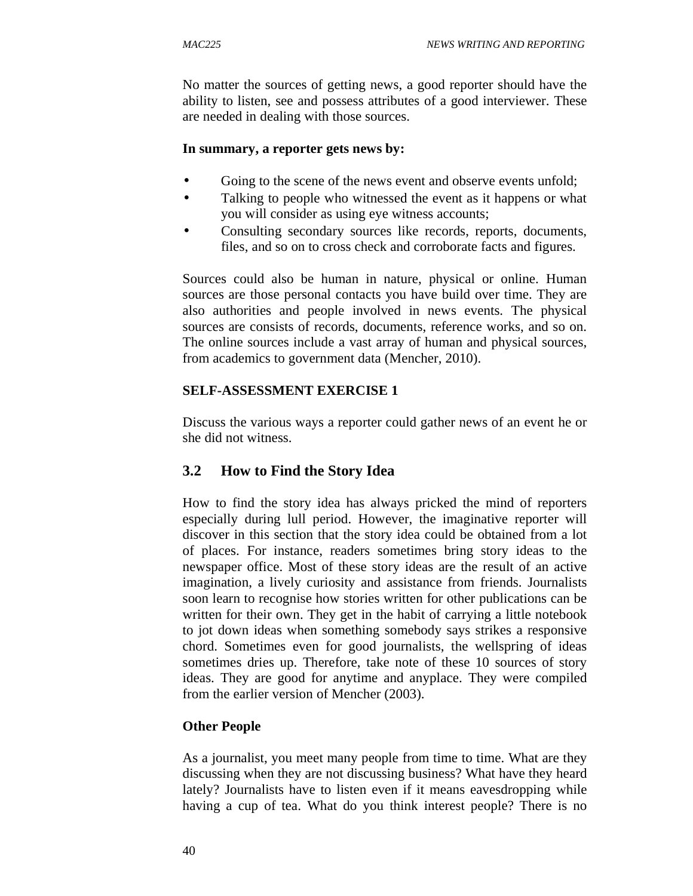No matter the sources of getting news, a good reporter should have the ability to listen, see and possess attributes of a good interviewer. These are needed in dealing with those sources.

#### **In summary, a reporter gets news by:**

- Going to the scene of the news event and observe events unfold;
- Talking to people who witnessed the event as it happens or what you will consider as using eye witness accounts;
- Consulting secondary sources like records, reports, documents, files, and so on to cross check and corroborate facts and figures.

Sources could also be human in nature, physical or online. Human sources are those personal contacts you have build over time. They are also authorities and people involved in news events. The physical sources are consists of records, documents, reference works, and so on. The online sources include a vast array of human and physical sources, from academics to government data (Mencher, 2010).

### **SELF-ASSESSMENT EXERCISE 1**

Discuss the various ways a reporter could gather news of an event he or she did not witness.

# **3.2 How to Find the Story Idea**

How to find the story idea has always pricked the mind of reporters especially during lull period. However, the imaginative reporter will discover in this section that the story idea could be obtained from a lot of places. For instance, readers sometimes bring story ideas to the newspaper office. Most of these story ideas are the result of an active imagination, a lively curiosity and assistance from friends. Journalists soon learn to recognise how stories written for other publications can be written for their own. They get in the habit of carrying a little notebook to jot down ideas when something somebody says strikes a responsive chord. Sometimes even for good journalists, the wellspring of ideas sometimes dries up. Therefore, take note of these 10 sources of story ideas. They are good for anytime and anyplace. They were compiled from the earlier version of Mencher (2003).

### **Other People**

As a journalist, you meet many people from time to time. What are they discussing when they are not discussing business? What have they heard lately? Journalists have to listen even if it means eavesdropping while having a cup of tea. What do you think interest people? There is no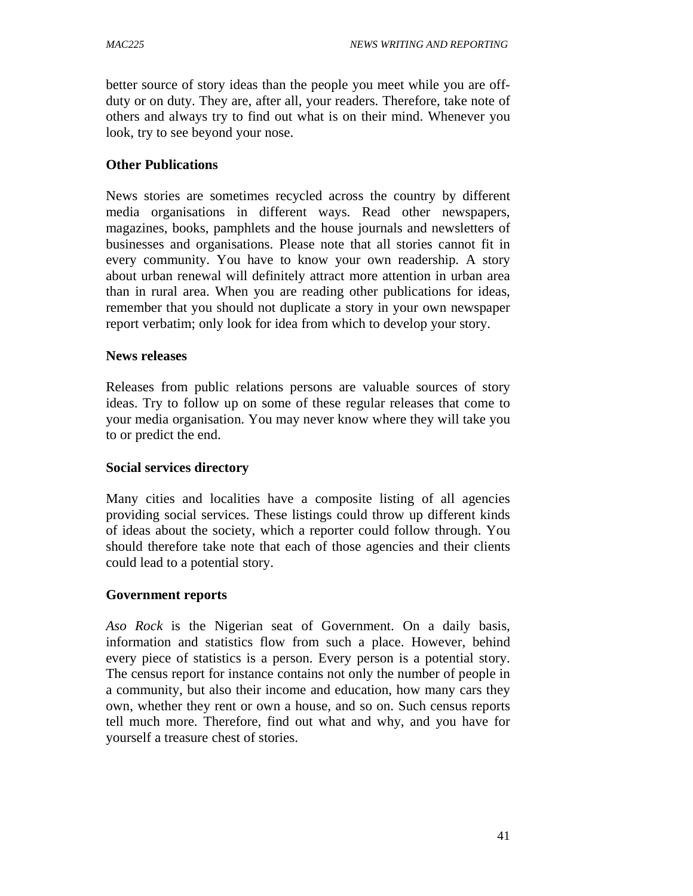better source of story ideas than the people you meet while you are offduty or on duty. They are, after all, your readers. Therefore, take note of others and always try to find out what is on their mind. Whenever you look, try to see beyond your nose.

### **Other Publications**

News stories are sometimes recycled across the country by different media organisations in different ways. Read other newspapers, magazines, books, pamphlets and the house journals and newsletters of businesses and organisations. Please note that all stories cannot fit in every community. You have to know your own readership. A story about urban renewal will definitely attract more attention in urban area than in rural area. When you are reading other publications for ideas, remember that you should not duplicate a story in your own newspaper report verbatim; only look for idea from which to develop your story.

#### **News releases**

Releases from public relations persons are valuable sources of story ideas. Try to follow up on some of these regular releases that come to your media organisation. You may never know where they will take you to or predict the end.

### **Social services directory**

Many cities and localities have a composite listing of all agencies providing social services. These listings could throw up different kinds of ideas about the society, which a reporter could follow through. You should therefore take note that each of those agencies and their clients could lead to a potential story.

#### **Government reports**

*Aso Rock* is the Nigerian seat of Government. On a daily basis, information and statistics flow from such a place. However, behind every piece of statistics is a person. Every person is a potential story. The census report for instance contains not only the number of people in a community, but also their income and education, how many cars they own, whether they rent or own a house, and so on. Such census reports tell much more. Therefore, find out what and why, and you have for yourself a treasure chest of stories.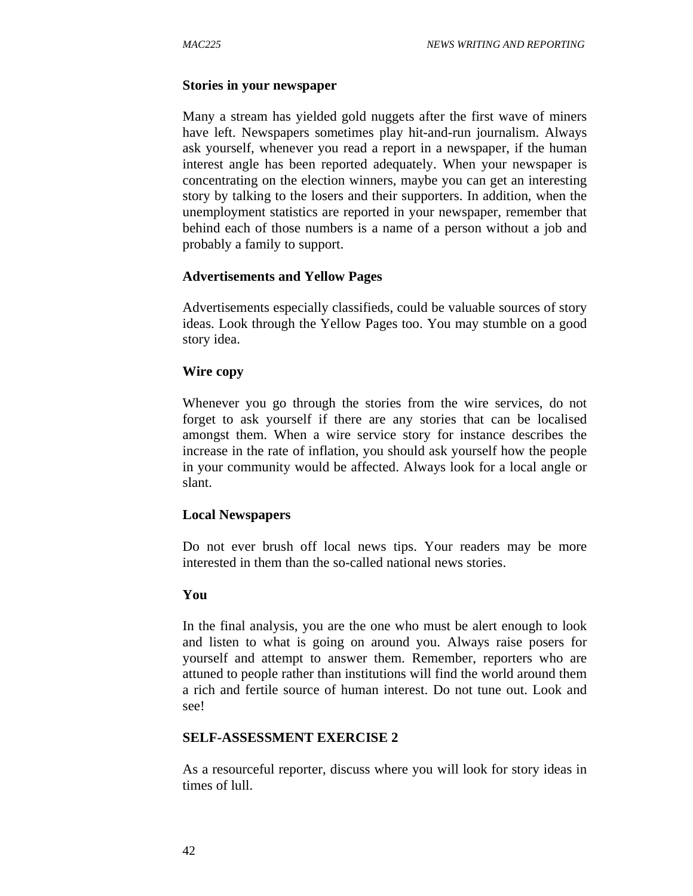#### **Stories in your newspaper**

Many a stream has yielded gold nuggets after the first wave of miners have left. Newspapers sometimes play hit-and-run journalism. Always ask yourself, whenever you read a report in a newspaper, if the human interest angle has been reported adequately. When your newspaper is concentrating on the election winners, maybe you can get an interesting story by talking to the losers and their supporters. In addition, when the unemployment statistics are reported in your newspaper, remember that behind each of those numbers is a name of a person without a job and probably a family to support.

#### **Advertisements and Yellow Pages**

Advertisements especially classifieds, could be valuable sources of story ideas. Look through the Yellow Pages too. You may stumble on a good story idea.

#### **Wire copy**

Whenever you go through the stories from the wire services, do not forget to ask yourself if there are any stories that can be localised amongst them. When a wire service story for instance describes the increase in the rate of inflation, you should ask yourself how the people in your community would be affected. Always look for a local angle or slant.

#### **Local Newspapers**

Do not ever brush off local news tips. Your readers may be more interested in them than the so-called national news stories.

#### **You**

In the final analysis, you are the one who must be alert enough to look and listen to what is going on around you. Always raise posers for yourself and attempt to answer them. Remember, reporters who are attuned to people rather than institutions will find the world around them a rich and fertile source of human interest. Do not tune out. Look and see!

### **SELF-ASSESSMENT EXERCISE 2**

As a resourceful reporter, discuss where you will look for story ideas in times of lull.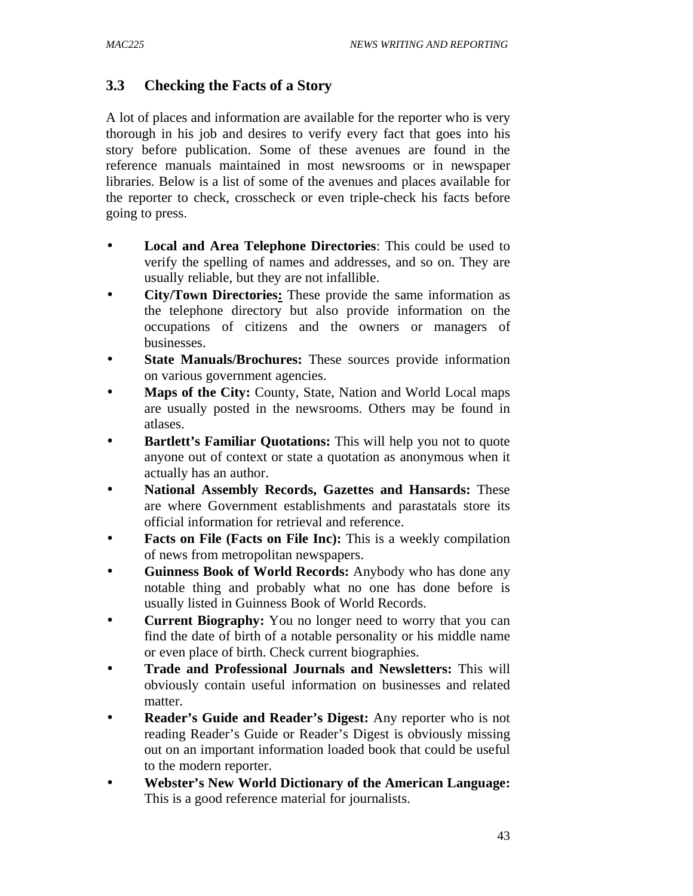# **3.3 Checking the Facts of a Story**

A lot of places and information are available for the reporter who is very thorough in his job and desires to verify every fact that goes into his story before publication. Some of these avenues are found in the reference manuals maintained in most newsrooms or in newspaper libraries. Below is a list of some of the avenues and places available for the reporter to check, crosscheck or even triple-check his facts before going to press.

- **Local and Area Telephone Directories**: This could be used to verify the spelling of names and addresses, and so on. They are usually reliable, but they are not infallible.
- **City/Town Directories:** These provide the same information as the telephone directory but also provide information on the occupations of citizens and the owners or managers of businesses.
- State Manuals/Brochures: These sources provide information on various government agencies.
- **Maps of the City:** County, State, Nation and World Local maps are usually posted in the newsrooms. Others may be found in atlases.
- **Bartlett's Familiar Quotations:** This will help you not to quote anyone out of context or state a quotation as anonymous when it actually has an author.
- **National Assembly Records, Gazettes and Hansards:** These are where Government establishments and parastatals store its official information for retrieval and reference.
- **Facts on File (Facts on File Inc):** This is a weekly compilation of news from metropolitan newspapers.
- **Guinness Book of World Records:** Anybody who has done any notable thing and probably what no one has done before is usually listed in Guinness Book of World Records.
- **Current Biography:** You no longer need to worry that you can find the date of birth of a notable personality or his middle name or even place of birth. Check current biographies.
- **Trade and Professional Journals and Newsletters:** This will obviously contain useful information on businesses and related matter.
- **Reader's Guide and Reader's Digest:** Any reporter who is not reading Reader's Guide or Reader's Digest is obviously missing out on an important information loaded book that could be useful to the modern reporter.
- **Webster's New World Dictionary of the American Language:** This is a good reference material for journalists.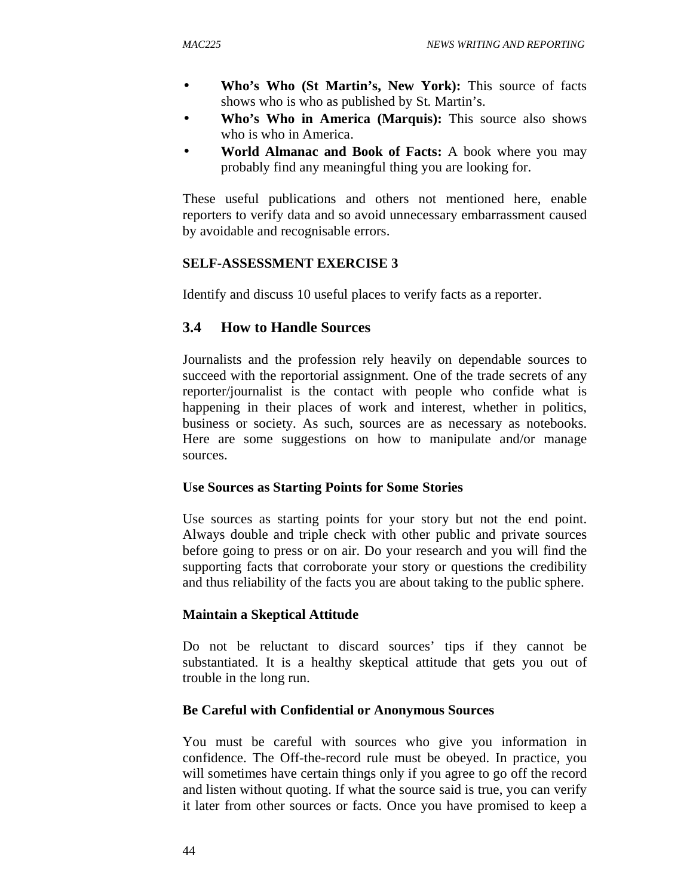- **Who's Who (St Martin's, New York):** This source of facts shows who is who as published by St. Martin's.
- **Who's Who in America (Marquis):** This source also shows who is who in America.
- **World Almanac and Book of Facts:** A book where you may probably find any meaningful thing you are looking for.

These useful publications and others not mentioned here, enable reporters to verify data and so avoid unnecessary embarrassment caused by avoidable and recognisable errors.

## **SELF-ASSESSMENT EXERCISE 3**

Identify and discuss 10 useful places to verify facts as a reporter.

# **3.4 How to Handle Sources**

Journalists and the profession rely heavily on dependable sources to succeed with the reportorial assignment. One of the trade secrets of any reporter/journalist is the contact with people who confide what is happening in their places of work and interest, whether in politics, business or society. As such, sources are as necessary as notebooks. Here are some suggestions on how to manipulate and/or manage sources.

#### **Use Sources as Starting Points for Some Stories**

Use sources as starting points for your story but not the end point. Always double and triple check with other public and private sources before going to press or on air. Do your research and you will find the supporting facts that corroborate your story or questions the credibility and thus reliability of the facts you are about taking to the public sphere.

#### **Maintain a Skeptical Attitude**

Do not be reluctant to discard sources' tips if they cannot be substantiated. It is a healthy skeptical attitude that gets you out of trouble in the long run.

### **Be Careful with Confidential or Anonymous Sources**

You must be careful with sources who give you information in confidence. The Off-the-record rule must be obeyed. In practice, you will sometimes have certain things only if you agree to go off the record and listen without quoting. If what the source said is true, you can verify it later from other sources or facts. Once you have promised to keep a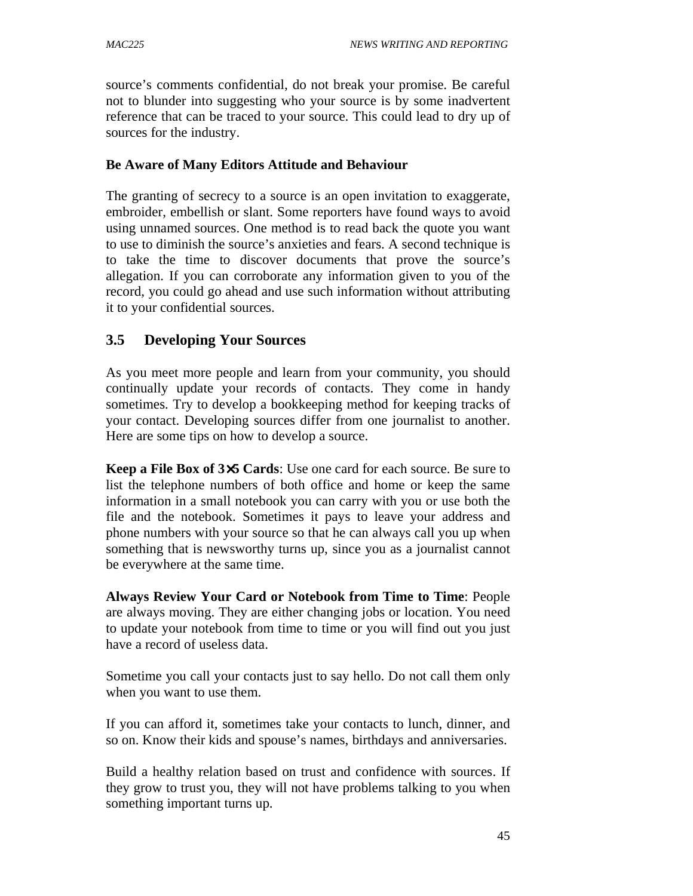source's comments confidential, do not break your promise. Be careful not to blunder into suggesting who your source is by some inadvertent reference that can be traced to your source. This could lead to dry up of sources for the industry.

### **Be Aware of Many Editors Attitude and Behaviour**

The granting of secrecy to a source is an open invitation to exaggerate, embroider, embellish or slant. Some reporters have found ways to avoid using unnamed sources. One method is to read back the quote you want to use to diminish the source's anxieties and fears. A second technique is to take the time to discover documents that prove the source's allegation. If you can corroborate any information given to you of the record, you could go ahead and use such information without attributing it to your confidential sources.

# **3.5 Developing Your Sources**

As you meet more people and learn from your community, you should continually update your records of contacts. They come in handy sometimes. Try to develop a bookkeeping method for keeping tracks of your contact. Developing sources differ from one journalist to another. Here are some tips on how to develop a source.

**Keep a File Box of 3**×**5 Cards**: Use one card for each source. Be sure to list the telephone numbers of both office and home or keep the same information in a small notebook you can carry with you or use both the file and the notebook. Sometimes it pays to leave your address and phone numbers with your source so that he can always call you up when something that is newsworthy turns up, since you as a journalist cannot be everywhere at the same time.

**Always Review Your Card or Notebook from Time to Time**: People are always moving. They are either changing jobs or location. You need to update your notebook from time to time or you will find out you just have a record of useless data.

Sometime you call your contacts just to say hello. Do not call them only when you want to use them.

If you can afford it, sometimes take your contacts to lunch, dinner, and so on. Know their kids and spouse's names, birthdays and anniversaries.

Build a healthy relation based on trust and confidence with sources. If they grow to trust you, they will not have problems talking to you when something important turns up.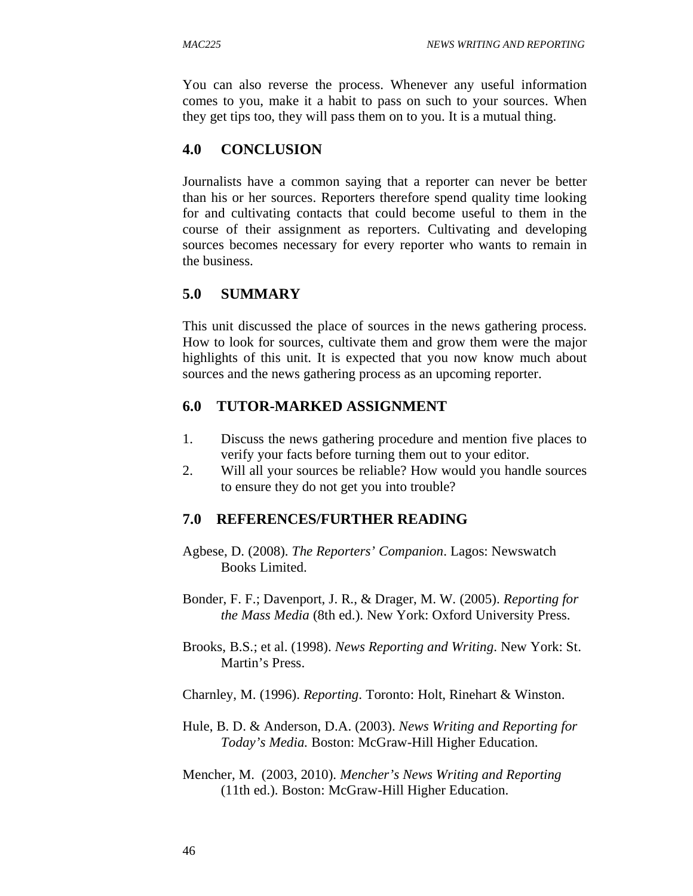You can also reverse the process. Whenever any useful information comes to you, make it a habit to pass on such to your sources. When they get tips too, they will pass them on to you. It is a mutual thing.

## **4.0 CONCLUSION**

Journalists have a common saying that a reporter can never be better than his or her sources. Reporters therefore spend quality time looking for and cultivating contacts that could become useful to them in the course of their assignment as reporters. Cultivating and developing sources becomes necessary for every reporter who wants to remain in the business.

## **5.0 SUMMARY**

This unit discussed the place of sources in the news gathering process. How to look for sources, cultivate them and grow them were the major highlights of this unit. It is expected that you now know much about sources and the news gathering process as an upcoming reporter.

### **6.0 TUTOR-MARKED ASSIGNMENT**

- 1. Discuss the news gathering procedure and mention five places to verify your facts before turning them out to your editor.
- 2. Will all your sources be reliable? How would you handle sources to ensure they do not get you into trouble?

#### **7.0 REFERENCES/FURTHER READING**

- Agbese, D. (2008). *The Reporters' Companion*. Lagos: Newswatch Books Limited.
- Bonder, F. F.; Davenport, J. R., & Drager, M. W. (2005). *Reporting for the Mass Media* (8th ed.). New York: Oxford University Press.
- Brooks, B.S.; et al. (1998). *News Reporting and Writing*. New York: St. Martin's Press.
- Charnley, M. (1996). *Reporting*. Toronto: Holt, Rinehart & Winston.
- Hule, B. D. & Anderson, D.A. (2003). *News Writing and Reporting for Today's Media.* Boston: McGraw-Hill Higher Education.
- Mencher, M. (2003, 2010). *Mencher's News Writing and Reporting*  (11th ed.). Boston: McGraw-Hill Higher Education.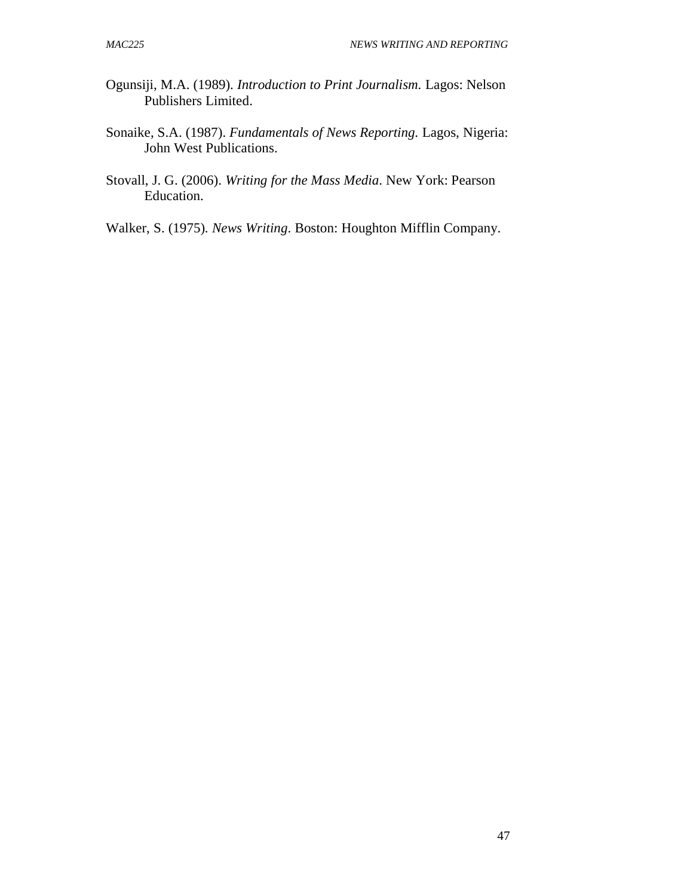- Ogunsiji, M.A. (1989). *Introduction to Print Journalism.* Lagos: Nelson Publishers Limited.
- Sonaike, S.A. (1987). *Fundamentals of News Reporting.* Lagos, Nigeria: John West Publications.
- Stovall, J. G. (2006). *Writing for the Mass Media*. New York: Pearson Education.
- Walker, S. (1975)*. News Writing*. Boston: Houghton Mifflin Company.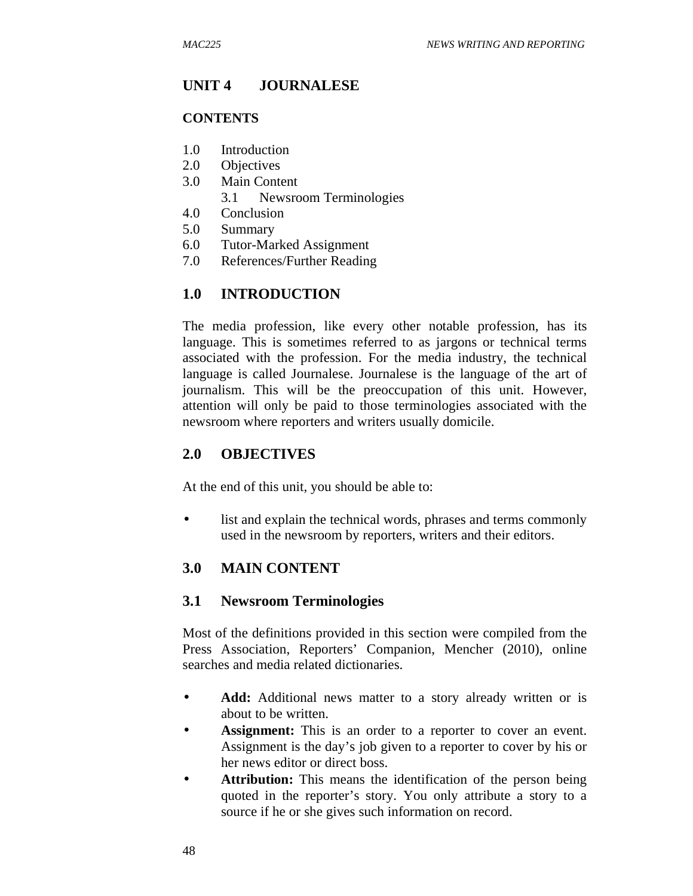### **UNIT 4 JOURNALESE**

#### **CONTENTS**

- 1.0 Introduction
- 2.0 Objectives
- 3.0 Main Content
	- 3.1 Newsroom Terminologies
- 4.0 Conclusion
- 5.0 Summary
- 6.0 Tutor-Marked Assignment
- 7.0 References/Further Reading

## **1.0 INTRODUCTION**

The media profession, like every other notable profession, has its language. This is sometimes referred to as jargons or technical terms associated with the profession. For the media industry, the technical language is called Journalese. Journalese is the language of the art of journalism. This will be the preoccupation of this unit. However, attention will only be paid to those terminologies associated with the newsroom where reporters and writers usually domicile.

### **2.0 OBJECTIVES**

At the end of this unit, you should be able to:

• list and explain the technical words, phrases and terms commonly used in the newsroom by reporters, writers and their editors.

## **3.0 MAIN CONTENT**

#### **3.1 Newsroom Terminologies**

Most of the definitions provided in this section were compiled from the Press Association, Reporters' Companion, Mencher (2010), online searches and media related dictionaries.

- **Add:** Additional news matter to a story already written or is about to be written.
- Assignment: This is an order to a reporter to cover an event. Assignment is the day's job given to a reporter to cover by his or her news editor or direct boss.
- Attribution: This means the identification of the person being quoted in the reporter's story. You only attribute a story to a source if he or she gives such information on record.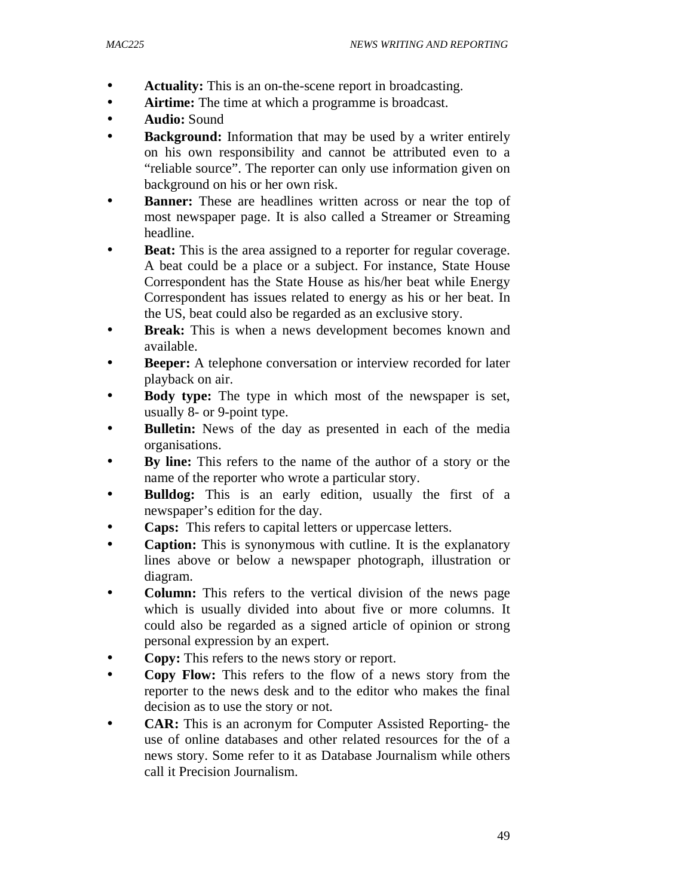- **Actuality:** This is an on-the-scene report in broadcasting.
- **Airtime:** The time at which a programme is broadcast.
- **Audio:** Sound
- **Background:** Information that may be used by a writer entirely on his own responsibility and cannot be attributed even to a "reliable source". The reporter can only use information given on background on his or her own risk.
- **Banner:** These are headlines written across or near the top of most newspaper page. It is also called a Streamer or Streaming headline.
- **Beat:** This is the area assigned to a reporter for regular coverage. A beat could be a place or a subject. For instance, State House Correspondent has the State House as his/her beat while Energy Correspondent has issues related to energy as his or her beat. In the US, beat could also be regarded as an exclusive story.
- **Break:** This is when a news development becomes known and available.
- **Beeper:** A telephone conversation or interview recorded for later playback on air.
- **Body type:** The type in which most of the newspaper is set, usually 8- or 9-point type.
- **Bulletin:** News of the day as presented in each of the media organisations.
- **By line:** This refers to the name of the author of a story or the name of the reporter who wrote a particular story.
- **Bulldog:** This is an early edition, usually the first of a newspaper's edition for the day.
- **Caps:** This refers to capital letters or uppercase letters.
- **Caption:** This is synonymous with cutline. It is the explanatory lines above or below a newspaper photograph, illustration or diagram.
- **Column:** This refers to the vertical division of the news page which is usually divided into about five or more columns. It could also be regarded as a signed article of opinion or strong personal expression by an expert.
- **Copy:** This refers to the news story or report.
- **Copy Flow:** This refers to the flow of a news story from the reporter to the news desk and to the editor who makes the final decision as to use the story or not.
- **CAR:** This is an acronym for Computer Assisted Reporting- the use of online databases and other related resources for the of a news story. Some refer to it as Database Journalism while others call it Precision Journalism.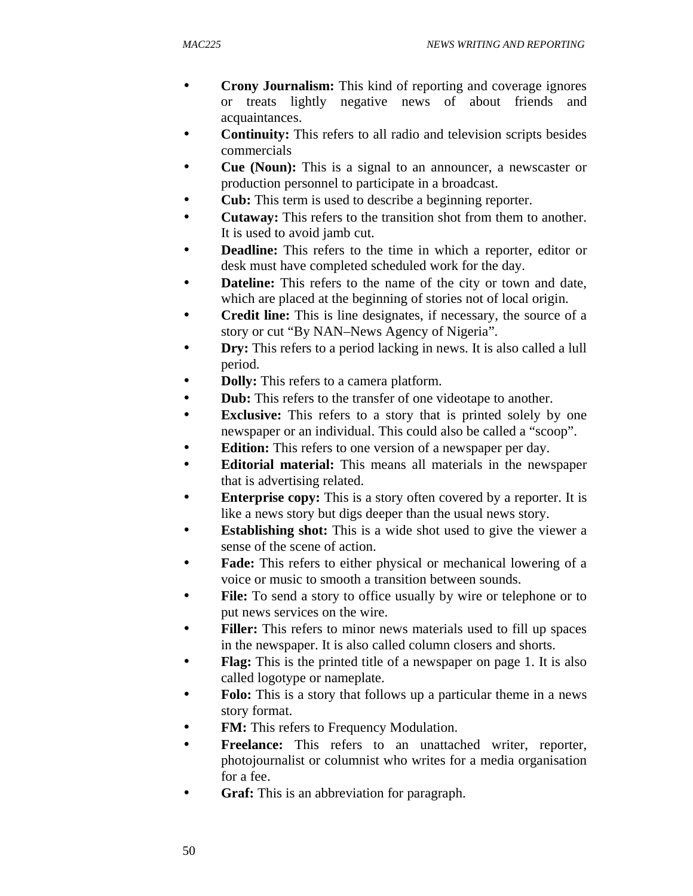- **Crony Journalism:** This kind of reporting and coverage ignores or treats lightly negative news of about friends and acquaintances.
- **Continuity:** This refers to all radio and television scripts besides commercials
- **Cue (Noun):** This is a signal to an announcer, a newscaster or production personnel to participate in a broadcast.
- **Cub:** This term is used to describe a beginning reporter.
- **Cutaway:** This refers to the transition shot from them to another. It is used to avoid jamb cut.
- **Deadline:** This refers to the time in which a reporter, editor or desk must have completed scheduled work for the day.
- **Dateline:** This refers to the name of the city or town and date, which are placed at the beginning of stories not of local origin.
- **Credit line:** This is line designates, if necessary, the source of a story or cut "By NAN–News Agency of Nigeria".
- **Dry:** This refers to a period lacking in news. It is also called a lull period.
- **Dolly:** This refers to a camera platform.
- **Dub:** This refers to the transfer of one videotape to another.
- **Exclusive:** This refers to a story that is printed solely by one newspaper or an individual. This could also be called a "scoop".
- **Edition:** This refers to one version of a newspaper per day.
- **Editorial material:** This means all materials in the newspaper that is advertising related.
- **Enterprise copy:** This is a story often covered by a reporter. It is like a news story but digs deeper than the usual news story.
- **Establishing shot:** This is a wide shot used to give the viewer a sense of the scene of action.
- **Fade:** This refers to either physical or mechanical lowering of a voice or music to smooth a transition between sounds.
- **File:** To send a story to office usually by wire or telephone or to put news services on the wire.
- Filler: This refers to minor news materials used to fill up spaces in the newspaper. It is also called column closers and shorts.
- **Flag:** This is the printed title of a newspaper on page 1. It is also called logotype or nameplate.
- **Folo:** This is a story that follows up a particular theme in a news story format.
- **FM:** This refers to Frequency Modulation.
- **Freelance:** This refers to an unattached writer, reporter, photojournalist or columnist who writes for a media organisation for a fee.
- **Graf:** This is an abbreviation for paragraph.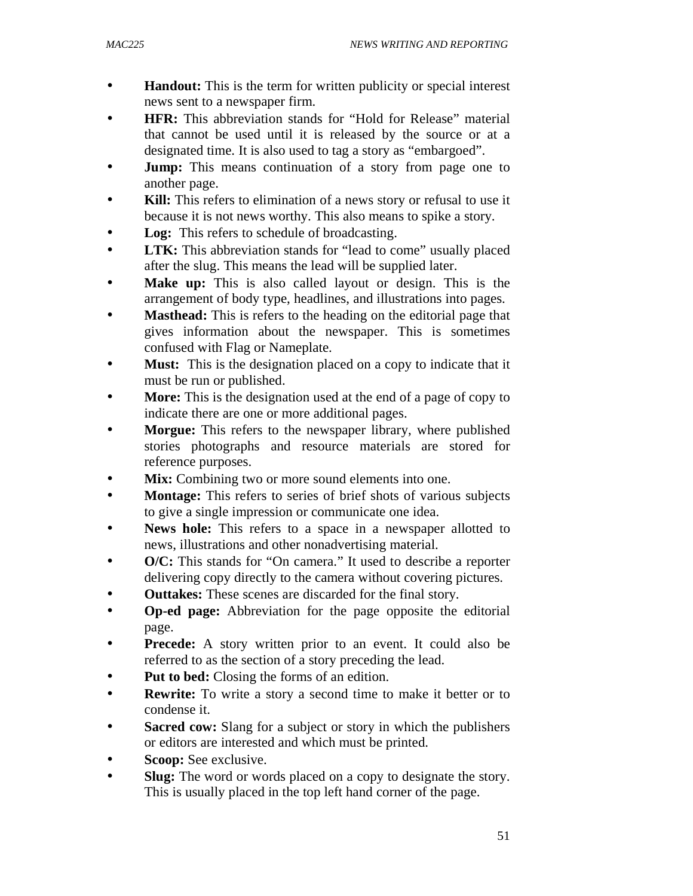- **Handout:** This is the term for written publicity or special interest news sent to a newspaper firm.
- **HFR:** This abbreviation stands for "Hold for Release" material that cannot be used until it is released by the source or at a designated time. It is also used to tag a story as "embargoed".
- **Jump:** This means continuation of a story from page one to another page.
- Kill: This refers to elimination of a news story or refusal to use it because it is not news worthy. This also means to spike a story.
- Log: This refers to schedule of broadcasting.
- **LTK:** This abbreviation stands for "lead to come" usually placed after the slug. This means the lead will be supplied later.
- **Make up:** This is also called layout or design. This is the arrangement of body type, headlines, and illustrations into pages.
- **Masthead:** This is refers to the heading on the editorial page that gives information about the newspaper. This is sometimes confused with Flag or Nameplate.
- **Must:** This is the designation placed on a copy to indicate that it must be run or published.
- **More:** This is the designation used at the end of a page of copy to indicate there are one or more additional pages.
- **Morgue:** This refers to the newspaper library, where published stories photographs and resource materials are stored for reference purposes.
- Mix: Combining two or more sound elements into one.
- **Montage:** This refers to series of brief shots of various subjects to give a single impression or communicate one idea.
- **News hole:** This refers to a space in a newspaper allotted to news, illustrations and other nonadvertising material.
- **O/C:** This stands for "On camera." It used to describe a reporter delivering copy directly to the camera without covering pictures.
- **Outtakes:** These scenes are discarded for the final story.
- **Op-ed page:** Abbreviation for the page opposite the editorial page.
- **Precede:** A story written prior to an event. It could also be referred to as the section of a story preceding the lead.
- **Put to bed:** Closing the forms of an edition.
- **Rewrite:** To write a story a second time to make it better or to condense it.
- **Sacred cow:** Slang for a subject or story in which the publishers or editors are interested and which must be printed.
- Scoop: See exclusive.
- **Slug:** The word or words placed on a copy to designate the story. This is usually placed in the top left hand corner of the page.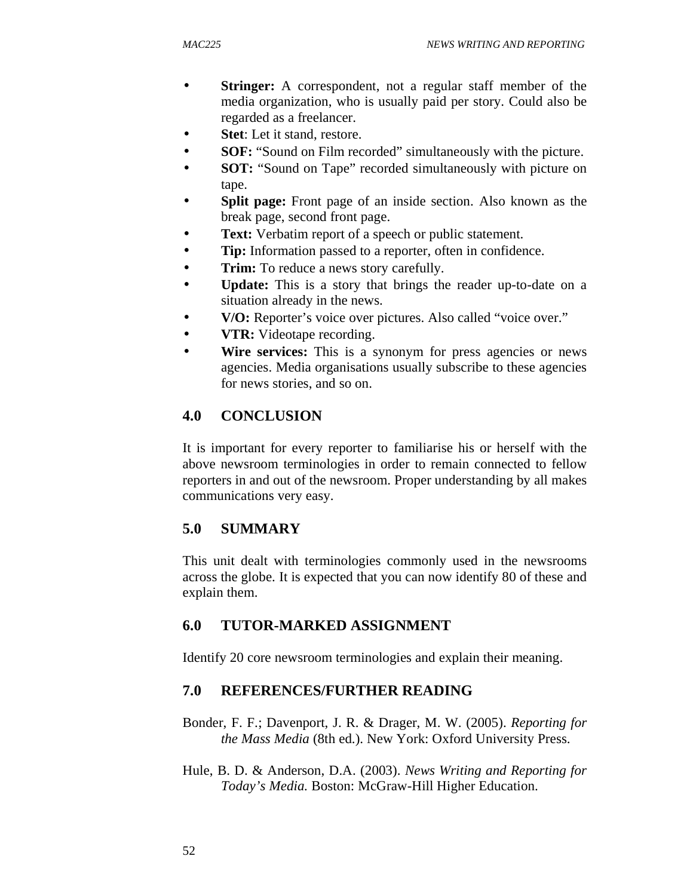- **Stringer:** A correspondent, not a regular staff member of the media organization, who is usually paid per story. Could also be regarded as a freelancer.
- **Stet**: Let it stand, restore.
- **SOF:** "Sound on Film recorded" simultaneously with the picture.
- **SOT:** "Sound on Tape" recorded simultaneously with picture on tape.
- **Split page:** Front page of an inside section. Also known as the break page, second front page.
- **Text:** Verbatim report of a speech or public statement.
- **Tip:** Information passed to a reporter, often in confidence.
- **Trim:** To reduce a news story carefully.
- **Update:** This is a story that brings the reader up-to-date on a situation already in the news.
- **V/O:** Reporter's voice over pictures. Also called "voice over."
- **VTR:** Videotape recording.
- **Wire services:** This is a synonym for press agencies or news agencies. Media organisations usually subscribe to these agencies for news stories, and so on.

# **4.0 CONCLUSION**

It is important for every reporter to familiarise his or herself with the above newsroom terminologies in order to remain connected to fellow reporters in and out of the newsroom. Proper understanding by all makes communications very easy.

# **5.0 SUMMARY**

This unit dealt with terminologies commonly used in the newsrooms across the globe. It is expected that you can now identify 80 of these and explain them.

# **6.0 TUTOR-MARKED ASSIGNMENT**

Identify 20 core newsroom terminologies and explain their meaning.

# **7.0 REFERENCES/FURTHER READING**

- Bonder, F. F.; Davenport, J. R. & Drager, M. W. (2005). *Reporting for the Mass Media* (8th ed.). New York: Oxford University Press.
- Hule, B. D. & Anderson, D.A. (2003). *News Writing and Reporting for Today's Media.* Boston: McGraw-Hill Higher Education.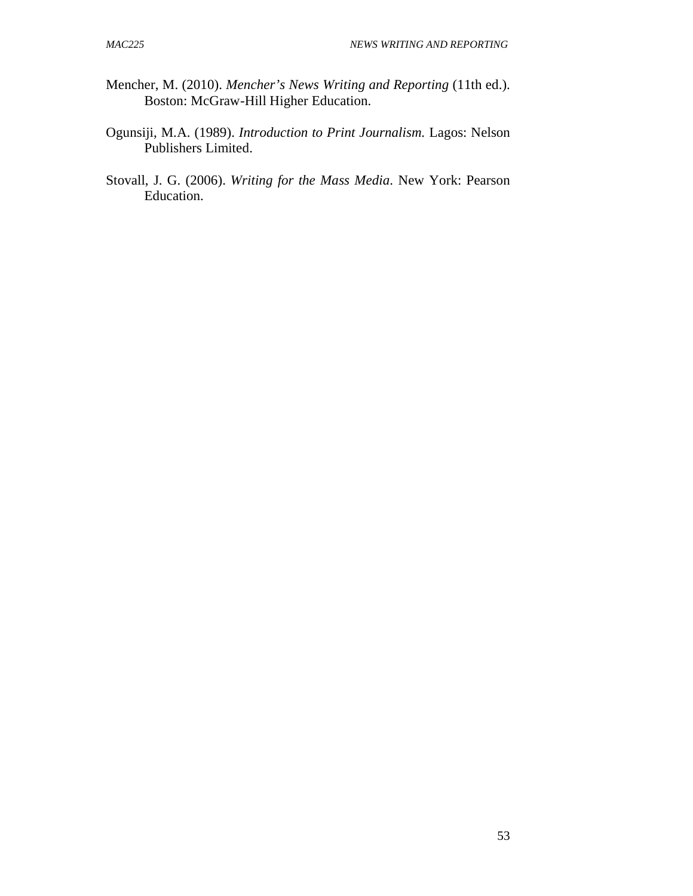- Mencher, M. (2010). *Mencher's News Writing and Reporting* (11th ed.). Boston: McGraw-Hill Higher Education.
- Ogunsiji, M.A. (1989). *Introduction to Print Journalism.* Lagos: Nelson Publishers Limited.
- Stovall, J. G. (2006). *Writing for the Mass Media*. New York: Pearson Education.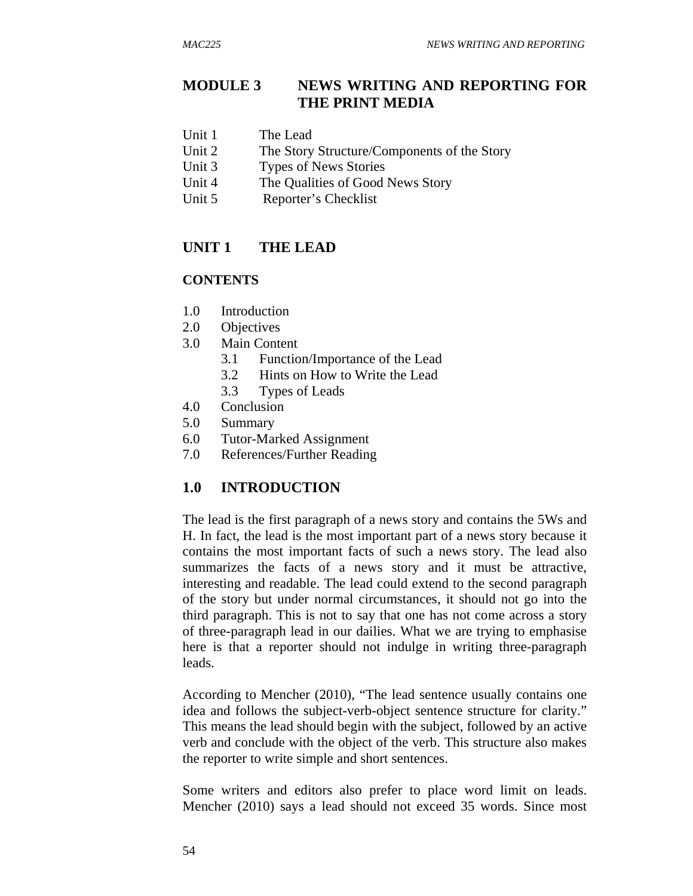# **MODULE 3 NEWS WRITING AND REPORTING FOR THE PRINT MEDIA**

- Unit 1 The Lead
- Unit 2 The Story Structure/Components of the Story
- Unit 3 Types of News Stories
- Unit 4 The Qualities of Good News Story
- Unit 5 Reporter's Checklist

# **UNIT 1 THE LEAD**

### **CONTENTS**

- 1.0 Introduction
- 2.0 Objectives
- 3.0 Main Content
	- 3.1 Function/Importance of the Lead
	- 3.2 Hints on How to Write the Lead
	- 3.3 Types of Leads
- 4.0 Conclusion
- 5.0 Summary
- 6.0 Tutor-Marked Assignment
- 7.0 References/Further Reading

# **1.0 INTRODUCTION**

The lead is the first paragraph of a news story and contains the 5Ws and H. In fact, the lead is the most important part of a news story because it contains the most important facts of such a news story. The lead also summarizes the facts of a news story and it must be attractive, interesting and readable. The lead could extend to the second paragraph of the story but under normal circumstances, it should not go into the third paragraph. This is not to say that one has not come across a story of three-paragraph lead in our dailies. What we are trying to emphasise here is that a reporter should not indulge in writing three-paragraph leads.

According to Mencher (2010), "The lead sentence usually contains one idea and follows the subject-verb-object sentence structure for clarity." This means the lead should begin with the subject, followed by an active verb and conclude with the object of the verb. This structure also makes the reporter to write simple and short sentences.

Some writers and editors also prefer to place word limit on leads. Mencher (2010) says a lead should not exceed 35 words. Since most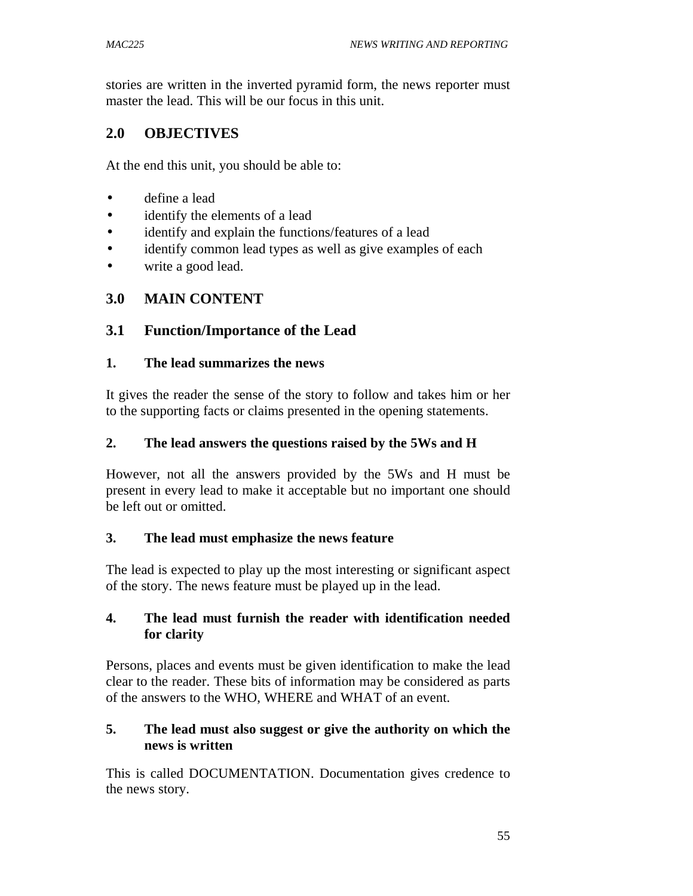stories are written in the inverted pyramid form, the news reporter must master the lead. This will be our focus in this unit.

## **2.0 OBJECTIVES**

At the end this unit, you should be able to:

- define a lead
- identify the elements of a lead
- identify and explain the functions/features of a lead
- identify common lead types as well as give examples of each
- write a good lead.

## **3.0 MAIN CONTENT**

## **3.1 Function/Importance of the Lead**

#### **1. The lead summarizes the news**

It gives the reader the sense of the story to follow and takes him or her to the supporting facts or claims presented in the opening statements.

#### **2. The lead answers the questions raised by the 5Ws and H**

However, not all the answers provided by the 5Ws and H must be present in every lead to make it acceptable but no important one should be left out or omitted.

#### **3. The lead must emphasize the news feature**

The lead is expected to play up the most interesting or significant aspect of the story. The news feature must be played up in the lead.

#### **4. The lead must furnish the reader with identification needed for clarity**

Persons, places and events must be given identification to make the lead clear to the reader. These bits of information may be considered as parts of the answers to the WHO, WHERE and WHAT of an event.

#### **5. The lead must also suggest or give the authority on which the news is written**

This is called DOCUMENTATION. Documentation gives credence to the news story.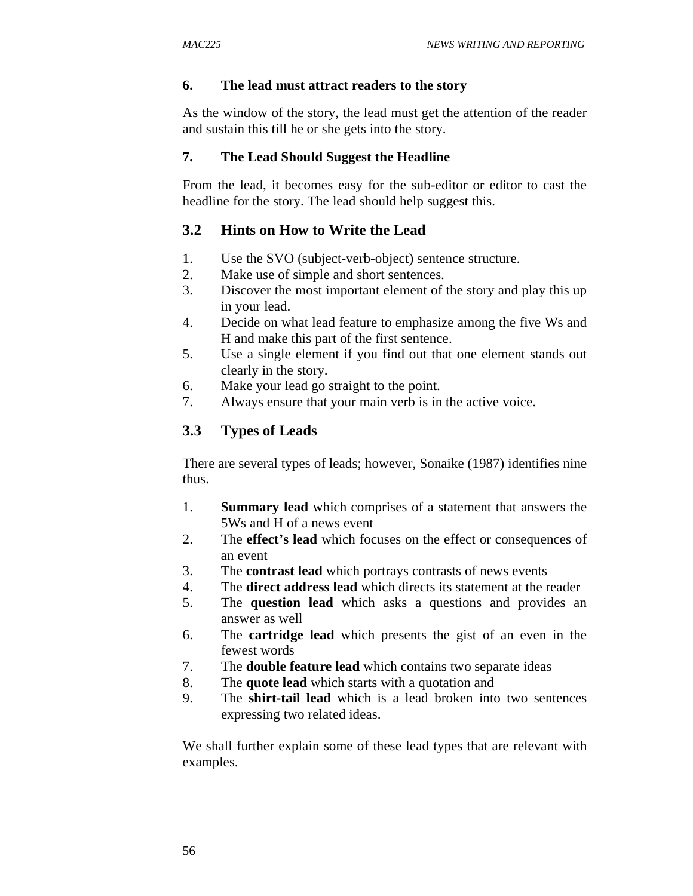#### **6. The lead must attract readers to the story**

As the window of the story, the lead must get the attention of the reader and sustain this till he or she gets into the story.

#### **7. The Lead Should Suggest the Headline**

From the lead, it becomes easy for the sub-editor or editor to cast the headline for the story. The lead should help suggest this.

## **3.2 Hints on How to Write the Lead**

- 1. Use the SVO (subject-verb-object) sentence structure.
- 2. Make use of simple and short sentences.
- 3. Discover the most important element of the story and play this up in your lead.
- 4. Decide on what lead feature to emphasize among the five Ws and H and make this part of the first sentence.
- 5. Use a single element if you find out that one element stands out clearly in the story.
- 6. Make your lead go straight to the point.
- 7. Always ensure that your main verb is in the active voice.

# **3.3 Types of Leads**

There are several types of leads; however, Sonaike (1987) identifies nine thus.

- 1. **Summary lead** which comprises of a statement that answers the 5Ws and H of a news event
- 2. The **effect's lead** which focuses on the effect or consequences of an event
- 3. The **contrast lead** which portrays contrasts of news events
- 4. The **direct address lead** which directs its statement at the reader
- 5. The **question lead** which asks a questions and provides an answer as well
- 6. The **cartridge lead** which presents the gist of an even in the fewest words
- 7. The **double feature lead** which contains two separate ideas
- 8. The **quote lead** which starts with a quotation and
- 9. The **shirt-tail lead** which is a lead broken into two sentences expressing two related ideas.

We shall further explain some of these lead types that are relevant with examples.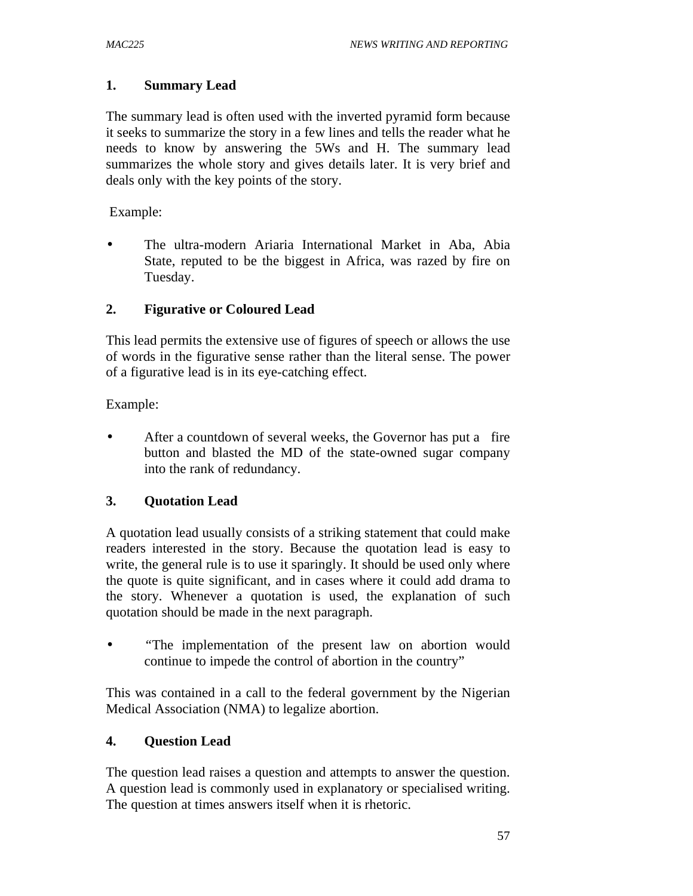#### **1. Summary Lead**

The summary lead is often used with the inverted pyramid form because it seeks to summarize the story in a few lines and tells the reader what he needs to know by answering the 5Ws and H. The summary lead summarizes the whole story and gives details later. It is very brief and deals only with the key points of the story.

Example:

• The ultra-modern Ariaria International Market in Aba, Abia State, reputed to be the biggest in Africa, was razed by fire on Tuesday.

### **2. Figurative or Coloured Lead**

This lead permits the extensive use of figures of speech or allows the use of words in the figurative sense rather than the literal sense. The power of a figurative lead is in its eye-catching effect.

Example:

• After a countdown of several weeks, the Governor has put a fire button and blasted the MD of the state-owned sugar company into the rank of redundancy.

## **3. Quotation Lead**

A quotation lead usually consists of a striking statement that could make readers interested in the story. Because the quotation lead is easy to write, the general rule is to use it sparingly. It should be used only where the quote is quite significant, and in cases where it could add drama to the story. Whenever a quotation is used, the explanation of such quotation should be made in the next paragraph.

• *"*The implementation of the present law on abortion would continue to impede the control of abortion in the country"

This was contained in a call to the federal government by the Nigerian Medical Association (NMA) to legalize abortion.

## **4. Question Lead**

The question lead raises a question and attempts to answer the question. A question lead is commonly used in explanatory or specialised writing. The question at times answers itself when it is rhetoric.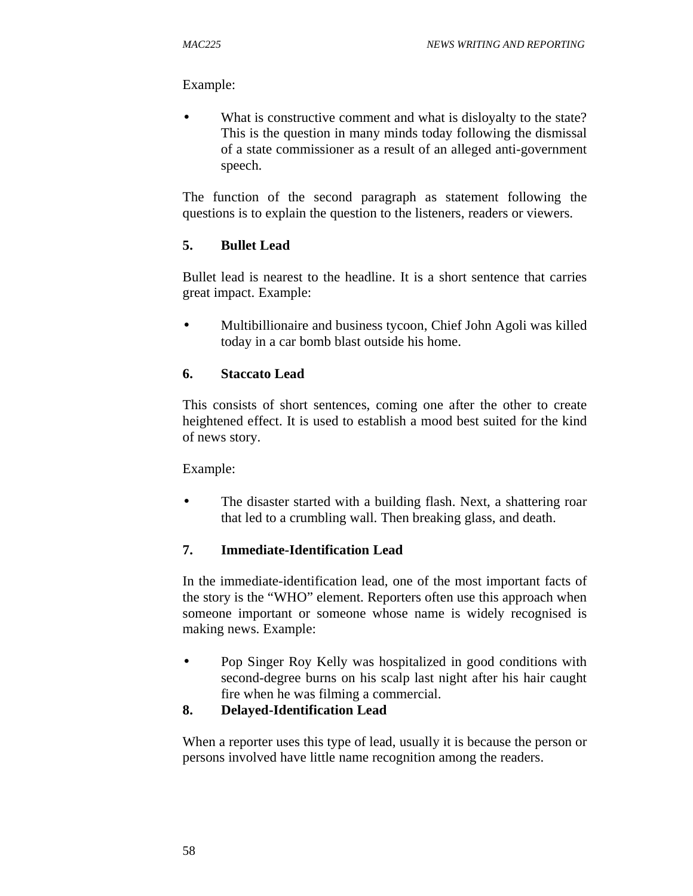#### Example:

What is constructive comment and what is disloyalty to the state? This is the question in many minds today following the dismissal of a state commissioner as a result of an alleged anti-government speech.

The function of the second paragraph as statement following the questions is to explain the question to the listeners, readers or viewers.

## **5. Bullet Lead**

Bullet lead is nearest to the headline. It is a short sentence that carries great impact. Example:

• Multibillionaire and business tycoon, Chief John Agoli was killed today in a car bomb blast outside his home.

### **6. Staccato Lead**

This consists of short sentences, coming one after the other to create heightened effect. It is used to establish a mood best suited for the kind of news story.

Example:

• The disaster started with a building flash. Next, a shattering roar that led to a crumbling wall. Then breaking glass, and death.

#### **7. Immediate-Identification Lead**

In the immediate-identification lead, one of the most important facts of the story is the "WHO" element. Reporters often use this approach when someone important or someone whose name is widely recognised is making news. Example:

• Pop Singer Roy Kelly was hospitalized in good conditions with second-degree burns on his scalp last night after his hair caught fire when he was filming a commercial.

## **8. Delayed-Identification Lead**

When a reporter uses this type of lead, usually it is because the person or persons involved have little name recognition among the readers.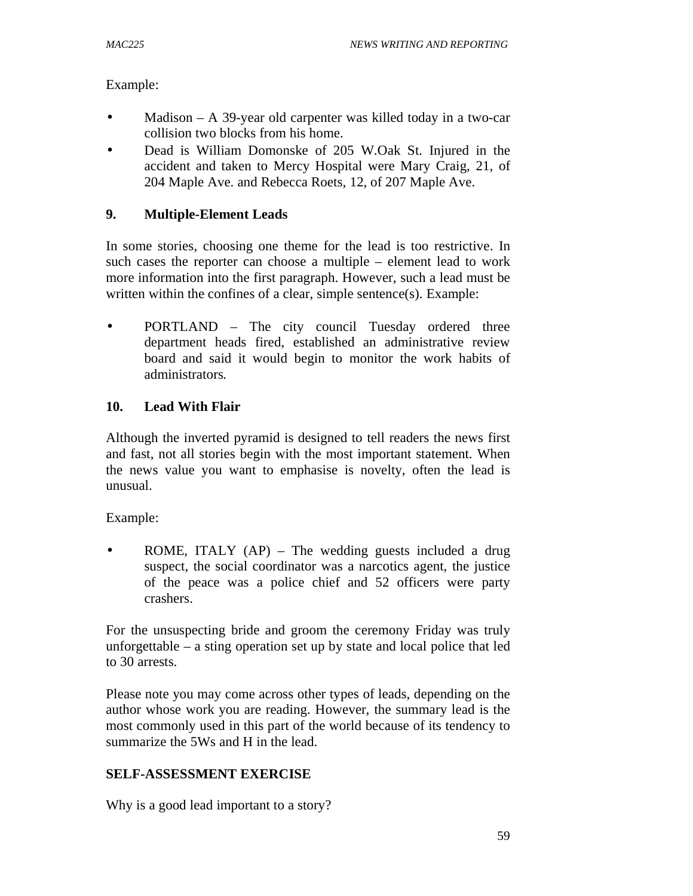Example:

- Madison A 39-year old carpenter was killed today in a two-car collision two blocks from his home.
- Dead is William Domonske of 205 W.Oak St. Injured in the accident and taken to Mercy Hospital were Mary Craig, 21, of 204 Maple Ave. and Rebecca Roets, 12, of 207 Maple Ave.

## **9. Multiple-Element Leads**

In some stories, choosing one theme for the lead is too restrictive. In such cases the reporter can choose a multiple – element lead to work more information into the first paragraph. However, such a lead must be written within the confines of a clear, simple sentence(s). Example:

PORTLAND – The city council Tuesday ordered three department heads fired, established an administrative review board and said it would begin to monitor the work habits of administrators*.* 

### **10. Lead With Flair**

Although the inverted pyramid is designed to tell readers the news first and fast, not all stories begin with the most important statement. When the news value you want to emphasise is novelty, often the lead is unusual.

Example:

• ROME, ITALY (AP) – The wedding guests included a drug suspect, the social coordinator was a narcotics agent, the justice of the peace was a police chief and 52 officers were party crashers.

For the unsuspecting bride and groom the ceremony Friday was truly unforgettable – a sting operation set up by state and local police that led to 30 arrests.

Please note you may come across other types of leads, depending on the author whose work you are reading. However, the summary lead is the most commonly used in this part of the world because of its tendency to summarize the 5Ws and H in the lead.

#### **SELF-ASSESSMENT EXERCISE**

Why is a good lead important to a story?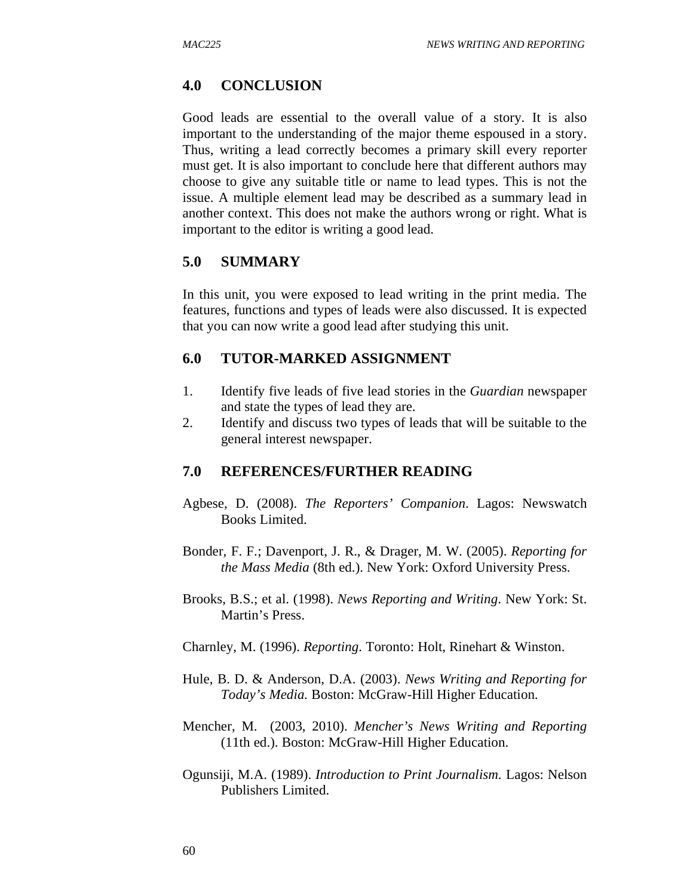## **4.0 CONCLUSION**

Good leads are essential to the overall value of a story. It is also important to the understanding of the major theme espoused in a story. Thus, writing a lead correctly becomes a primary skill every reporter must get. It is also important to conclude here that different authors may choose to give any suitable title or name to lead types. This is not the issue. A multiple element lead may be described as a summary lead in another context. This does not make the authors wrong or right. What is important to the editor is writing a good lead.

## **5.0 SUMMARY**

In this unit, you were exposed to lead writing in the print media. The features, functions and types of leads were also discussed. It is expected that you can now write a good lead after studying this unit.

## **6.0 TUTOR-MARKED ASSIGNMENT**

- 1. Identify five leads of five lead stories in the *Guardian* newspaper and state the types of lead they are.
- 2. Identify and discuss two types of leads that will be suitable to the general interest newspaper.

- Agbese, D. (2008). *The Reporters' Companion*. Lagos: Newswatch Books Limited.
- Bonder, F. F.; Davenport, J. R., & Drager, M. W. (2005). *Reporting for the Mass Media* (8th ed.). New York: Oxford University Press.
- Brooks, B.S.; et al. (1998). *News Reporting and Writing*. New York: St. Martin's Press.
- Charnley, M. (1996). *Reporting*. Toronto: Holt, Rinehart & Winston.
- Hule, B. D. & Anderson, D.A. (2003). *News Writing and Reporting for Today's Media.* Boston: McGraw-Hill Higher Education.
- Mencher, M. (2003, 2010). *Mencher's News Writing and Reporting*  (11th ed.). Boston: McGraw-Hill Higher Education.
- Ogunsiji, M.A. (1989). *Introduction to Print Journalism.* Lagos: Nelson Publishers Limited.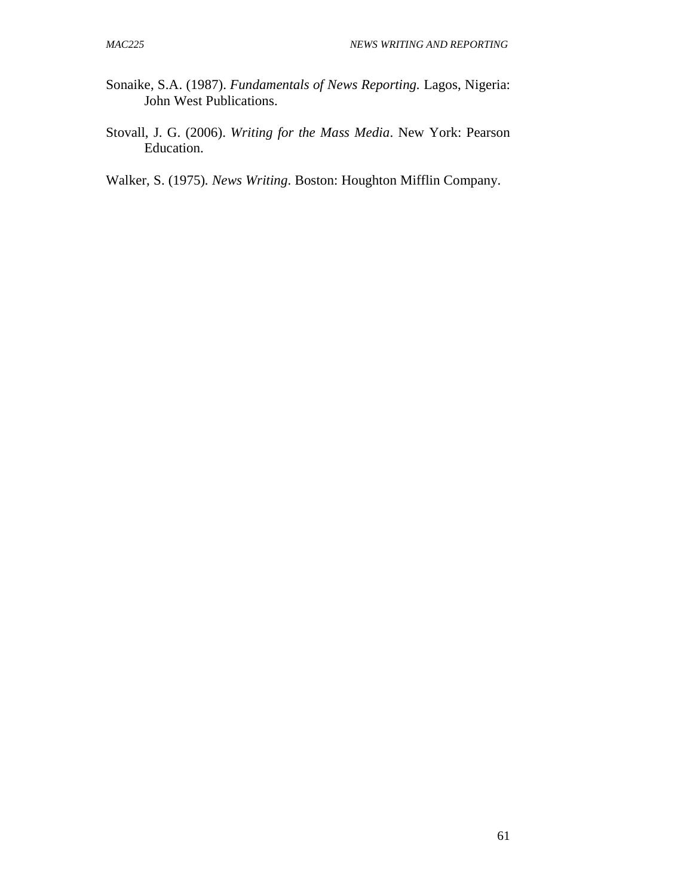- Sonaike, S.A. (1987). *Fundamentals of News Reporting.* Lagos, Nigeria: John West Publications.
- Stovall, J. G. (2006). *Writing for the Mass Media*. New York: Pearson Education.
- Walker, S. (1975)*. News Writing*. Boston: Houghton Mifflin Company.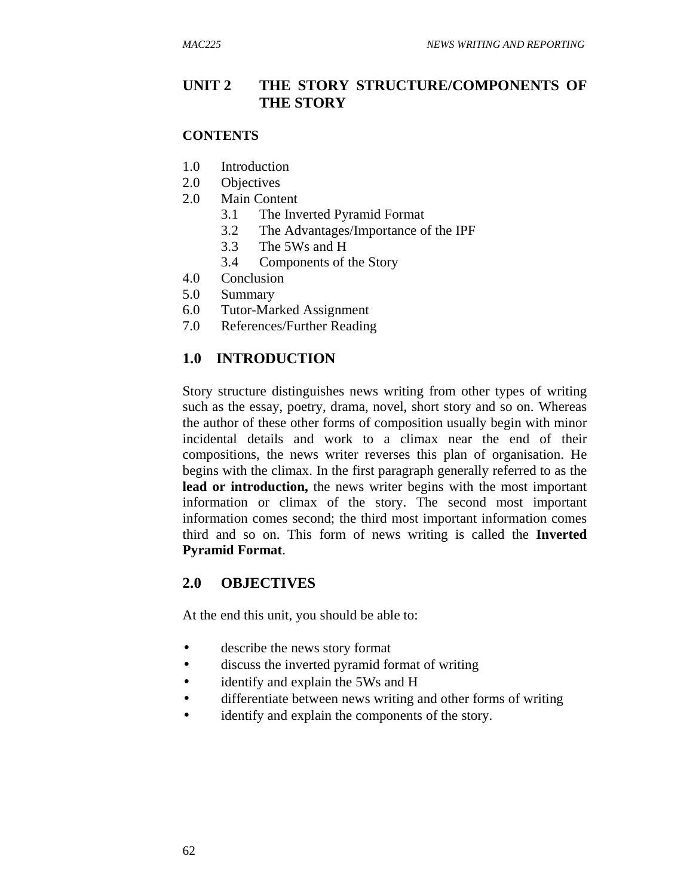### **UNIT 2 THE STORY STRUCTURE/COMPONENTS OF THE STORY**

#### **CONTENTS**

- 1.0 Introduction
- 2.0 Objectives
- 2.0 Main Content
	- 3.1 The Inverted Pyramid Format
	- 3.2 The Advantages/Importance of the IPF
	- 3.3 The 5Ws and H
	- 3.4 Components of the Story
- 4.0 Conclusion
- 5.0 Summary
- 6.0 Tutor-Marked Assignment
- 7.0 References/Further Reading

### **1.0 INTRODUCTION**

Story structure distinguishes news writing from other types of writing such as the essay, poetry, drama, novel, short story and so on. Whereas the author of these other forms of composition usually begin with minor incidental details and work to a climax near the end of their compositions, the news writer reverses this plan of organisation. He begins with the climax. In the first paragraph generally referred to as the **lead or introduction,** the news writer begins with the most important information or climax of the story. The second most important information comes second; the third most important information comes third and so on. This form of news writing is called the **Inverted Pyramid Format**.

#### **2.0 OBJECTIVES**

At the end this unit, you should be able to:

- describe the news story format
- discuss the inverted pyramid format of writing
- identify and explain the 5Ws and H
- differentiate between news writing and other forms of writing
- identify and explain the components of the story.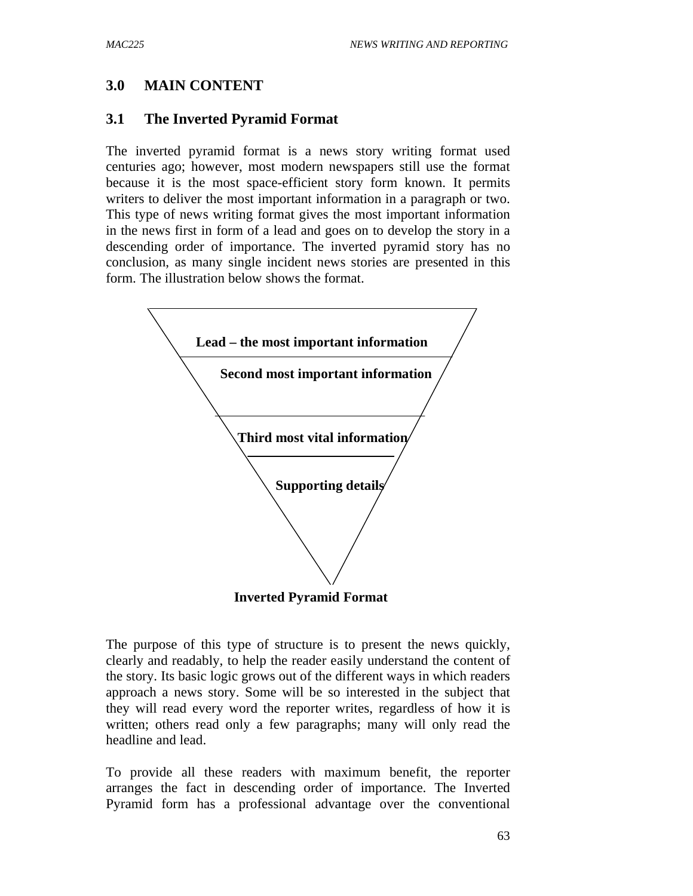## **3.0 MAIN CONTENT**

#### **3.1 The Inverted Pyramid Format**

The inverted pyramid format is a news story writing format used centuries ago; however, most modern newspapers still use the format because it is the most space-efficient story form known. It permits writers to deliver the most important information in a paragraph or two. This type of news writing format gives the most important information in the news first in form of a lead and goes on to develop the story in a descending order of importance. The inverted pyramid story has no conclusion, as many single incident news stories are presented in this form. The illustration below shows the format.



The purpose of this type of structure is to present the news quickly, clearly and readably, to help the reader easily understand the content of the story. Its basic logic grows out of the different ways in which readers approach a news story. Some will be so interested in the subject that they will read every word the reporter writes, regardless of how it is written; others read only a few paragraphs; many will only read the headline and lead.

To provide all these readers with maximum benefit, the reporter arranges the fact in descending order of importance. The Inverted Pyramid form has a professional advantage over the conventional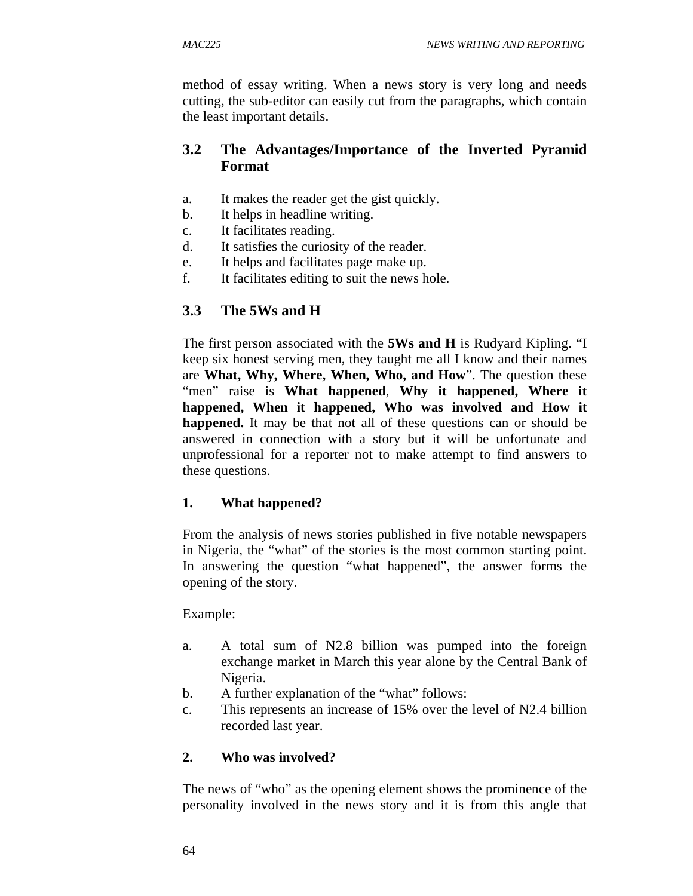method of essay writing. When a news story is very long and needs cutting, the sub-editor can easily cut from the paragraphs, which contain the least important details.

## **3.2 The Advantages/Importance of the Inverted Pyramid Format**

- a. It makes the reader get the gist quickly.
- b. It helps in headline writing.
- c. It facilitates reading.
- d. It satisfies the curiosity of the reader.
- e. It helps and facilitates page make up.
- f. It facilitates editing to suit the news hole.

## **3.3 The 5Ws and H**

The first person associated with the **5Ws and H** is Rudyard Kipling. "I keep six honest serving men, they taught me all I know and their names are **What, Why, Where, When, Who, and How**". The question these "men" raise is **What happened**, **Why it happened, Where it happened, When it happened, Who was involved and How it happened.** It may be that not all of these questions can or should be answered in connection with a story but it will be unfortunate and unprofessional for a reporter not to make attempt to find answers to these questions.

## **1. What happened?**

From the analysis of news stories published in five notable newspapers in Nigeria, the "what" of the stories is the most common starting point. In answering the question "what happened", the answer forms the opening of the story.

Example:

- a. A total sum of N2.8 billion was pumped into the foreign exchange market in March this year alone by the Central Bank of Nigeria.
- b. A further explanation of the "what" follows:
- c. This represents an increase of 15% over the level of N2.4 billion recorded last year.

#### **2. Who was involved?**

The news of "who" as the opening element shows the prominence of the personality involved in the news story and it is from this angle that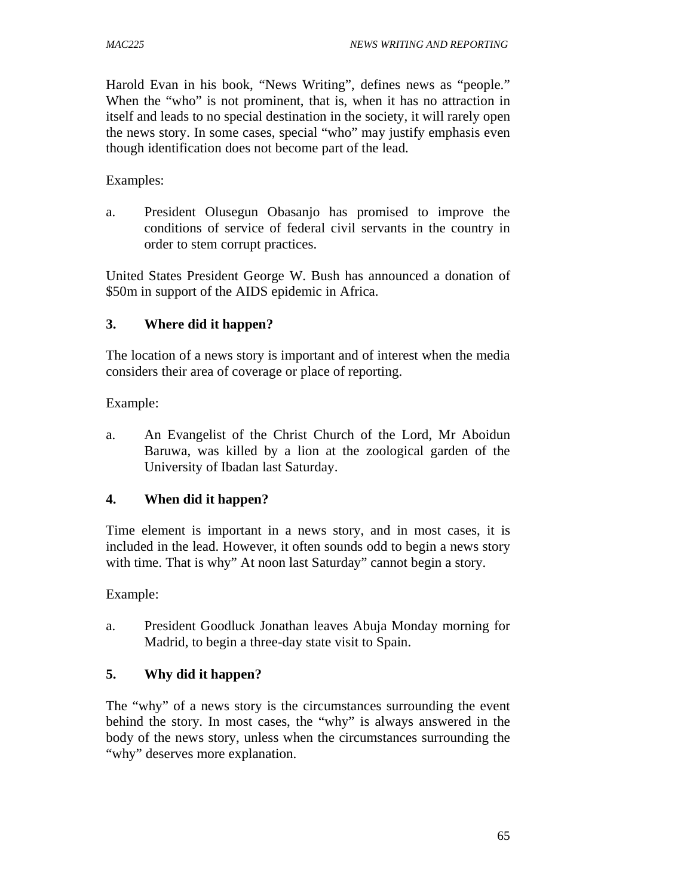Harold Evan in his book, "News Writing", defines news as "people." When the "who" is not prominent, that is, when it has no attraction in itself and leads to no special destination in the society, it will rarely open the news story. In some cases, special "who" may justify emphasis even though identification does not become part of the lead.

Examples:

a. President Olusegun Obasanjo has promised to improve the conditions of service of federal civil servants in the country in order to stem corrupt practices.

United States President George W. Bush has announced a donation of \$50m in support of the AIDS epidemic in Africa.

#### **3. Where did it happen?**

The location of a news story is important and of interest when the media considers their area of coverage or place of reporting.

Example:

a. An Evangelist of the Christ Church of the Lord, Mr Aboidun Baruwa, was killed by a lion at the zoological garden of the University of Ibadan last Saturday.

#### **4. When did it happen?**

Time element is important in a news story, and in most cases, it is included in the lead. However, it often sounds odd to begin a news story with time. That is why" At noon last Saturday" cannot begin a story.

Example:

a. President Goodluck Jonathan leaves Abuja Monday morning for Madrid, to begin a three-day state visit to Spain.

#### **5. Why did it happen?**

The "why" of a news story is the circumstances surrounding the event behind the story. In most cases, the "why" is always answered in the body of the news story, unless when the circumstances surrounding the "why" deserves more explanation.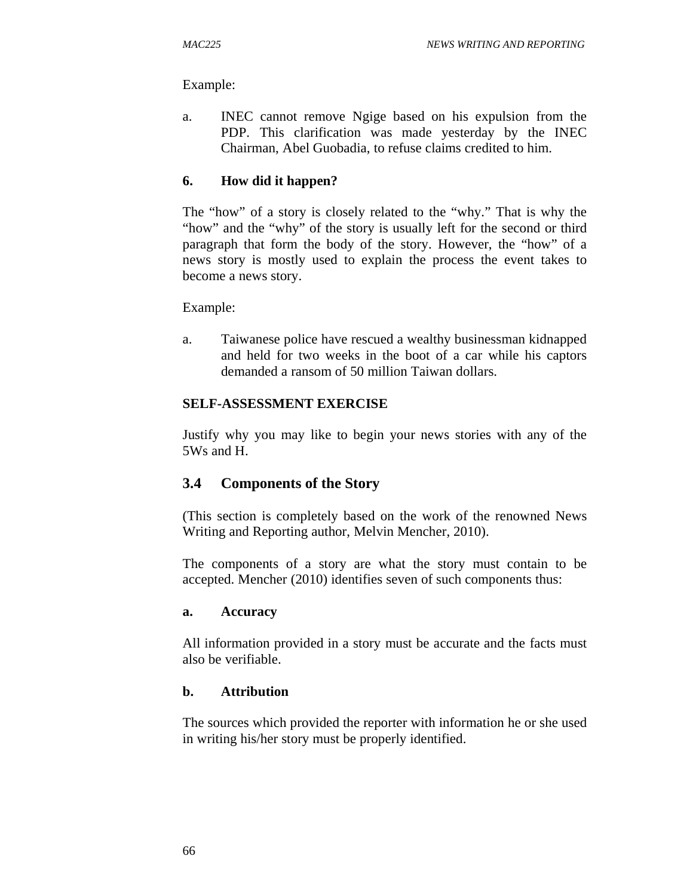Example:

a. INEC cannot remove Ngige based on his expulsion from the PDP. This clarification was made yesterday by the INEC Chairman, Abel Guobadia, to refuse claims credited to him.

#### **6. How did it happen?**

The "how" of a story is closely related to the "why." That is why the "how" and the "why" of the story is usually left for the second or third paragraph that form the body of the story. However, the "how" of a news story is mostly used to explain the process the event takes to become a news story.

Example:

a. Taiwanese police have rescued a wealthy businessman kidnapped and held for two weeks in the boot of a car while his captors demanded a ransom of 50 million Taiwan dollars.

#### **SELF-ASSESSMENT EXERCISE**

Justify why you may like to begin your news stories with any of the 5Ws and H.

#### **3.4 Components of the Story**

(This section is completely based on the work of the renowned News Writing and Reporting author, Melvin Mencher, 2010).

The components of a story are what the story must contain to be accepted. Mencher (2010) identifies seven of such components thus:

#### **a. Accuracy**

All information provided in a story must be accurate and the facts must also be verifiable.

#### **b. Attribution**

The sources which provided the reporter with information he or she used in writing his/her story must be properly identified.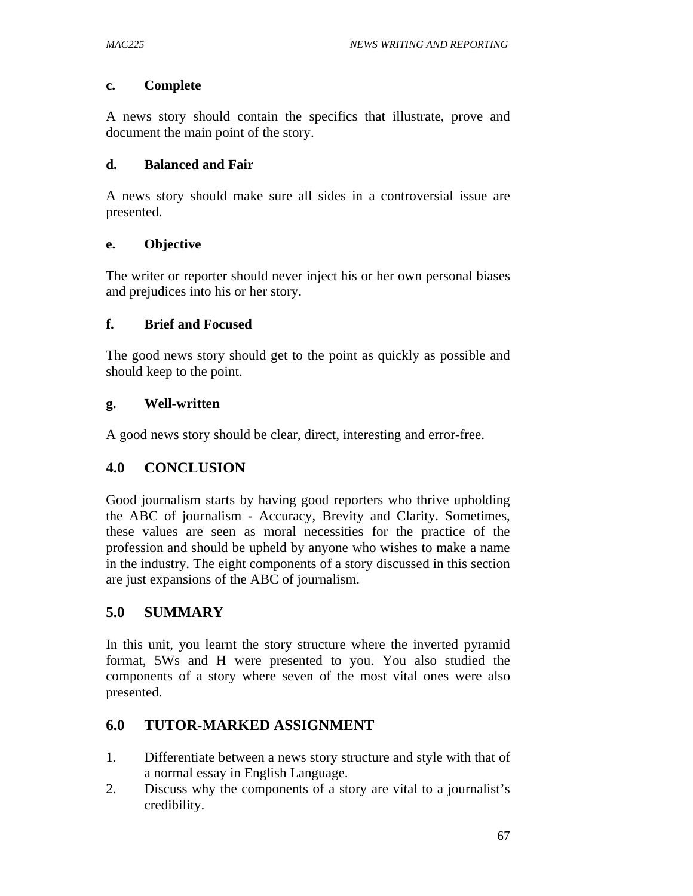#### **c. Complete**

A news story should contain the specifics that illustrate, prove and document the main point of the story.

#### **d. Balanced and Fair**

A news story should make sure all sides in a controversial issue are presented.

### **e. Objective**

The writer or reporter should never inject his or her own personal biases and prejudices into his or her story.

### **f. Brief and Focused**

The good news story should get to the point as quickly as possible and should keep to the point.

### **g. Well-written**

A good news story should be clear, direct, interesting and error-free.

## **4.0 CONCLUSION**

Good journalism starts by having good reporters who thrive upholding the ABC of journalism - Accuracy, Brevity and Clarity. Sometimes, these values are seen as moral necessities for the practice of the profession and should be upheld by anyone who wishes to make a name in the industry. The eight components of a story discussed in this section are just expansions of the ABC of journalism.

## **5.0 SUMMARY**

In this unit, you learnt the story structure where the inverted pyramid format, 5Ws and H were presented to you. You also studied the components of a story where seven of the most vital ones were also presented.

## **6.0 TUTOR-MARKED ASSIGNMENT**

- 1. Differentiate between a news story structure and style with that of a normal essay in English Language.
- 2. Discuss why the components of a story are vital to a journalist's credibility.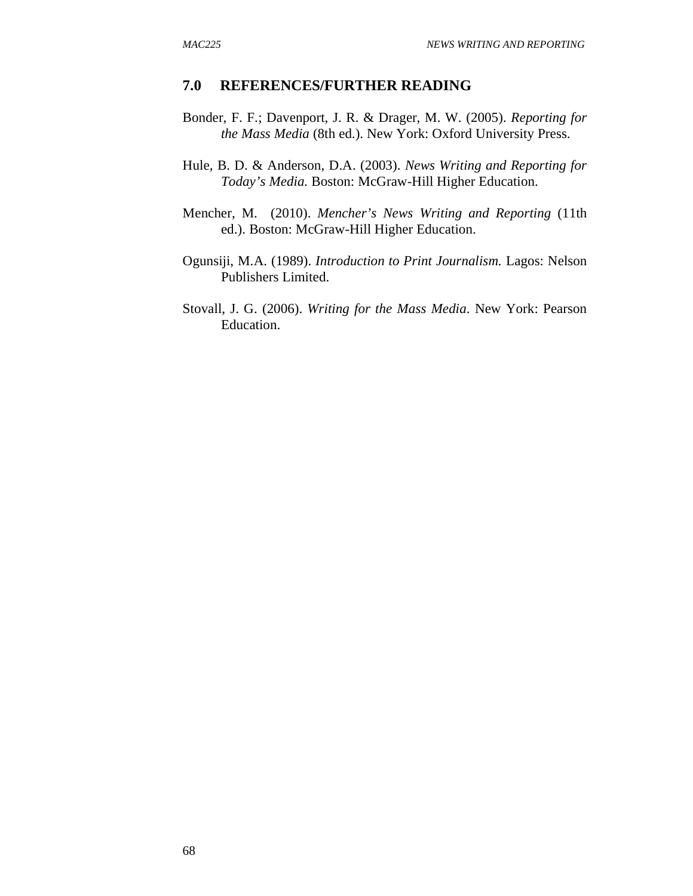- Bonder, F. F.; Davenport, J. R. & Drager, M. W. (2005). *Reporting for the Mass Media* (8th ed.). New York: Oxford University Press.
- Hule, B. D. & Anderson, D.A. (2003). *News Writing and Reporting for Today's Media.* Boston: McGraw-Hill Higher Education.
- Mencher, M. (2010). *Mencher's News Writing and Reporting* (11th ed.). Boston: McGraw-Hill Higher Education.
- Ogunsiji, M.A. (1989). *Introduction to Print Journalism.* Lagos: Nelson Publishers Limited.
- Stovall, J. G. (2006). *Writing for the Mass Media*. New York: Pearson Education.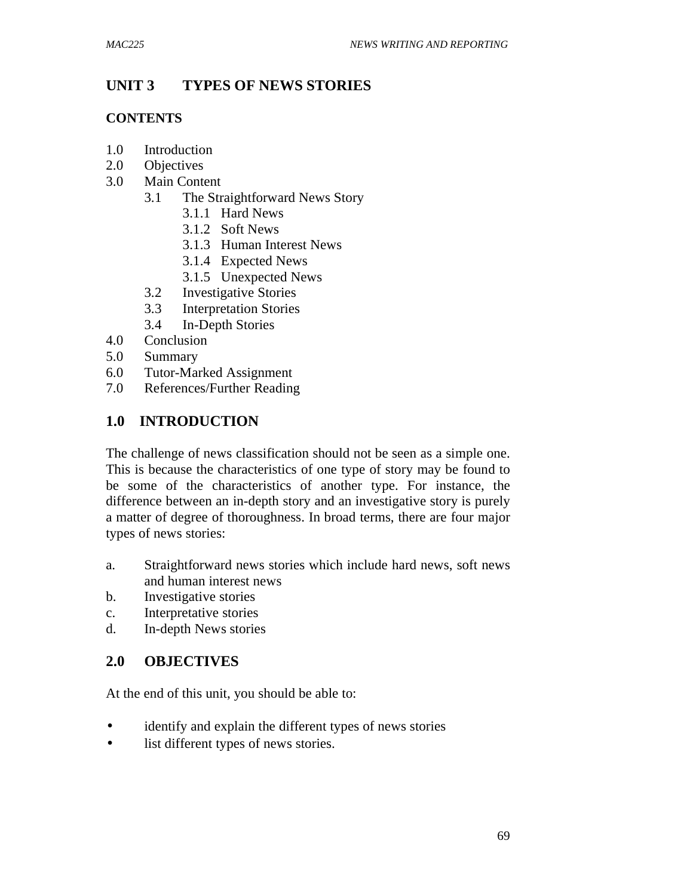## **UNIT 3 TYPES OF NEWS STORIES**

#### **CONTENTS**

- 1.0 Introduction
- 2.0 Objectives
- 3.0 Main Content
	- 3.1 The Straightforward News Story
		- 3.1.1 Hard News
		- 3.1.2 Soft News
		- 3.1.3 Human Interest News
		- 3.1.4 Expected News
		- 3.1.5 Unexpected News
	- 3.2 Investigative Stories
	- 3.3 Interpretation Stories
	- 3.4 In-Depth Stories
- 4.0 Conclusion
- 5.0 Summary
- 6.0 Tutor-Marked Assignment<br>7.0 References/Further Reading
- References/Further Reading

## **1.0 INTRODUCTION**

The challenge of news classification should not be seen as a simple one. This is because the characteristics of one type of story may be found to be some of the characteristics of another type. For instance, the difference between an in-depth story and an investigative story is purely a matter of degree of thoroughness. In broad terms, there are four major types of news stories:

- a. Straightforward news stories which include hard news, soft news and human interest news
- b. Investigative stories
- c. Interpretative stories
- d. In-depth News stories

## **2.0 OBJECTIVES**

At the end of this unit, you should be able to:

- identify and explain the different types of news stories
- list different types of news stories.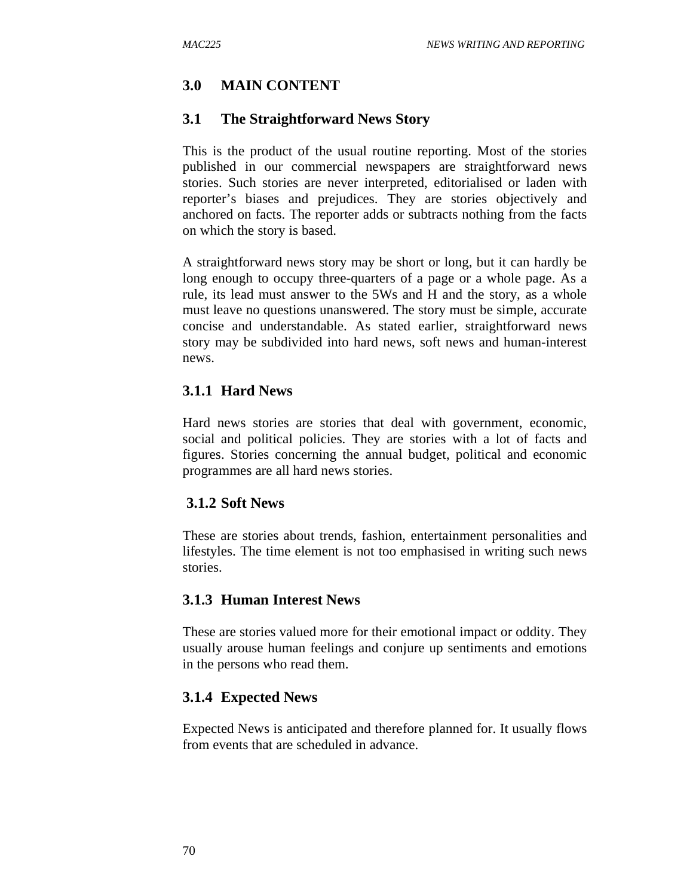# **3.0 MAIN CONTENT**

#### **3.1 The Straightforward News Story**

This is the product of the usual routine reporting. Most of the stories published in our commercial newspapers are straightforward news stories. Such stories are never interpreted, editorialised or laden with reporter's biases and prejudices. They are stories objectively and anchored on facts. The reporter adds or subtracts nothing from the facts on which the story is based.

A straightforward news story may be short or long, but it can hardly be long enough to occupy three-quarters of a page or a whole page. As a rule, its lead must answer to the 5Ws and H and the story, as a whole must leave no questions unanswered. The story must be simple, accurate concise and understandable. As stated earlier, straightforward news story may be subdivided into hard news, soft news and human-interest news.

## **3.1.1 Hard News**

Hard news stories are stories that deal with government, economic, social and political policies. They are stories with a lot of facts and figures. Stories concerning the annual budget, political and economic programmes are all hard news stories.

#### **3.1.2 Soft News**

These are stories about trends, fashion, entertainment personalities and lifestyles. The time element is not too emphasised in writing such news stories.

#### **3.1.3 Human Interest News**

These are stories valued more for their emotional impact or oddity. They usually arouse human feelings and conjure up sentiments and emotions in the persons who read them.

#### **3.1.4 Expected News**

Expected News is anticipated and therefore planned for. It usually flows from events that are scheduled in advance.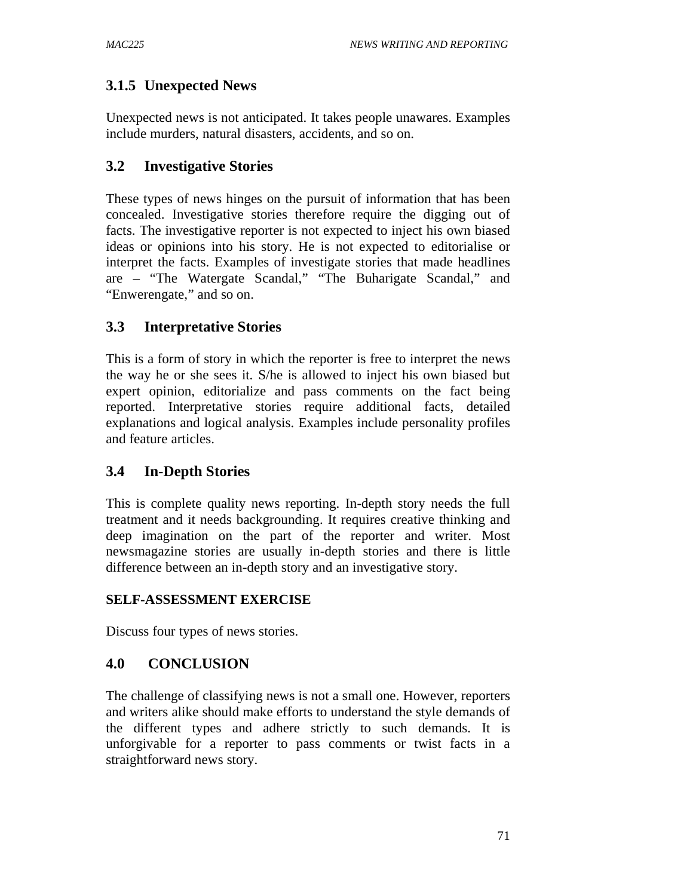# **3.1.5 Unexpected News**

Unexpected news is not anticipated. It takes people unawares. Examples include murders, natural disasters, accidents, and so on.

# **3.2 Investigative Stories**

These types of news hinges on the pursuit of information that has been concealed. Investigative stories therefore require the digging out of facts. The investigative reporter is not expected to inject his own biased ideas or opinions into his story. He is not expected to editorialise or interpret the facts. Examples of investigate stories that made headlines are – "The Watergate Scandal," "The Buharigate Scandal," and "Enwerengate," and so on.

# **3.3 Interpretative Stories**

This is a form of story in which the reporter is free to interpret the news the way he or she sees it. S/he is allowed to inject his own biased but expert opinion, editorialize and pass comments on the fact being reported. Interpretative stories require additional facts, detailed explanations and logical analysis. Examples include personality profiles and feature articles.

# **3.4 In-Depth Stories**

This is complete quality news reporting. In-depth story needs the full treatment and it needs backgrounding. It requires creative thinking and deep imagination on the part of the reporter and writer. Most newsmagazine stories are usually in-depth stories and there is little difference between an in-depth story and an investigative story.

## **SELF-ASSESSMENT EXERCISE**

Discuss four types of news stories.

# **4.0 CONCLUSION**

The challenge of classifying news is not a small one. However, reporters and writers alike should make efforts to understand the style demands of the different types and adhere strictly to such demands. It is unforgivable for a reporter to pass comments or twist facts in a straightforward news story.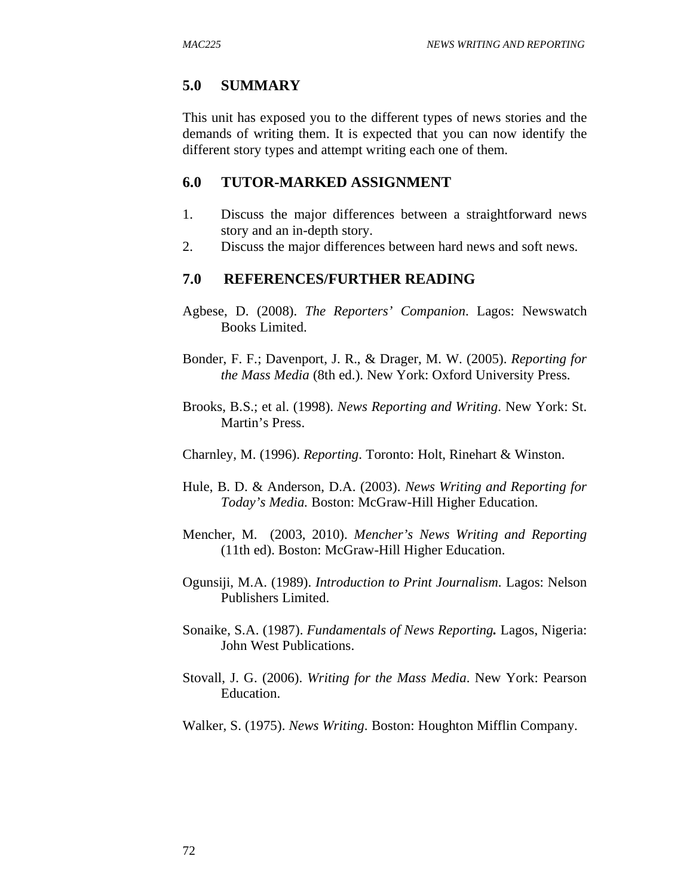## **5.0 SUMMARY**

This unit has exposed you to the different types of news stories and the demands of writing them. It is expected that you can now identify the different story types and attempt writing each one of them.

### **6.0 TUTOR-MARKED ASSIGNMENT**

- 1. Discuss the major differences between a straightforward news story and an in-depth story.
- 2. Discuss the major differences between hard news and soft news.

- Agbese, D. (2008). *The Reporters' Companion*. Lagos: Newswatch Books Limited.
- Bonder, F. F.; Davenport, J. R., & Drager, M. W. (2005). *Reporting for the Mass Media* (8th ed.). New York: Oxford University Press.
- Brooks, B.S.; et al. (1998). *News Reporting and Writing*. New York: St. Martin's Press.
- Charnley, M. (1996). *Reporting*. Toronto: Holt, Rinehart & Winston.
- Hule, B. D. & Anderson, D.A. (2003). *News Writing and Reporting for Today's Media.* Boston: McGraw-Hill Higher Education.
- Mencher, M. (2003, 2010). *Mencher's News Writing and Reporting*  (11th ed). Boston: McGraw-Hill Higher Education.
- Ogunsiji, M.A. (1989). *Introduction to Print Journalism.* Lagos: Nelson Publishers Limited.
- Sonaike, S.A. (1987). *Fundamentals of News Reporting.* Lagos, Nigeria: John West Publications.
- Stovall, J. G. (2006). *Writing for the Mass Media*. New York: Pearson Education.
- Walker, S. (1975). *News Writing*. Boston: Houghton Mifflin Company.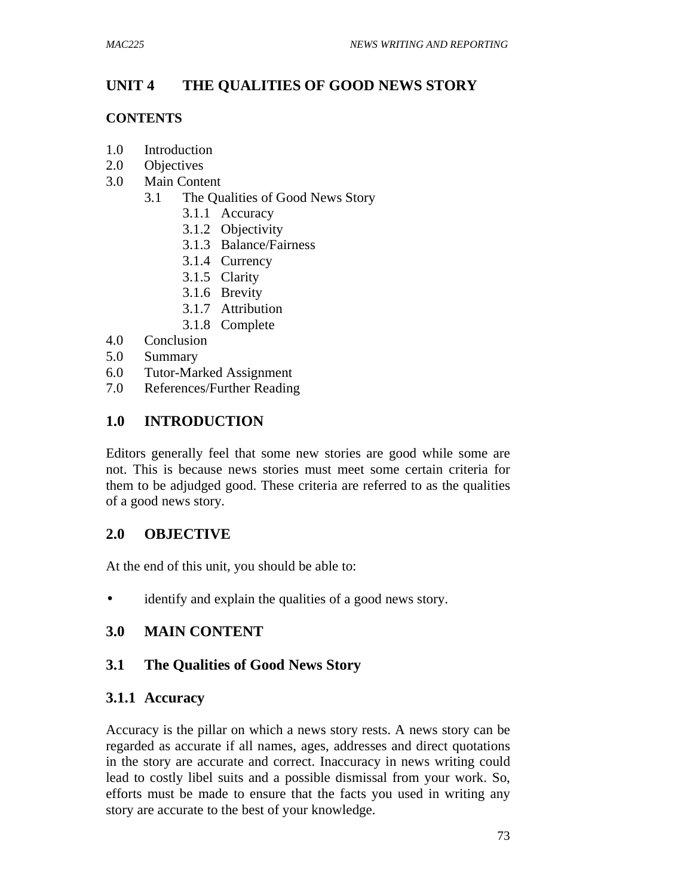# **UNIT 4 THE QUALITIES OF GOOD NEWS STORY**

#### **CONTENTS**

- 1.0 Introduction
- 2.0 Objectives
- 3.0 Main Content
	- 3.1 The Qualities of Good News Story
		- 3.1.1 Accuracy
		- 3.1.2 Objectivity
		- 3.1.3 Balance/Fairness
		- 3.1.4 Currency
		- 3.1.5 Clarity
		- 3.1.6 Brevity
		- 3.1.7 Attribution
		- 3.1.8 Complete
- 4.0 Conclusion
- 5.0 Summary
- 6.0 Tutor-Marked Assignment
- 7.0 References/Further Reading

### **1.0 INTRODUCTION**

Editors generally feel that some new stories are good while some are not. This is because news stories must meet some certain criteria for them to be adjudged good. These criteria are referred to as the qualities of a good news story.

#### **2.0 OBJECTIVE**

At the end of this unit, you should be able to:

• identify and explain the qualities of a good news story.

#### **3.0 MAIN CONTENT**

#### **3.1 The Qualities of Good News Story**

#### **3.1.1 Accuracy**

Accuracy is the pillar on which a news story rests. A news story can be regarded as accurate if all names, ages, addresses and direct quotations in the story are accurate and correct. Inaccuracy in news writing could lead to costly libel suits and a possible dismissal from your work. So, efforts must be made to ensure that the facts you used in writing any story are accurate to the best of your knowledge.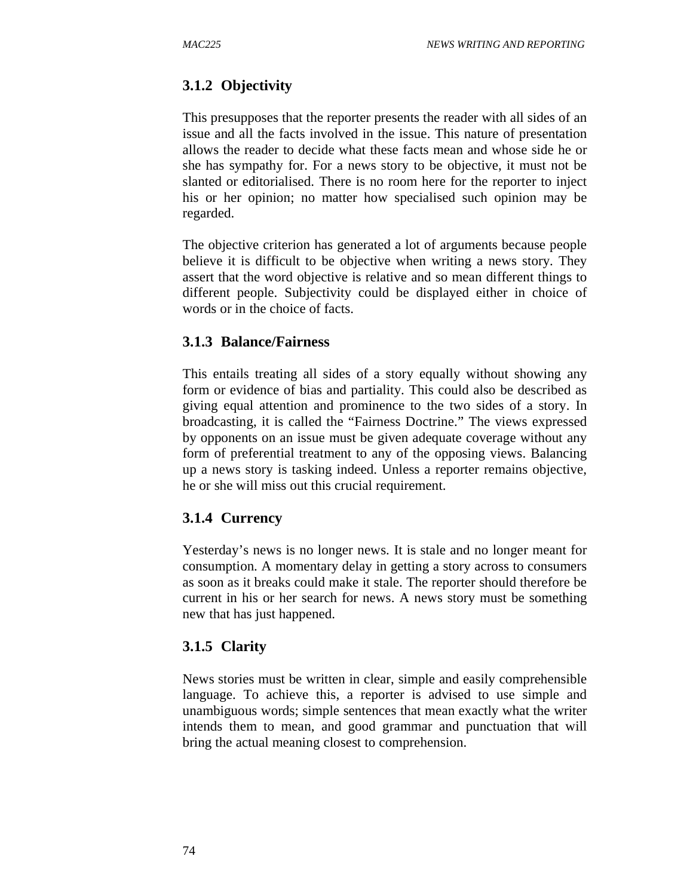# **3.1.2 Objectivity**

This presupposes that the reporter presents the reader with all sides of an issue and all the facts involved in the issue. This nature of presentation allows the reader to decide what these facts mean and whose side he or she has sympathy for. For a news story to be objective, it must not be slanted or editorialised. There is no room here for the reporter to inject his or her opinion; no matter how specialised such opinion may be regarded.

The objective criterion has generated a lot of arguments because people believe it is difficult to be objective when writing a news story. They assert that the word objective is relative and so mean different things to different people. Subjectivity could be displayed either in choice of words or in the choice of facts.

## **3.1.3 Balance/Fairness**

This entails treating all sides of a story equally without showing any form or evidence of bias and partiality. This could also be described as giving equal attention and prominence to the two sides of a story. In broadcasting, it is called the "Fairness Doctrine." The views expressed by opponents on an issue must be given adequate coverage without any form of preferential treatment to any of the opposing views. Balancing up a news story is tasking indeed. Unless a reporter remains objective, he or she will miss out this crucial requirement.

## **3.1.4 Currency**

Yesterday's news is no longer news. It is stale and no longer meant for consumption. A momentary delay in getting a story across to consumers as soon as it breaks could make it stale. The reporter should therefore be current in his or her search for news. A news story must be something new that has just happened.

#### **3.1.5 Clarity**

News stories must be written in clear, simple and easily comprehensible language. To achieve this, a reporter is advised to use simple and unambiguous words; simple sentences that mean exactly what the writer intends them to mean, and good grammar and punctuation that will bring the actual meaning closest to comprehension.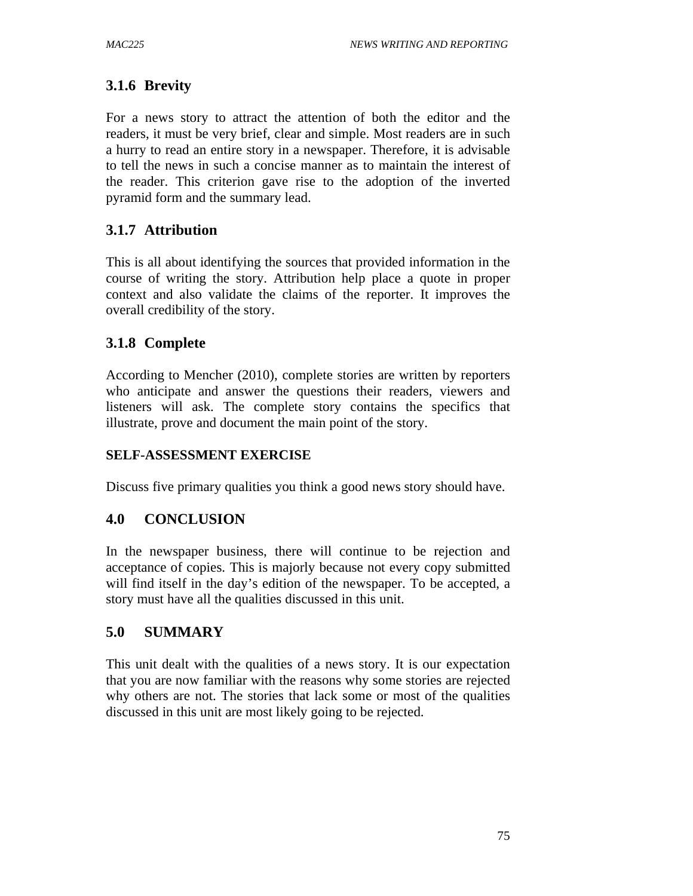# **3.1.6 Brevity**

For a news story to attract the attention of both the editor and the readers, it must be very brief, clear and simple. Most readers are in such a hurry to read an entire story in a newspaper. Therefore, it is advisable to tell the news in such a concise manner as to maintain the interest of the reader. This criterion gave rise to the adoption of the inverted pyramid form and the summary lead.

## **3.1.7 Attribution**

This is all about identifying the sources that provided information in the course of writing the story. Attribution help place a quote in proper context and also validate the claims of the reporter. It improves the overall credibility of the story.

## **3.1.8 Complete**

According to Mencher (2010), complete stories are written by reporters who anticipate and answer the questions their readers, viewers and listeners will ask. The complete story contains the specifics that illustrate, prove and document the main point of the story.

#### **SELF-ASSESSMENT EXERCISE**

Discuss five primary qualities you think a good news story should have.

#### **4.0 CONCLUSION**

In the newspaper business, there will continue to be rejection and acceptance of copies. This is majorly because not every copy submitted will find itself in the day's edition of the newspaper. To be accepted, a story must have all the qualities discussed in this unit.

## **5.0 SUMMARY**

This unit dealt with the qualities of a news story. It is our expectation that you are now familiar with the reasons why some stories are rejected why others are not. The stories that lack some or most of the qualities discussed in this unit are most likely going to be rejected.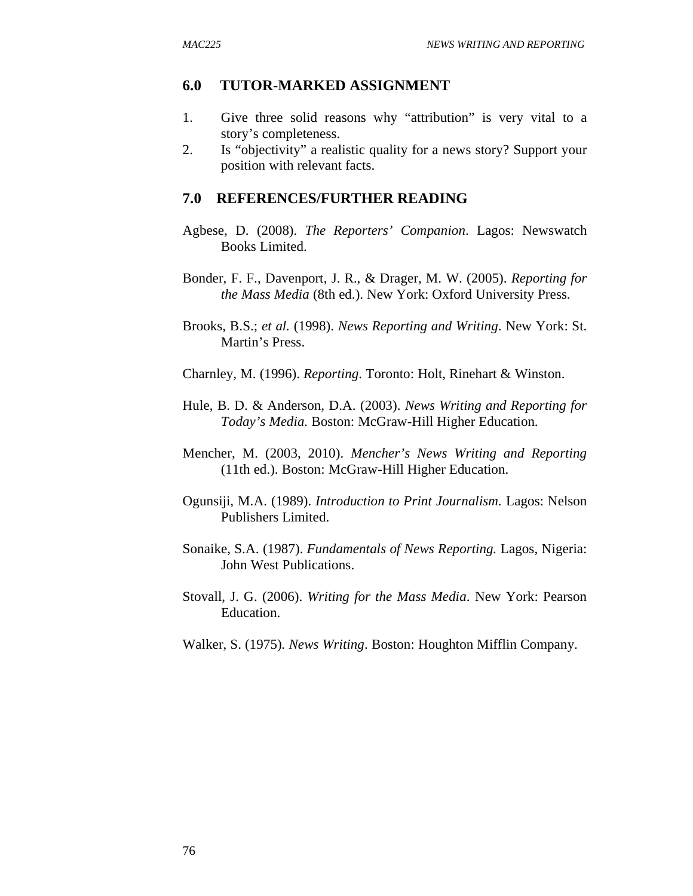#### **6.0 TUTOR-MARKED ASSIGNMENT**

- 1. Give three solid reasons why "attribution" is very vital to a story's completeness.
- 2. Is "objectivity" a realistic quality for a news story? Support your position with relevant facts.

- Agbese, D. (2008). *The Reporters' Companion*. Lagos: Newswatch Books Limited.
- Bonder, F. F., Davenport, J. R., & Drager, M. W. (2005). *Reporting for the Mass Media* (8th ed.). New York: Oxford University Press.
- Brooks, B.S.; *et al.* (1998). *News Reporting and Writing*. New York: St. Martin's Press.
- Charnley, M. (1996). *Reporting*. Toronto: Holt, Rinehart & Winston.
- Hule, B. D. & Anderson, D.A. (2003). *News Writing and Reporting for Today's Media.* Boston: McGraw-Hill Higher Education.
- Mencher, M. (2003, 2010). *Mencher's News Writing and Reporting*  (11th ed.). Boston: McGraw-Hill Higher Education.
- Ogunsiji, M.A. (1989). *Introduction to Print Journalism.* Lagos: Nelson Publishers Limited.
- Sonaike, S.A. (1987). *Fundamentals of News Reporting.* Lagos, Nigeria: John West Publications.
- Stovall, J. G. (2006). *Writing for the Mass Media*. New York: Pearson Education.
- Walker, S. (1975)*. News Writing*. Boston: Houghton Mifflin Company.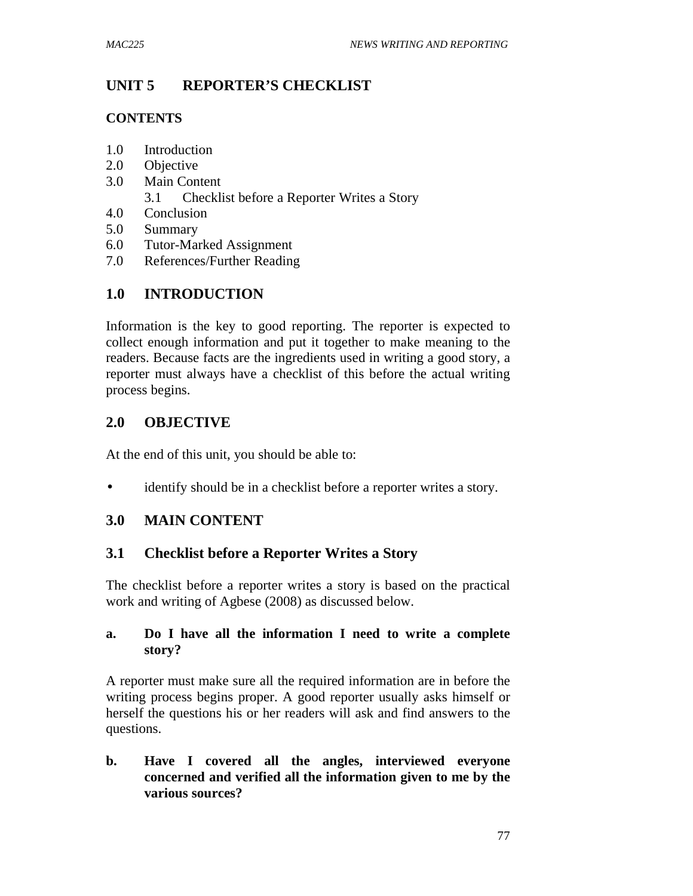## **UNIT 5 REPORTER'S CHECKLIST**

#### **CONTENTS**

- 1.0 Introduction
- 2.0 Objective
- 3.0 Main Content
	- 3.1 Checklist before a Reporter Writes a Story
- 4.0 Conclusion
- 5.0 Summary
- 6.0 Tutor-Marked Assignment
- 7.0 References/Further Reading

# **1.0 INTRODUCTION**

Information is the key to good reporting. The reporter is expected to collect enough information and put it together to make meaning to the readers. Because facts are the ingredients used in writing a good story, a reporter must always have a checklist of this before the actual writing process begins.

## **2.0 OBJECTIVE**

At the end of this unit, you should be able to:

• identify should be in a checklist before a reporter writes a story.

## **3.0 MAIN CONTENT**

#### **3.1 Checklist before a Reporter Writes a Story**

The checklist before a reporter writes a story is based on the practical work and writing of Agbese (2008) as discussed below.

#### **a. Do I have all the information I need to write a complete story?**

A reporter must make sure all the required information are in before the writing process begins proper. A good reporter usually asks himself or herself the questions his or her readers will ask and find answers to the questions.

**b. Have I covered all the angles, interviewed everyone concerned and verified all the information given to me by the various sources?**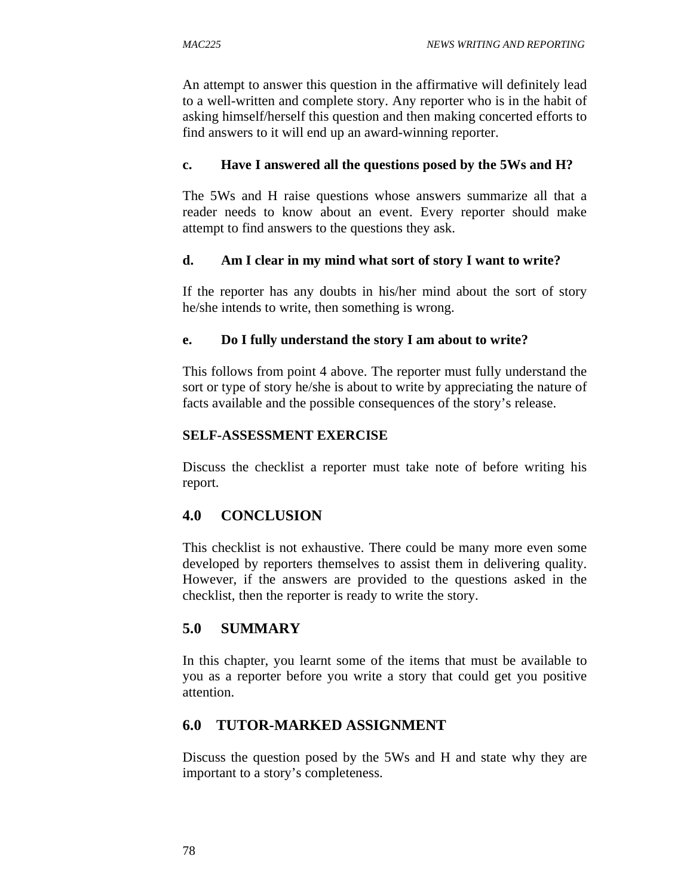An attempt to answer this question in the affirmative will definitely lead to a well-written and complete story. Any reporter who is in the habit of asking himself/herself this question and then making concerted efforts to find answers to it will end up an award-winning reporter.

#### **c. Have I answered all the questions posed by the 5Ws and H?**

The 5Ws and H raise questions whose answers summarize all that a reader needs to know about an event. Every reporter should make attempt to find answers to the questions they ask.

### **d. Am I clear in my mind what sort of story I want to write?**

If the reporter has any doubts in his/her mind about the sort of story he/she intends to write, then something is wrong.

#### **e. Do I fully understand the story I am about to write?**

This follows from point 4 above. The reporter must fully understand the sort or type of story he/she is about to write by appreciating the nature of facts available and the possible consequences of the story's release.

#### **SELF-ASSESSMENT EXERCISE**

Discuss the checklist a reporter must take note of before writing his report.

# **4.0 CONCLUSION**

This checklist is not exhaustive. There could be many more even some developed by reporters themselves to assist them in delivering quality. However, if the answers are provided to the questions asked in the checklist, then the reporter is ready to write the story.

## **5.0 SUMMARY**

In this chapter, you learnt some of the items that must be available to you as a reporter before you write a story that could get you positive attention.

## **6.0 TUTOR-MARKED ASSIGNMENT**

Discuss the question posed by the 5Ws and H and state why they are important to a story's completeness.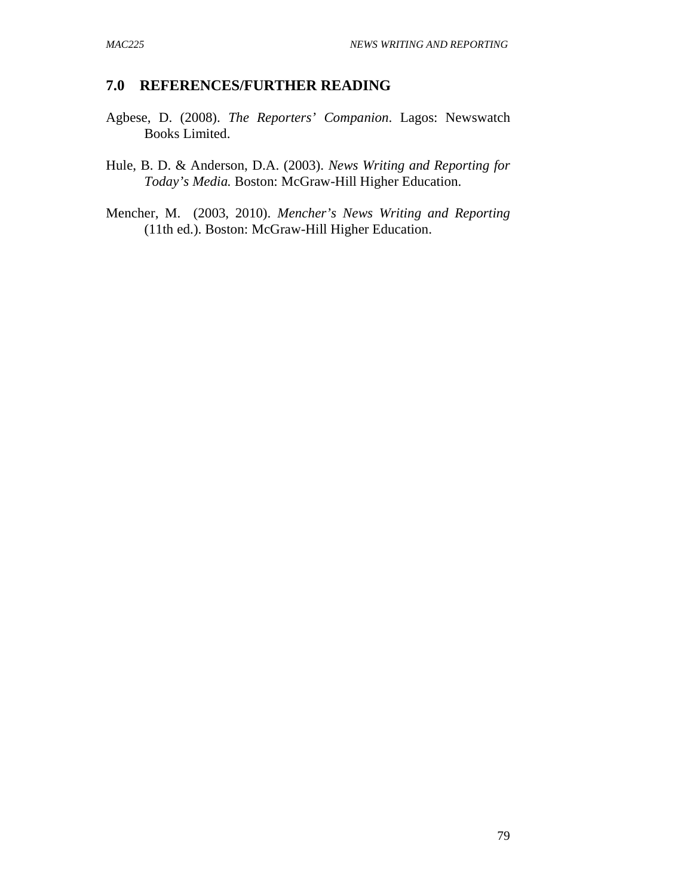- Agbese, D. (2008). *The Reporters' Companion*. Lagos: Newswatch Books Limited.
- Hule, B. D. & Anderson, D.A. (2003). *News Writing and Reporting for Today's Media.* Boston: McGraw-Hill Higher Education.
- Mencher, M. (2003, 2010). *Mencher's News Writing and Reporting*  (11th ed.). Boston: McGraw-Hill Higher Education.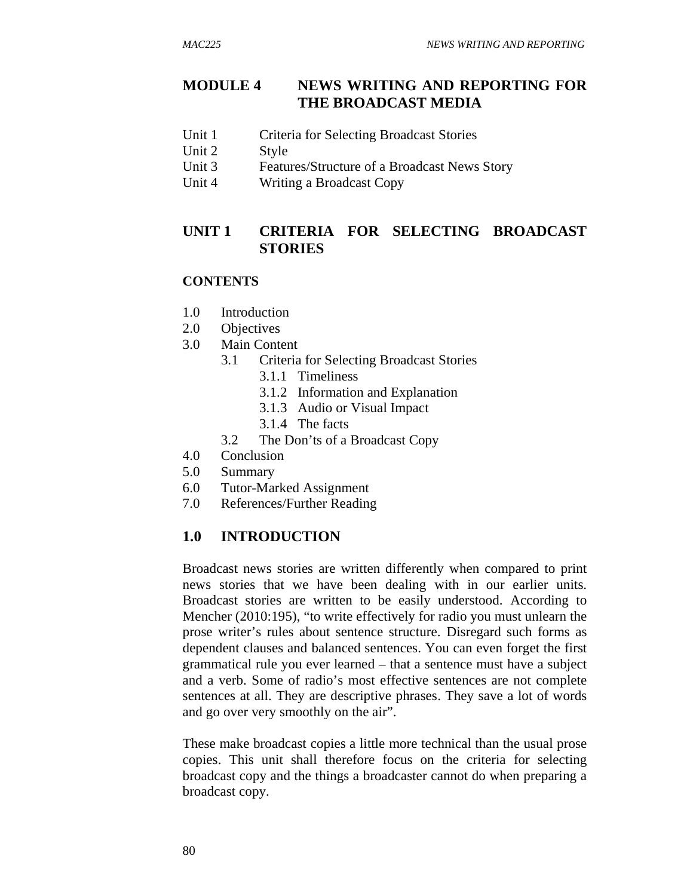## **MODULE 4 NEWS WRITING AND REPORTING FOR THE BROADCAST MEDIA**

- Unit 1 Criteria for Selecting Broadcast Stories
- Unit 2 Style
- Unit 3 Features/Structure of a Broadcast News Story
- Unit 4 Writing a Broadcast Copy

## **UNIT 1 CRITERIA FOR SELECTING BROADCAST STORIES**

#### **CONTENTS**

- 1.0 Introduction
- 2.0 Objectives
- 3.0 Main Content
	- 3.1 Criteria for Selecting Broadcast Stories
		- 3.1.1 Timeliness
		- 3.1.2 Information and Explanation
		- 3.1.3 Audio or Visual Impact
		- 3.1.4 The facts
	- 3.2 The Don'ts of a Broadcast Copy
- 4.0 Conclusion
- 5.0 Summary
- 6.0 Tutor-Marked Assignment
- 7.0 References/Further Reading

#### **1.0 INTRODUCTION**

Broadcast news stories are written differently when compared to print news stories that we have been dealing with in our earlier units. Broadcast stories are written to be easily understood. According to Mencher (2010:195), "to write effectively for radio you must unlearn the prose writer's rules about sentence structure. Disregard such forms as dependent clauses and balanced sentences. You can even forget the first grammatical rule you ever learned – that a sentence must have a subject and a verb. Some of radio's most effective sentences are not complete sentences at all. They are descriptive phrases. They save a lot of words and go over very smoothly on the air".

These make broadcast copies a little more technical than the usual prose copies. This unit shall therefore focus on the criteria for selecting broadcast copy and the things a broadcaster cannot do when preparing a broadcast copy.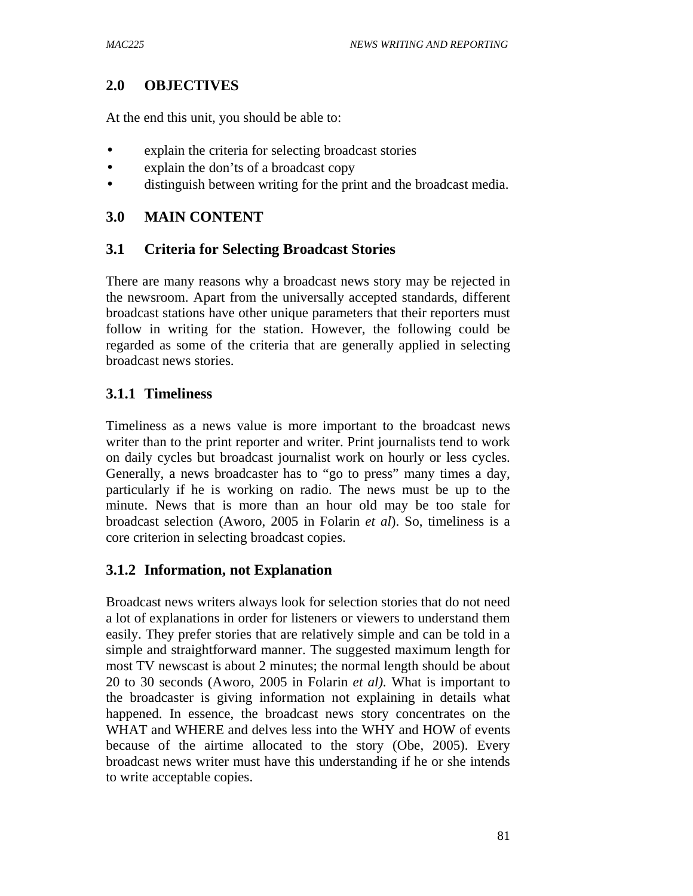### **2.0 OBJECTIVES**

At the end this unit, you should be able to:

- explain the criteria for selecting broadcast stories
- explain the don'ts of a broadcast copy
- distinguish between writing for the print and the broadcast media.

#### **3.0 MAIN CONTENT**

#### **3.1 Criteria for Selecting Broadcast Stories**

There are many reasons why a broadcast news story may be rejected in the newsroom. Apart from the universally accepted standards, different broadcast stations have other unique parameters that their reporters must follow in writing for the station. However, the following could be regarded as some of the criteria that are generally applied in selecting broadcast news stories.

### **3.1.1 Timeliness**

Timeliness as a news value is more important to the broadcast news writer than to the print reporter and writer. Print journalists tend to work on daily cycles but broadcast journalist work on hourly or less cycles. Generally, a news broadcaster has to "go to press" many times a day, particularly if he is working on radio. The news must be up to the minute. News that is more than an hour old may be too stale for broadcast selection (Aworo, 2005 in Folarin *et al*). So, timeliness is a core criterion in selecting broadcast copies.

#### **3.1.2 Information, not Explanation**

Broadcast news writers always look for selection stories that do not need a lot of explanations in order for listeners or viewers to understand them easily. They prefer stories that are relatively simple and can be told in a simple and straightforward manner. The suggested maximum length for most TV newscast is about 2 minutes; the normal length should be about 20 to 30 seconds (Aworo, 2005 in Folarin *et al).* What is important to the broadcaster is giving information not explaining in details what happened. In essence, the broadcast news story concentrates on the WHAT and WHERE and delves less into the WHY and HOW of events because of the airtime allocated to the story (Obe, 2005). Every broadcast news writer must have this understanding if he or she intends to write acceptable copies.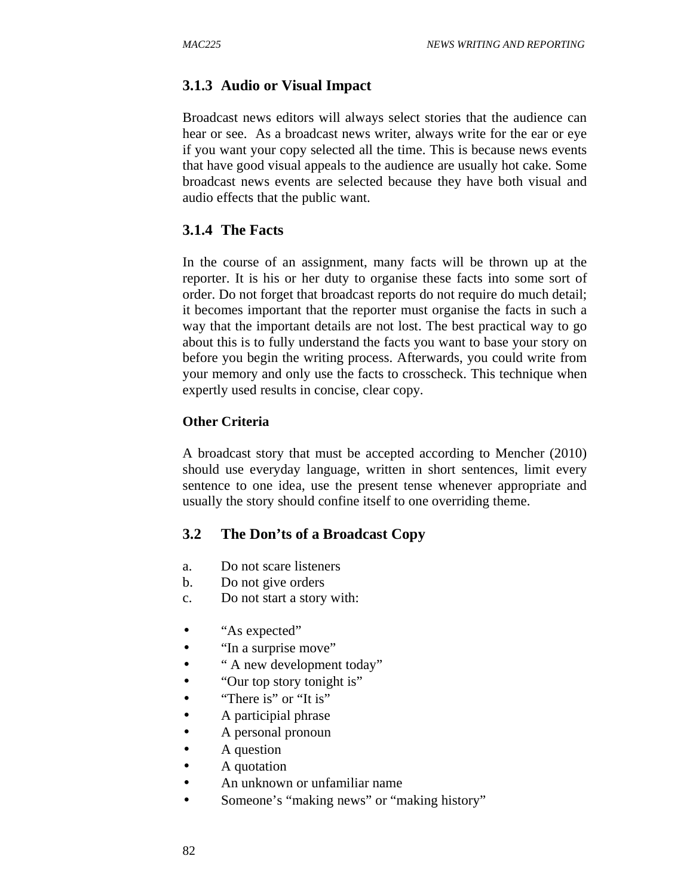### **3.1.3 Audio or Visual Impact**

Broadcast news editors will always select stories that the audience can hear or see. As a broadcast news writer, always write for the ear or eye if you want your copy selected all the time. This is because news events that have good visual appeals to the audience are usually hot cake. Some broadcast news events are selected because they have both visual and audio effects that the public want.

#### **3.1.4 The Facts**

In the course of an assignment, many facts will be thrown up at the reporter. It is his or her duty to organise these facts into some sort of order. Do not forget that broadcast reports do not require do much detail; it becomes important that the reporter must organise the facts in such a way that the important details are not lost. The best practical way to go about this is to fully understand the facts you want to base your story on before you begin the writing process. Afterwards, you could write from your memory and only use the facts to crosscheck. This technique when expertly used results in concise, clear copy.

#### **Other Criteria**

A broadcast story that must be accepted according to Mencher (2010) should use everyday language, written in short sentences, limit every sentence to one idea, use the present tense whenever appropriate and usually the story should confine itself to one overriding theme.

#### **3.2 The Don'ts of a Broadcast Copy**

- a. Do not scare listeners
- b. Do not give orders
- c. Do not start a story with:
- "As expected"
- "In a surprise move"
- "A new development today"
- "Our top story tonight is"
- "There is" or "It is"
- A participial phrase
- A personal pronoun
- A question
- A quotation
- An unknown or unfamiliar name
- Someone's "making news" or "making history"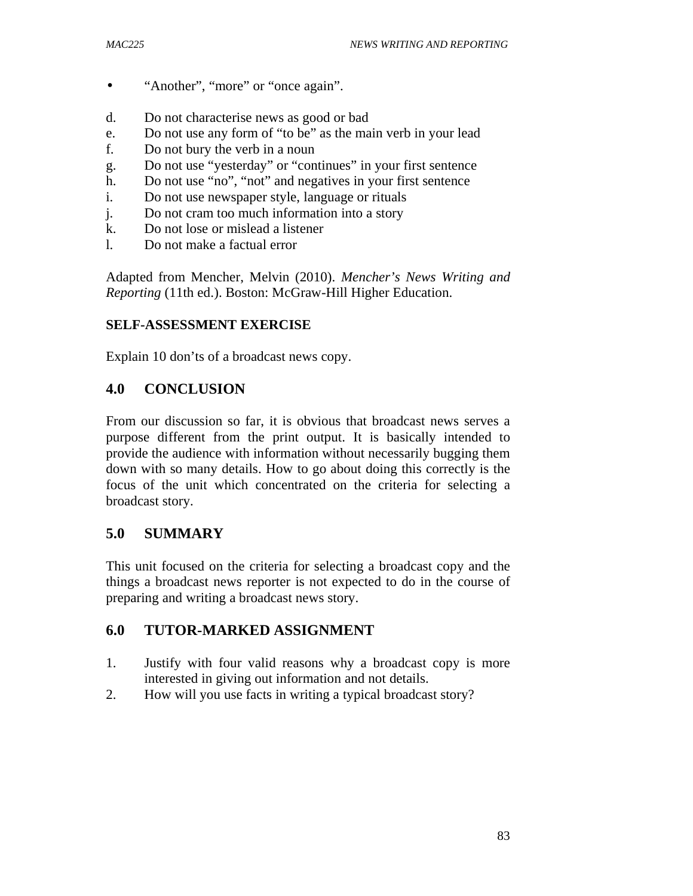- "Another", "more" or "once again".
- d. Do not characterise news as good or bad
- e. Do not use any form of "to be" as the main verb in your lead
- f. Do not bury the verb in a noun
- g. Do not use "yesterday" or "continues" in your first sentence
- h. Do not use "no", "not" and negatives in your first sentence
- i. Do not use newspaper style, language or rituals
- j. Do not cram too much information into a story
- k. Do not lose or mislead a listener
- l. Do not make a factual error

Adapted from Mencher, Melvin (2010). *Mencher's News Writing and Reporting* (11th ed.). Boston: McGraw-Hill Higher Education.

#### **SELF-ASSESSMENT EXERCISE**

Explain 10 don'ts of a broadcast news copy.

#### **4.0 CONCLUSION**

From our discussion so far, it is obvious that broadcast news serves a purpose different from the print output. It is basically intended to provide the audience with information without necessarily bugging them down with so many details. How to go about doing this correctly is the focus of the unit which concentrated on the criteria for selecting a broadcast story.

## **5.0 SUMMARY**

This unit focused on the criteria for selecting a broadcast copy and the things a broadcast news reporter is not expected to do in the course of preparing and writing a broadcast news story.

## **6.0 TUTOR-MARKED ASSIGNMENT**

- 1. Justify with four valid reasons why a broadcast copy is more interested in giving out information and not details.
- 2. How will you use facts in writing a typical broadcast story?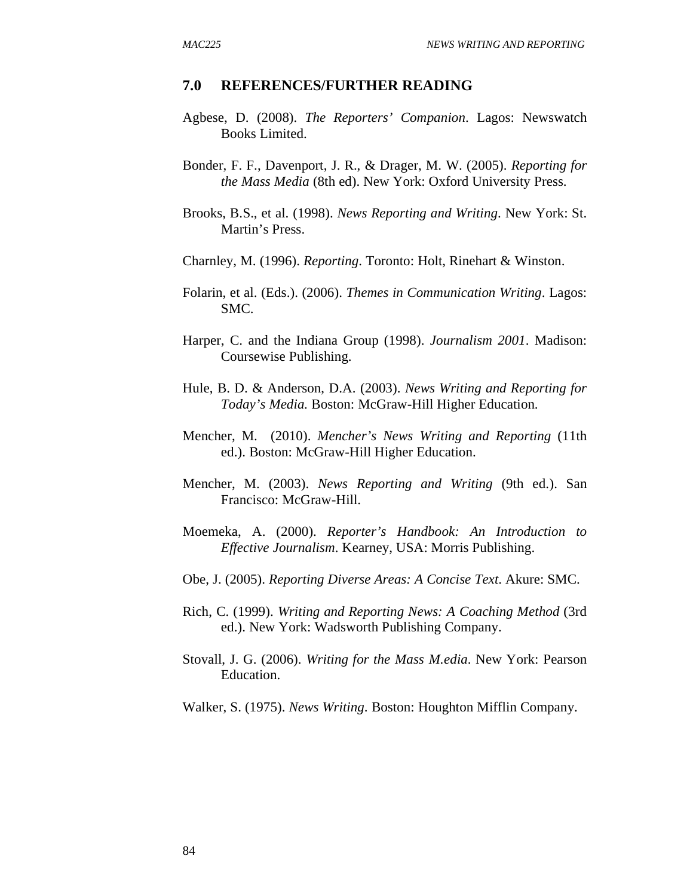- Agbese, D. (2008). *The Reporters' Companion*. Lagos: Newswatch Books Limited.
- Bonder, F. F., Davenport, J. R., & Drager, M. W. (2005). *Reporting for the Mass Media* (8th ed). New York: Oxford University Press.
- Brooks, B.S., et al. (1998). *News Reporting and Writing*. New York: St. Martin's Press.
- Charnley, M. (1996). *Reporting*. Toronto: Holt, Rinehart & Winston.
- Folarin, et al. (Eds.). (2006). *Themes in Communication Writing*. Lagos: SMC.
- Harper, C. and the Indiana Group (1998). *Journalism 2001*. Madison: Coursewise Publishing.
- Hule, B. D. & Anderson, D.A. (2003). *News Writing and Reporting for Today's Media.* Boston: McGraw-Hill Higher Education.
- Mencher, M. (2010). *Mencher's News Writing and Reporting* (11th ed.). Boston: McGraw-Hill Higher Education.
- Mencher, M. (2003). *News Reporting and Writing* (9th ed.). San Francisco: McGraw-Hill.
- Moemeka, A. (2000). *Reporter's Handbook: An Introduction to Effective Journalism*. Kearney, USA: Morris Publishing.
- Obe, J. (2005). *Reporting Diverse Areas: A Concise Text*. Akure: SMC.
- Rich, C. (1999). *Writing and Reporting News: A Coaching Method* (3rd ed.). New York: Wadsworth Publishing Company.
- Stovall, J. G. (2006). *Writing for the Mass M.edia*. New York: Pearson Education.
- Walker, S. (1975). *News Writing*. Boston: Houghton Mifflin Company.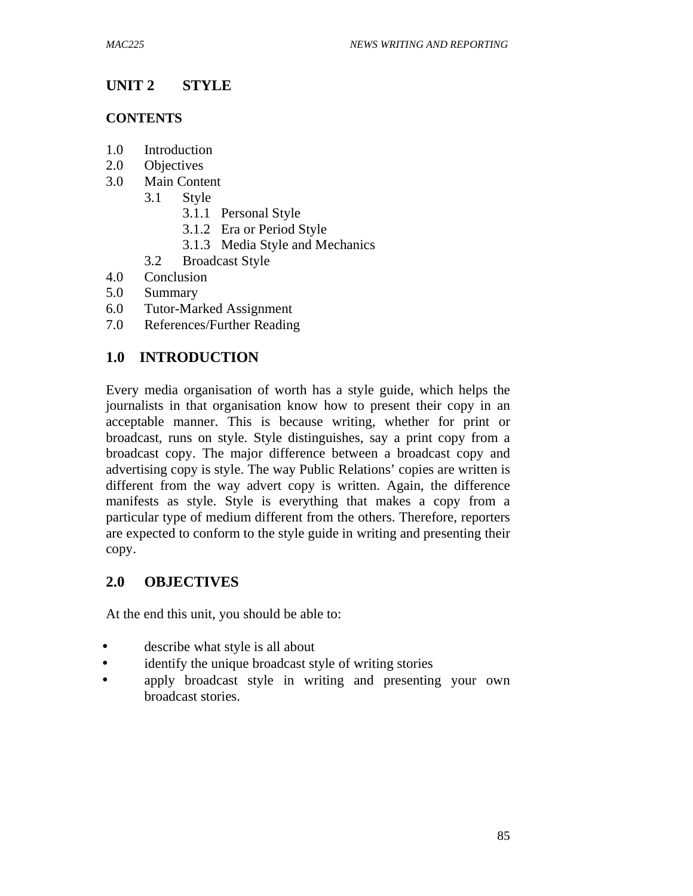# **UNIT 2 STYLE**

#### **CONTENTS**

- 1.0 Introduction
- 2.0 Objectives
- 3.0 Main Content
	- 3.1 Style
		- 3.1.1 Personal Style
		- 3.1.2 Era or Period Style
		- 3.1.3 Media Style and Mechanics
	- 3.2 Broadcast Style
- 4.0 Conclusion
- 5.0 Summary
- 6.0 Tutor-Marked Assignment
- 7.0 References/Further Reading

## **1.0 INTRODUCTION**

Every media organisation of worth has a style guide, which helps the journalists in that organisation know how to present their copy in an acceptable manner. This is because writing, whether for print or broadcast, runs on style. Style distinguishes, say a print copy from a broadcast copy. The major difference between a broadcast copy and advertising copy is style. The way Public Relations' copies are written is different from the way advert copy is written. Again, the difference manifests as style. Style is everything that makes a copy from a particular type of medium different from the others. Therefore, reporters are expected to conform to the style guide in writing and presenting their copy.

## **2.0 OBJECTIVES**

At the end this unit, you should be able to:

- describe what style is all about
- identify the unique broadcast style of writing stories
- apply broadcast style in writing and presenting your own broadcast stories.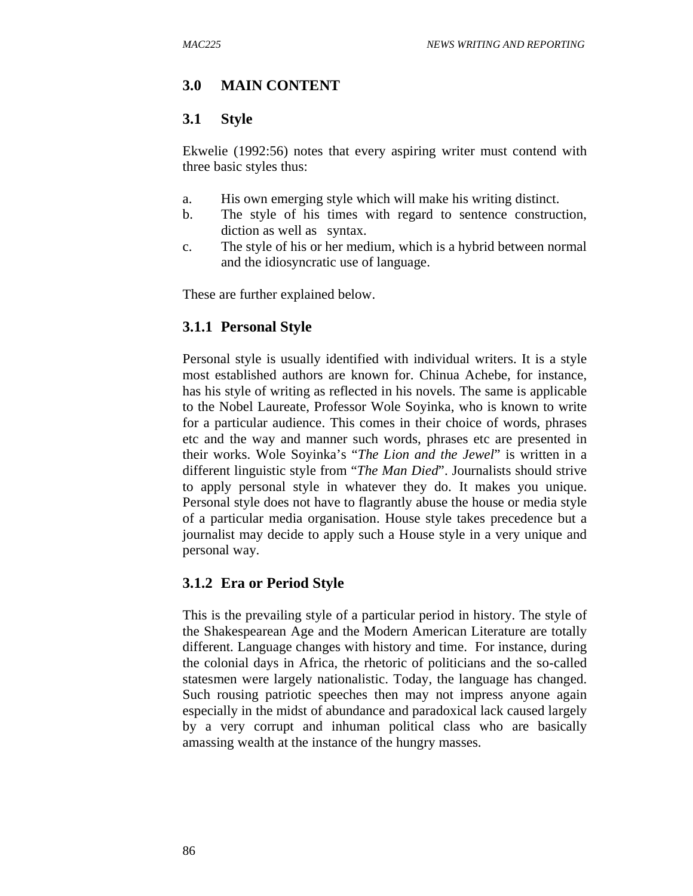# **3.0 MAIN CONTENT**

## **3.1 Style**

Ekwelie (1992:56) notes that every aspiring writer must contend with three basic styles thus:

- a. His own emerging style which will make his writing distinct.
- b. The style of his times with regard to sentence construction, diction as well as syntax.
- c. The style of his or her medium, which is a hybrid between normal and the idiosyncratic use of language.

These are further explained below.

### **3.1.1 Personal Style**

Personal style is usually identified with individual writers. It is a style most established authors are known for. Chinua Achebe, for instance, has his style of writing as reflected in his novels. The same is applicable to the Nobel Laureate, Professor Wole Soyinka, who is known to write for a particular audience. This comes in their choice of words, phrases etc and the way and manner such words, phrases etc are presented in their works. Wole Soyinka's "*The Lion and the Jewel*" is written in a different linguistic style from "*The Man Died*". Journalists should strive to apply personal style in whatever they do. It makes you unique. Personal style does not have to flagrantly abuse the house or media style of a particular media organisation. House style takes precedence but a journalist may decide to apply such a House style in a very unique and personal way.

## **3.1.2 Era or Period Style**

This is the prevailing style of a particular period in history. The style of the Shakespearean Age and the Modern American Literature are totally different. Language changes with history and time. For instance, during the colonial days in Africa, the rhetoric of politicians and the so-called statesmen were largely nationalistic. Today, the language has changed. Such rousing patriotic speeches then may not impress anyone again especially in the midst of abundance and paradoxical lack caused largely by a very corrupt and inhuman political class who are basically amassing wealth at the instance of the hungry masses.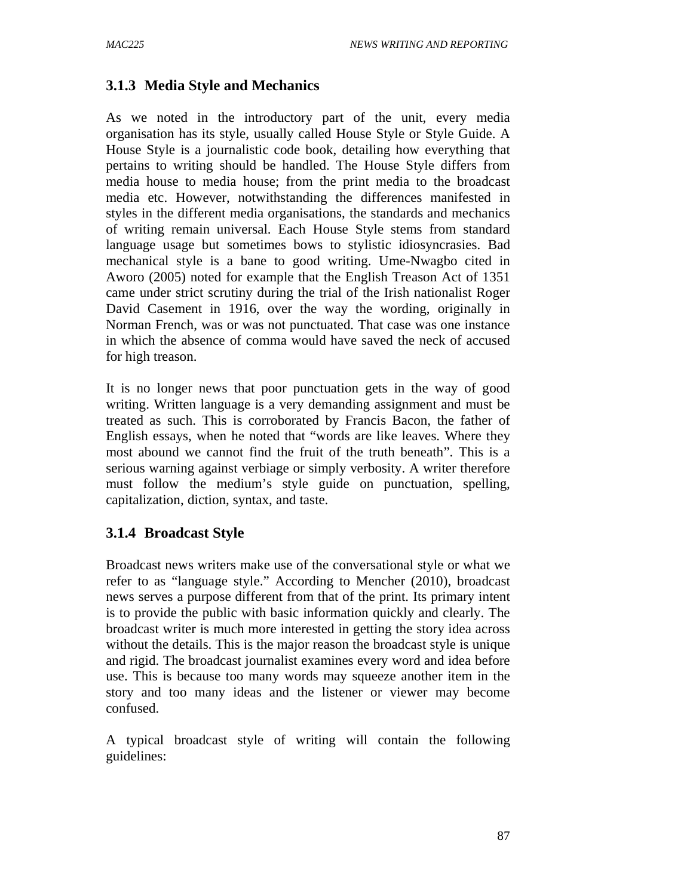# **3.1.3 Media Style and Mechanics**

As we noted in the introductory part of the unit, every media organisation has its style, usually called House Style or Style Guide. A House Style is a journalistic code book, detailing how everything that pertains to writing should be handled. The House Style differs from media house to media house; from the print media to the broadcast media etc. However, notwithstanding the differences manifested in styles in the different media organisations, the standards and mechanics of writing remain universal. Each House Style stems from standard language usage but sometimes bows to stylistic idiosyncrasies. Bad mechanical style is a bane to good writing. Ume-Nwagbo cited in Aworo (2005) noted for example that the English Treason Act of 1351 came under strict scrutiny during the trial of the Irish nationalist Roger David Casement in 1916, over the way the wording, originally in Norman French, was or was not punctuated. That case was one instance in which the absence of comma would have saved the neck of accused for high treason.

It is no longer news that poor punctuation gets in the way of good writing. Written language is a very demanding assignment and must be treated as such. This is corroborated by Francis Bacon, the father of English essays, when he noted that "words are like leaves. Where they most abound we cannot find the fruit of the truth beneath". This is a serious warning against verbiage or simply verbosity. A writer therefore must follow the medium's style guide on punctuation, spelling, capitalization, diction, syntax, and taste.

# **3.1.4 Broadcast Style**

Broadcast news writers make use of the conversational style or what we refer to as "language style." According to Mencher (2010), broadcast news serves a purpose different from that of the print. Its primary intent is to provide the public with basic information quickly and clearly. The broadcast writer is much more interested in getting the story idea across without the details. This is the major reason the broadcast style is unique and rigid. The broadcast journalist examines every word and idea before use. This is because too many words may squeeze another item in the story and too many ideas and the listener or viewer may become confused.

A typical broadcast style of writing will contain the following guidelines: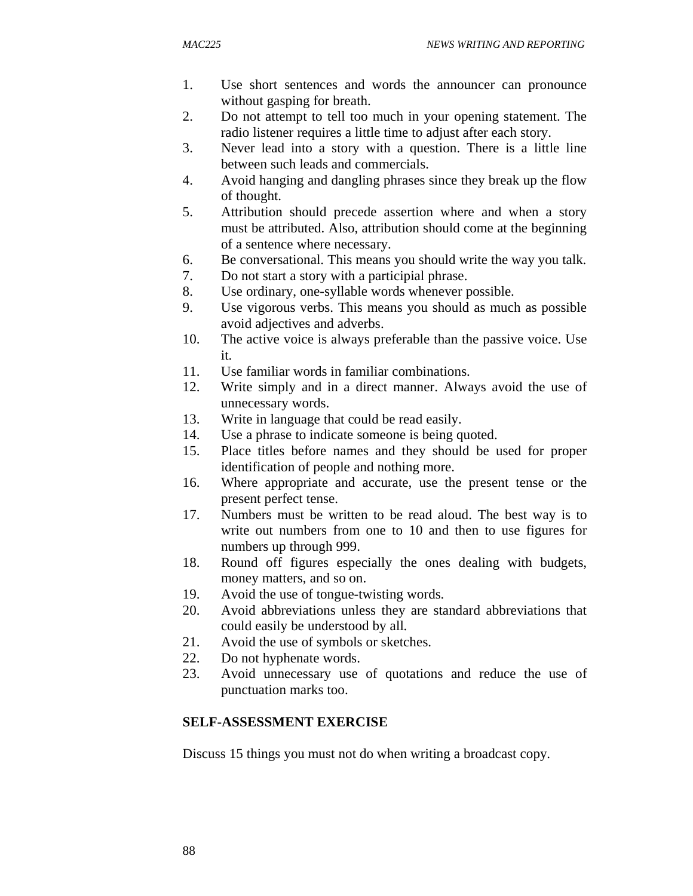- 1. Use short sentences and words the announcer can pronounce without gasping for breath.
- 2. Do not attempt to tell too much in your opening statement. The radio listener requires a little time to adjust after each story.
- 3. Never lead into a story with a question. There is a little line between such leads and commercials.
- 4. Avoid hanging and dangling phrases since they break up the flow of thought.
- 5. Attribution should precede assertion where and when a story must be attributed. Also, attribution should come at the beginning of a sentence where necessary.
- 6. Be conversational. This means you should write the way you talk.
- 7. Do not start a story with a participial phrase.
- 8. Use ordinary, one-syllable words whenever possible.
- 9. Use vigorous verbs. This means you should as much as possible avoid adjectives and adverbs.
- 10. The active voice is always preferable than the passive voice. Use it.
- 11. Use familiar words in familiar combinations.
- 12. Write simply and in a direct manner. Always avoid the use of unnecessary words.
- 13. Write in language that could be read easily.
- 14. Use a phrase to indicate someone is being quoted.
- 15. Place titles before names and they should be used for proper identification of people and nothing more.
- 16. Where appropriate and accurate, use the present tense or the present perfect tense.
- 17. Numbers must be written to be read aloud. The best way is to write out numbers from one to 10 and then to use figures for numbers up through 999.
- 18. Round off figures especially the ones dealing with budgets, money matters, and so on.
- 19. Avoid the use of tongue-twisting words.
- 20. Avoid abbreviations unless they are standard abbreviations that could easily be understood by all.
- 21. Avoid the use of symbols or sketches.
- 22. Do not hyphenate words.
- 23. Avoid unnecessary use of quotations and reduce the use of punctuation marks too.

## **SELF-ASSESSMENT EXERCISE**

Discuss 15 things you must not do when writing a broadcast copy.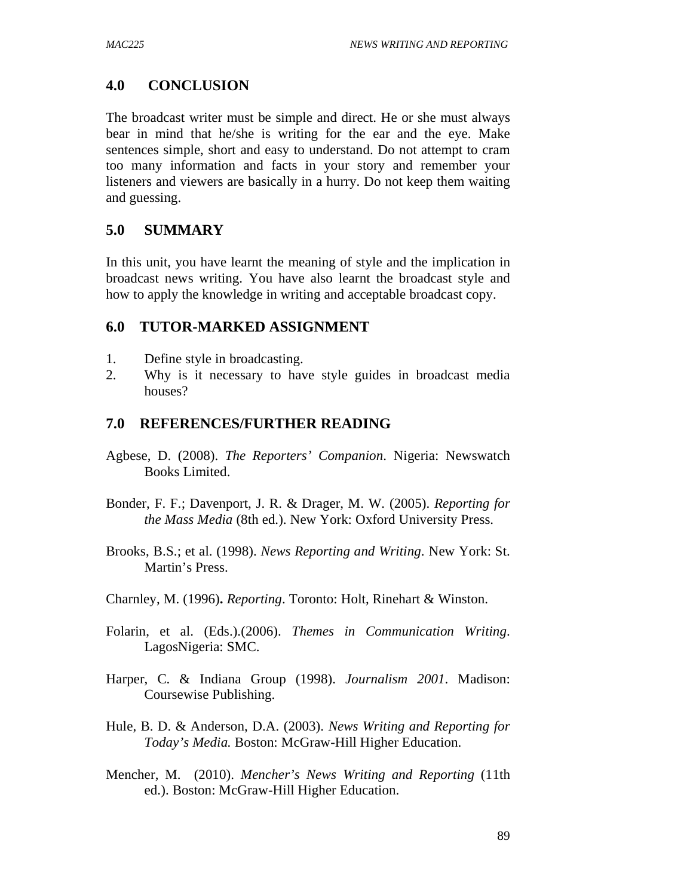### **4.0 CONCLUSION**

The broadcast writer must be simple and direct. He or she must always bear in mind that he/she is writing for the ear and the eye. Make sentences simple, short and easy to understand. Do not attempt to cram too many information and facts in your story and remember your listeners and viewers are basically in a hurry. Do not keep them waiting and guessing.

#### **5.0 SUMMARY**

In this unit, you have learnt the meaning of style and the implication in broadcast news writing. You have also learnt the broadcast style and how to apply the knowledge in writing and acceptable broadcast copy.

#### **6.0 TUTOR-MARKED ASSIGNMENT**

- 1. Define style in broadcasting.
- 2. Why is it necessary to have style guides in broadcast media houses?

- Agbese, D. (2008). *The Reporters' Companion*. Nigeria: Newswatch Books Limited.
- Bonder, F. F.; Davenport, J. R. & Drager, M. W. (2005). *Reporting for the Mass Media* (8th ed.). New York: Oxford University Press.
- Brooks, B.S.; et al. (1998). *News Reporting and Writing*. New York: St. Martin's Press.
- Charnley, M. (1996)**.** *Reporting*. Toronto: Holt, Rinehart & Winston.
- Folarin, et al. (Eds.).(2006). *Themes in Communication Writing*. LagosNigeria: SMC.
- Harper, C. & Indiana Group (1998). *Journalism 2001*. Madison: Coursewise Publishing.
- Hule, B. D. & Anderson, D.A. (2003). *News Writing and Reporting for Today's Media.* Boston: McGraw-Hill Higher Education.
- Mencher, M. (2010). *Mencher's News Writing and Reporting* (11th ed.). Boston: McGraw-Hill Higher Education.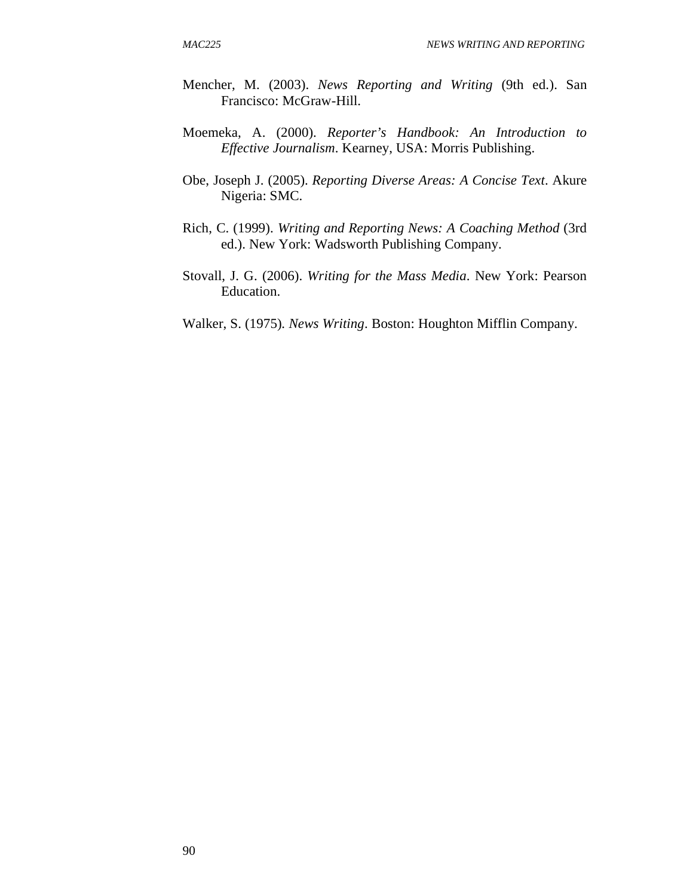- Mencher, M. (2003). *News Reporting and Writing* (9th ed.). San Francisco: McGraw-Hill.
- Moemeka, A. (2000). *Reporter's Handbook: An Introduction to Effective Journalism*. Kearney, USA: Morris Publishing.
- Obe, Joseph J. (2005). *Reporting Diverse Areas: A Concise Text*. Akure Nigeria: SMC.
- Rich, C. (1999). *Writing and Reporting News: A Coaching Method* (3rd ed.). New York: Wadsworth Publishing Company.
- Stovall, J. G. (2006). *Writing for the Mass Media*. New York: Pearson Education.
- Walker, S. (1975)*. News Writing*. Boston: Houghton Mifflin Company.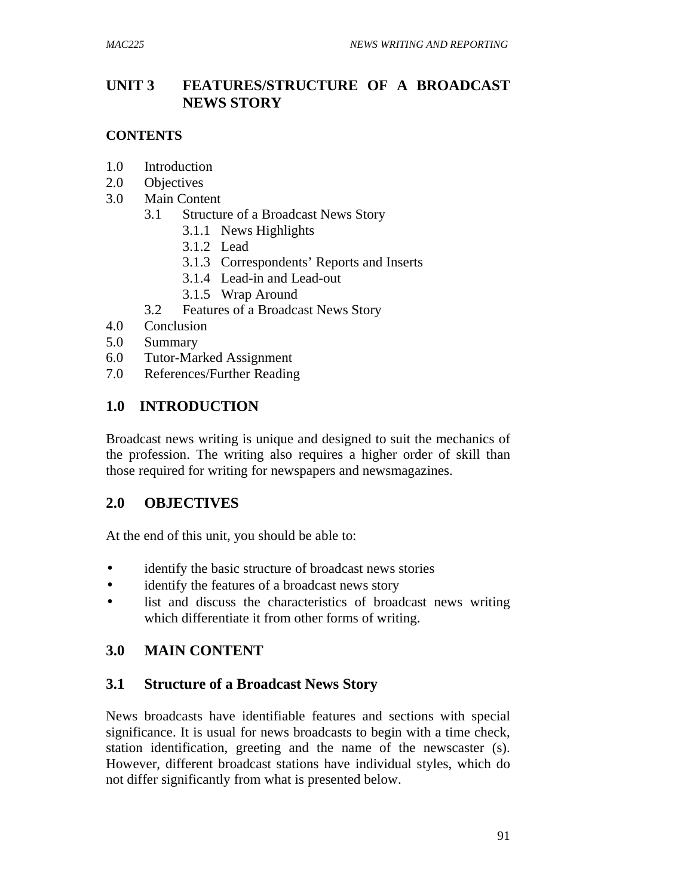# **UNIT 3 FEATURES/STRUCTURE OF A BROADCAST NEWS STORY**

## **CONTENTS**

- 1.0 Introduction
- 2.0 Objectives
- 3.0 Main Content
	- 3.1 Structure of a Broadcast News Story
		- 3.1.1 News Highlights
		- 3.1.2 Lead
		- 3.1.3 Correspondents' Reports and Inserts
		- 3.1.4 Lead-in and Lead-out
		- 3.1.5 Wrap Around
	- 3.2 Features of a Broadcast News Story
- 4.0 Conclusion
- 5.0 Summary
- 6.0 Tutor-Marked Assignment
- 7.0 References/Further Reading

# **1.0 INTRODUCTION**

Broadcast news writing is unique and designed to suit the mechanics of the profession. The writing also requires a higher order of skill than those required for writing for newspapers and newsmagazines.

# **2.0 OBJECTIVES**

At the end of this unit, you should be able to:

- identify the basic structure of broadcast news stories
- identify the features of a broadcast news story
- list and discuss the characteristics of broadcast news writing which differentiate it from other forms of writing.

# **3.0 MAIN CONTENT**

# **3.1 Structure of a Broadcast News Story**

News broadcasts have identifiable features and sections with special significance. It is usual for news broadcasts to begin with a time check, station identification, greeting and the name of the newscaster (s). However, different broadcast stations have individual styles, which do not differ significantly from what is presented below.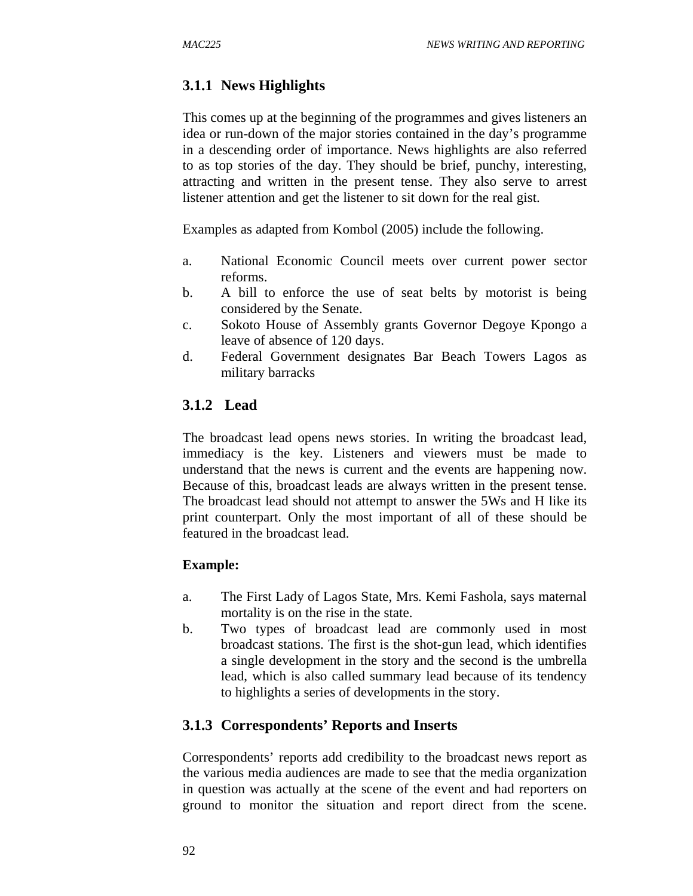## **3.1.1 News Highlights**

This comes up at the beginning of the programmes and gives listeners an idea or run-down of the major stories contained in the day's programme in a descending order of importance. News highlights are also referred to as top stories of the day. They should be brief, punchy, interesting, attracting and written in the present tense. They also serve to arrest listener attention and get the listener to sit down for the real gist.

Examples as adapted from Kombol (2005) include the following.

- a. National Economic Council meets over current power sector reforms.
- b. A bill to enforce the use of seat belts by motorist is being considered by the Senate.
- c. Sokoto House of Assembly grants Governor Degoye Kpongo a leave of absence of 120 days.
- d. Federal Government designates Bar Beach Towers Lagos as military barracks

#### **3.1.2 Lead**

The broadcast lead opens news stories. In writing the broadcast lead, immediacy is the key. Listeners and viewers must be made to understand that the news is current and the events are happening now. Because of this, broadcast leads are always written in the present tense. The broadcast lead should not attempt to answer the 5Ws and H like its print counterpart. Only the most important of all of these should be featured in the broadcast lead.

#### **Example:**

- a. The First Lady of Lagos State, Mrs. Kemi Fashola, says maternal mortality is on the rise in the state.
- b. Two types of broadcast lead are commonly used in most broadcast stations. The first is the shot-gun lead, which identifies a single development in the story and the second is the umbrella lead, which is also called summary lead because of its tendency to highlights a series of developments in the story.

#### **3.1.3 Correspondents' Reports and Inserts**

Correspondents' reports add credibility to the broadcast news report as the various media audiences are made to see that the media organization in question was actually at the scene of the event and had reporters on ground to monitor the situation and report direct from the scene.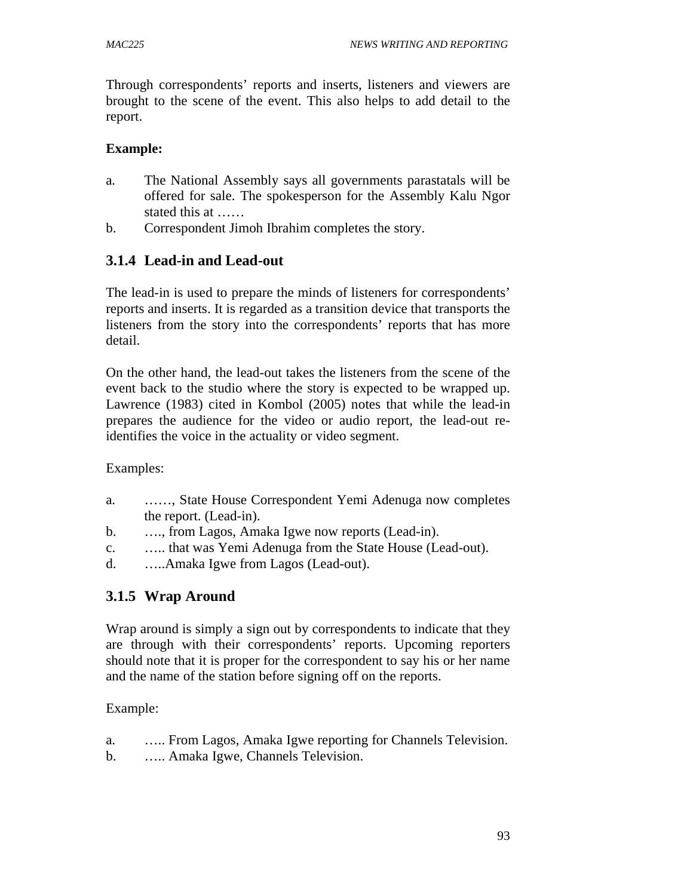Through correspondents' reports and inserts, listeners and viewers are brought to the scene of the event. This also helps to add detail to the report.

## **Example:**

- a. The National Assembly says all governments parastatals will be offered for sale. The spokesperson for the Assembly Kalu Ngor stated this at ……
- b. Correspondent Jimoh Ibrahim completes the story.

# **3.1.4 Lead-in and Lead-out**

The lead-in is used to prepare the minds of listeners for correspondents' reports and inserts. It is regarded as a transition device that transports the listeners from the story into the correspondents' reports that has more detail.

On the other hand, the lead-out takes the listeners from the scene of the event back to the studio where the story is expected to be wrapped up. Lawrence (1983) cited in Kombol (2005) notes that while the lead-in prepares the audience for the video or audio report, the lead-out reidentifies the voice in the actuality or video segment.

Examples:

- a. ……, State House Correspondent Yemi Adenuga now completes the report. (Lead-in).
- b. …., from Lagos, Amaka Igwe now reports (Lead-in).
- c. ….. that was Yemi Adenuga from the State House (Lead-out).
- d. …..Amaka Igwe from Lagos (Lead-out).

# **3.1.5 Wrap Around**

Wrap around is simply a sign out by correspondents to indicate that they are through with their correspondents' reports. Upcoming reporters should note that it is proper for the correspondent to say his or her name and the name of the station before signing off on the reports.

- a. ….. From Lagos, Amaka Igwe reporting for Channels Television.
- b. ….. Amaka Igwe, Channels Television.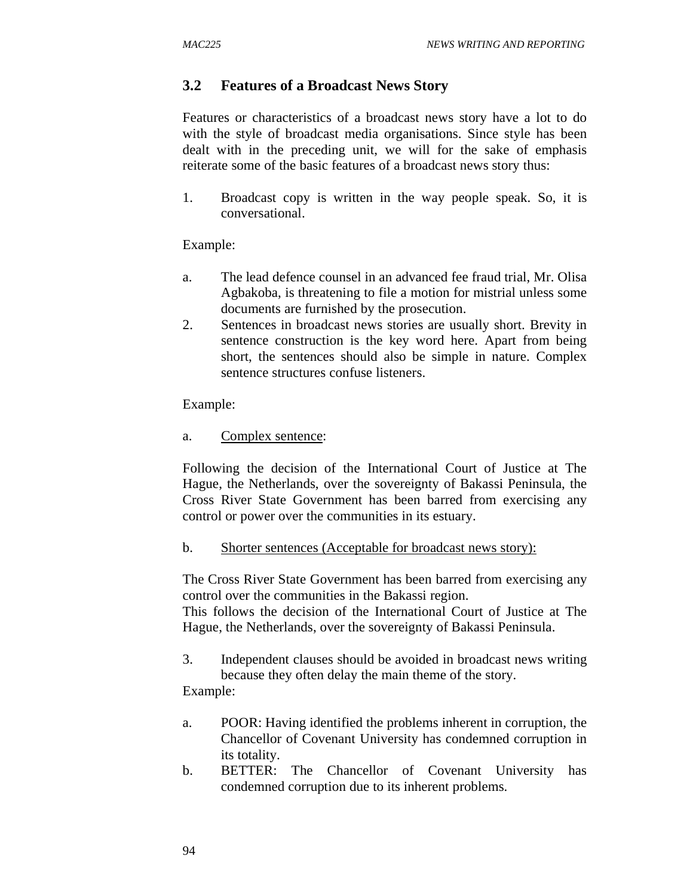# **3.2 Features of a Broadcast News Story**

Features or characteristics of a broadcast news story have a lot to do with the style of broadcast media organisations. Since style has been dealt with in the preceding unit, we will for the sake of emphasis reiterate some of the basic features of a broadcast news story thus:

1. Broadcast copy is written in the way people speak. So, it is conversational.

### Example:

- a. The lead defence counsel in an advanced fee fraud trial, Mr. Olisa Agbakoba, is threatening to file a motion for mistrial unless some documents are furnished by the prosecution.
- 2. Sentences in broadcast news stories are usually short. Brevity in sentence construction is the key word here. Apart from being short, the sentences should also be simple in nature. Complex sentence structures confuse listeners.

### Example:

a. Complex sentence:

Following the decision of the International Court of Justice at The Hague, the Netherlands, over the sovereignty of Bakassi Peninsula, the Cross River State Government has been barred from exercising any control or power over the communities in its estuary.

b. Shorter sentences (Acceptable for broadcast news story):

The Cross River State Government has been barred from exercising any control over the communities in the Bakassi region.

This follows the decision of the International Court of Justice at The Hague, the Netherlands, over the sovereignty of Bakassi Peninsula.

3. Independent clauses should be avoided in broadcast news writing because they often delay the main theme of the story.

- a. POOR: Having identified the problems inherent in corruption, the Chancellor of Covenant University has condemned corruption in its totality.
- b. BETTER: The Chancellor of Covenant University has condemned corruption due to its inherent problems.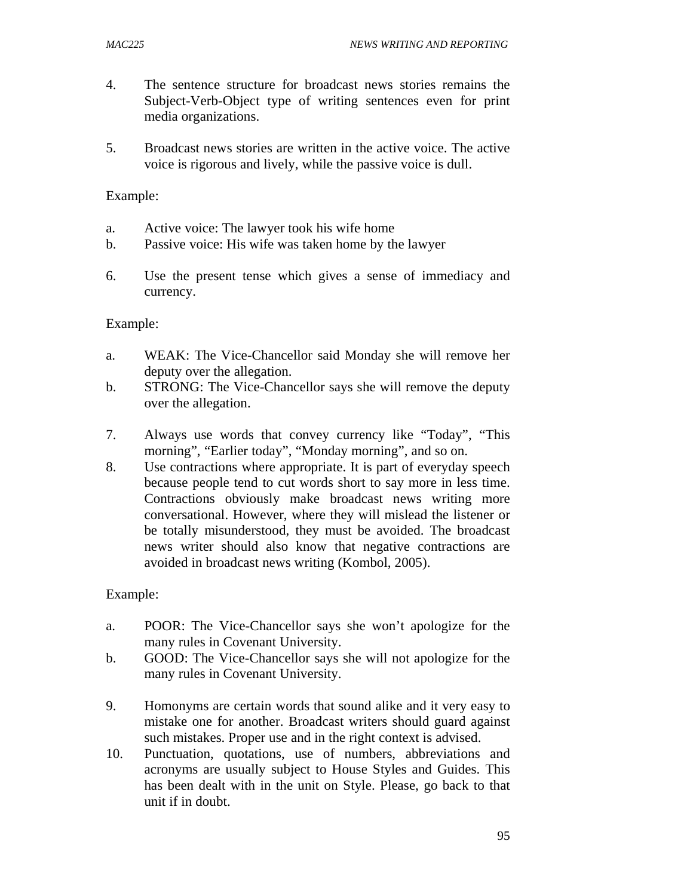- 4. The sentence structure for broadcast news stories remains the Subject-Verb-Object type of writing sentences even for print media organizations.
- 5. Broadcast news stories are written in the active voice. The active voice is rigorous and lively, while the passive voice is dull.

Example:

- a. Active voice: The lawyer took his wife home
- b. Passive voice: His wife was taken home by the lawyer
- 6. Use the present tense which gives a sense of immediacy and currency.

### Example:

- a. WEAK: The Vice-Chancellor said Monday she will remove her deputy over the allegation.
- b. STRONG: The Vice-Chancellor says she will remove the deputy over the allegation.
- 7. Always use words that convey currency like "Today", "This morning", "Earlier today", "Monday morning", and so on.
- 8. Use contractions where appropriate. It is part of everyday speech because people tend to cut words short to say more in less time. Contractions obviously make broadcast news writing more conversational. However, where they will mislead the listener or be totally misunderstood, they must be avoided. The broadcast news writer should also know that negative contractions are avoided in broadcast news writing (Kombol, 2005).

- a. POOR: The Vice-Chancellor says she won't apologize for the many rules in Covenant University.
- b. GOOD: The Vice-Chancellor says she will not apologize for the many rules in Covenant University.
- 9. Homonyms are certain words that sound alike and it very easy to mistake one for another. Broadcast writers should guard against such mistakes. Proper use and in the right context is advised.
- 10. Punctuation, quotations, use of numbers, abbreviations and acronyms are usually subject to House Styles and Guides. This has been dealt with in the unit on Style. Please, go back to that unit if in doubt.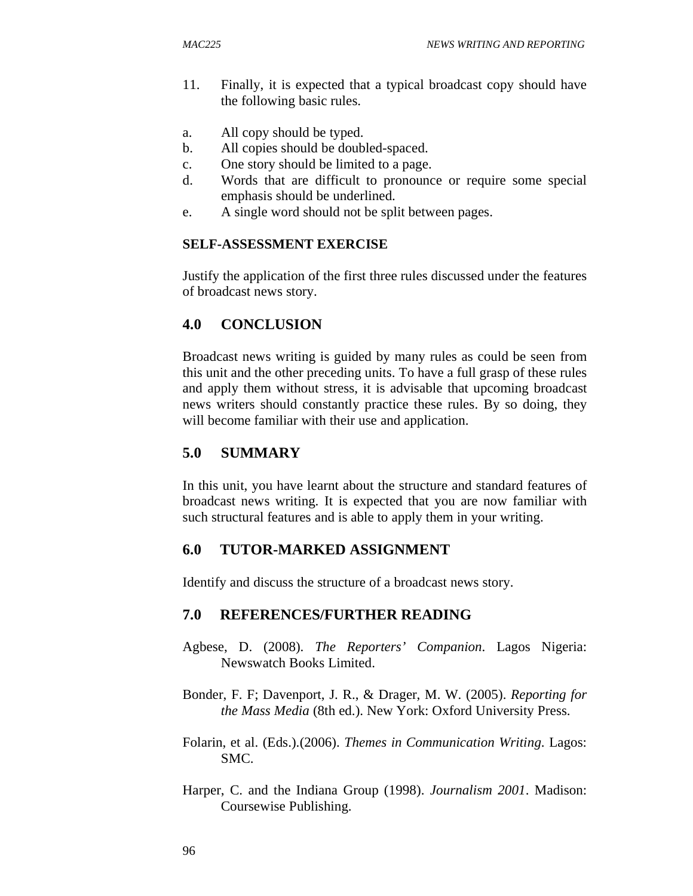- 11. Finally, it is expected that a typical broadcast copy should have the following basic rules.
- a. All copy should be typed.
- b. All copies should be doubled-spaced.
- c. One story should be limited to a page.
- d. Words that are difficult to pronounce or require some special emphasis should be underlined.
- e. A single word should not be split between pages.

#### **SELF-ASSESSMENT EXERCISE**

Justify the application of the first three rules discussed under the features of broadcast news story.

### **4.0 CONCLUSION**

Broadcast news writing is guided by many rules as could be seen from this unit and the other preceding units. To have a full grasp of these rules and apply them without stress, it is advisable that upcoming broadcast news writers should constantly practice these rules. By so doing, they will become familiar with their use and application.

### **5.0 SUMMARY**

In this unit, you have learnt about the structure and standard features of broadcast news writing. It is expected that you are now familiar with such structural features and is able to apply them in your writing.

### **6.0 TUTOR-MARKED ASSIGNMENT**

Identify and discuss the structure of a broadcast news story.

#### **7.0 REFERENCES/FURTHER READING**

- Agbese, D. (2008). *The Reporters' Companion*. Lagos Nigeria: Newswatch Books Limited.
- Bonder, F. F; Davenport, J. R., & Drager, M. W. (2005). *Reporting for the Mass Media* (8th ed.). New York: Oxford University Press.
- Folarin, et al. (Eds.).(2006). *Themes in Communication Writing*. Lagos: SMC.
- Harper, C. and the Indiana Group (1998). *Journalism 2001*. Madison: Coursewise Publishing.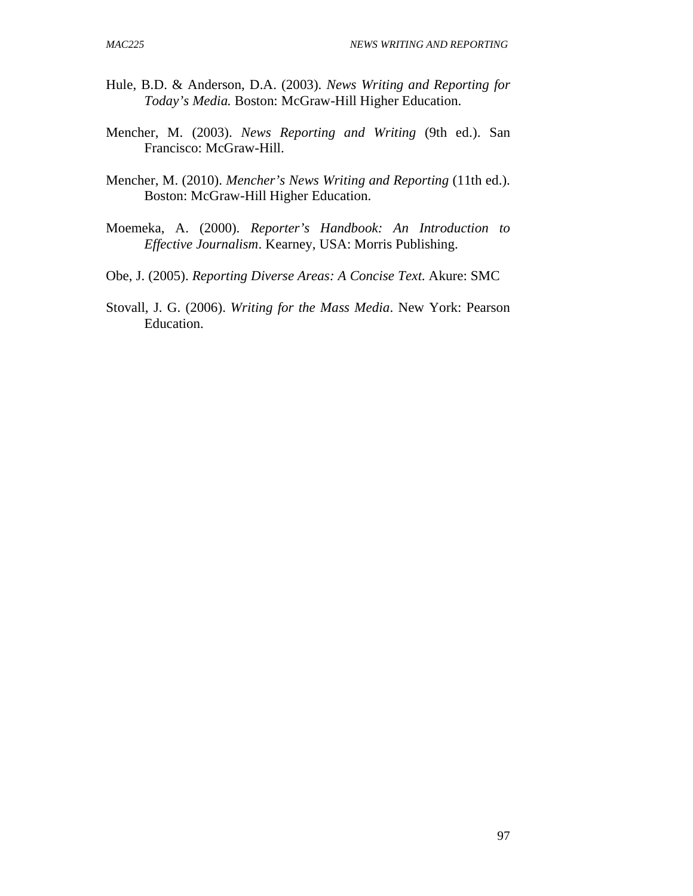- Hule, B.D. & Anderson, D.A. (2003). *News Writing and Reporting for Today's Media.* Boston: McGraw-Hill Higher Education.
- Mencher, M. (2003). *News Reporting and Writing* (9th ed.). San Francisco: McGraw-Hill.
- Mencher, M. (2010). *Mencher's News Writing and Reporting* (11th ed.). Boston: McGraw-Hill Higher Education.
- Moemeka, A. (2000). *Reporter's Handbook: An Introduction to Effective Journalism*. Kearney, USA: Morris Publishing.
- Obe, J. (2005). *Reporting Diverse Areas: A Concise Text*. Akure: SMC
- Stovall, J. G. (2006). *Writing for the Mass Media*. New York: Pearson Education.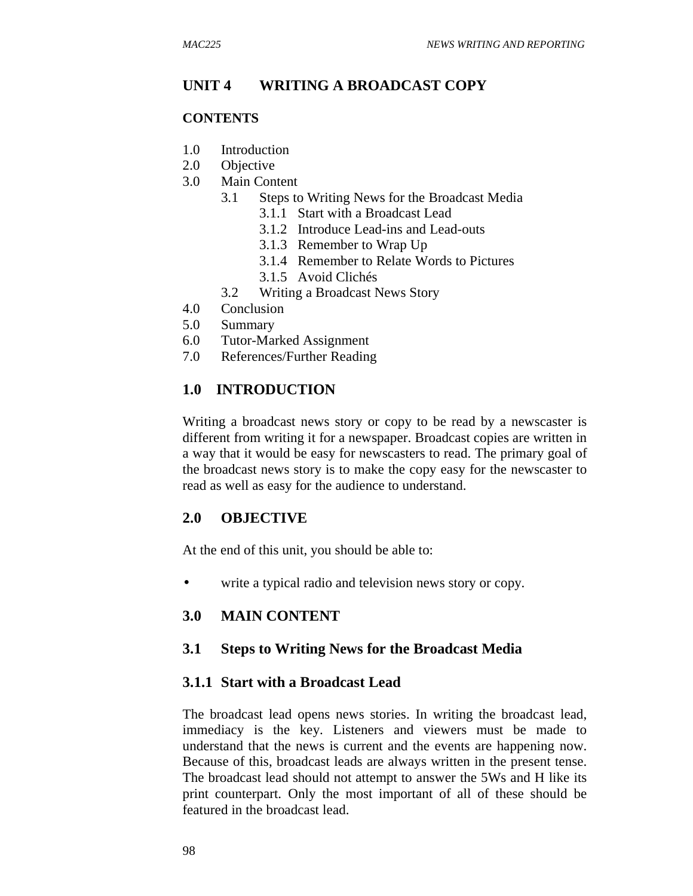## **UNIT 4 WRITING A BROADCAST COPY**

#### **CONTENTS**

- 1.0 Introduction
- 2.0 Objective
- 3.0 Main Content
	- 3.1 Steps to Writing News for the Broadcast Media
		- 3.1.1 Start with a Broadcast Lead
		- 3.1.2 Introduce Lead-ins and Lead-outs
		- 3.1.3 Remember to Wrap Up
		- 3.1.4 Remember to Relate Words to Pictures
		- 3.1.5 Avoid Clichés
	- 3.2 Writing a Broadcast News Story
- 4.0 Conclusion
- 5.0 Summary
- 6.0 Tutor-Marked Assignment
- 7.0 References/Further Reading

# **1.0 INTRODUCTION**

Writing a broadcast news story or copy to be read by a newscaster is different from writing it for a newspaper. Broadcast copies are written in a way that it would be easy for newscasters to read. The primary goal of the broadcast news story is to make the copy easy for the newscaster to read as well as easy for the audience to understand.

# **2.0 OBJECTIVE**

At the end of this unit, you should be able to:

• write a typical radio and television news story or copy.

### **3.0 MAIN CONTENT**

### **3.1 Steps to Writing News for the Broadcast Media**

### **3.1.1 Start with a Broadcast Lead**

The broadcast lead opens news stories. In writing the broadcast lead, immediacy is the key. Listeners and viewers must be made to understand that the news is current and the events are happening now. Because of this, broadcast leads are always written in the present tense. The broadcast lead should not attempt to answer the 5Ws and H like its print counterpart. Only the most important of all of these should be featured in the broadcast lead.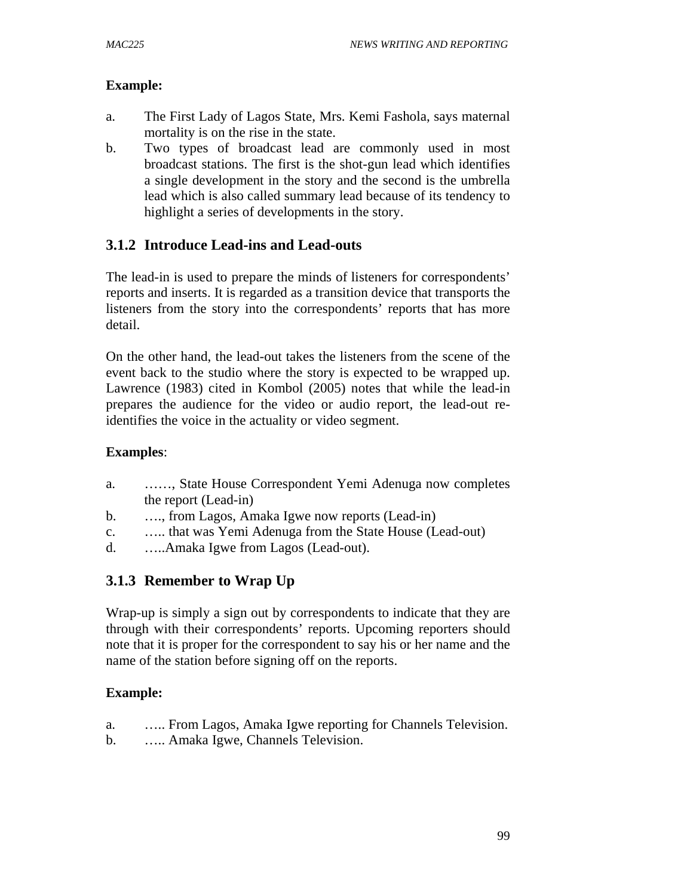### **Example:**

- a. The First Lady of Lagos State, Mrs. Kemi Fashola, says maternal mortality is on the rise in the state.
- b. Two types of broadcast lead are commonly used in most broadcast stations. The first is the shot-gun lead which identifies a single development in the story and the second is the umbrella lead which is also called summary lead because of its tendency to highlight a series of developments in the story.

# **3.1.2 Introduce Lead-ins and Lead-outs**

The lead-in is used to prepare the minds of listeners for correspondents' reports and inserts. It is regarded as a transition device that transports the listeners from the story into the correspondents' reports that has more detail.

On the other hand, the lead-out takes the listeners from the scene of the event back to the studio where the story is expected to be wrapped up. Lawrence (1983) cited in Kombol (2005) notes that while the lead-in prepares the audience for the video or audio report, the lead-out reidentifies the voice in the actuality or video segment.

### **Examples**:

- a. ……, State House Correspondent Yemi Adenuga now completes the report (Lead-in)
- b. …., from Lagos, Amaka Igwe now reports (Lead-in)
- c. ….. that was Yemi Adenuga from the State House (Lead-out)
- d. …..Amaka Igwe from Lagos (Lead-out).

# **3.1.3 Remember to Wrap Up**

Wrap-up is simply a sign out by correspondents to indicate that they are through with their correspondents' reports. Upcoming reporters should note that it is proper for the correspondent to say his or her name and the name of the station before signing off on the reports.

- a. ….. From Lagos, Amaka Igwe reporting for Channels Television.
- b. ….. Amaka Igwe, Channels Television.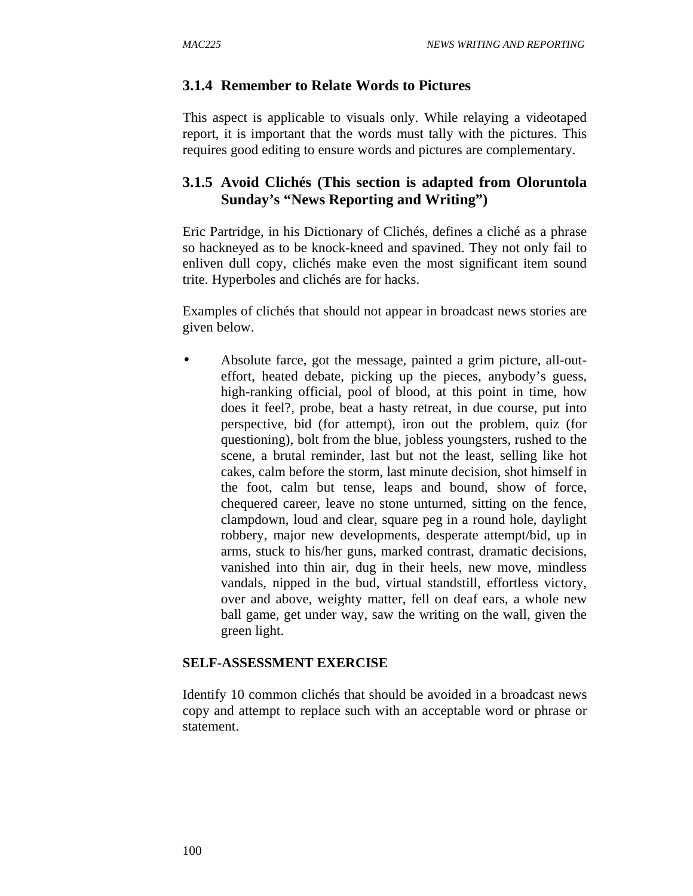### **3.1.4 Remember to Relate Words to Pictures**

This aspect is applicable to visuals only. While relaying a videotaped report, it is important that the words must tally with the pictures. This requires good editing to ensure words and pictures are complementary.

## **3.1.5 Avoid Clichés (This section is adapted from Oloruntola Sunday's "News Reporting and Writing")**

Eric Partridge, in his Dictionary of Clichés, defines a cliché as a phrase so hackneyed as to be knock-kneed and spavined. They not only fail to enliven dull copy, clichés make even the most significant item sound trite. Hyperboles and clichés are for hacks.

Examples of clichés that should not appear in broadcast news stories are given below.

• Absolute farce, got the message, painted a grim picture, all-outeffort, heated debate, picking up the pieces, anybody's guess, high-ranking official, pool of blood, at this point in time, how does it feel?, probe, beat a hasty retreat, in due course, put into perspective, bid (for attempt), iron out the problem, quiz (for questioning), bolt from the blue, jobless youngsters, rushed to the scene, a brutal reminder, last but not the least, selling like hot cakes, calm before the storm, last minute decision, shot himself in the foot, calm but tense, leaps and bound, show of force, chequered career, leave no stone unturned, sitting on the fence, clampdown, loud and clear, square peg in a round hole, daylight robbery, major new developments, desperate attempt/bid, up in arms, stuck to his/her guns, marked contrast, dramatic decisions, vanished into thin air, dug in their heels, new move, mindless vandals, nipped in the bud, virtual standstill, effortless victory, over and above, weighty matter, fell on deaf ears, a whole new ball game, get under way, saw the writing on the wall, given the green light.

### **SELF-ASSESSMENT EXERCISE**

Identify 10 common clichés that should be avoided in a broadcast news copy and attempt to replace such with an acceptable word or phrase or statement.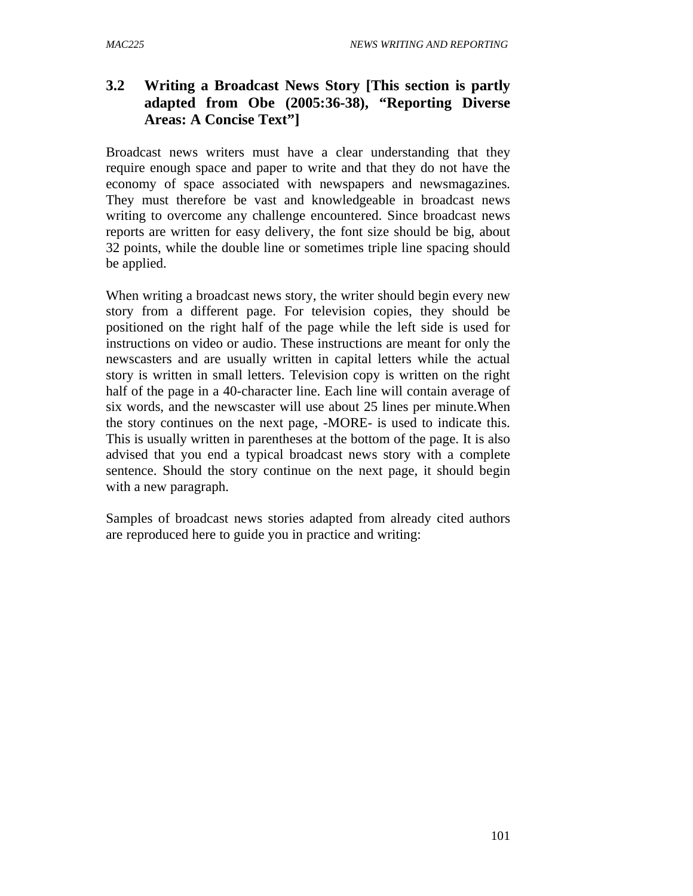# **3.2 Writing a Broadcast News Story [This section is partly adapted from Obe (2005:36-38), "Reporting Diverse Areas: A Concise Text"]**

Broadcast news writers must have a clear understanding that they require enough space and paper to write and that they do not have the economy of space associated with newspapers and newsmagazines. They must therefore be vast and knowledgeable in broadcast news writing to overcome any challenge encountered. Since broadcast news reports are written for easy delivery, the font size should be big, about 32 points, while the double line or sometimes triple line spacing should be applied.

When writing a broadcast news story, the writer should begin every new story from a different page. For television copies, they should be positioned on the right half of the page while the left side is used for instructions on video or audio. These instructions are meant for only the newscasters and are usually written in capital letters while the actual story is written in small letters. Television copy is written on the right half of the page in a 40-character line. Each line will contain average of six words, and the newscaster will use about 25 lines per minute.When the story continues on the next page, -MORE- is used to indicate this. This is usually written in parentheses at the bottom of the page. It is also advised that you end a typical broadcast news story with a complete sentence. Should the story continue on the next page, it should begin with a new paragraph.

Samples of broadcast news stories adapted from already cited authors are reproduced here to guide you in practice and writing: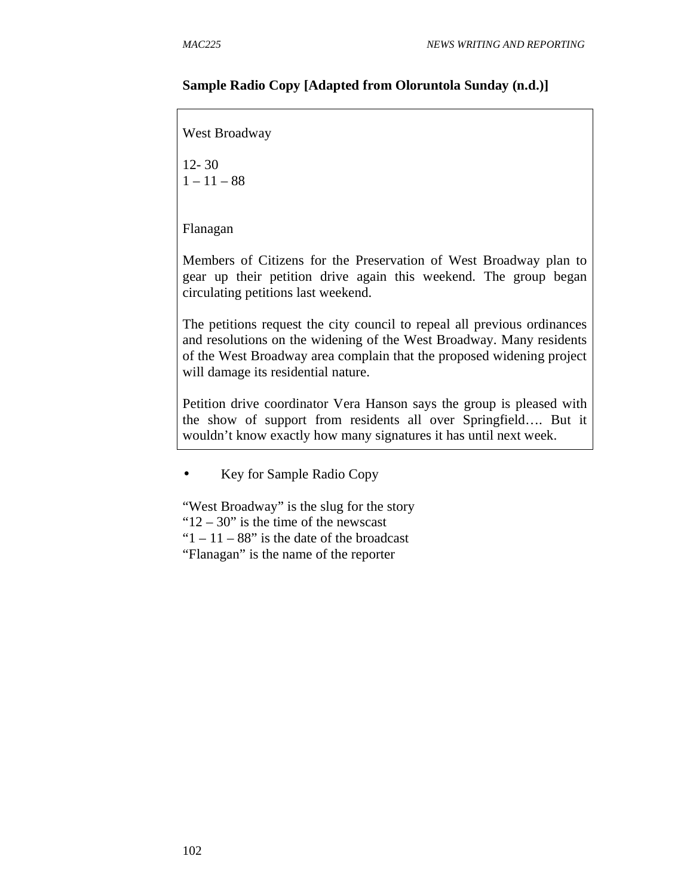#### **Sample Radio Copy [Adapted from Oloruntola Sunday (n.d.)]**

West Broadway 12- 30  $1 - 11 - 88$ Flanagan Members of Citizens for the Preservation of West Broadway plan to gear up their petition drive again this weekend. The group began circulating petitions last weekend. The petitions request the city council to repeal all previous ordinances and resolutions on the widening of the West Broadway. Many residents of the West Broadway area complain that the proposed widening project will damage its residential nature. Petition drive coordinator Vera Hanson says the group is pleased with the show of support from residents all over Springfield…. But it wouldn't know exactly how many signatures it has until next week.

• Key for Sample Radio Copy

"West Broadway" is the slug for the story " $12 - 30$ " is the time of the newscast " $1 - 11 - 88$ " is the date of the broadcast "Flanagan" is the name of the reporter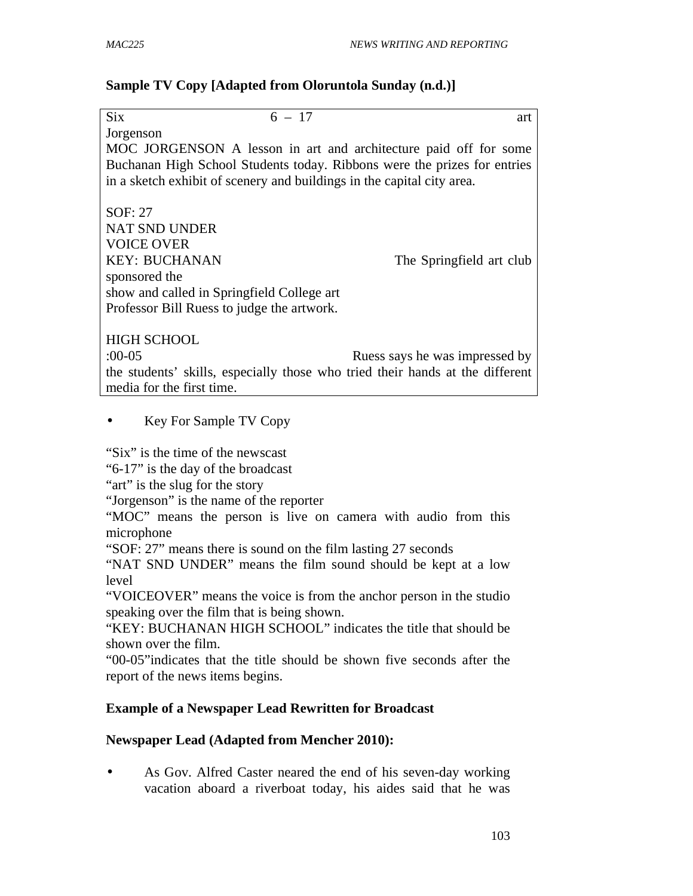### **Sample TV Copy [Adapted from Oloruntola Sunday (n.d.)]**

| <b>Six</b><br>$6 - 17$                                                        | art                            |
|-------------------------------------------------------------------------------|--------------------------------|
| Jorgenson                                                                     |                                |
| MOC JORGENSON A lesson in art and architecture paid off for some              |                                |
| Buchanan High School Students today. Ribbons were the prizes for entries      |                                |
| in a sketch exhibit of scenery and buildings in the capital city area.        |                                |
|                                                                               |                                |
| SOF: 27                                                                       |                                |
| <b>NAT SND UNDER</b>                                                          |                                |
| <b>VOICE OVER</b>                                                             |                                |
| <b>KEY: BUCHANAN</b>                                                          | The Springfield art club       |
| sponsored the                                                                 |                                |
| show and called in Springfield College art                                    |                                |
| Professor Bill Ruess to judge the artwork.                                    |                                |
|                                                                               |                                |
| <b>HIGH SCHOOL</b>                                                            |                                |
| $:00-05$                                                                      | Ruess says he was impressed by |
| the students' skills, especially those who tried their hands at the different |                                |
| media for the first time.                                                     |                                |
|                                                                               |                                |

### • Key For Sample TV Copy

"Six" is the time of the newscast

"6-17" is the day of the broadcast

"art" is the slug for the story"

"Jorgenson" is the name of the reporter

"MOC" means the person is live on camera with audio from this microphone

"SOF: 27" means there is sound on the film lasting 27 seconds

"NAT SND UNDER" means the film sound should be kept at a low level

"VOICEOVER" means the voice is from the anchor person in the studio speaking over the film that is being shown.

"KEY: BUCHANAN HIGH SCHOOL" indicates the title that should be shown over the film.

"00-05"indicates that the title should be shown five seconds after the report of the news items begins.

### **Example of a Newspaper Lead Rewritten for Broadcast**

### **Newspaper Lead (Adapted from Mencher 2010):**

• As Gov. Alfred Caster neared the end of his seven-day working vacation aboard a riverboat today, his aides said that he was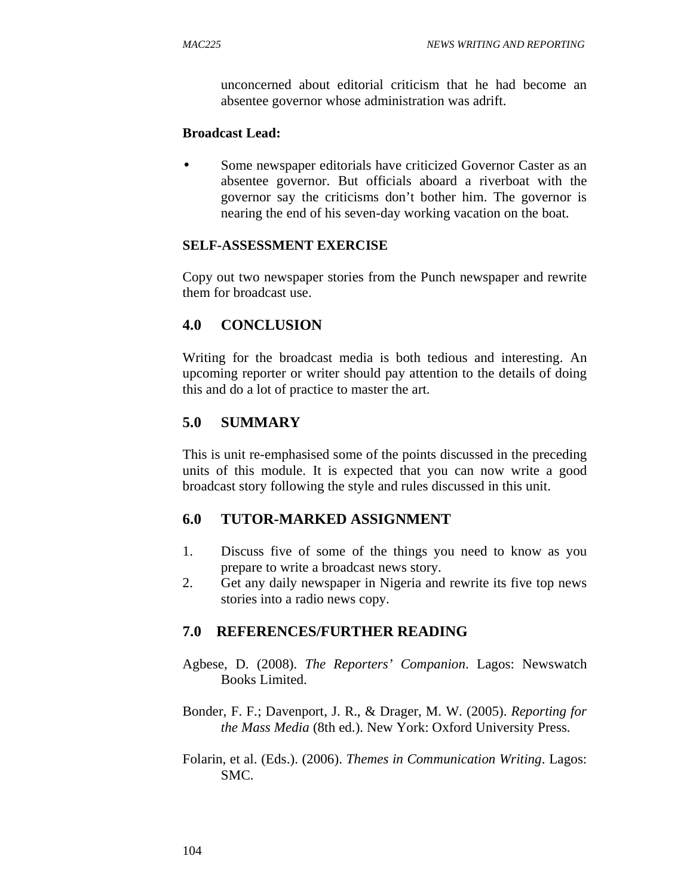unconcerned about editorial criticism that he had become an absentee governor whose administration was adrift.

#### **Broadcast Lead:**

Some newspaper editorials have criticized Governor Caster as an absentee governor. But officials aboard a riverboat with the governor say the criticisms don't bother him. The governor is nearing the end of his seven-day working vacation on the boat.

### **SELF-ASSESSMENT EXERCISE**

Copy out two newspaper stories from the Punch newspaper and rewrite them for broadcast use.

### **4.0 CONCLUSION**

Writing for the broadcast media is both tedious and interesting. An upcoming reporter or writer should pay attention to the details of doing this and do a lot of practice to master the art.

### **5.0 SUMMARY**

This is unit re-emphasised some of the points discussed in the preceding units of this module. It is expected that you can now write a good broadcast story following the style and rules discussed in this unit.

### **6.0 TUTOR-MARKED ASSIGNMENT**

- 1. Discuss five of some of the things you need to know as you prepare to write a broadcast news story.
- 2. Get any daily newspaper in Nigeria and rewrite its five top news stories into a radio news copy.

### **7.0 REFERENCES/FURTHER READING**

- Agbese, D. (2008). *The Reporters' Companion*. Lagos: Newswatch Books Limited.
- Bonder, F. F.; Davenport, J. R., & Drager, M. W. (2005). *Reporting for the Mass Media* (8th ed.). New York: Oxford University Press.
- Folarin, et al. (Eds.). (2006). *Themes in Communication Writing*. Lagos: SMC.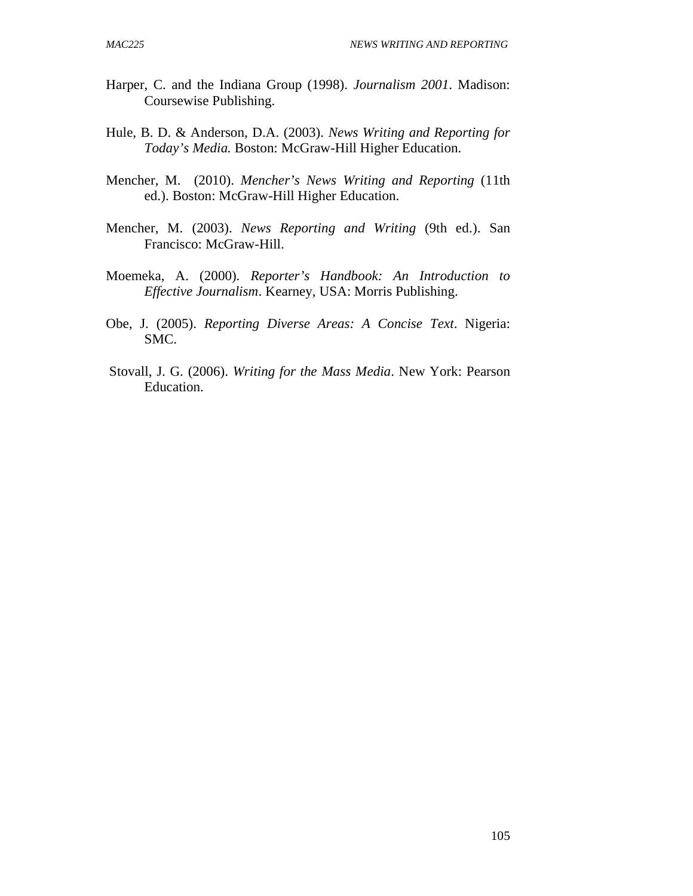- Harper, C. and the Indiana Group (1998). *Journalism 2001*. Madison: Coursewise Publishing.
- Hule, B. D. & Anderson, D.A. (2003). *News Writing and Reporting for Today's Media.* Boston: McGraw-Hill Higher Education.
- Mencher, M. (2010). *Mencher's News Writing and Reporting* (11th ed.). Boston: McGraw-Hill Higher Education.
- Mencher, M. (2003). *News Reporting and Writing* (9th ed.). San Francisco: McGraw-Hill.
- Moemeka, A. (2000). *Reporter's Handbook: An Introduction to Effective Journalism*. Kearney, USA: Morris Publishing.
- Obe, J. (2005). *Reporting Diverse Areas: A Concise Text*. Nigeria: SMC.
- Stovall, J. G. (2006). *Writing for the Mass Media*. New York: Pearson Education.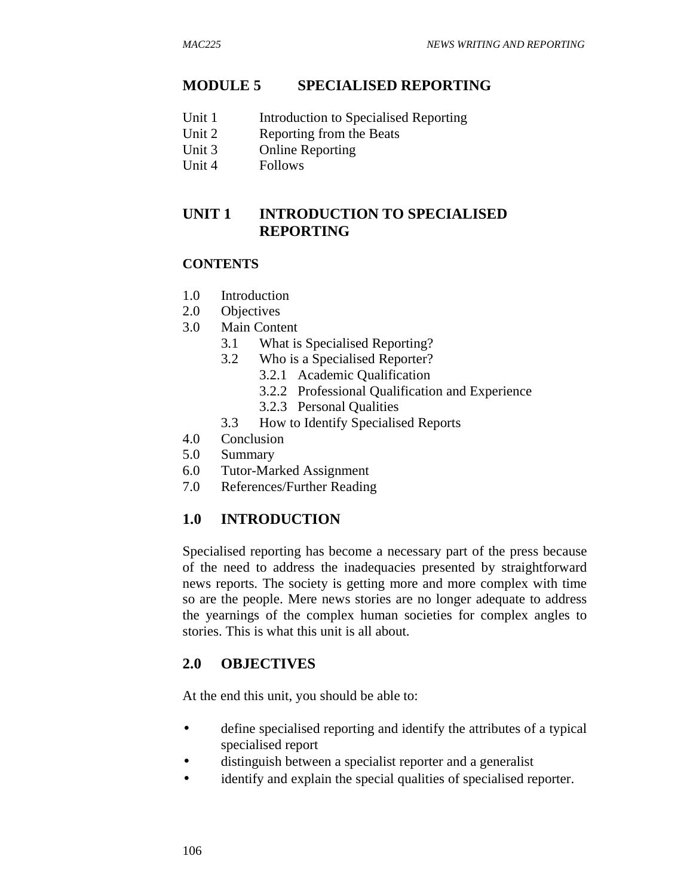### **MODULE 5 SPECIALISED REPORTING**

- Unit 1 Introduction to Specialised Reporting
- Unit 2 Reporting from the Beats
- Unit 3 Online Reporting
- Unit 4 Follows

## **UNIT 1 INTRODUCTION TO SPECIALISED REPORTING**

#### **CONTENTS**

- 1.0 Introduction
- 2.0 Objectives
- 3.0 Main Content
	- 3.1 What is Specialised Reporting?
	- 3.2 Who is a Specialised Reporter?
		- 3.2.1 Academic Qualification
		- 3.2.2 Professional Qualification and Experience
		- 3.2.3 Personal Qualities
	- 3.3 How to Identify Specialised Reports
- 4.0 Conclusion
- 5.0 Summary
- 6.0 Tutor-Marked Assignment
- 7.0 References/Further Reading

### **1.0 INTRODUCTION**

Specialised reporting has become a necessary part of the press because of the need to address the inadequacies presented by straightforward news reports. The society is getting more and more complex with time so are the people. Mere news stories are no longer adequate to address the yearnings of the complex human societies for complex angles to stories. This is what this unit is all about.

### **2.0 OBJECTIVES**

At the end this unit, you should be able to:

- define specialised reporting and identify the attributes of a typical specialised report
- distinguish between a specialist reporter and a generalist
- identify and explain the special qualities of specialised reporter.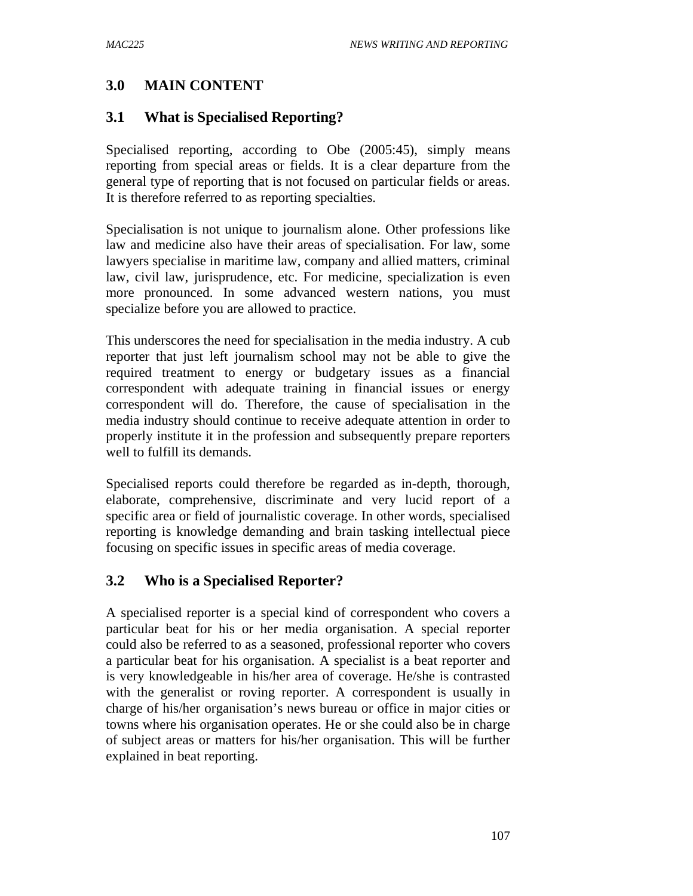# **3.0 MAIN CONTENT**

# **3.1 What is Specialised Reporting?**

Specialised reporting, according to Obe (2005:45), simply means reporting from special areas or fields. It is a clear departure from the general type of reporting that is not focused on particular fields or areas. It is therefore referred to as reporting specialties.

Specialisation is not unique to journalism alone. Other professions like law and medicine also have their areas of specialisation. For law, some lawyers specialise in maritime law, company and allied matters, criminal law, civil law, jurisprudence, etc. For medicine, specialization is even more pronounced. In some advanced western nations, you must specialize before you are allowed to practice.

This underscores the need for specialisation in the media industry. A cub reporter that just left journalism school may not be able to give the required treatment to energy or budgetary issues as a financial correspondent with adequate training in financial issues or energy correspondent will do. Therefore, the cause of specialisation in the media industry should continue to receive adequate attention in order to properly institute it in the profession and subsequently prepare reporters well to fulfill its demands.

Specialised reports could therefore be regarded as in-depth, thorough, elaborate, comprehensive, discriminate and very lucid report of a specific area or field of journalistic coverage. In other words, specialised reporting is knowledge demanding and brain tasking intellectual piece focusing on specific issues in specific areas of media coverage.

# **3.2 Who is a Specialised Reporter?**

A specialised reporter is a special kind of correspondent who covers a particular beat for his or her media organisation. A special reporter could also be referred to as a seasoned, professional reporter who covers a particular beat for his organisation. A specialist is a beat reporter and is very knowledgeable in his/her area of coverage. He/she is contrasted with the generalist or roving reporter. A correspondent is usually in charge of his/her organisation's news bureau or office in major cities or towns where his organisation operates. He or she could also be in charge of subject areas or matters for his/her organisation. This will be further explained in beat reporting.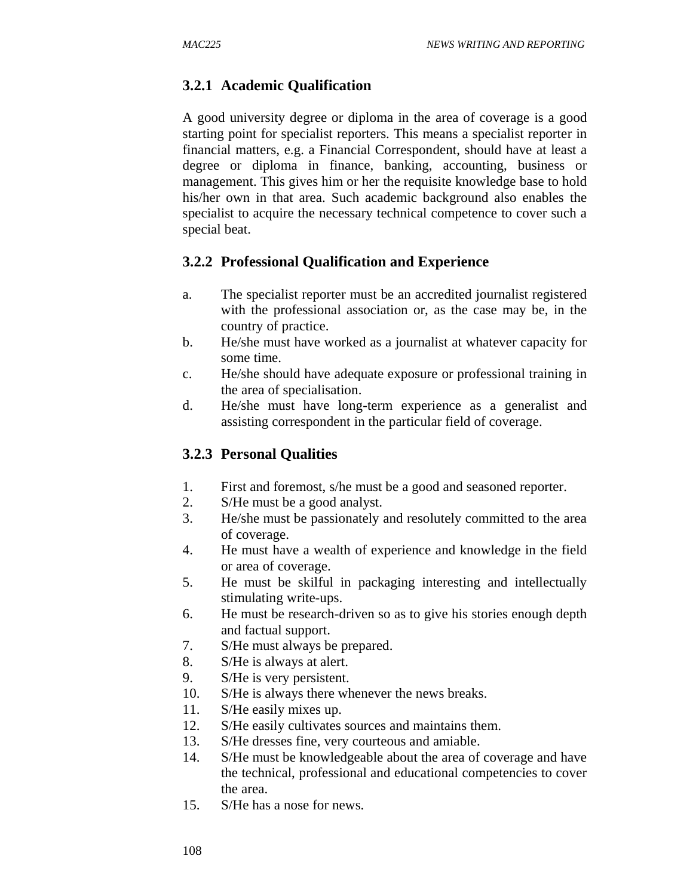### **3.2.1 Academic Qualification**

A good university degree or diploma in the area of coverage is a good starting point for specialist reporters. This means a specialist reporter in financial matters, e.g. a Financial Correspondent, should have at least a degree or diploma in finance, banking, accounting, business or management. This gives him or her the requisite knowledge base to hold his/her own in that area. Such academic background also enables the specialist to acquire the necessary technical competence to cover such a special beat.

### **3.2.2 Professional Qualification and Experience**

- a. The specialist reporter must be an accredited journalist registered with the professional association or, as the case may be, in the country of practice.
- b. He/she must have worked as a journalist at whatever capacity for some time.
- c. He/she should have adequate exposure or professional training in the area of specialisation.
- d. He/she must have long-term experience as a generalist and assisting correspondent in the particular field of coverage.

### **3.2.3 Personal Qualities**

- 1. First and foremost, s/he must be a good and seasoned reporter.
- 2. S/He must be a good analyst.
- 3. He/she must be passionately and resolutely committed to the area of coverage.
- 4. He must have a wealth of experience and knowledge in the field or area of coverage.
- 5. He must be skilful in packaging interesting and intellectually stimulating write-ups.
- 6. He must be research-driven so as to give his stories enough depth and factual support.
- 7. S/He must always be prepared.
- 8. S/He is always at alert.
- 9. S/He is very persistent.
- 10. S/He is always there whenever the news breaks.
- 11. S/He easily mixes up.
- 12. S/He easily cultivates sources and maintains them.
- 13. S/He dresses fine, very courteous and amiable.
- 14. S/He must be knowledgeable about the area of coverage and have the technical, professional and educational competencies to cover the area.
- 15. S/He has a nose for news.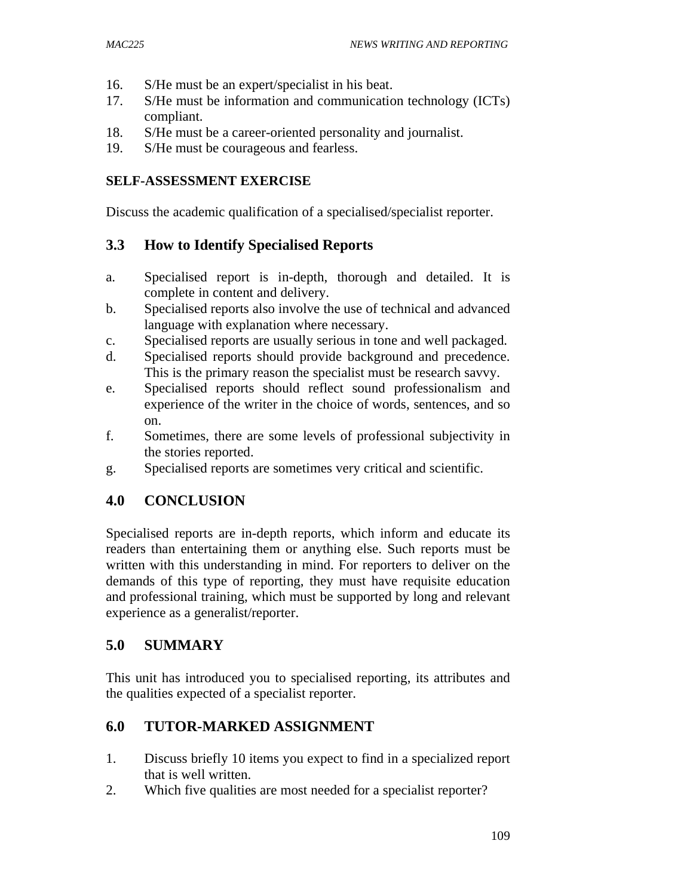- 16. S/He must be an expert/specialist in his beat.
- 17. S/He must be information and communication technology (ICTs) compliant.
- 18. S/He must be a career-oriented personality and journalist.
- 19. S/He must be courageous and fearless.

## **SELF-ASSESSMENT EXERCISE**

Discuss the academic qualification of a specialised/specialist reporter.

# **3.3 How to Identify Specialised Reports**

- a. Specialised report is in-depth, thorough and detailed. It is complete in content and delivery.
- b. Specialised reports also involve the use of technical and advanced language with explanation where necessary.
- c. Specialised reports are usually serious in tone and well packaged.
- d. Specialised reports should provide background and precedence. This is the primary reason the specialist must be research savvy.
- e. Specialised reports should reflect sound professionalism and experience of the writer in the choice of words, sentences, and so on.
- f. Sometimes, there are some levels of professional subjectivity in the stories reported.
- g. Specialised reports are sometimes very critical and scientific.

# **4.0 CONCLUSION**

Specialised reports are in-depth reports, which inform and educate its readers than entertaining them or anything else. Such reports must be written with this understanding in mind. For reporters to deliver on the demands of this type of reporting, they must have requisite education and professional training, which must be supported by long and relevant experience as a generalist/reporter.

# **5.0 SUMMARY**

This unit has introduced you to specialised reporting, its attributes and the qualities expected of a specialist reporter.

# **6.0 TUTOR-MARKED ASSIGNMENT**

- 1. Discuss briefly 10 items you expect to find in a specialized report that is well written.
- 2. Which five qualities are most needed for a specialist reporter?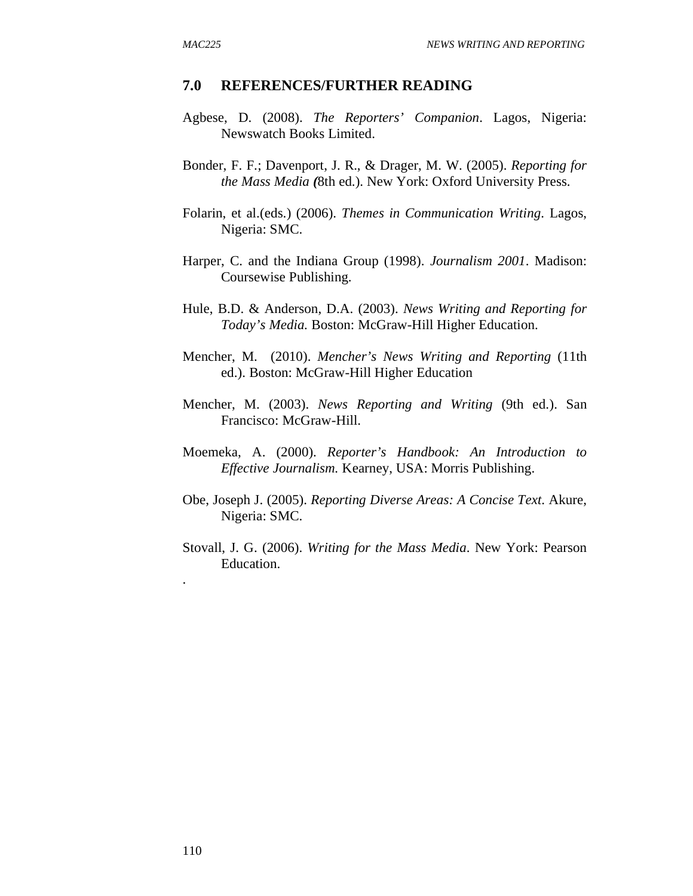#### **7.0 REFERENCES/FURTHER READING**

- Agbese, D. (2008). *The Reporters' Companion*. Lagos, Nigeria: Newswatch Books Limited.
- Bonder, F. F.; Davenport, J. R., & Drager, M. W. (2005). *Reporting for the Mass Media (*8th ed.). New York: Oxford University Press.
- Folarin, et al.(eds.) (2006). *Themes in Communication Writing*. Lagos, Nigeria: SMC.
- Harper, C. and the Indiana Group (1998). *Journalism 2001*. Madison: Coursewise Publishing.
- Hule, B.D. & Anderson, D.A. (2003). *News Writing and Reporting for Today's Media.* Boston: McGraw-Hill Higher Education.
- Mencher, M. (2010). *Mencher's News Writing and Reporting* (11th ed.). Boston: McGraw-Hill Higher Education
- Mencher, M. (2003). *News Reporting and Writing* (9th ed.). San Francisco: McGraw-Hill.
- Moemeka, A. (2000). *Reporter's Handbook: An Introduction to Effective Journalism.* Kearney, USA: Morris Publishing.
- Obe, Joseph J. (2005). *Reporting Diverse Areas: A Concise Text*. Akure, Nigeria: SMC.
- Stovall, J. G. (2006). *Writing for the Mass Media*. New York: Pearson Education.

.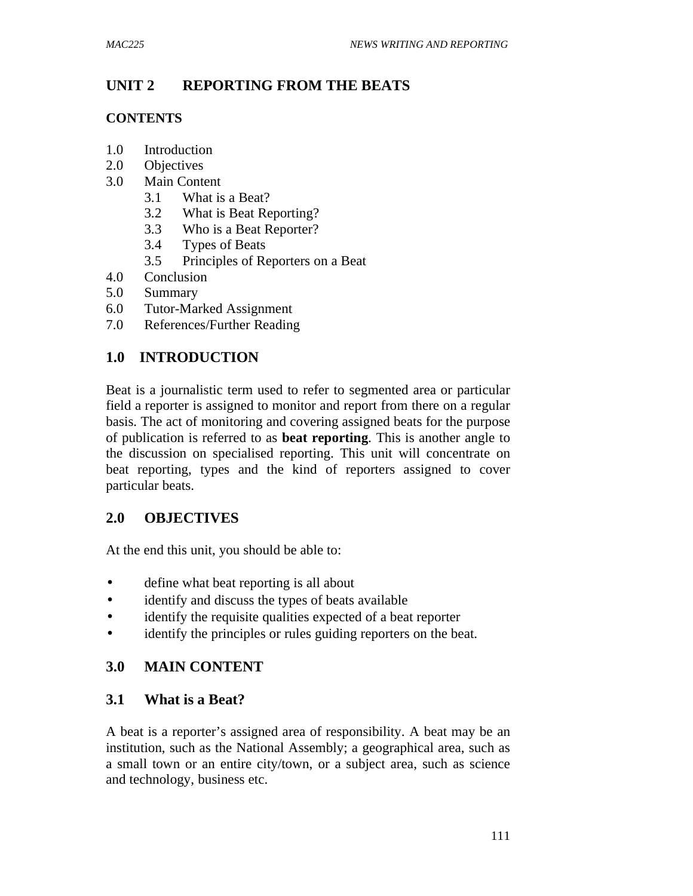# **UNIT 2 REPORTING FROM THE BEATS**

### **CONTENTS**

- 1.0 Introduction
- 2.0 Objectives
- 3.0 Main Content
	- 3.1 What is a Beat?
	- 3.2 What is Beat Reporting?
	- 3.3 Who is a Beat Reporter?
	- 3.4 Types of Beats
	- 3.5 Principles of Reporters on a Beat
- 4.0 Conclusion
- 5.0 Summary
- 6.0 Tutor-Marked Assignment
- 7.0 References/Further Reading

# **1.0 INTRODUCTION**

Beat is a journalistic term used to refer to segmented area or particular field a reporter is assigned to monitor and report from there on a regular basis. The act of monitoring and covering assigned beats for the purpose of publication is referred to as **beat reporting**. This is another angle to the discussion on specialised reporting. This unit will concentrate on beat reporting, types and the kind of reporters assigned to cover particular beats.

# **2.0 OBJECTIVES**

At the end this unit, you should be able to:

- define what beat reporting is all about
- identify and discuss the types of beats available
- identify the requisite qualities expected of a beat reporter
- identify the principles or rules guiding reporters on the beat.

# **3.0 MAIN CONTENT**

# **3.1 What is a Beat?**

A beat is a reporter's assigned area of responsibility. A beat may be an institution, such as the National Assembly; a geographical area, such as a small town or an entire city/town, or a subject area, such as science and technology, business etc.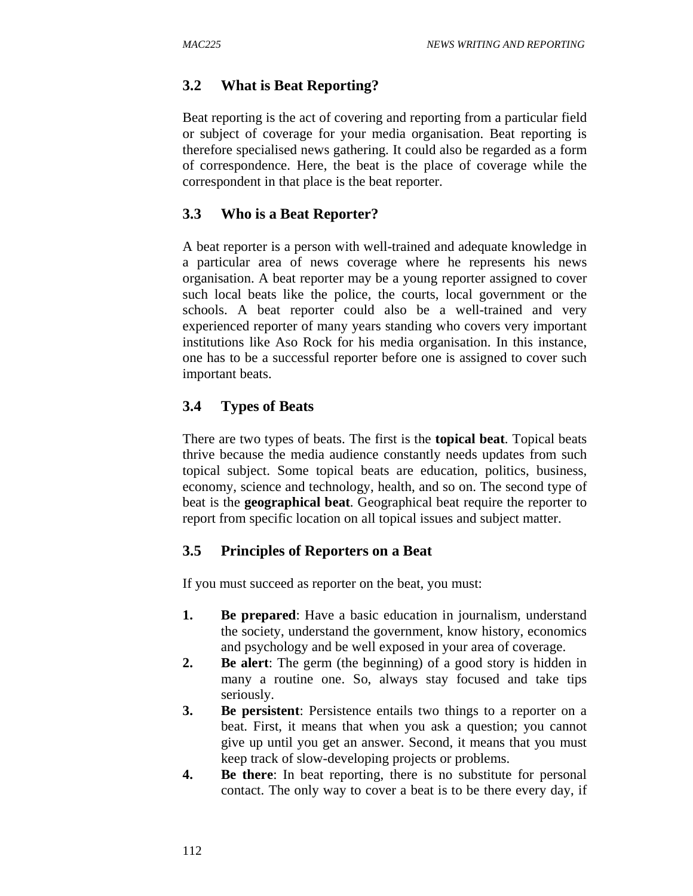# **3.2 What is Beat Reporting?**

Beat reporting is the act of covering and reporting from a particular field or subject of coverage for your media organisation. Beat reporting is therefore specialised news gathering. It could also be regarded as a form of correspondence. Here, the beat is the place of coverage while the correspondent in that place is the beat reporter.

# **3.3 Who is a Beat Reporter?**

A beat reporter is a person with well-trained and adequate knowledge in a particular area of news coverage where he represents his news organisation. A beat reporter may be a young reporter assigned to cover such local beats like the police, the courts, local government or the schools. A beat reporter could also be a well-trained and very experienced reporter of many years standing who covers very important institutions like Aso Rock for his media organisation. In this instance, one has to be a successful reporter before one is assigned to cover such important beats.

# **3.4 Types of Beats**

There are two types of beats. The first is the **topical beat**. Topical beats thrive because the media audience constantly needs updates from such topical subject. Some topical beats are education, politics, business, economy, science and technology, health, and so on. The second type of beat is the **geographical beat**. Geographical beat require the reporter to report from specific location on all topical issues and subject matter.

# **3.5 Principles of Reporters on a Beat**

If you must succeed as reporter on the beat, you must:

- **1. Be prepared**: Have a basic education in journalism, understand the society, understand the government, know history, economics and psychology and be well exposed in your area of coverage.
- **2. Be alert**: The germ (the beginning) of a good story is hidden in many a routine one. So, always stay focused and take tips seriously.
- **3. Be persistent**: Persistence entails two things to a reporter on a beat. First, it means that when you ask a question; you cannot give up until you get an answer. Second, it means that you must keep track of slow-developing projects or problems.
- **4. Be there**: In beat reporting, there is no substitute for personal contact. The only way to cover a beat is to be there every day, if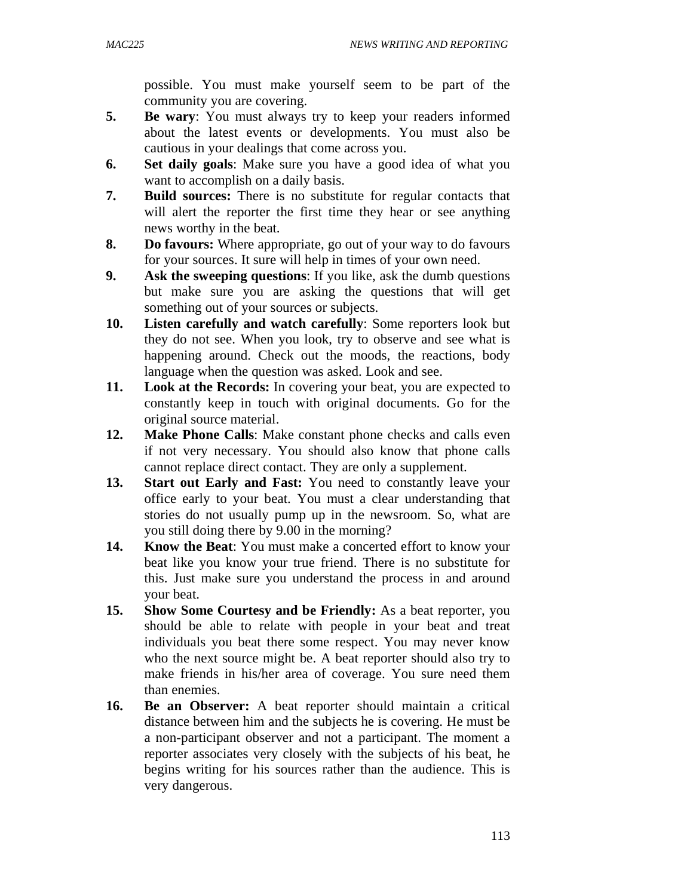possible. You must make yourself seem to be part of the community you are covering.

- **5. Be wary**: You must always try to keep your readers informed about the latest events or developments. You must also be cautious in your dealings that come across you.
- **6. Set daily goals**: Make sure you have a good idea of what you want to accomplish on a daily basis.
- **7. Build sources:** There is no substitute for regular contacts that will alert the reporter the first time they hear or see anything news worthy in the beat.
- **8. Do favours:** Where appropriate, go out of your way to do favours for your sources. It sure will help in times of your own need.
- **9. Ask the sweeping questions**: If you like, ask the dumb questions but make sure you are asking the questions that will get something out of your sources or subjects.
- **10. Listen carefully and watch carefully**: Some reporters look but they do not see. When you look, try to observe and see what is happening around. Check out the moods, the reactions, body language when the question was asked. Look and see.
- **11. Look at the Records:** In covering your beat, you are expected to constantly keep in touch with original documents. Go for the original source material.
- **12. Make Phone Calls**: Make constant phone checks and calls even if not very necessary. You should also know that phone calls cannot replace direct contact. They are only a supplement.
- **13. Start out Early and Fast:** You need to constantly leave your office early to your beat. You must a clear understanding that stories do not usually pump up in the newsroom. So, what are you still doing there by 9.00 in the morning?
- **14. Know the Beat**: You must make a concerted effort to know your beat like you know your true friend. There is no substitute for this. Just make sure you understand the process in and around your beat.
- **15. Show Some Courtesy and be Friendly:** As a beat reporter, you should be able to relate with people in your beat and treat individuals you beat there some respect. You may never know who the next source might be. A beat reporter should also try to make friends in his/her area of coverage. You sure need them than enemies.
- **16. Be an Observer:** A beat reporter should maintain a critical distance between him and the subjects he is covering. He must be a non-participant observer and not a participant. The moment a reporter associates very closely with the subjects of his beat, he begins writing for his sources rather than the audience. This is very dangerous.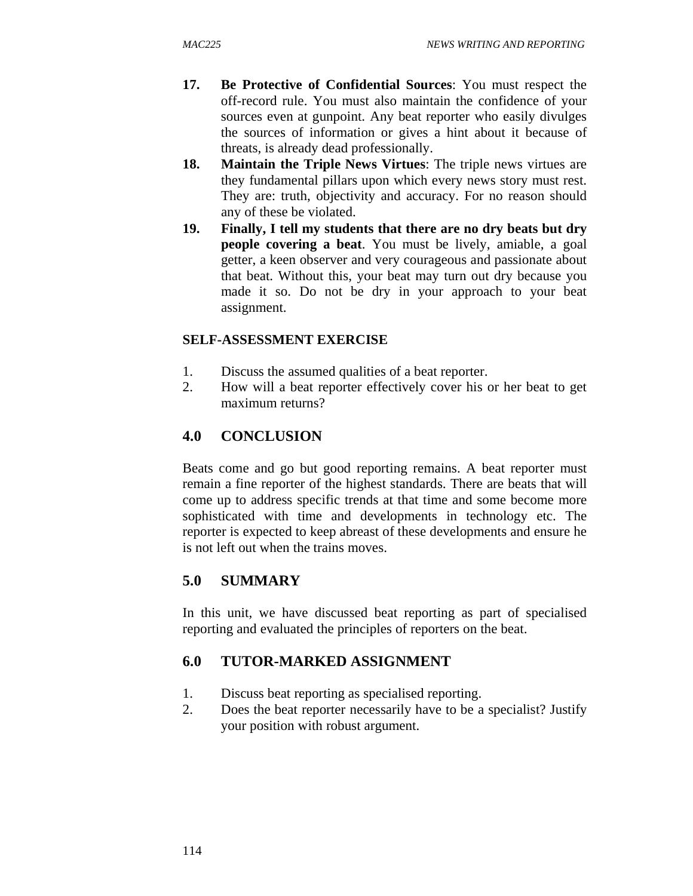- **17. Be Protective of Confidential Sources**: You must respect the off-record rule. You must also maintain the confidence of your sources even at gunpoint. Any beat reporter who easily divulges the sources of information or gives a hint about it because of threats, is already dead professionally.
- **18. Maintain the Triple News Virtues**: The triple news virtues are they fundamental pillars upon which every news story must rest. They are: truth, objectivity and accuracy. For no reason should any of these be violated.
- **19. Finally, I tell my students that there are no dry beats but dry people covering a beat**. You must be lively, amiable, a goal getter, a keen observer and very courageous and passionate about that beat. Without this, your beat may turn out dry because you made it so. Do not be dry in your approach to your beat assignment.

### **SELF-ASSESSMENT EXERCISE**

- 1. Discuss the assumed qualities of a beat reporter.
- 2. How will a beat reporter effectively cover his or her beat to get maximum returns?

# **4.0 CONCLUSION**

Beats come and go but good reporting remains. A beat reporter must remain a fine reporter of the highest standards. There are beats that will come up to address specific trends at that time and some become more sophisticated with time and developments in technology etc. The reporter is expected to keep abreast of these developments and ensure he is not left out when the trains moves.

# **5.0 SUMMARY**

In this unit, we have discussed beat reporting as part of specialised reporting and evaluated the principles of reporters on the beat.

# **6.0 TUTOR-MARKED ASSIGNMENT**

- 1. Discuss beat reporting as specialised reporting.
- 2. Does the beat reporter necessarily have to be a specialist? Justify your position with robust argument.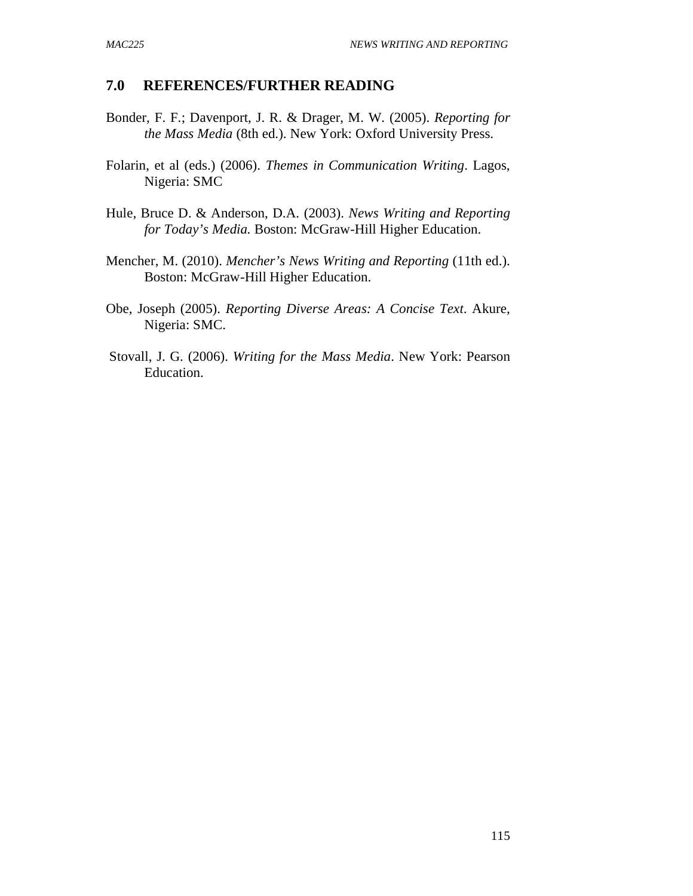### **7.0 REFERENCES/FURTHER READING**

- Bonder, F. F.; Davenport, J. R. & Drager, M. W. (2005). *Reporting for the Mass Media* (8th ed.). New York: Oxford University Press.
- Folarin, et al (eds.) (2006). *Themes in Communication Writing*. Lagos, Nigeria: SMC
- Hule, Bruce D. & Anderson, D.A. (2003). *News Writing and Reporting for Today's Media.* Boston: McGraw-Hill Higher Education.
- Mencher, M. (2010). *Mencher's News Writing and Reporting* (11th ed.). Boston: McGraw-Hill Higher Education.
- Obe, Joseph (2005). *Reporting Diverse Areas: A Concise Text*. Akure, Nigeria: SMC.
- Stovall, J. G. (2006). *Writing for the Mass Media*. New York: Pearson Education.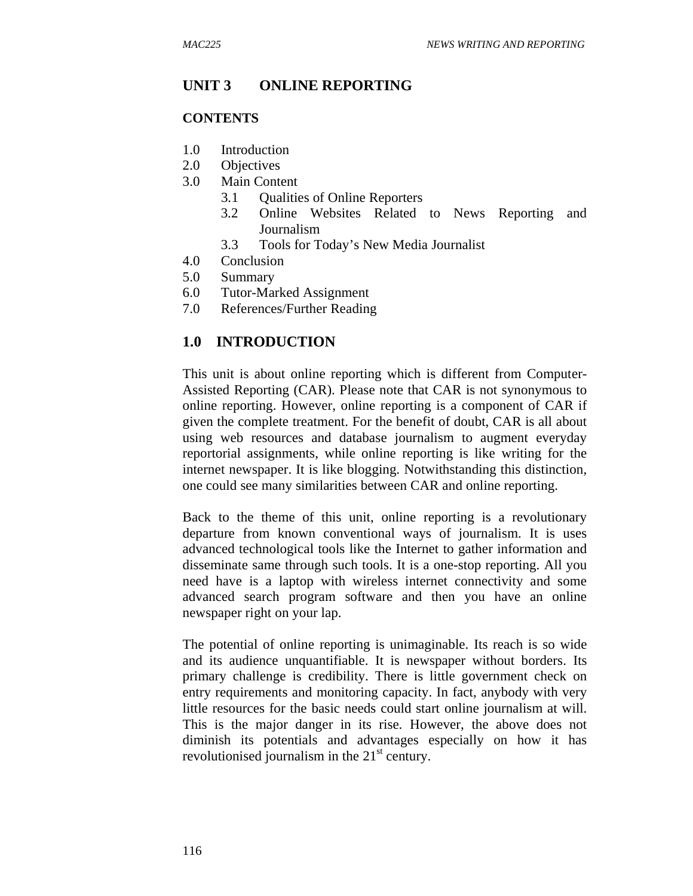### **UNIT 3 ONLINE REPORTING**

#### **CONTENTS**

- 1.0 Introduction
- 2.0 Objectives
- 3.0 Main Content
	- 3.1 Qualities of Online Reporters
	- 3.2 Online Websites Related to News Reporting and Journalism
	- 3.3 Tools for Today's New Media Journalist
- 4.0 Conclusion
- 5.0 Summary
- 6.0 Tutor-Marked Assignment
- 7.0 References/Further Reading

### **1.0 INTRODUCTION**

This unit is about online reporting which is different from Computer-Assisted Reporting (CAR). Please note that CAR is not synonymous to online reporting. However, online reporting is a component of CAR if given the complete treatment. For the benefit of doubt, CAR is all about using web resources and database journalism to augment everyday reportorial assignments, while online reporting is like writing for the internet newspaper. It is like blogging. Notwithstanding this distinction, one could see many similarities between CAR and online reporting.

Back to the theme of this unit, online reporting is a revolutionary departure from known conventional ways of journalism. It is uses advanced technological tools like the Internet to gather information and disseminate same through such tools. It is a one-stop reporting. All you need have is a laptop with wireless internet connectivity and some advanced search program software and then you have an online newspaper right on your lap.

The potential of online reporting is unimaginable. Its reach is so wide and its audience unquantifiable. It is newspaper without borders. Its primary challenge is credibility. There is little government check on entry requirements and monitoring capacity. In fact, anybody with very little resources for the basic needs could start online journalism at will. This is the major danger in its rise. However, the above does not diminish its potentials and advantages especially on how it has revolutionised journalism in the  $21<sup>st</sup>$  century.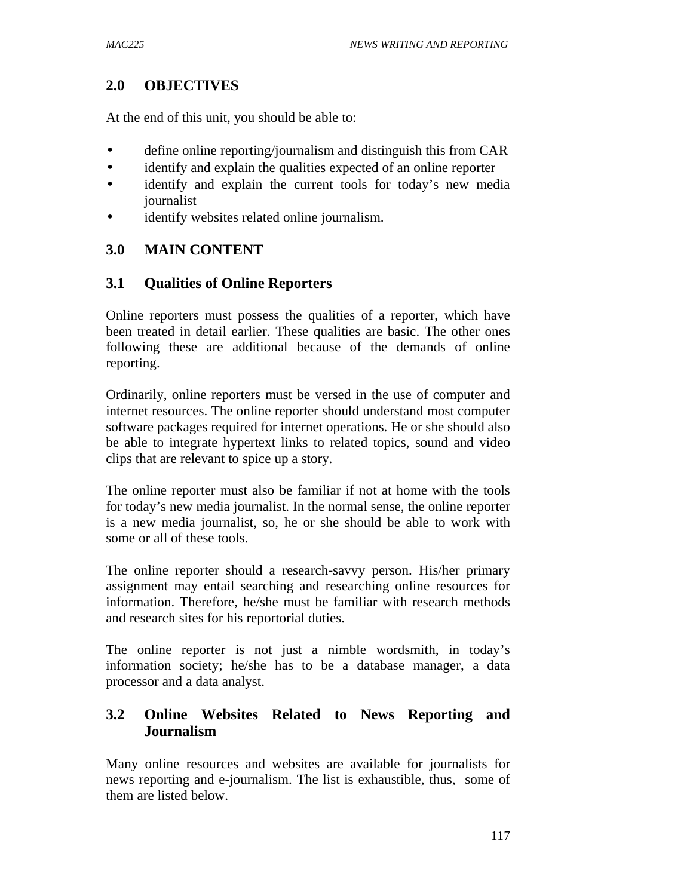# **2.0 OBJECTIVES**

At the end of this unit, you should be able to:

- define online reporting/journalism and distinguish this from CAR
- identify and explain the qualities expected of an online reporter
- identify and explain the current tools for today's new media journalist
- identify websites related online journalism.

# **3.0 MAIN CONTENT**

# **3.1 Qualities of Online Reporters**

Online reporters must possess the qualities of a reporter, which have been treated in detail earlier. These qualities are basic. The other ones following these are additional because of the demands of online reporting.

Ordinarily, online reporters must be versed in the use of computer and internet resources. The online reporter should understand most computer software packages required for internet operations. He or she should also be able to integrate hypertext links to related topics, sound and video clips that are relevant to spice up a story.

The online reporter must also be familiar if not at home with the tools for today's new media journalist. In the normal sense, the online reporter is a new media journalist, so, he or she should be able to work with some or all of these tools.

The online reporter should a research-savvy person. His/her primary assignment may entail searching and researching online resources for information. Therefore, he/she must be familiar with research methods and research sites for his reportorial duties.

The online reporter is not just a nimble wordsmith, in today's information society; he/she has to be a database manager, a data processor and a data analyst.

# **3.2 Online Websites Related to News Reporting and Journalism**

Many online resources and websites are available for journalists for news reporting and e-journalism. The list is exhaustible, thus, some of them are listed below.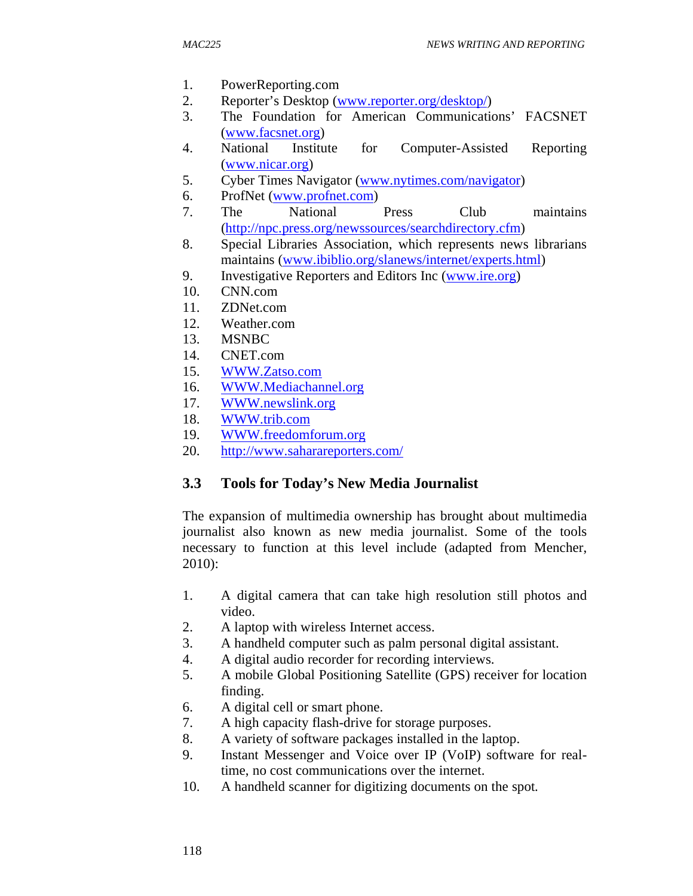- 1. PowerReporting.com
- 2. Reporter's Desktop (www.reporter.org/desktop/)
- 3. The Foundation for American Communications' FACSNET (www.facsnet.org)
- 4. National Institute for Computer-Assisted Reporting (www.nicar.org)
- 5. Cyber Times Navigator (www.nytimes.com/navigator)
- 6. ProfNet (www.profnet.com)
- 7. The National Press Club maintains (http://npc.press.org/newssources/searchdirectory.cfm)
- 8. Special Libraries Association, which represents news librarians maintains (www.ibiblio.org/slanews/internet/experts.html)
- 9. Investigative Reporters and Editors Inc (www.ire.org)
- 10. CNN.com
- 11. ZDNet.com
- 12. Weather.com
- 13. MSNBC
- 14. CNET.com
- 15. WWW.Zatso.com
- 16. WWW.Mediachannel.org
- 17. WWW.newslink.org
- 18. WWW.trib.com
- 19. WWW.freedomforum.org
- 20. http://www.saharareporters.com/

# **3.3 Tools for Today's New Media Journalist**

The expansion of multimedia ownership has brought about multimedia journalist also known as new media journalist. Some of the tools necessary to function at this level include (adapted from Mencher, 2010):

- 1. A digital camera that can take high resolution still photos and video.
- 2. A laptop with wireless Internet access.
- 3. A handheld computer such as palm personal digital assistant.
- 4. A digital audio recorder for recording interviews.
- 5. A mobile Global Positioning Satellite (GPS) receiver for location finding.
- 6. A digital cell or smart phone.
- 7. A high capacity flash-drive for storage purposes.
- 8. A variety of software packages installed in the laptop.
- 9. Instant Messenger and Voice over IP (VoIP) software for realtime, no cost communications over the internet.
- 10. A handheld scanner for digitizing documents on the spot.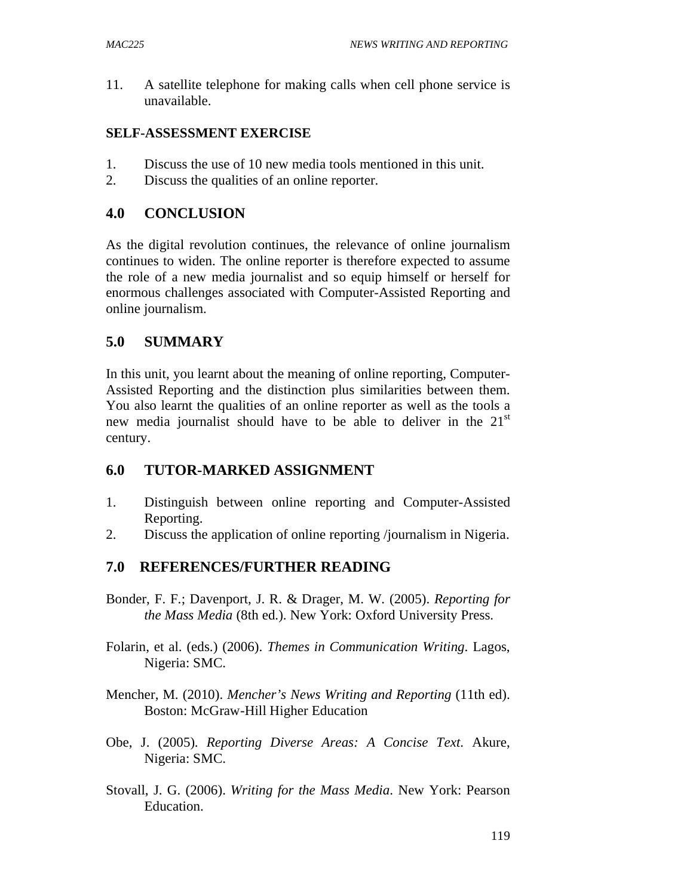11. A satellite telephone for making calls when cell phone service is unavailable.

### **SELF-ASSESSMENT EXERCISE**

- 1. Discuss the use of 10 new media tools mentioned in this unit.
- 2. Discuss the qualities of an online reporter.

# **4.0 CONCLUSION**

As the digital revolution continues, the relevance of online journalism continues to widen. The online reporter is therefore expected to assume the role of a new media journalist and so equip himself or herself for enormous challenges associated with Computer-Assisted Reporting and online journalism.

# **5.0 SUMMARY**

In this unit, you learnt about the meaning of online reporting, Computer-Assisted Reporting and the distinction plus similarities between them. You also learnt the qualities of an online reporter as well as the tools a new media journalist should have to be able to deliver in the  $21<sup>st</sup>$ century.

# **6.0 TUTOR-MARKED ASSIGNMENT**

- 1. Distinguish between online reporting and Computer-Assisted Reporting.
- 2. Discuss the application of online reporting /journalism in Nigeria.

# **7.0 REFERENCES/FURTHER READING**

- Bonder, F. F.; Davenport, J. R. & Drager, M. W. (2005). *Reporting for the Mass Media* (8th ed.). New York: Oxford University Press.
- Folarin, et al. (eds.) (2006). *Themes in Communication Writing*. Lagos, Nigeria: SMC.
- Mencher, M. (2010). *Mencher's News Writing and Reporting* (11th ed). Boston: McGraw-Hill Higher Education
- Obe, J. (2005). *Reporting Diverse Areas: A Concise Text*. Akure, Nigeria: SMC.
- Stovall, J. G. (2006). *Writing for the Mass Media*. New York: Pearson Education.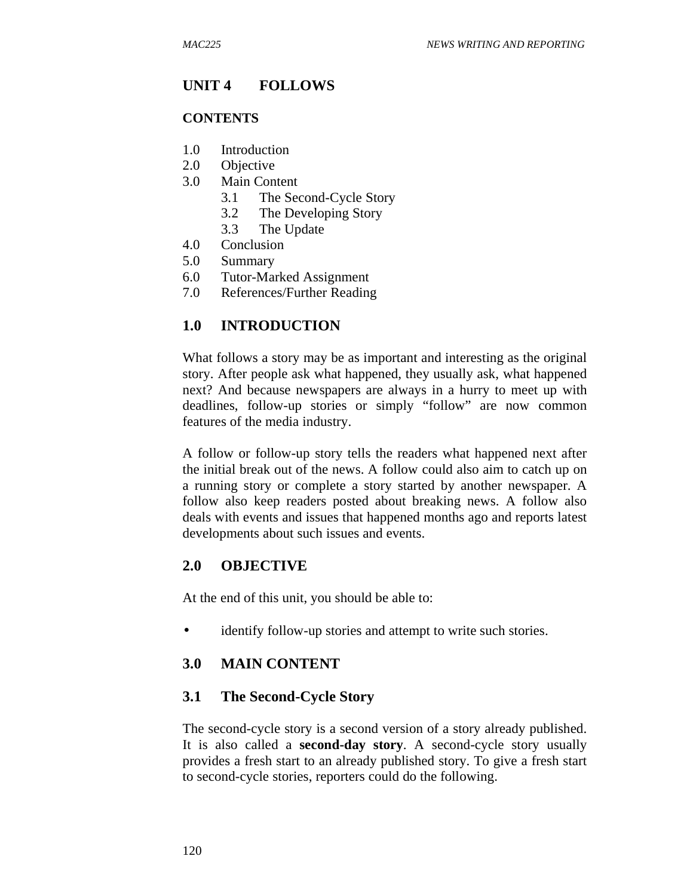## **UNIT 4 FOLLOWS**

### **CONTENTS**

- 1.0 Introduction
- 2.0 Objective
- 3.0 Main Content
	- 3.1 The Second-Cycle Story
	- 3.2 The Developing Story
	- 3.3 The Update
- 4.0 Conclusion
- 5.0 Summary
- 6.0 Tutor-Marked Assignment
- 7.0 References/Further Reading

### **1.0 INTRODUCTION**

What follows a story may be as important and interesting as the original story. After people ask what happened, they usually ask, what happened next? And because newspapers are always in a hurry to meet up with deadlines, follow-up stories or simply "follow" are now common features of the media industry.

A follow or follow-up story tells the readers what happened next after the initial break out of the news. A follow could also aim to catch up on a running story or complete a story started by another newspaper. A follow also keep readers posted about breaking news. A follow also deals with events and issues that happened months ago and reports latest developments about such issues and events.

### **2.0 OBJECTIVE**

At the end of this unit, you should be able to:

• identify follow-up stories and attempt to write such stories.

### **3.0 MAIN CONTENT**

### **3.1 The Second-Cycle Story**

The second-cycle story is a second version of a story already published. It is also called a **second-day story**. A second-cycle story usually provides a fresh start to an already published story. To give a fresh start to second-cycle stories, reporters could do the following.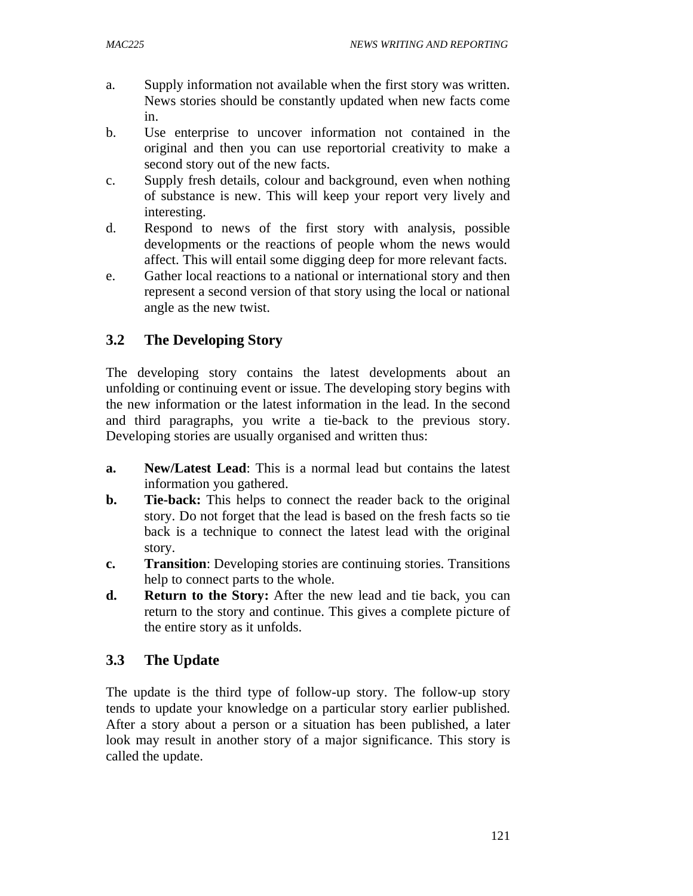- a. Supply information not available when the first story was written. News stories should be constantly updated when new facts come in.
- b. Use enterprise to uncover information not contained in the original and then you can use reportorial creativity to make a second story out of the new facts.
- c. Supply fresh details, colour and background, even when nothing of substance is new. This will keep your report very lively and interesting.
- d. Respond to news of the first story with analysis, possible developments or the reactions of people whom the news would affect. This will entail some digging deep for more relevant facts.
- e. Gather local reactions to a national or international story and then represent a second version of that story using the local or national angle as the new twist.

# **3.2 The Developing Story**

The developing story contains the latest developments about an unfolding or continuing event or issue. The developing story begins with the new information or the latest information in the lead. In the second and third paragraphs, you write a tie-back to the previous story. Developing stories are usually organised and written thus:

- **a. New/Latest Lead**: This is a normal lead but contains the latest information you gathered.
- **b. Tie-back:** This helps to connect the reader back to the original story. Do not forget that the lead is based on the fresh facts so tie back is a technique to connect the latest lead with the original story.
- **c. Transition**: Developing stories are continuing stories. Transitions help to connect parts to the whole.
- **d. Return to the Story:** After the new lead and tie back, you can return to the story and continue. This gives a complete picture of the entire story as it unfolds.

# **3.3 The Update**

The update is the third type of follow-up story. The follow-up story tends to update your knowledge on a particular story earlier published. After a story about a person or a situation has been published, a later look may result in another story of a major significance. This story is called the update.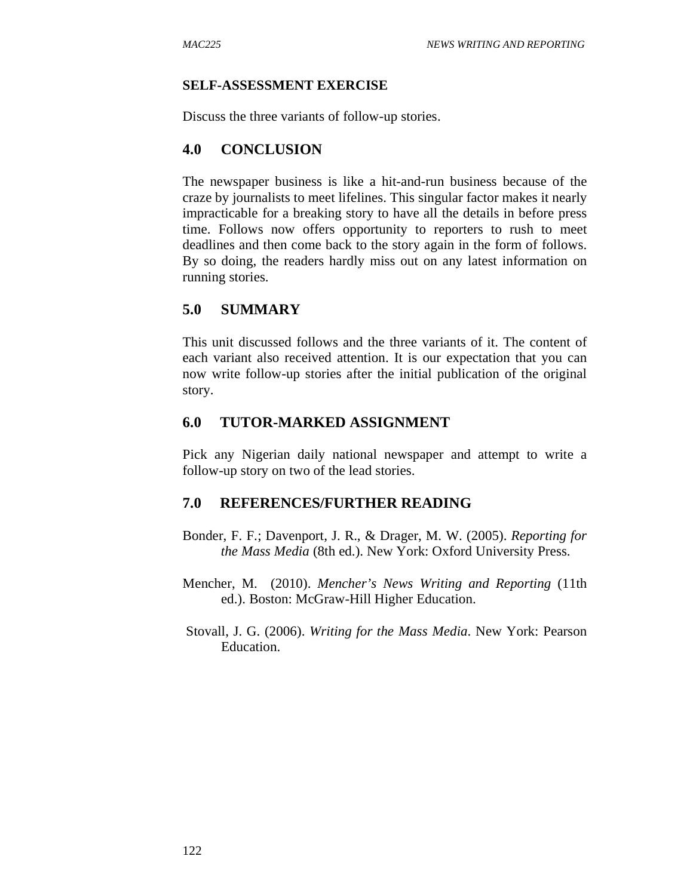### **SELF-ASSESSMENT EXERCISE**

Discuss the three variants of follow-up stories.

### **4.0 CONCLUSION**

The newspaper business is like a hit-and-run business because of the craze by journalists to meet lifelines. This singular factor makes it nearly impracticable for a breaking story to have all the details in before press time. Follows now offers opportunity to reporters to rush to meet deadlines and then come back to the story again in the form of follows. By so doing, the readers hardly miss out on any latest information on running stories.

## **5.0 SUMMARY**

This unit discussed follows and the three variants of it. The content of each variant also received attention. It is our expectation that you can now write follow-up stories after the initial publication of the original story.

### **6.0 TUTOR-MARKED ASSIGNMENT**

Pick any Nigerian daily national newspaper and attempt to write a follow-up story on two of the lead stories.

### **7.0 REFERENCES/FURTHER READING**

- Bonder, F. F.; Davenport, J. R., & Drager, M. W. (2005). *Reporting for the Mass Media* (8th ed.). New York: Oxford University Press.
- Mencher, M. (2010). *Mencher's News Writing and Reporting* (11th ed.). Boston: McGraw-Hill Higher Education.
- Stovall, J. G. (2006). *Writing for the Mass Media*. New York: Pearson Education.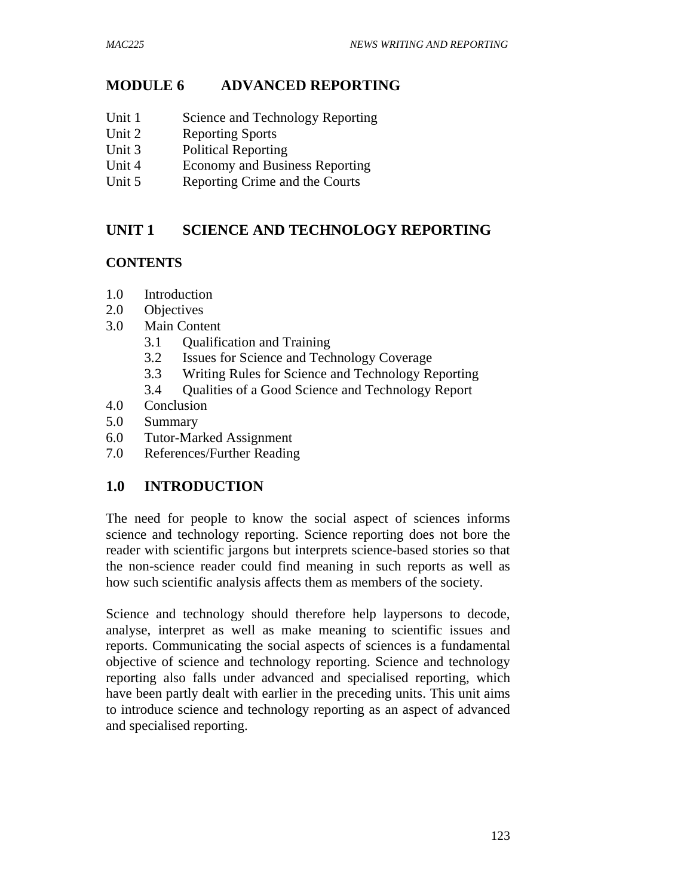# **MODULE 6 ADVANCED REPORTING**

- Unit 1 Science and Technology Reporting
- Unit 2 Reporting Sports
- Unit 3 Political Reporting
- Unit 4 Economy and Business Reporting
- Unit 5 Reporting Crime and the Courts

# **UNIT 1 SCIENCE AND TECHNOLOGY REPORTING**

### **CONTENTS**

- 1.0 Introduction
- 2.0 Objectives
- 3.0 Main Content
	- 3.1 Qualification and Training
	- 3.2 Issues for Science and Technology Coverage
	- 3.3 Writing Rules for Science and Technology Reporting
	- 3.4 Qualities of a Good Science and Technology Report
- 4.0 Conclusion
- 5.0 Summary
- 6.0 Tutor-Marked Assignment
- 7.0 References/Further Reading

# **1.0 INTRODUCTION**

The need for people to know the social aspect of sciences informs science and technology reporting. Science reporting does not bore the reader with scientific jargons but interprets science-based stories so that the non-science reader could find meaning in such reports as well as how such scientific analysis affects them as members of the society.

Science and technology should therefore help laypersons to decode, analyse, interpret as well as make meaning to scientific issues and reports. Communicating the social aspects of sciences is a fundamental objective of science and technology reporting. Science and technology reporting also falls under advanced and specialised reporting, which have been partly dealt with earlier in the preceding units. This unit aims to introduce science and technology reporting as an aspect of advanced and specialised reporting.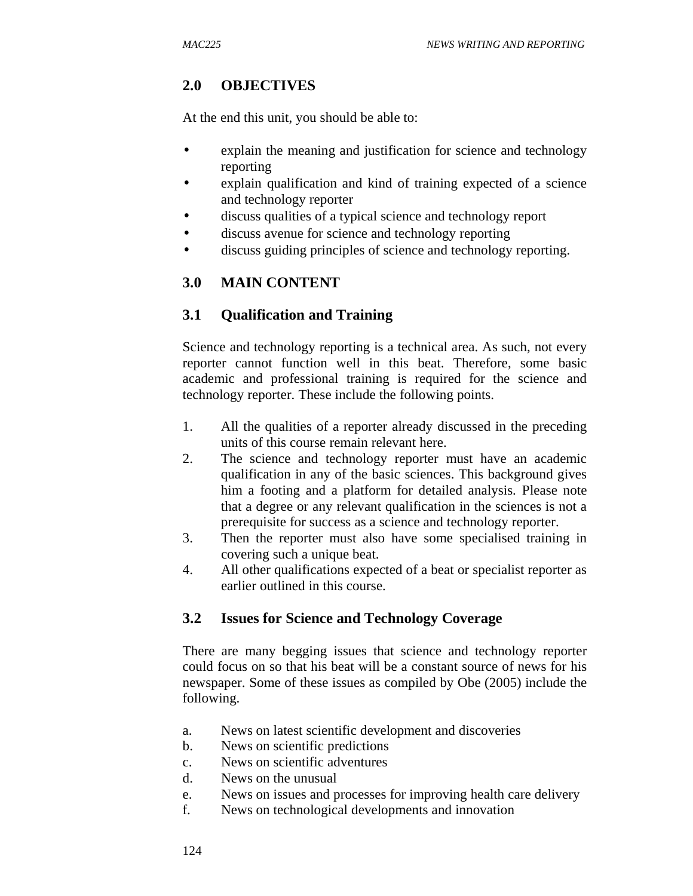# **2.0 OBJECTIVES**

At the end this unit, you should be able to:

- explain the meaning and justification for science and technology reporting
- explain qualification and kind of training expected of a science and technology reporter
- discuss qualities of a typical science and technology report
- discuss avenue for science and technology reporting
- discuss guiding principles of science and technology reporting.

# **3.0 MAIN CONTENT**

# **3.1 Qualification and Training**

Science and technology reporting is a technical area. As such, not every reporter cannot function well in this beat. Therefore, some basic academic and professional training is required for the science and technology reporter. These include the following points.

- 1. All the qualities of a reporter already discussed in the preceding units of this course remain relevant here.
- 2. The science and technology reporter must have an academic qualification in any of the basic sciences. This background gives him a footing and a platform for detailed analysis. Please note that a degree or any relevant qualification in the sciences is not a prerequisite for success as a science and technology reporter.
- 3. Then the reporter must also have some specialised training in covering such a unique beat.
- 4. All other qualifications expected of a beat or specialist reporter as earlier outlined in this course.

# **3.2 Issues for Science and Technology Coverage**

There are many begging issues that science and technology reporter could focus on so that his beat will be a constant source of news for his newspaper. Some of these issues as compiled by Obe (2005) include the following.

- a. News on latest scientific development and discoveries
- b. News on scientific predictions
- c. News on scientific adventures
- d. News on the unusual
- e. News on issues and processes for improving health care delivery
- f. News on technological developments and innovation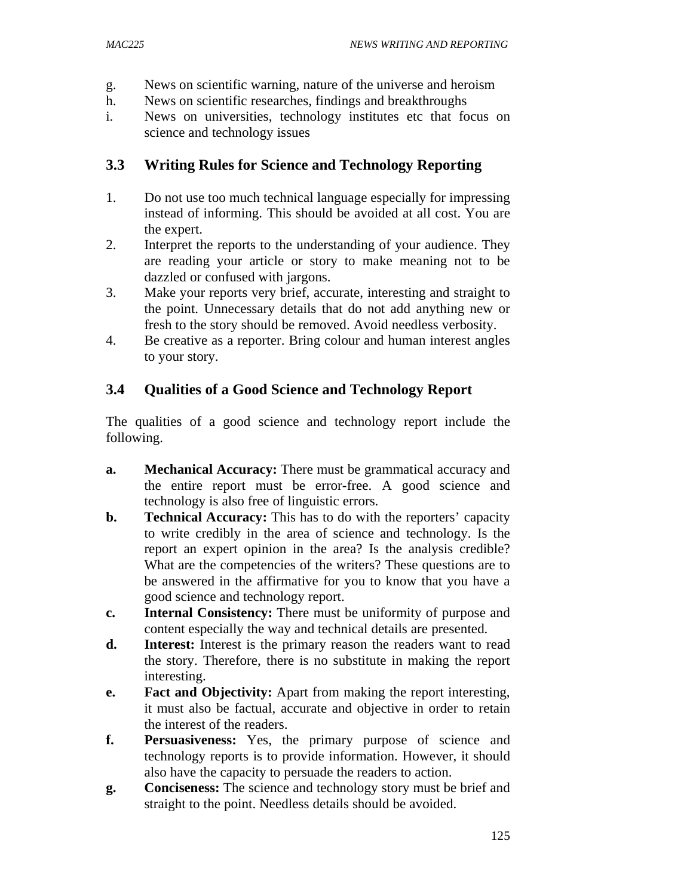- g. News on scientific warning, nature of the universe and heroism
- h. News on scientific researches, findings and breakthroughs
- i. News on universities, technology institutes etc that focus on science and technology issues

## **3.3 Writing Rules for Science and Technology Reporting**

- 1. Do not use too much technical language especially for impressing instead of informing. This should be avoided at all cost. You are the expert.
- 2. Interpret the reports to the understanding of your audience. They are reading your article or story to make meaning not to be dazzled or confused with jargons.
- 3. Make your reports very brief, accurate, interesting and straight to the point. Unnecessary details that do not add anything new or fresh to the story should be removed. Avoid needless verbosity.
- 4. Be creative as a reporter. Bring colour and human interest angles to your story.

## **3.4 Qualities of a Good Science and Technology Report**

The qualities of a good science and technology report include the following.

- **a. Mechanical Accuracy:** There must be grammatical accuracy and the entire report must be error-free. A good science and technology is also free of linguistic errors.
- **b. Technical Accuracy:** This has to do with the reporters' capacity to write credibly in the area of science and technology. Is the report an expert opinion in the area? Is the analysis credible? What are the competencies of the writers? These questions are to be answered in the affirmative for you to know that you have a good science and technology report.
- **c. Internal Consistency:** There must be uniformity of purpose and content especially the way and technical details are presented.
- **d. Interest:** Interest is the primary reason the readers want to read the story. Therefore, there is no substitute in making the report interesting.
- **e. Fact and Objectivity:** Apart from making the report interesting, it must also be factual, accurate and objective in order to retain the interest of the readers.
- **f. Persuasiveness:** Yes, the primary purpose of science and technology reports is to provide information. However, it should also have the capacity to persuade the readers to action.
- **g. Conciseness:** The science and technology story must be brief and straight to the point. Needless details should be avoided.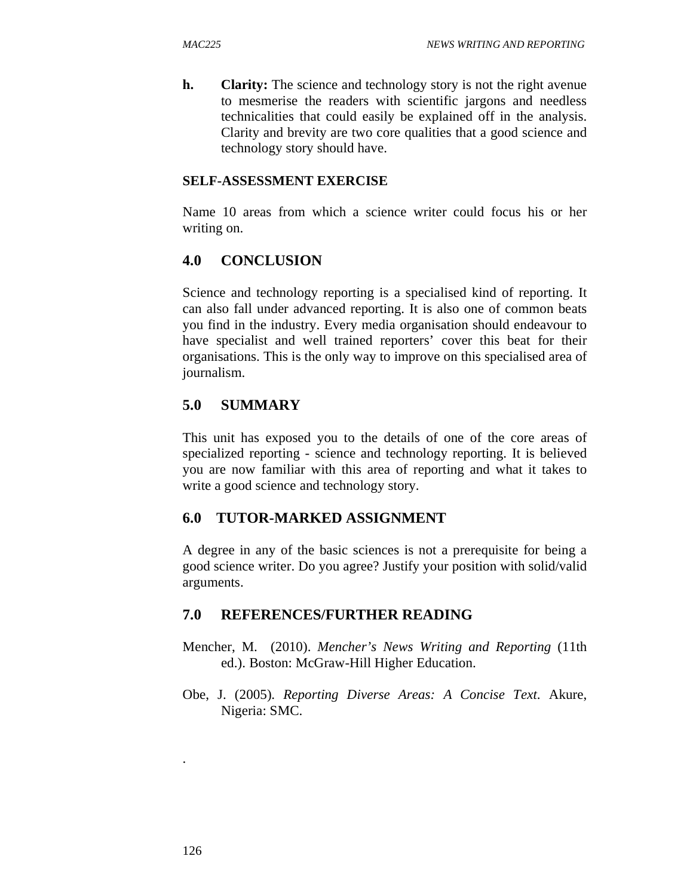**h. Clarity:** The science and technology story is not the right avenue to mesmerise the readers with scientific jargons and needless technicalities that could easily be explained off in the analysis. Clarity and brevity are two core qualities that a good science and technology story should have.

### **SELF-ASSESSMENT EXERCISE**

Name 10 areas from which a science writer could focus his or her writing on.

# **4.0 CONCLUSION**

Science and technology reporting is a specialised kind of reporting. It can also fall under advanced reporting. It is also one of common beats you find in the industry. Every media organisation should endeavour to have specialist and well trained reporters' cover this beat for their organisations. This is the only way to improve on this specialised area of journalism.

# **5.0 SUMMARY**

This unit has exposed you to the details of one of the core areas of specialized reporting - science and technology reporting. It is believed you are now familiar with this area of reporting and what it takes to write a good science and technology story.

# **6.0 TUTOR-MARKED ASSIGNMENT**

A degree in any of the basic sciences is not a prerequisite for being a good science writer. Do you agree? Justify your position with solid/valid arguments.

### **7.0 REFERENCES/FURTHER READING**

- Mencher, M. (2010). *Mencher's News Writing and Reporting* (11th ed.). Boston: McGraw-Hill Higher Education.
- Obe, J. (2005). *Reporting Diverse Areas: A Concise Text*. Akure, Nigeria: SMC.

.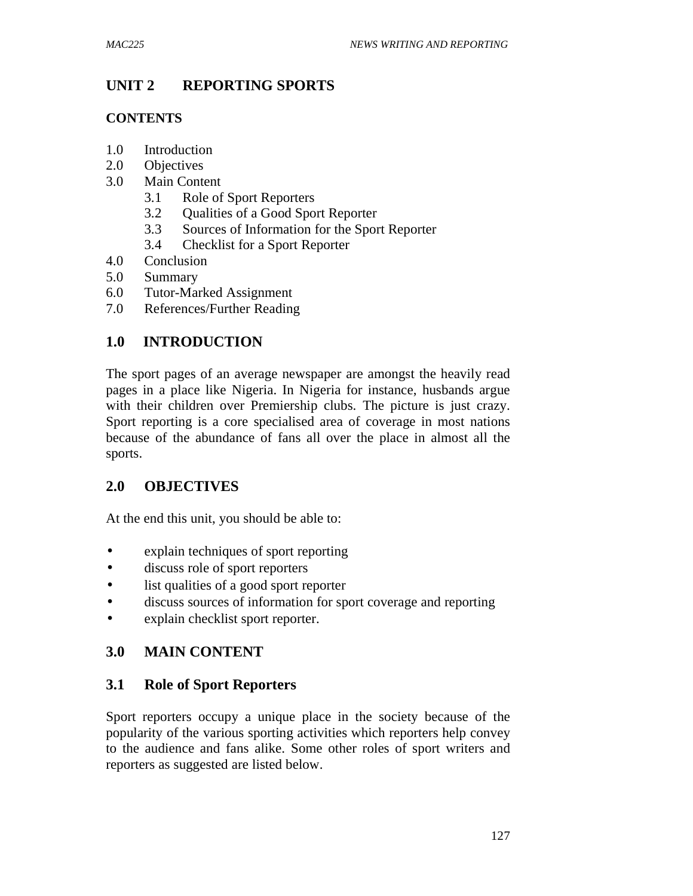# **UNIT 2 REPORTING SPORTS**

#### **CONTENTS**

- 1.0 Introduction
- 2.0 Objectives
- 3.0 Main Content
	- 3.1 Role of Sport Reporters
	- 3.2 Qualities of a Good Sport Reporter
	- 3.3 Sources of Information for the Sport Reporter
	- 3.4 Checklist for a Sport Reporter
- 4.0 Conclusion
- 5.0 Summary
- 6.0 Tutor-Marked Assignment
- 7.0 References/Further Reading

# **1.0 INTRODUCTION**

The sport pages of an average newspaper are amongst the heavily read pages in a place like Nigeria. In Nigeria for instance, husbands argue with their children over Premiership clubs. The picture is just crazy. Sport reporting is a core specialised area of coverage in most nations because of the abundance of fans all over the place in almost all the sports.

# **2.0 OBJECTIVES**

At the end this unit, you should be able to:

- explain techniques of sport reporting
- discuss role of sport reporters
- list qualities of a good sport reporter
- discuss sources of information for sport coverage and reporting
- explain checklist sport reporter.

# **3.0 MAIN CONTENT**

# **3.1 Role of Sport Reporters**

Sport reporters occupy a unique place in the society because of the popularity of the various sporting activities which reporters help convey to the audience and fans alike. Some other roles of sport writers and reporters as suggested are listed below.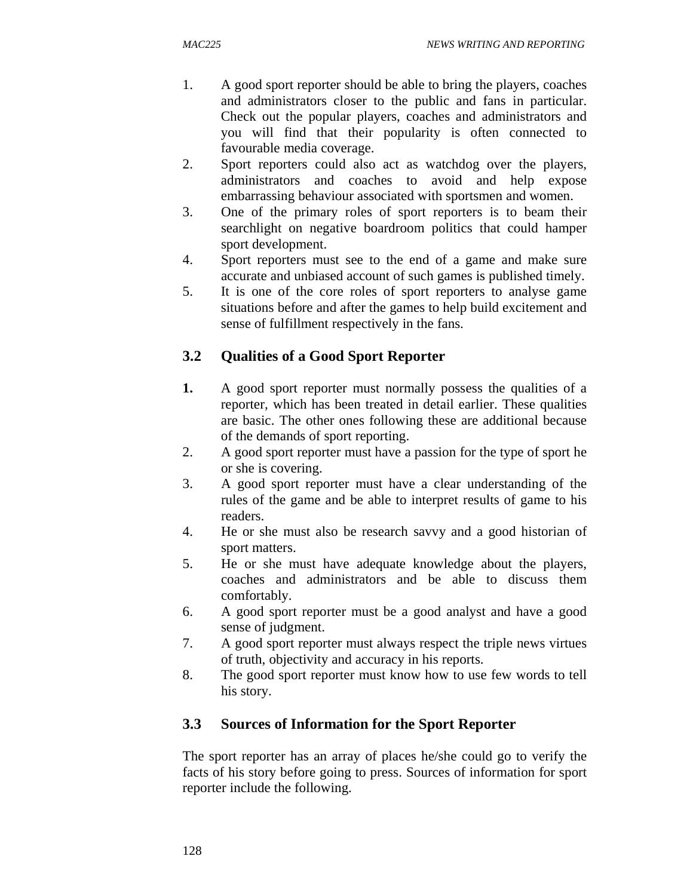- 1. A good sport reporter should be able to bring the players, coaches and administrators closer to the public and fans in particular. Check out the popular players, coaches and administrators and you will find that their popularity is often connected to favourable media coverage.
- 2. Sport reporters could also act as watchdog over the players, administrators and coaches to avoid and help expose embarrassing behaviour associated with sportsmen and women.
- 3. One of the primary roles of sport reporters is to beam their searchlight on negative boardroom politics that could hamper sport development.
- 4. Sport reporters must see to the end of a game and make sure accurate and unbiased account of such games is published timely.
- 5. It is one of the core roles of sport reporters to analyse game situations before and after the games to help build excitement and sense of fulfillment respectively in the fans.

# **3.2 Qualities of a Good Sport Reporter**

- **1.** A good sport reporter must normally possess the qualities of a reporter, which has been treated in detail earlier. These qualities are basic. The other ones following these are additional because of the demands of sport reporting.
- 2. A good sport reporter must have a passion for the type of sport he or she is covering.
- 3. A good sport reporter must have a clear understanding of the rules of the game and be able to interpret results of game to his readers.
- 4. He or she must also be research savvy and a good historian of sport matters.
- 5. He or she must have adequate knowledge about the players, coaches and administrators and be able to discuss them comfortably.
- 6. A good sport reporter must be a good analyst and have a good sense of judgment.
- 7. A good sport reporter must always respect the triple news virtues of truth, objectivity and accuracy in his reports.
- 8. The good sport reporter must know how to use few words to tell his story.

# **3.3 Sources of Information for the Sport Reporter**

The sport reporter has an array of places he/she could go to verify the facts of his story before going to press. Sources of information for sport reporter include the following.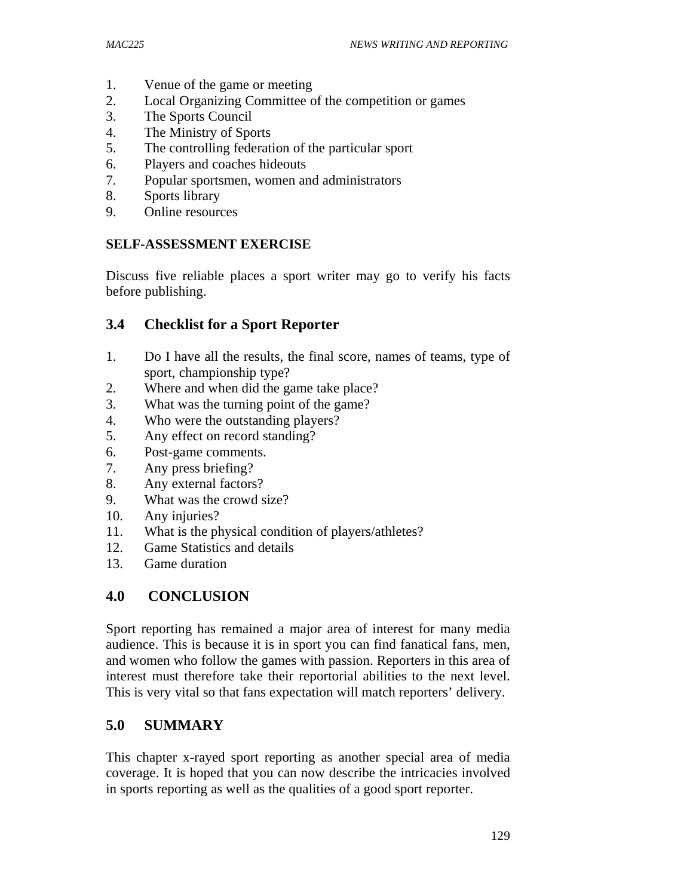- 1. Venue of the game or meeting
- 2. Local Organizing Committee of the competition or games
- 3. The Sports Council
- 4. The Ministry of Sports
- 5. The controlling federation of the particular sport
- 6. Players and coaches hideouts
- 7. Popular sportsmen, women and administrators
- 8. Sports library
- 9. Online resources

### **SELF-ASSESSMENT EXERCISE**

Discuss five reliable places a sport writer may go to verify his facts before publishing.

# **3.4 Checklist for a Sport Reporter**

- 1. Do I have all the results, the final score, names of teams, type of sport, championship type?
- 2. Where and when did the game take place?
- 3. What was the turning point of the game?
- 4. Who were the outstanding players?
- 5. Any effect on record standing?
- 6. Post-game comments.
- 7. Any press briefing?
- 8. Any external factors?
- 9. What was the crowd size?
- 10. Any injuries?
- 11. What is the physical condition of players/athletes?
- 12. Game Statistics and details
- 13. Game duration

# **4.0 CONCLUSION**

Sport reporting has remained a major area of interest for many media audience. This is because it is in sport you can find fanatical fans, men, and women who follow the games with passion. Reporters in this area of interest must therefore take their reportorial abilities to the next level. This is very vital so that fans expectation will match reporters' delivery.

# **5.0 SUMMARY**

This chapter x-rayed sport reporting as another special area of media coverage. It is hoped that you can now describe the intricacies involved in sports reporting as well as the qualities of a good sport reporter.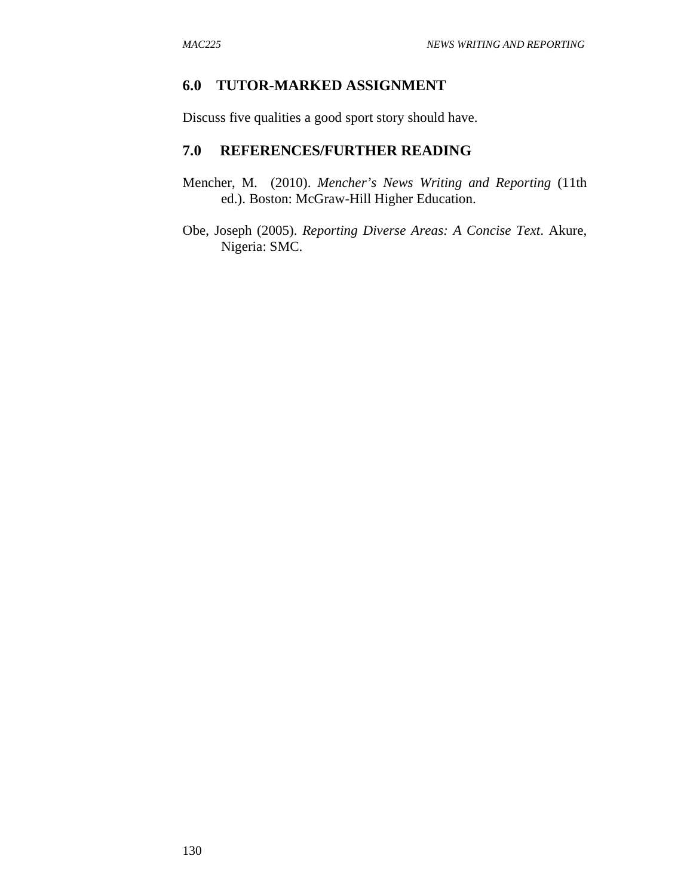### **6.0 TUTOR-MARKED ASSIGNMENT**

Discuss five qualities a good sport story should have.

#### **7.0 REFERENCES/FURTHER READING**

- Mencher, M. (2010). *Mencher's News Writing and Reporting* (11th ed.). Boston: McGraw-Hill Higher Education.
- Obe, Joseph (2005). *Reporting Diverse Areas: A Concise Text*. Akure, Nigeria: SMC.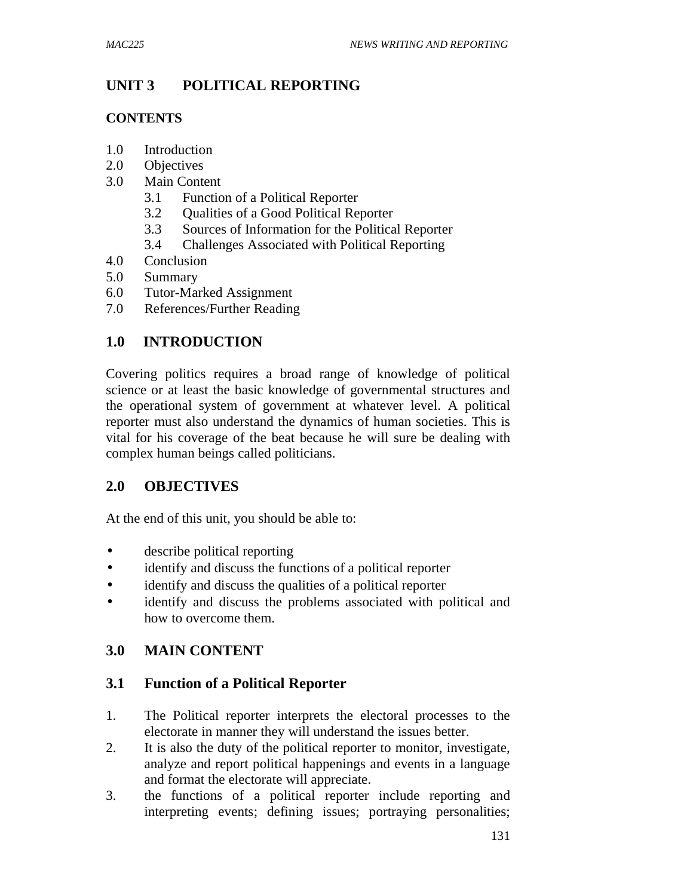# **UNIT 3 POLITICAL REPORTING**

### **CONTENTS**

- 1.0 Introduction
- 2.0 Objectives
- 3.0 Main Content
	- 3.1 Function of a Political Reporter
	- 3.2 Qualities of a Good Political Reporter
	- 3.3 Sources of Information for the Political Reporter
	- 3.4 Challenges Associated with Political Reporting
- 4.0 Conclusion
- 5.0 Summary
- 6.0 Tutor-Marked Assignment
- 7.0 References/Further Reading

# **1.0 INTRODUCTION**

Covering politics requires a broad range of knowledge of political science or at least the basic knowledge of governmental structures and the operational system of government at whatever level. A political reporter must also understand the dynamics of human societies. This is vital for his coverage of the beat because he will sure be dealing with complex human beings called politicians.

# **2.0 OBJECTIVES**

At the end of this unit, you should be able to:

- describe political reporting
- identify and discuss the functions of a political reporter
- identify and discuss the qualities of a political reporter
- identify and discuss the problems associated with political and how to overcome them.

# **3.0 MAIN CONTENT**

# **3.1 Function of a Political Reporter**

- 1. The Political reporter interprets the electoral processes to the electorate in manner they will understand the issues better.
- 2. It is also the duty of the political reporter to monitor, investigate, analyze and report political happenings and events in a language and format the electorate will appreciate.
- 3. the functions of a political reporter include reporting and interpreting events; defining issues; portraying personalities;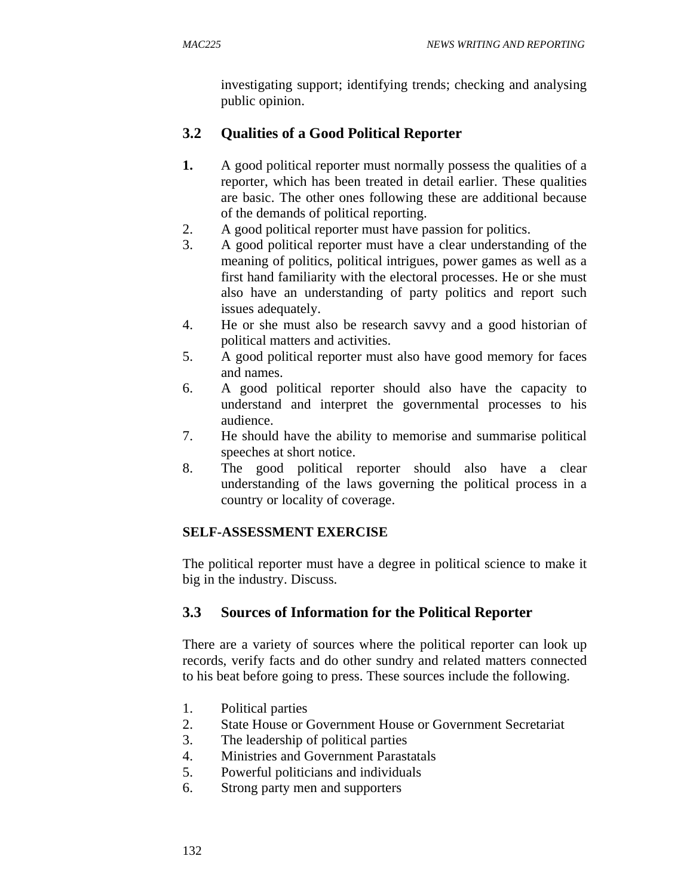investigating support; identifying trends; checking and analysing public opinion.

# **3.2 Qualities of a Good Political Reporter**

- **1.** A good political reporter must normally possess the qualities of a reporter, which has been treated in detail earlier. These qualities are basic. The other ones following these are additional because of the demands of political reporting.
- 2. A good political reporter must have passion for politics.
- 3. A good political reporter must have a clear understanding of the meaning of politics, political intrigues, power games as well as a first hand familiarity with the electoral processes. He or she must also have an understanding of party politics and report such issues adequately.
- 4. He or she must also be research savvy and a good historian of political matters and activities.
- 5. A good political reporter must also have good memory for faces and names.
- 6. A good political reporter should also have the capacity to understand and interpret the governmental processes to his audience.
- 7. He should have the ability to memorise and summarise political speeches at short notice.
- 8. The good political reporter should also have a clear understanding of the laws governing the political process in a country or locality of coverage.

# **SELF-ASSESSMENT EXERCISE**

The political reporter must have a degree in political science to make it big in the industry. Discuss.

# **3.3 Sources of Information for the Political Reporter**

There are a variety of sources where the political reporter can look up records, verify facts and do other sundry and related matters connected to his beat before going to press. These sources include the following.

- 1. Political parties
- 2. State House or Government House or Government Secretariat
- 3. The leadership of political parties
- 4. Ministries and Government Parastatals
- 5. Powerful politicians and individuals
- 6. Strong party men and supporters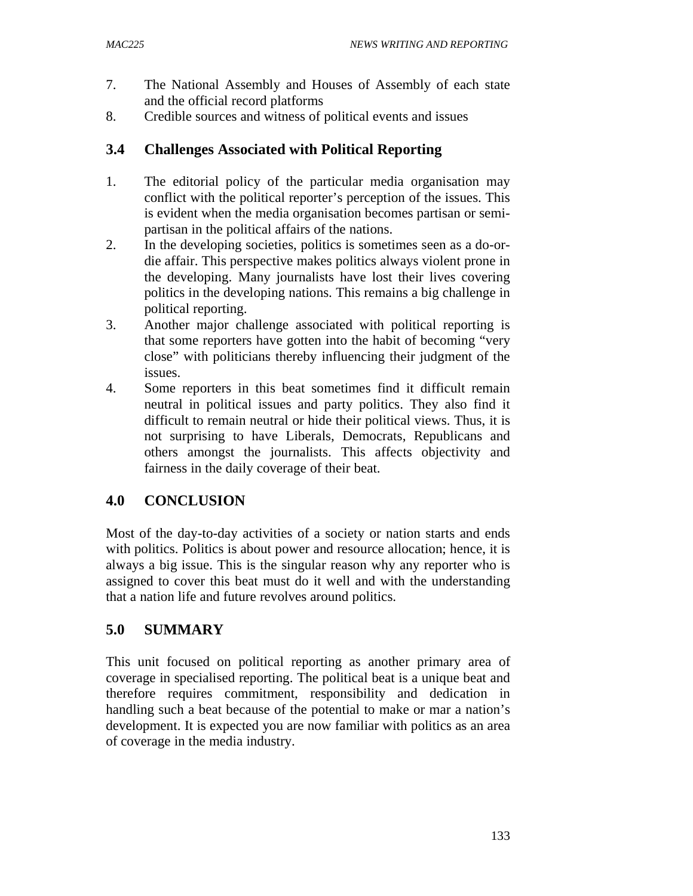- 7. The National Assembly and Houses of Assembly of each state and the official record platforms
- 8. Credible sources and witness of political events and issues

# **3.4 Challenges Associated with Political Reporting**

- 1. The editorial policy of the particular media organisation may conflict with the political reporter's perception of the issues. This is evident when the media organisation becomes partisan or semipartisan in the political affairs of the nations.
- 2. In the developing societies, politics is sometimes seen as a do-ordie affair. This perspective makes politics always violent prone in the developing. Many journalists have lost their lives covering politics in the developing nations. This remains a big challenge in political reporting.
- 3. Another major challenge associated with political reporting is that some reporters have gotten into the habit of becoming "very close" with politicians thereby influencing their judgment of the issues.
- 4. Some reporters in this beat sometimes find it difficult remain neutral in political issues and party politics. They also find it difficult to remain neutral or hide their political views. Thus, it is not surprising to have Liberals, Democrats, Republicans and others amongst the journalists. This affects objectivity and fairness in the daily coverage of their beat.

# **4.0 CONCLUSION**

Most of the day-to-day activities of a society or nation starts and ends with politics. Politics is about power and resource allocation; hence, it is always a big issue. This is the singular reason why any reporter who is assigned to cover this beat must do it well and with the understanding that a nation life and future revolves around politics.

# **5.0 SUMMARY**

This unit focused on political reporting as another primary area of coverage in specialised reporting. The political beat is a unique beat and therefore requires commitment, responsibility and dedication in handling such a beat because of the potential to make or mar a nation's development. It is expected you are now familiar with politics as an area of coverage in the media industry.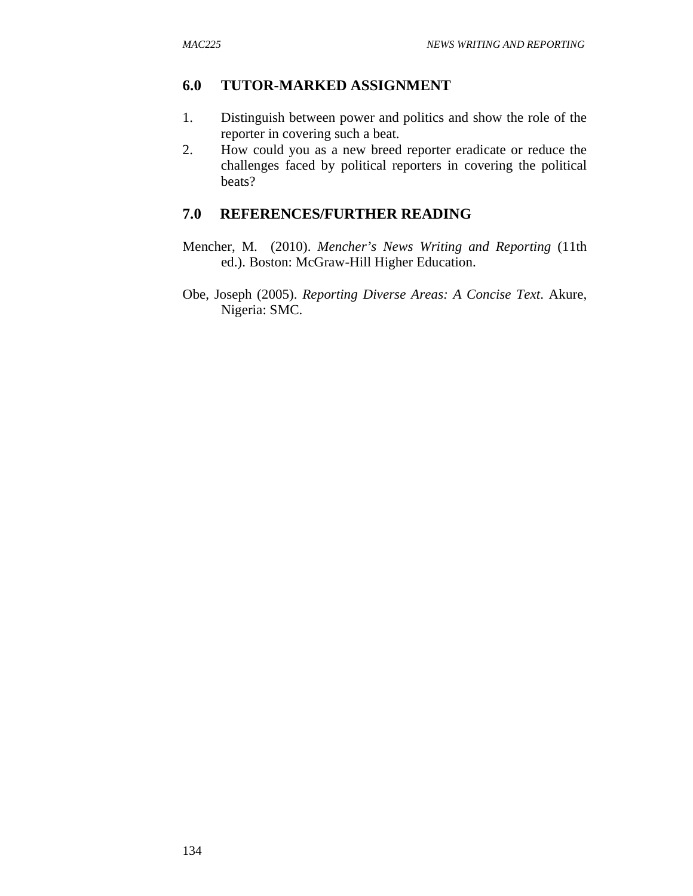### **6.0 TUTOR-MARKED ASSIGNMENT**

- 1. Distinguish between power and politics and show the role of the reporter in covering such a beat.
- 2. How could you as a new breed reporter eradicate or reduce the challenges faced by political reporters in covering the political beats?

### **7.0 REFERENCES/FURTHER READING**

- Mencher, M. (2010). *Mencher's News Writing and Reporting* (11th ed.). Boston: McGraw-Hill Higher Education.
- Obe, Joseph (2005). *Reporting Diverse Areas: A Concise Text*. Akure, Nigeria: SMC.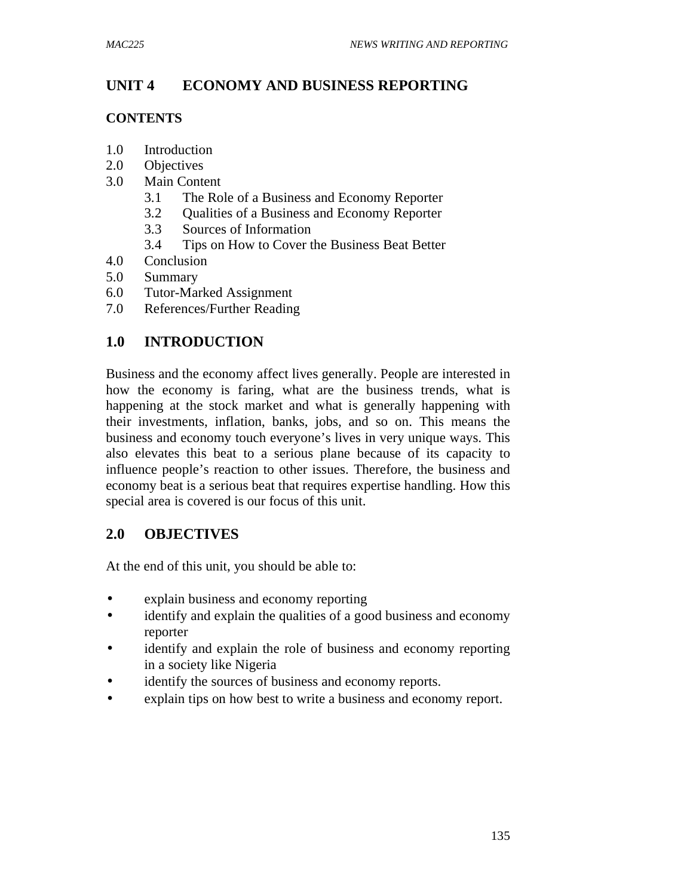# **UNIT 4 ECONOMY AND BUSINESS REPORTING**

#### **CONTENTS**

- 1.0 Introduction
- 2.0 Objectives
- 3.0 Main Content
	- 3.1 The Role of a Business and Economy Reporter
	- 3.2 Qualities of a Business and Economy Reporter
	- 3.3 Sources of Information
	- 3.4 Tips on How to Cover the Business Beat Better
- 4.0 Conclusion
- 5.0 Summary
- 6.0 Tutor-Marked Assignment
- 7.0 References/Further Reading

# **1.0 INTRODUCTION**

Business and the economy affect lives generally. People are interested in how the economy is faring, what are the business trends, what is happening at the stock market and what is generally happening with their investments, inflation, banks, jobs, and so on. This means the business and economy touch everyone's lives in very unique ways. This also elevates this beat to a serious plane because of its capacity to influence people's reaction to other issues. Therefore, the business and economy beat is a serious beat that requires expertise handling. How this special area is covered is our focus of this unit.

# **2.0 OBJECTIVES**

At the end of this unit, you should be able to:

- explain business and economy reporting
- identify and explain the qualities of a good business and economy reporter
- identify and explain the role of business and economy reporting in a society like Nigeria
- identify the sources of business and economy reports.
- explain tips on how best to write a business and economy report.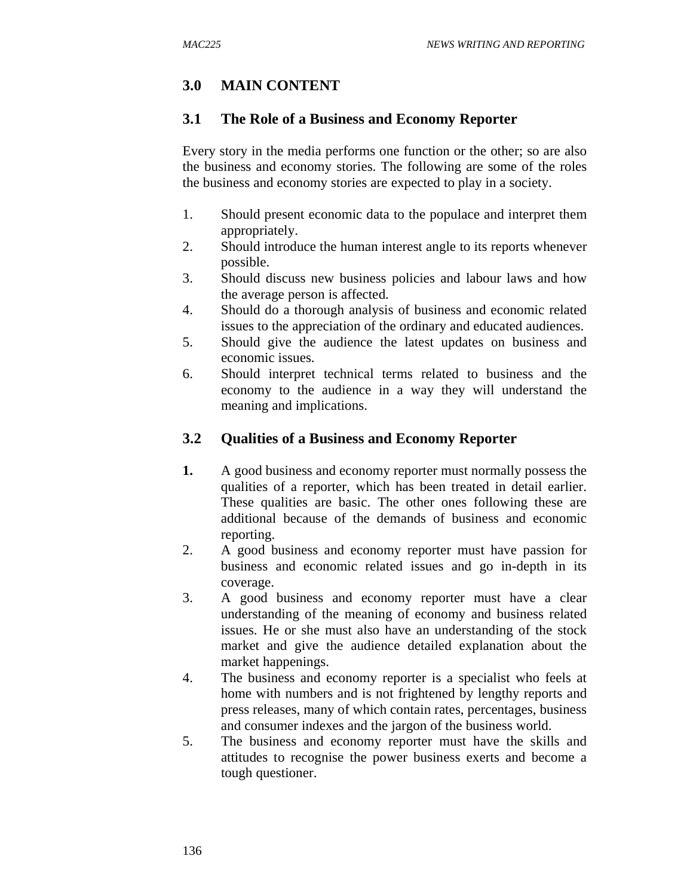# **3.0 MAIN CONTENT**

#### **3.1 The Role of a Business and Economy Reporter**

Every story in the media performs one function or the other; so are also the business and economy stories. The following are some of the roles the business and economy stories are expected to play in a society.

- 1. Should present economic data to the populace and interpret them appropriately.
- 2. Should introduce the human interest angle to its reports whenever possible.
- 3. Should discuss new business policies and labour laws and how the average person is affected.
- 4. Should do a thorough analysis of business and economic related issues to the appreciation of the ordinary and educated audiences.
- 5. Should give the audience the latest updates on business and economic issues.
- 6. Should interpret technical terms related to business and the economy to the audience in a way they will understand the meaning and implications.

### **3.2 Qualities of a Business and Economy Reporter**

- **1.** A good business and economy reporter must normally possess the qualities of a reporter, which has been treated in detail earlier. These qualities are basic. The other ones following these are additional because of the demands of business and economic reporting.
- 2. A good business and economy reporter must have passion for business and economic related issues and go in-depth in its coverage.
- 3. A good business and economy reporter must have a clear understanding of the meaning of economy and business related issues. He or she must also have an understanding of the stock market and give the audience detailed explanation about the market happenings.
- 4. The business and economy reporter is a specialist who feels at home with numbers and is not frightened by lengthy reports and press releases, many of which contain rates, percentages, business and consumer indexes and the jargon of the business world.
- 5. The business and economy reporter must have the skills and attitudes to recognise the power business exerts and become a tough questioner.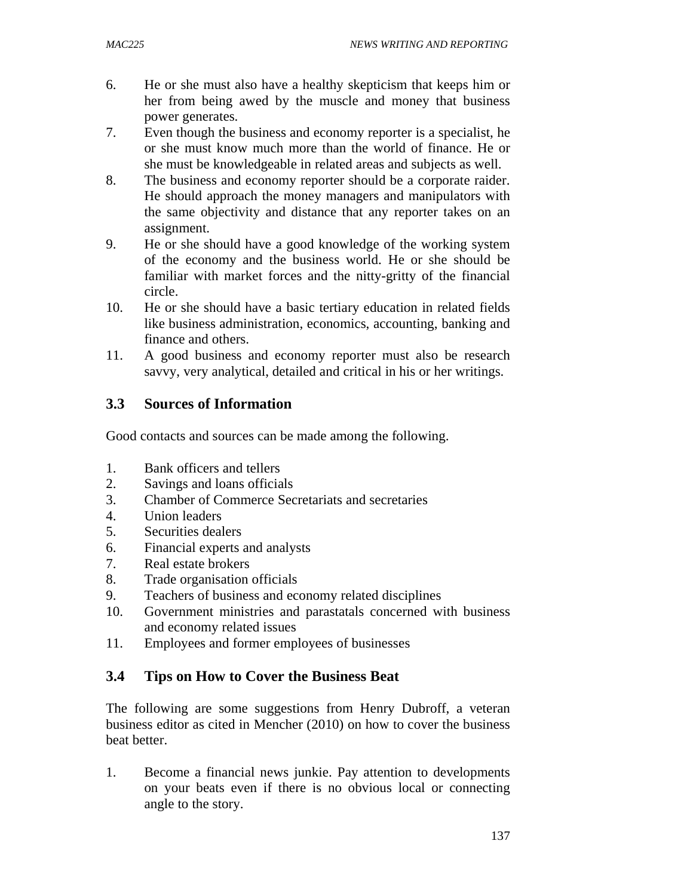- 6. He or she must also have a healthy skepticism that keeps him or her from being awed by the muscle and money that business power generates.
- 7. Even though the business and economy reporter is a specialist, he or she must know much more than the world of finance. He or she must be knowledgeable in related areas and subjects as well.
- 8. The business and economy reporter should be a corporate raider. He should approach the money managers and manipulators with the same objectivity and distance that any reporter takes on an assignment.
- 9. He or she should have a good knowledge of the working system of the economy and the business world. He or she should be familiar with market forces and the nitty-gritty of the financial circle.
- 10. He or she should have a basic tertiary education in related fields like business administration, economics, accounting, banking and finance and others.
- 11. A good business and economy reporter must also be research savvy, very analytical, detailed and critical in his or her writings.

# **3.3 Sources of Information**

Good contacts and sources can be made among the following.

- 1. Bank officers and tellers
- 2. Savings and loans officials
- 3. Chamber of Commerce Secretariats and secretaries
- 4. Union leaders
- 5. Securities dealers
- 6. Financial experts and analysts
- 7. Real estate brokers
- 8. Trade organisation officials
- 9. Teachers of business and economy related disciplines
- 10. Government ministries and parastatals concerned with business and economy related issues
- 11. Employees and former employees of businesses

#### **3.4 Tips on How to Cover the Business Beat**

The following are some suggestions from Henry Dubroff, a veteran business editor as cited in Mencher (2010) on how to cover the business beat better.

1. Become a financial news junkie. Pay attention to developments on your beats even if there is no obvious local or connecting angle to the story.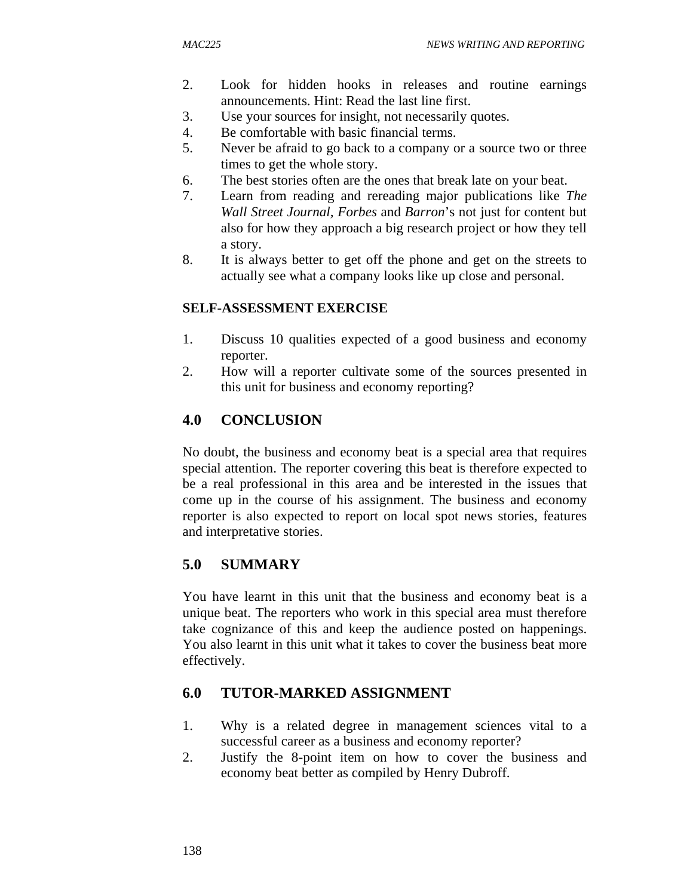- 2. Look for hidden hooks in releases and routine earnings announcements. Hint: Read the last line first.
- 3. Use your sources for insight, not necessarily quotes.
- 4. Be comfortable with basic financial terms.
- 5. Never be afraid to go back to a company or a source two or three times to get the whole story.
- 6. The best stories often are the ones that break late on your beat.
- 7. Learn from reading and rereading major publications like *The Wall Street Journal, Forbes* and *Barron*'s not just for content but also for how they approach a big research project or how they tell a story.
- 8. It is always better to get off the phone and get on the streets to actually see what a company looks like up close and personal.

#### **SELF-ASSESSMENT EXERCISE**

- 1. Discuss 10 qualities expected of a good business and economy reporter.
- 2. How will a reporter cultivate some of the sources presented in this unit for business and economy reporting?

# **4.0 CONCLUSION**

No doubt, the business and economy beat is a special area that requires special attention. The reporter covering this beat is therefore expected to be a real professional in this area and be interested in the issues that come up in the course of his assignment. The business and economy reporter is also expected to report on local spot news stories, features and interpretative stories.

# **5.0 SUMMARY**

You have learnt in this unit that the business and economy beat is a unique beat. The reporters who work in this special area must therefore take cognizance of this and keep the audience posted on happenings. You also learnt in this unit what it takes to cover the business beat more effectively.

# **6.0 TUTOR-MARKED ASSIGNMENT**

- 1. Why is a related degree in management sciences vital to a successful career as a business and economy reporter?
- 2. Justify the 8-point item on how to cover the business and economy beat better as compiled by Henry Dubroff.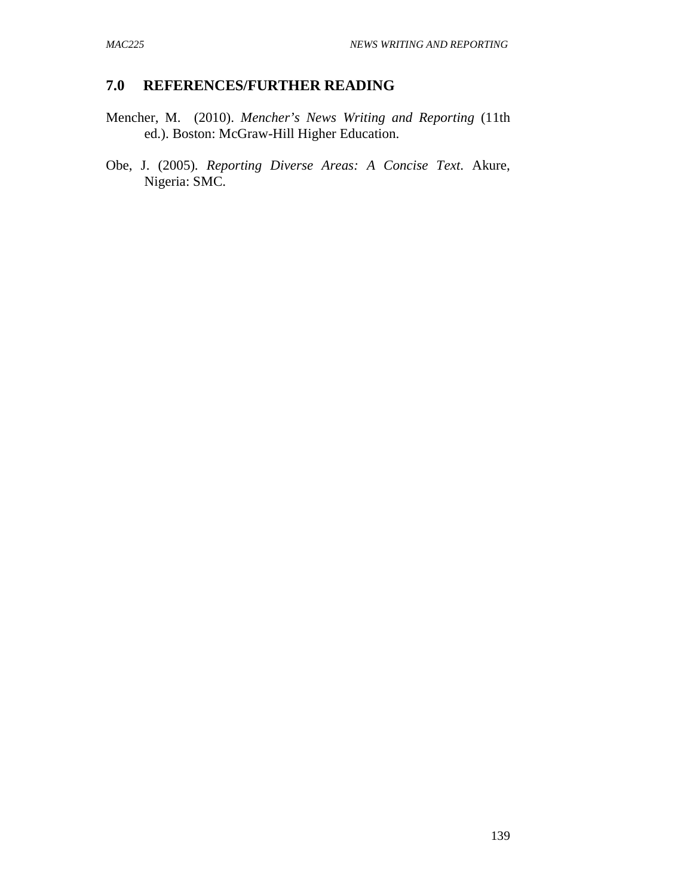### **7.0 REFERENCES/FURTHER READING**

- Mencher, M. (2010). *Mencher's News Writing and Reporting* (11th ed.). Boston: McGraw-Hill Higher Education.
- Obe, J. (2005). *Reporting Diverse Areas: A Concise Text*. Akure, Nigeria: SMC.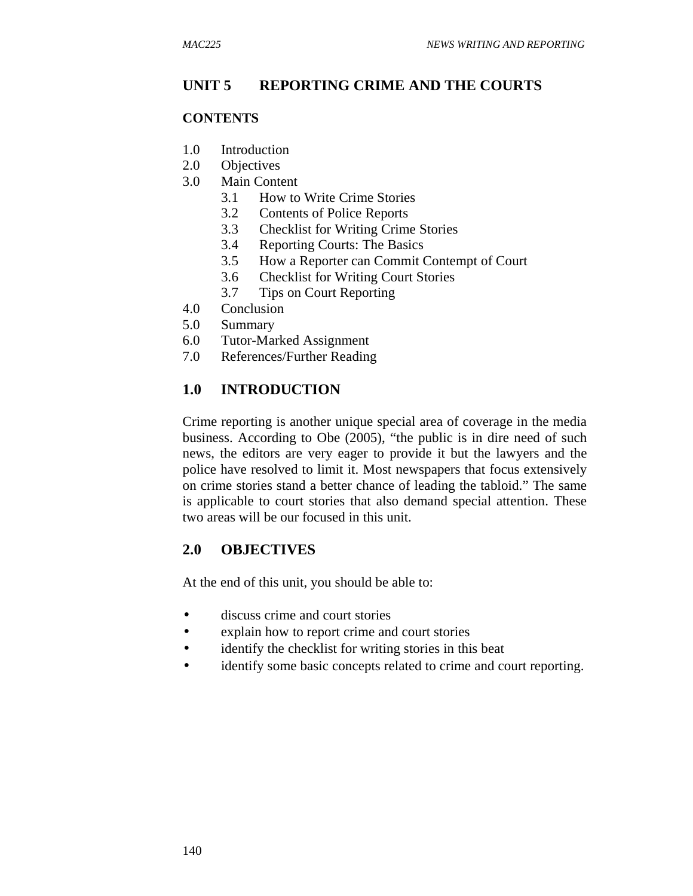### **UNIT 5 REPORTING CRIME AND THE COURTS**

#### **CONTENTS**

- 1.0 Introduction
- 2.0 Objectives
- 3.0 Main Content
	- 3.1 How to Write Crime Stories
	- 3.2 Contents of Police Reports
	- 3.3 Checklist for Writing Crime Stories
	- 3.4 Reporting Courts: The Basics
	- 3.5 How a Reporter can Commit Contempt of Court
	- 3.6 Checklist for Writing Court Stories
	- 3.7 Tips on Court Reporting
- 4.0 Conclusion
- 5.0 Summary
- 6.0 Tutor-Marked Assignment
- 7.0 References/Further Reading

#### **1.0 INTRODUCTION**

Crime reporting is another unique special area of coverage in the media business. According to Obe (2005), "the public is in dire need of such news, the editors are very eager to provide it but the lawyers and the police have resolved to limit it. Most newspapers that focus extensively on crime stories stand a better chance of leading the tabloid." The same is applicable to court stories that also demand special attention. These two areas will be our focused in this unit.

#### **2.0 OBJECTIVES**

At the end of this unit, you should be able to:

- discuss crime and court stories
- explain how to report crime and court stories
- identify the checklist for writing stories in this beat
- identify some basic concepts related to crime and court reporting.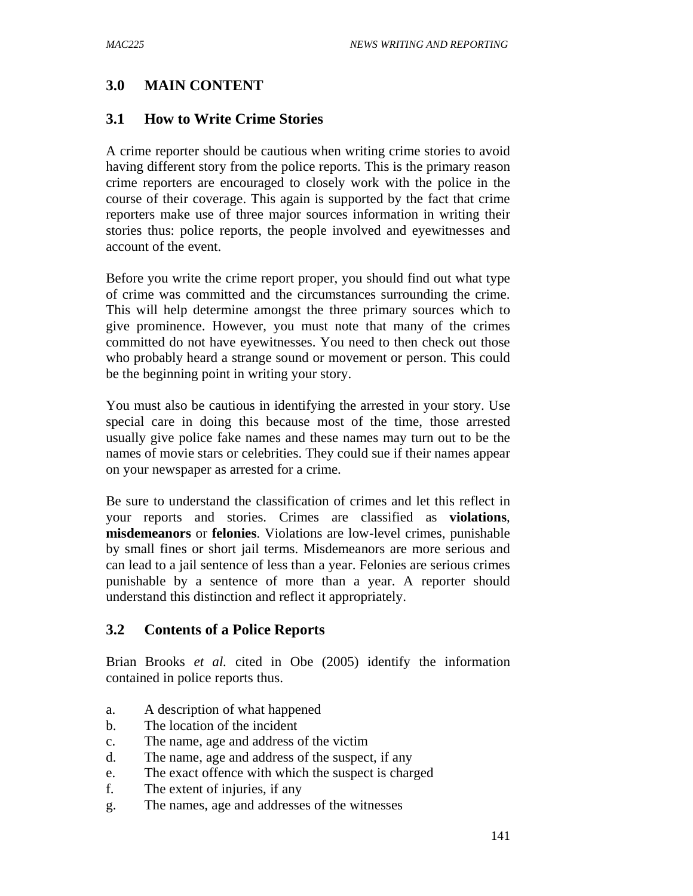# **3.0 MAIN CONTENT**

### **3.1 How to Write Crime Stories**

A crime reporter should be cautious when writing crime stories to avoid having different story from the police reports. This is the primary reason crime reporters are encouraged to closely work with the police in the course of their coverage. This again is supported by the fact that crime reporters make use of three major sources information in writing their stories thus: police reports, the people involved and eyewitnesses and account of the event.

Before you write the crime report proper, you should find out what type of crime was committed and the circumstances surrounding the crime. This will help determine amongst the three primary sources which to give prominence. However, you must note that many of the crimes committed do not have eyewitnesses. You need to then check out those who probably heard a strange sound or movement or person. This could be the beginning point in writing your story.

You must also be cautious in identifying the arrested in your story. Use special care in doing this because most of the time, those arrested usually give police fake names and these names may turn out to be the names of movie stars or celebrities. They could sue if their names appear on your newspaper as arrested for a crime.

Be sure to understand the classification of crimes and let this reflect in your reports and stories. Crimes are classified as **violations**, **misdemeanors** or **felonies**. Violations are low-level crimes, punishable by small fines or short jail terms. Misdemeanors are more serious and can lead to a jail sentence of less than a year. Felonies are serious crimes punishable by a sentence of more than a year. A reporter should understand this distinction and reflect it appropriately.

# **3.2 Contents of a Police Reports**

Brian Brooks *et al.* cited in Obe (2005) identify the information contained in police reports thus.

- a. A description of what happened
- b. The location of the incident
- c. The name, age and address of the victim
- d. The name, age and address of the suspect, if any
- e. The exact offence with which the suspect is charged
- f. The extent of injuries, if any
- g. The names, age and addresses of the witnesses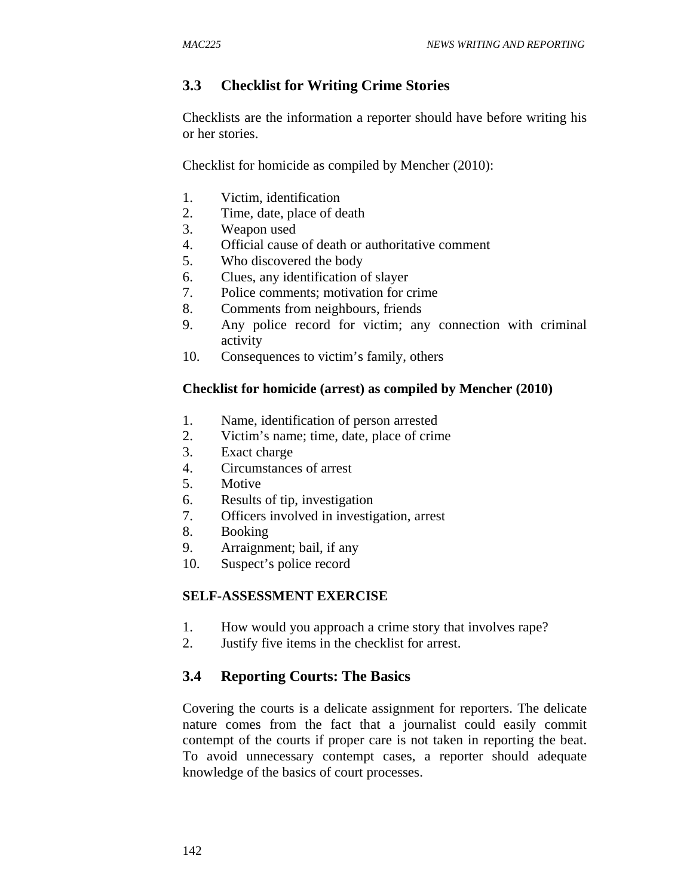# **3.3 Checklist for Writing Crime Stories**

Checklists are the information a reporter should have before writing his or her stories.

Checklist for homicide as compiled by Mencher (2010):

- 1. Victim, identification
- 2. Time, date, place of death
- 3. Weapon used
- 4. Official cause of death or authoritative comment
- 5. Who discovered the body
- 6. Clues, any identification of slayer
- 7. Police comments; motivation for crime
- 8. Comments from neighbours, friends
- 9. Any police record for victim; any connection with criminal activity
- 10. Consequences to victim's family, others

### **Checklist for homicide (arrest) as compiled by Mencher (2010)**

- 1. Name, identification of person arrested
- 2. Victim's name; time, date, place of crime
- 3. Exact charge
- 4. Circumstances of arrest
- 5. Motive
- 6. Results of tip, investigation
- 7. Officers involved in investigation, arrest
- 8. Booking
- 9. Arraignment; bail, if any
- 10. Suspect's police record

#### **SELF-ASSESSMENT EXERCISE**

- 1. How would you approach a crime story that involves rape?
- 2. Justify five items in the checklist for arrest.

# **3.4 Reporting Courts: The Basics**

Covering the courts is a delicate assignment for reporters. The delicate nature comes from the fact that a journalist could easily commit contempt of the courts if proper care is not taken in reporting the beat. To avoid unnecessary contempt cases, a reporter should adequate knowledge of the basics of court processes.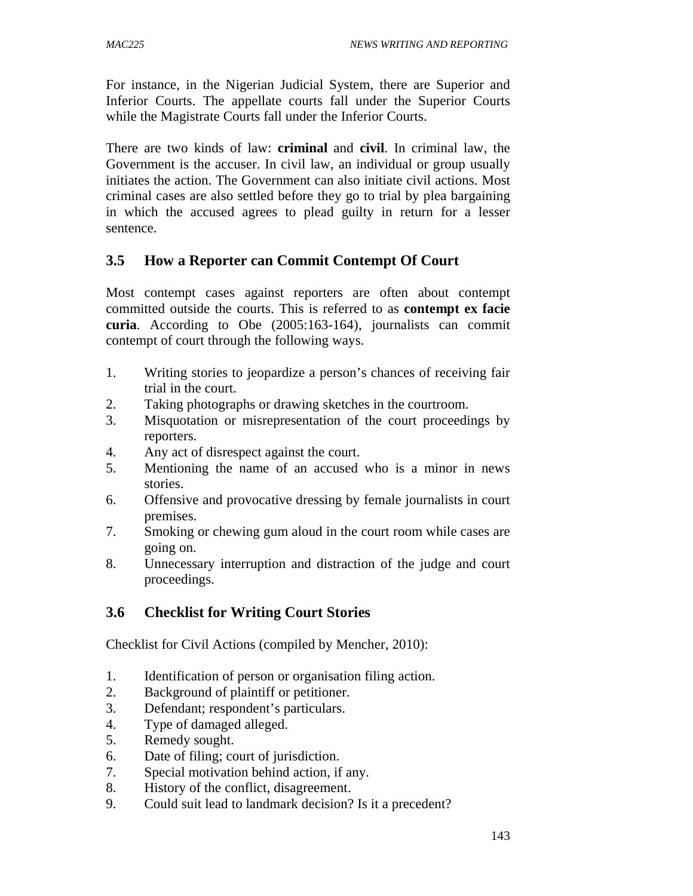For instance, in the Nigerian Judicial System, there are Superior and Inferior Courts. The appellate courts fall under the Superior Courts while the Magistrate Courts fall under the Inferior Courts.

There are two kinds of law: **criminal** and **civil**. In criminal law, the Government is the accuser. In civil law, an individual or group usually initiates the action. The Government can also initiate civil actions. Most criminal cases are also settled before they go to trial by plea bargaining in which the accused agrees to plead guilty in return for a lesser sentence.

# **3.5 How a Reporter can Commit Contempt Of Court**

Most contempt cases against reporters are often about contempt committed outside the courts. This is referred to as **contempt ex facie curia**. According to Obe (2005:163-164), journalists can commit contempt of court through the following ways.

- 1. Writing stories to jeopardize a person's chances of receiving fair trial in the court.
- 2. Taking photographs or drawing sketches in the courtroom.
- 3. Misquotation or misrepresentation of the court proceedings by reporters.
- 4. Any act of disrespect against the court.
- 5. Mentioning the name of an accused who is a minor in news stories.
- 6. Offensive and provocative dressing by female journalists in court premises.
- 7. Smoking or chewing gum aloud in the court room while cases are going on.
- 8. Unnecessary interruption and distraction of the judge and court proceedings.

# **3.6 Checklist for Writing Court Stories**

Checklist for Civil Actions (compiled by Mencher, 2010):

- 1. Identification of person or organisation filing action.
- 2. Background of plaintiff or petitioner.
- 3. Defendant; respondent's particulars.
- 4. Type of damaged alleged.
- 5. Remedy sought.
- 6. Date of filing; court of jurisdiction.
- 7. Special motivation behind action, if any.
- 8. History of the conflict, disagreement.
- 9. Could suit lead to landmark decision? Is it a precedent?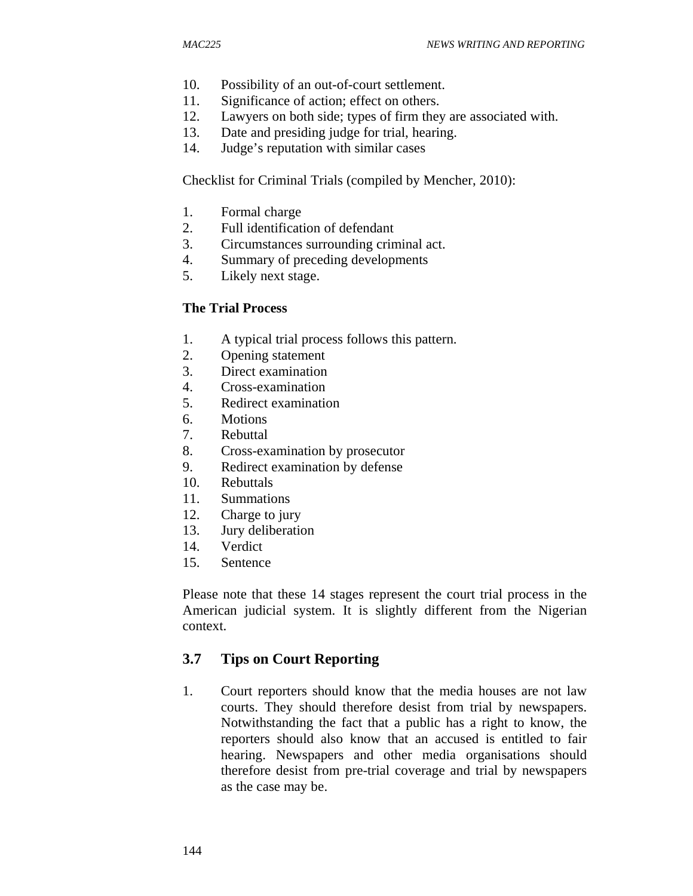- 10. Possibility of an out-of-court settlement.
- 11. Significance of action; effect on others.
- 12. Lawyers on both side; types of firm they are associated with.
- 13. Date and presiding judge for trial, hearing.
- 14. Judge's reputation with similar cases

Checklist for Criminal Trials (compiled by Mencher, 2010):

- 1. Formal charge
- 2. Full identification of defendant
- 3. Circumstances surrounding criminal act.
- 4. Summary of preceding developments
- 5. Likely next stage.

#### **The Trial Process**

- 1. A typical trial process follows this pattern.
- 2. Opening statement
- 3. Direct examination
- 4. Cross-examination
- 5. Redirect examination
- 6. Motions
- 7. Rebuttal
- 8. Cross-examination by prosecutor
- 9. Redirect examination by defense
- 10. Rebuttals
- 11. Summations
- 12. Charge to jury
- 13. Jury deliberation
- 14. Verdict
- 15. Sentence

Please note that these 14 stages represent the court trial process in the American judicial system. It is slightly different from the Nigerian context.

#### **3.7 Tips on Court Reporting**

1. Court reporters should know that the media houses are not law courts. They should therefore desist from trial by newspapers. Notwithstanding the fact that a public has a right to know, the reporters should also know that an accused is entitled to fair hearing. Newspapers and other media organisations should therefore desist from pre-trial coverage and trial by newspapers as the case may be.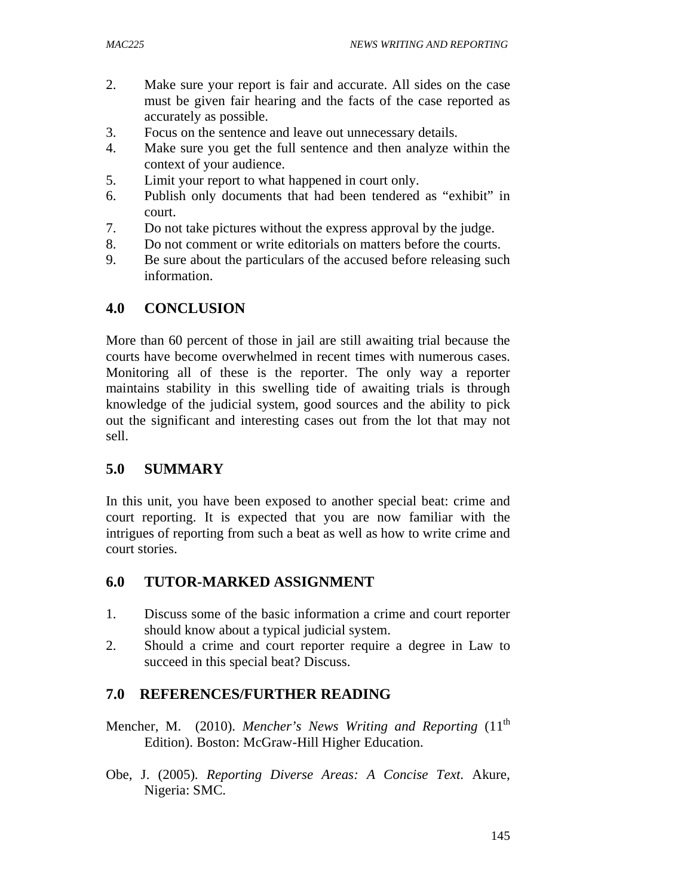- 2. Make sure your report is fair and accurate. All sides on the case must be given fair hearing and the facts of the case reported as accurately as possible.
- 3. Focus on the sentence and leave out unnecessary details.
- 4. Make sure you get the full sentence and then analyze within the context of your audience.
- 5. Limit your report to what happened in court only.
- 6. Publish only documents that had been tendered as "exhibit" in court.
- 7. Do not take pictures without the express approval by the judge.
- 8. Do not comment or write editorials on matters before the courts.
- 9. Be sure about the particulars of the accused before releasing such information.

### **4.0 CONCLUSION**

More than 60 percent of those in jail are still awaiting trial because the courts have become overwhelmed in recent times with numerous cases. Monitoring all of these is the reporter. The only way a reporter maintains stability in this swelling tide of awaiting trials is through knowledge of the judicial system, good sources and the ability to pick out the significant and interesting cases out from the lot that may not sell.

#### **5.0 SUMMARY**

In this unit, you have been exposed to another special beat: crime and court reporting. It is expected that you are now familiar with the intrigues of reporting from such a beat as well as how to write crime and court stories.

#### **6.0 TUTOR-MARKED ASSIGNMENT**

- 1. Discuss some of the basic information a crime and court reporter should know about a typical judicial system.
- 2. Should a crime and court reporter require a degree in Law to succeed in this special beat? Discuss.

#### **7.0 REFERENCES/FURTHER READING**

- Mencher, M. (2010). *Mencher's News Writing and Reporting* (11<sup>th</sup>) Edition). Boston: McGraw-Hill Higher Education.
- Obe, J. (2005). *Reporting Diverse Areas: A Concise Text*. Akure, Nigeria: SMC.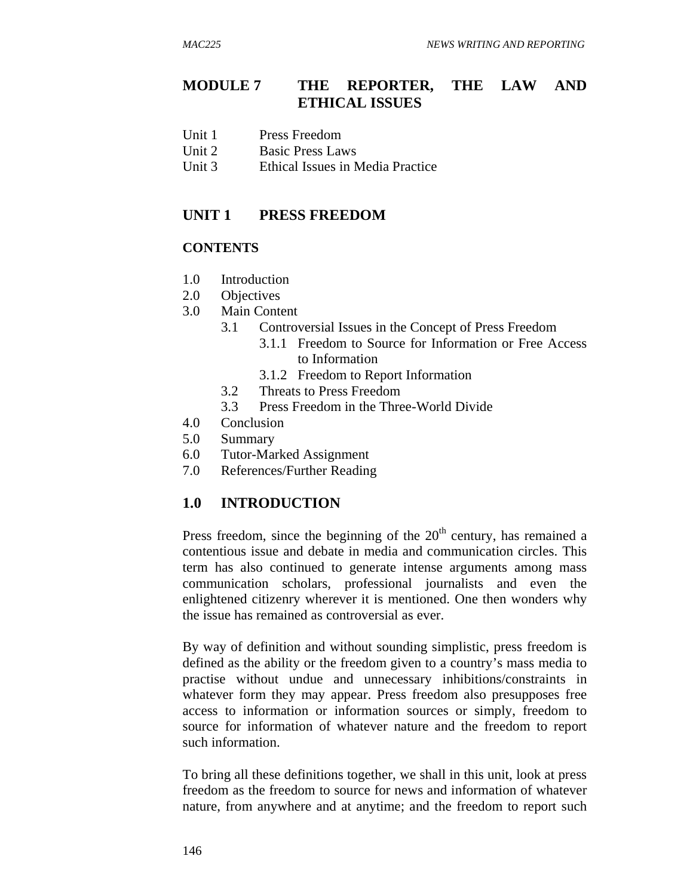### **MODULE 7 THE REPORTER, THE LAW AND ETHICAL ISSUES**

- Unit 1 Press Freedom
- Unit 2 Basic Press Laws
- Unit 3 Ethical Issues in Media Practice

#### **UNIT 1 PRESS FREEDOM**

#### **CONTENTS**

- 1.0 Introduction
- 2.0 Objectives
- 3.0 Main Content
	- 3.1 Controversial Issues in the Concept of Press Freedom
		- 3.1.1 Freedom to Source for Information or Free Access to Information
		- 3.1.2 Freedom to Report Information
	- 3.2 Threats to Press Freedom
	- 3.3 Press Freedom in the Three-World Divide
- 4.0 Conclusion
- 5.0 Summary
- 6.0 Tutor-Marked Assignment
- 7.0 References/Further Reading

# **1.0 INTRODUCTION**

Press freedom, since the beginning of the  $20<sup>th</sup>$  century, has remained a contentious issue and debate in media and communication circles. This term has also continued to generate intense arguments among mass communication scholars, professional journalists and even the enlightened citizenry wherever it is mentioned. One then wonders why the issue has remained as controversial as ever.

By way of definition and without sounding simplistic, press freedom is defined as the ability or the freedom given to a country's mass media to practise without undue and unnecessary inhibitions/constraints in whatever form they may appear. Press freedom also presupposes free access to information or information sources or simply, freedom to source for information of whatever nature and the freedom to report such information.

To bring all these definitions together, we shall in this unit, look at press freedom as the freedom to source for news and information of whatever nature, from anywhere and at anytime; and the freedom to report such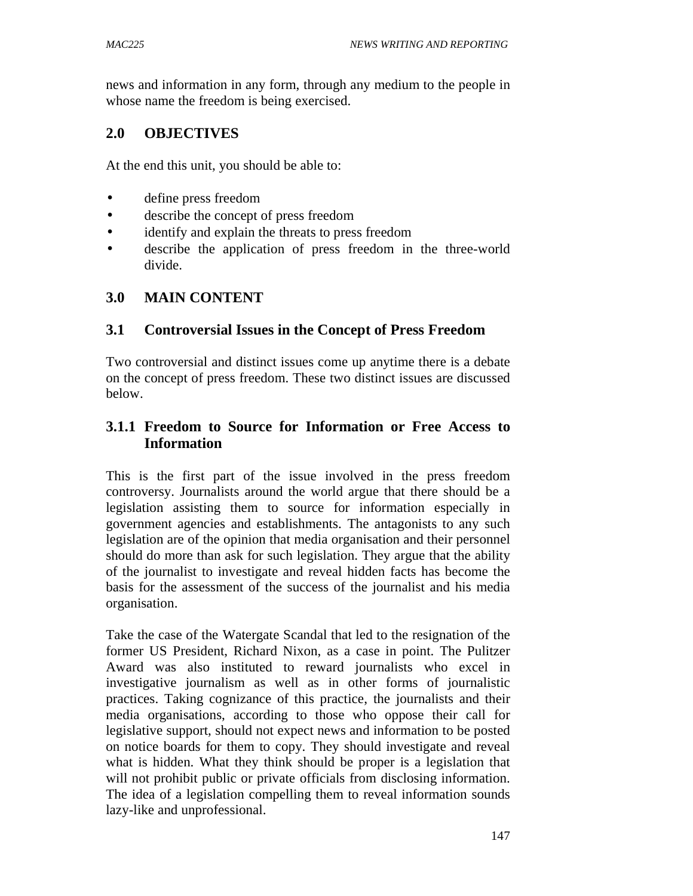news and information in any form, through any medium to the people in whose name the freedom is being exercised.

# **2.0 OBJECTIVES**

At the end this unit, you should be able to:

- define press freedom
- describe the concept of press freedom
- identify and explain the threats to press freedom
- describe the application of press freedom in the three-world divide.

# **3.0 MAIN CONTENT**

### **3.1 Controversial Issues in the Concept of Press Freedom**

Two controversial and distinct issues come up anytime there is a debate on the concept of press freedom. These two distinct issues are discussed below.

# **3.1.1 Freedom to Source for Information or Free Access to Information**

This is the first part of the issue involved in the press freedom controversy. Journalists around the world argue that there should be a legislation assisting them to source for information especially in government agencies and establishments. The antagonists to any such legislation are of the opinion that media organisation and their personnel should do more than ask for such legislation. They argue that the ability of the journalist to investigate and reveal hidden facts has become the basis for the assessment of the success of the journalist and his media organisation.

Take the case of the Watergate Scandal that led to the resignation of the former US President, Richard Nixon, as a case in point. The Pulitzer Award was also instituted to reward journalists who excel in investigative journalism as well as in other forms of journalistic practices. Taking cognizance of this practice, the journalists and their media organisations, according to those who oppose their call for legislative support, should not expect news and information to be posted on notice boards for them to copy. They should investigate and reveal what is hidden. What they think should be proper is a legislation that will not prohibit public or private officials from disclosing information. The idea of a legislation compelling them to reveal information sounds lazy-like and unprofessional.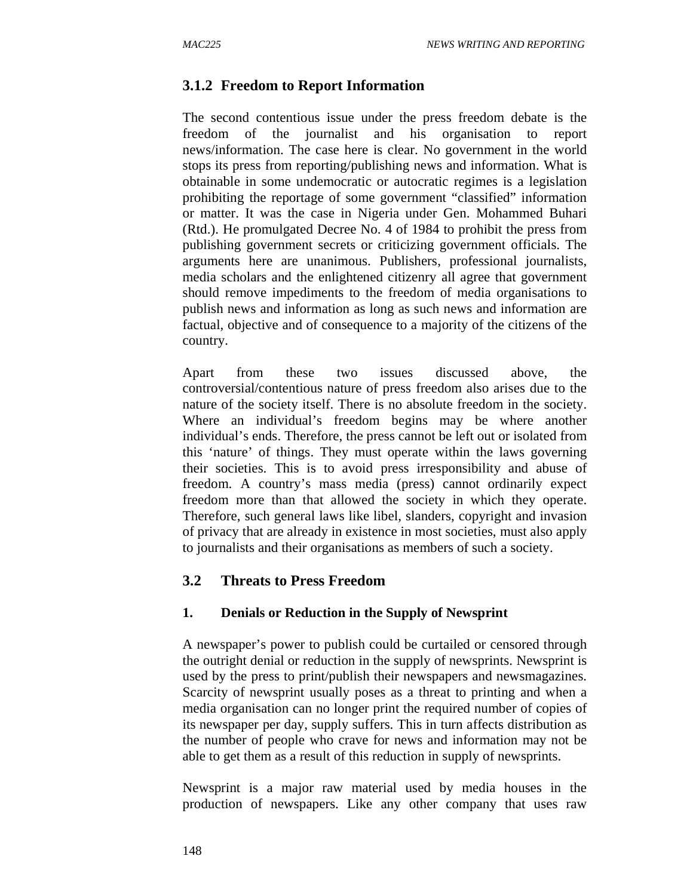# **3.1.2 Freedom to Report Information**

The second contentious issue under the press freedom debate is the freedom of the journalist and his organisation to report news/information. The case here is clear. No government in the world stops its press from reporting/publishing news and information. What is obtainable in some undemocratic or autocratic regimes is a legislation prohibiting the reportage of some government "classified" information or matter. It was the case in Nigeria under Gen. Mohammed Buhari (Rtd.). He promulgated Decree No. 4 of 1984 to prohibit the press from publishing government secrets or criticizing government officials. The arguments here are unanimous. Publishers, professional journalists, media scholars and the enlightened citizenry all agree that government should remove impediments to the freedom of media organisations to publish news and information as long as such news and information are factual, objective and of consequence to a majority of the citizens of the country.

Apart from these two issues discussed above, the controversial/contentious nature of press freedom also arises due to the nature of the society itself. There is no absolute freedom in the society. Where an individual's freedom begins may be where another individual's ends. Therefore, the press cannot be left out or isolated from this 'nature' of things. They must operate within the laws governing their societies. This is to avoid press irresponsibility and abuse of freedom. A country's mass media (press) cannot ordinarily expect freedom more than that allowed the society in which they operate. Therefore, such general laws like libel, slanders, copyright and invasion of privacy that are already in existence in most societies, must also apply to journalists and their organisations as members of such a society.

# **3.2 Threats to Press Freedom**

#### **1. Denials or Reduction in the Supply of Newsprint**

A newspaper's power to publish could be curtailed or censored through the outright denial or reduction in the supply of newsprints. Newsprint is used by the press to print/publish their newspapers and newsmagazines. Scarcity of newsprint usually poses as a threat to printing and when a media organisation can no longer print the required number of copies of its newspaper per day, supply suffers. This in turn affects distribution as the number of people who crave for news and information may not be able to get them as a result of this reduction in supply of newsprints.

Newsprint is a major raw material used by media houses in the production of newspapers. Like any other company that uses raw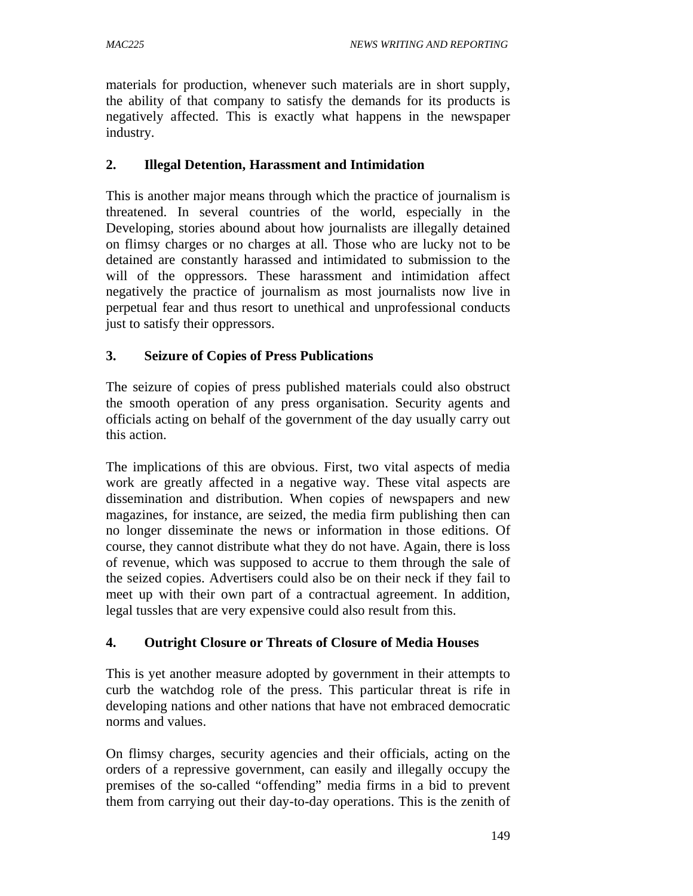materials for production, whenever such materials are in short supply, the ability of that company to satisfy the demands for its products is negatively affected. This is exactly what happens in the newspaper industry.

#### **2. Illegal Detention, Harassment and Intimidation**

This is another major means through which the practice of journalism is threatened. In several countries of the world, especially in the Developing, stories abound about how journalists are illegally detained on flimsy charges or no charges at all. Those who are lucky not to be detained are constantly harassed and intimidated to submission to the will of the oppressors. These harassment and intimidation affect negatively the practice of journalism as most journalists now live in perpetual fear and thus resort to unethical and unprofessional conducts just to satisfy their oppressors.

#### **3. Seizure of Copies of Press Publications**

The seizure of copies of press published materials could also obstruct the smooth operation of any press organisation. Security agents and officials acting on behalf of the government of the day usually carry out this action.

The implications of this are obvious. First, two vital aspects of media work are greatly affected in a negative way. These vital aspects are dissemination and distribution. When copies of newspapers and new magazines, for instance, are seized, the media firm publishing then can no longer disseminate the news or information in those editions. Of course, they cannot distribute what they do not have. Again, there is loss of revenue, which was supposed to accrue to them through the sale of the seized copies. Advertisers could also be on their neck if they fail to meet up with their own part of a contractual agreement. In addition, legal tussles that are very expensive could also result from this.

#### **4. Outright Closure or Threats of Closure of Media Houses**

This is yet another measure adopted by government in their attempts to curb the watchdog role of the press. This particular threat is rife in developing nations and other nations that have not embraced democratic norms and values.

On flimsy charges, security agencies and their officials, acting on the orders of a repressive government, can easily and illegally occupy the premises of the so-called "offending" media firms in a bid to prevent them from carrying out their day-to-day operations. This is the zenith of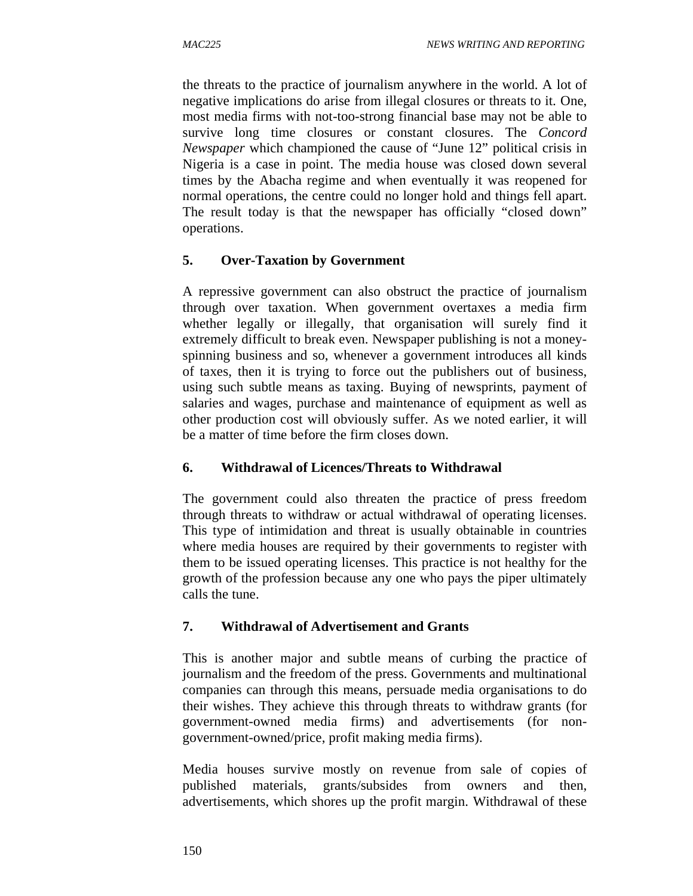the threats to the practice of journalism anywhere in the world. A lot of negative implications do arise from illegal closures or threats to it. One, most media firms with not-too-strong financial base may not be able to survive long time closures or constant closures. The *Concord Newspaper* which championed the cause of "June 12" political crisis in Nigeria is a case in point. The media house was closed down several times by the Abacha regime and when eventually it was reopened for normal operations, the centre could no longer hold and things fell apart. The result today is that the newspaper has officially "closed down" operations.

# **5. Over-Taxation by Government**

A repressive government can also obstruct the practice of journalism through over taxation. When government overtaxes a media firm whether legally or illegally, that organisation will surely find it extremely difficult to break even. Newspaper publishing is not a moneyspinning business and so, whenever a government introduces all kinds of taxes, then it is trying to force out the publishers out of business, using such subtle means as taxing. Buying of newsprints, payment of salaries and wages, purchase and maintenance of equipment as well as other production cost will obviously suffer. As we noted earlier, it will be a matter of time before the firm closes down.

# **6. Withdrawal of Licences/Threats to Withdrawal**

The government could also threaten the practice of press freedom through threats to withdraw or actual withdrawal of operating licenses. This type of intimidation and threat is usually obtainable in countries where media houses are required by their governments to register with them to be issued operating licenses. This practice is not healthy for the growth of the profession because any one who pays the piper ultimately calls the tune.

# **7. Withdrawal of Advertisement and Grants**

This is another major and subtle means of curbing the practice of journalism and the freedom of the press. Governments and multinational companies can through this means, persuade media organisations to do their wishes. They achieve this through threats to withdraw grants (for government-owned media firms) and advertisements (for nongovernment-owned/price, profit making media firms).

Media houses survive mostly on revenue from sale of copies of published materials, grants/subsides from owners and then, advertisements, which shores up the profit margin. Withdrawal of these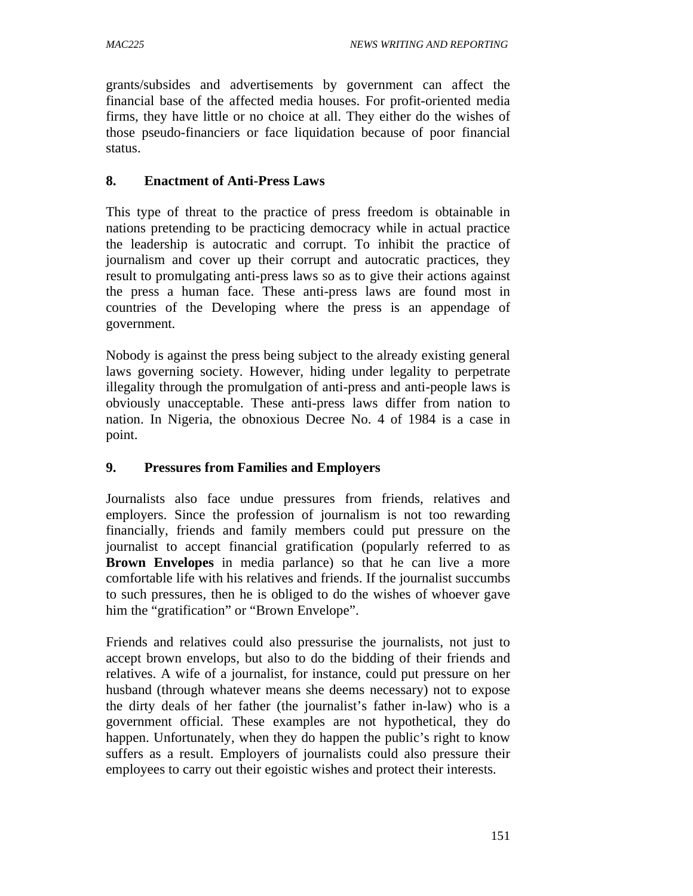grants/subsides and advertisements by government can affect the financial base of the affected media houses. For profit-oriented media firms, they have little or no choice at all. They either do the wishes of those pseudo-financiers or face liquidation because of poor financial status.

#### **8. Enactment of Anti-Press Laws**

This type of threat to the practice of press freedom is obtainable in nations pretending to be practicing democracy while in actual practice the leadership is autocratic and corrupt. To inhibit the practice of journalism and cover up their corrupt and autocratic practices, they result to promulgating anti-press laws so as to give their actions against the press a human face. These anti-press laws are found most in countries of the Developing where the press is an appendage of government.

Nobody is against the press being subject to the already existing general laws governing society. However, hiding under legality to perpetrate illegality through the promulgation of anti-press and anti-people laws is obviously unacceptable. These anti-press laws differ from nation to nation. In Nigeria, the obnoxious Decree No. 4 of 1984 is a case in point.

#### **9. Pressures from Families and Employers**

Journalists also face undue pressures from friends, relatives and employers. Since the profession of journalism is not too rewarding financially, friends and family members could put pressure on the journalist to accept financial gratification (popularly referred to as **Brown Envelopes** in media parlance) so that he can live a more comfortable life with his relatives and friends. If the journalist succumbs to such pressures, then he is obliged to do the wishes of whoever gave him the "gratification" or "Brown Envelope".

Friends and relatives could also pressurise the journalists, not just to accept brown envelops, but also to do the bidding of their friends and relatives. A wife of a journalist, for instance, could put pressure on her husband (through whatever means she deems necessary) not to expose the dirty deals of her father (the journalist's father in-law) who is a government official. These examples are not hypothetical, they do happen. Unfortunately, when they do happen the public's right to know suffers as a result. Employers of journalists could also pressure their employees to carry out their egoistic wishes and protect their interests.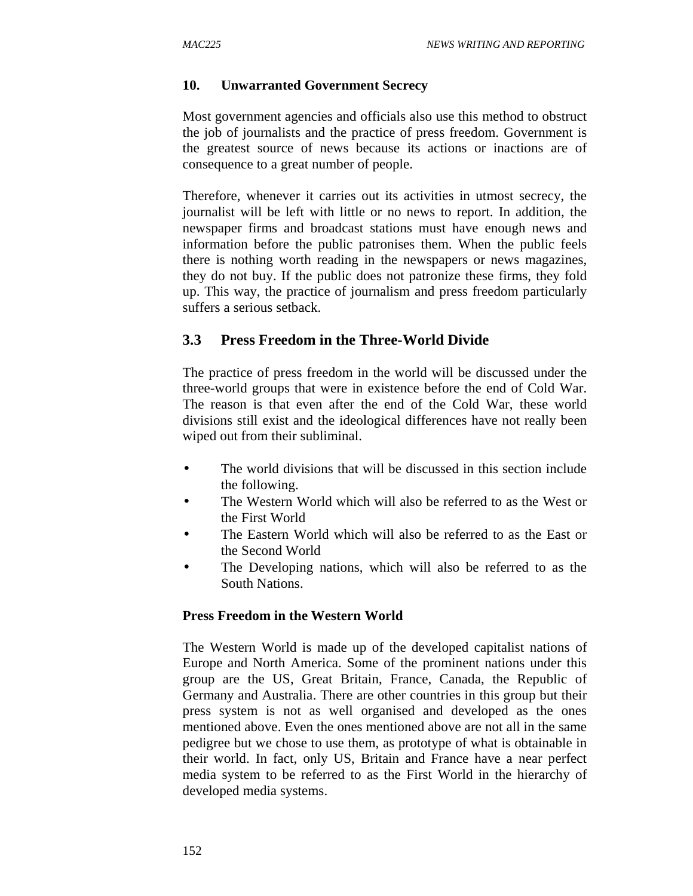#### **10. Unwarranted Government Secrecy**

Most government agencies and officials also use this method to obstruct the job of journalists and the practice of press freedom. Government is the greatest source of news because its actions or inactions are of consequence to a great number of people.

Therefore, whenever it carries out its activities in utmost secrecy, the journalist will be left with little or no news to report. In addition, the newspaper firms and broadcast stations must have enough news and information before the public patronises them. When the public feels there is nothing worth reading in the newspapers or news magazines, they do not buy. If the public does not patronize these firms, they fold up. This way, the practice of journalism and press freedom particularly suffers a serious setback.

#### **3.3 Press Freedom in the Three-World Divide**

The practice of press freedom in the world will be discussed under the three-world groups that were in existence before the end of Cold War. The reason is that even after the end of the Cold War, these world divisions still exist and the ideological differences have not really been wiped out from their subliminal.

- The world divisions that will be discussed in this section include the following.
- The Western World which will also be referred to as the West or the First World
- The Eastern World which will also be referred to as the East or the Second World
- The Developing nations, which will also be referred to as the South Nations.

#### **Press Freedom in the Western World**

The Western World is made up of the developed capitalist nations of Europe and North America. Some of the prominent nations under this group are the US, Great Britain, France, Canada, the Republic of Germany and Australia. There are other countries in this group but their press system is not as well organised and developed as the ones mentioned above. Even the ones mentioned above are not all in the same pedigree but we chose to use them, as prototype of what is obtainable in their world. In fact, only US, Britain and France have a near perfect media system to be referred to as the First World in the hierarchy of developed media systems.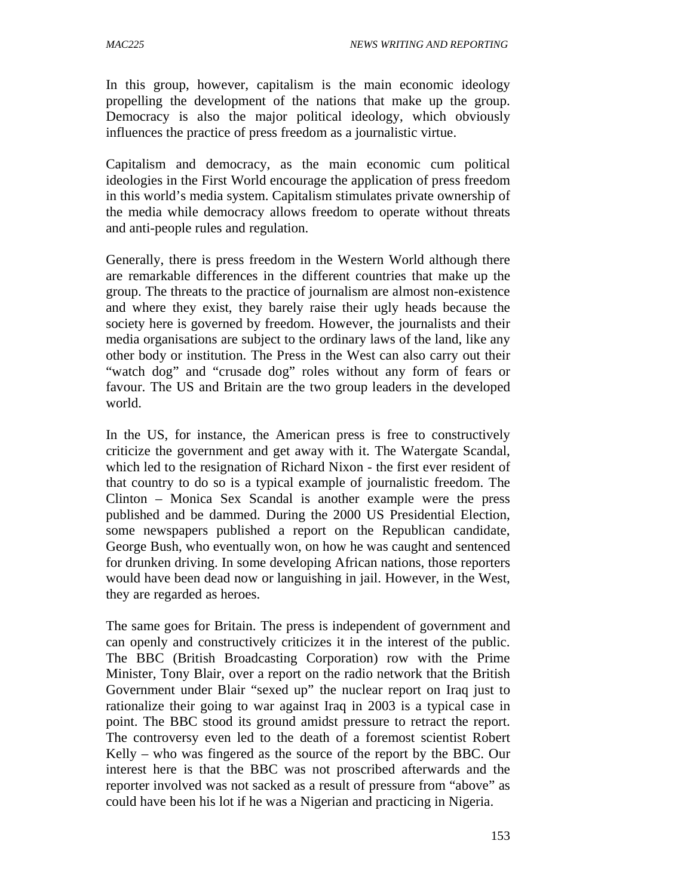In this group, however, capitalism is the main economic ideology propelling the development of the nations that make up the group. Democracy is also the major political ideology, which obviously influences the practice of press freedom as a journalistic virtue.

Capitalism and democracy, as the main economic cum political ideologies in the First World encourage the application of press freedom in this world's media system. Capitalism stimulates private ownership of the media while democracy allows freedom to operate without threats and anti-people rules and regulation.

Generally, there is press freedom in the Western World although there are remarkable differences in the different countries that make up the group. The threats to the practice of journalism are almost non-existence and where they exist, they barely raise their ugly heads because the society here is governed by freedom. However, the journalists and their media organisations are subject to the ordinary laws of the land, like any other body or institution. The Press in the West can also carry out their "watch dog" and "crusade dog" roles without any form of fears or favour. The US and Britain are the two group leaders in the developed world.

In the US, for instance, the American press is free to constructively criticize the government and get away with it. The Watergate Scandal, which led to the resignation of Richard Nixon - the first ever resident of that country to do so is a typical example of journalistic freedom. The Clinton – Monica Sex Scandal is another example were the press published and be dammed. During the 2000 US Presidential Election, some newspapers published a report on the Republican candidate, George Bush, who eventually won, on how he was caught and sentenced for drunken driving. In some developing African nations, those reporters would have been dead now or languishing in jail. However, in the West, they are regarded as heroes.

The same goes for Britain. The press is independent of government and can openly and constructively criticizes it in the interest of the public. The BBC (British Broadcasting Corporation) row with the Prime Minister, Tony Blair, over a report on the radio network that the British Government under Blair "sexed up" the nuclear report on Iraq just to rationalize their going to war against Iraq in 2003 is a typical case in point. The BBC stood its ground amidst pressure to retract the report. The controversy even led to the death of a foremost scientist Robert Kelly – who was fingered as the source of the report by the BBC. Our interest here is that the BBC was not proscribed afterwards and the reporter involved was not sacked as a result of pressure from "above" as could have been his lot if he was a Nigerian and practicing in Nigeria.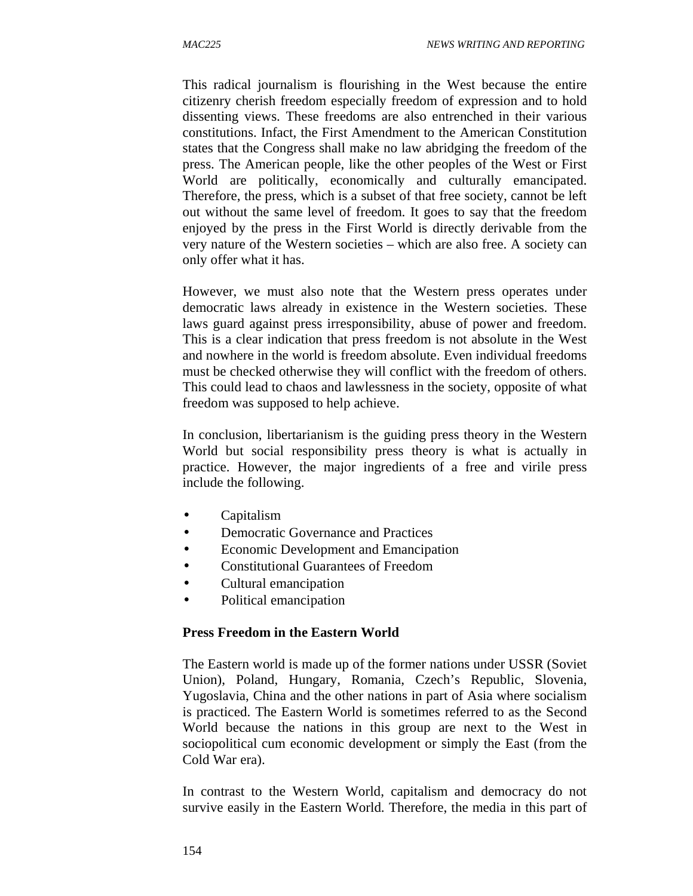This radical journalism is flourishing in the West because the entire citizenry cherish freedom especially freedom of expression and to hold dissenting views. These freedoms are also entrenched in their various constitutions. Infact, the First Amendment to the American Constitution states that the Congress shall make no law abridging the freedom of the press. The American people, like the other peoples of the West or First World are politically, economically and culturally emancipated. Therefore, the press, which is a subset of that free society, cannot be left out without the same level of freedom. It goes to say that the freedom enjoyed by the press in the First World is directly derivable from the very nature of the Western societies – which are also free. A society can only offer what it has.

However, we must also note that the Western press operates under democratic laws already in existence in the Western societies. These laws guard against press irresponsibility, abuse of power and freedom. This is a clear indication that press freedom is not absolute in the West and nowhere in the world is freedom absolute. Even individual freedoms must be checked otherwise they will conflict with the freedom of others. This could lead to chaos and lawlessness in the society, opposite of what freedom was supposed to help achieve.

In conclusion, libertarianism is the guiding press theory in the Western World but social responsibility press theory is what is actually in practice. However, the major ingredients of a free and virile press include the following.

- Capitalism
- Democratic Governance and Practices
- Economic Development and Emancipation
- Constitutional Guarantees of Freedom
- Cultural emancipation
- Political emancipation

#### **Press Freedom in the Eastern World**

The Eastern world is made up of the former nations under USSR (Soviet Union), Poland, Hungary, Romania, Czech's Republic, Slovenia, Yugoslavia, China and the other nations in part of Asia where socialism is practiced. The Eastern World is sometimes referred to as the Second World because the nations in this group are next to the West in sociopolitical cum economic development or simply the East (from the Cold War era).

In contrast to the Western World, capitalism and democracy do not survive easily in the Eastern World. Therefore, the media in this part of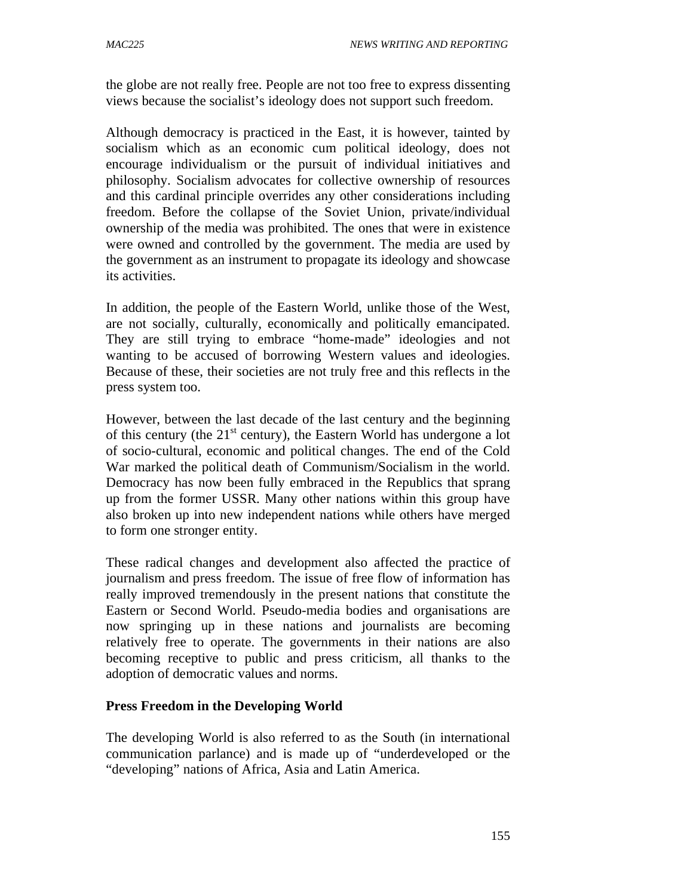the globe are not really free. People are not too free to express dissenting views because the socialist's ideology does not support such freedom.

Although democracy is practiced in the East, it is however, tainted by socialism which as an economic cum political ideology, does not encourage individualism or the pursuit of individual initiatives and philosophy. Socialism advocates for collective ownership of resources and this cardinal principle overrides any other considerations including freedom. Before the collapse of the Soviet Union, private/individual ownership of the media was prohibited. The ones that were in existence were owned and controlled by the government. The media are used by the government as an instrument to propagate its ideology and showcase its activities.

In addition, the people of the Eastern World, unlike those of the West, are not socially, culturally, economically and politically emancipated. They are still trying to embrace "home-made" ideologies and not wanting to be accused of borrowing Western values and ideologies. Because of these, their societies are not truly free and this reflects in the press system too.

However, between the last decade of the last century and the beginning of this century (the  $21<sup>st</sup>$  century), the Eastern World has undergone a lot of socio-cultural, economic and political changes. The end of the Cold War marked the political death of Communism/Socialism in the world. Democracy has now been fully embraced in the Republics that sprang up from the former USSR. Many other nations within this group have also broken up into new independent nations while others have merged to form one stronger entity.

These radical changes and development also affected the practice of journalism and press freedom. The issue of free flow of information has really improved tremendously in the present nations that constitute the Eastern or Second World. Pseudo-media bodies and organisations are now springing up in these nations and journalists are becoming relatively free to operate. The governments in their nations are also becoming receptive to public and press criticism, all thanks to the adoption of democratic values and norms.

# **Press Freedom in the Developing World**

The developing World is also referred to as the South (in international communication parlance) and is made up of "underdeveloped or the "developing" nations of Africa, Asia and Latin America.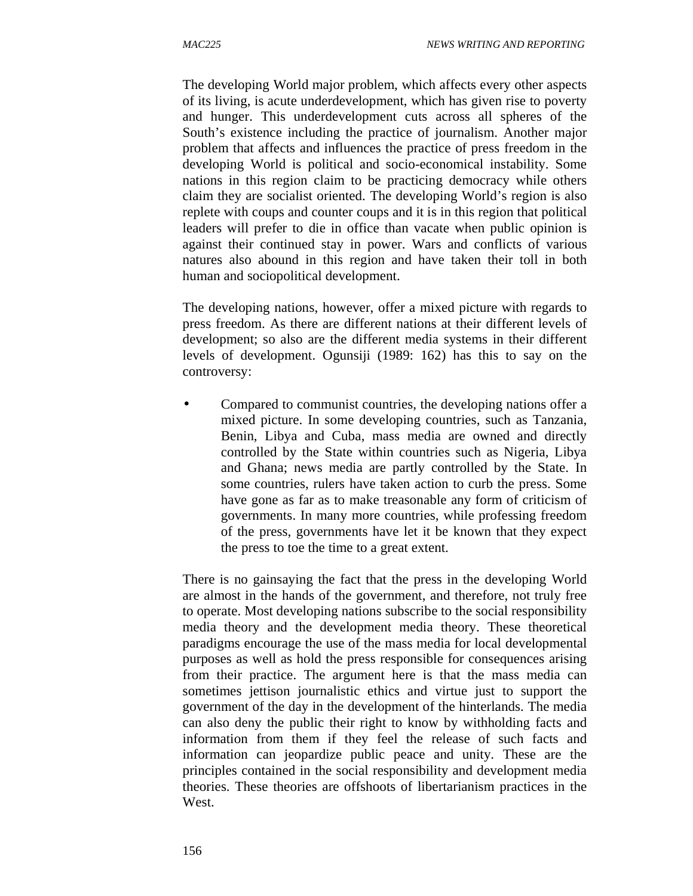The developing World major problem, which affects every other aspects of its living, is acute underdevelopment, which has given rise to poverty and hunger. This underdevelopment cuts across all spheres of the South's existence including the practice of journalism. Another major problem that affects and influences the practice of press freedom in the developing World is political and socio-economical instability. Some nations in this region claim to be practicing democracy while others claim they are socialist oriented. The developing World's region is also replete with coups and counter coups and it is in this region that political leaders will prefer to die in office than vacate when public opinion is against their continued stay in power. Wars and conflicts of various natures also abound in this region and have taken their toll in both human and sociopolitical development.

The developing nations, however, offer a mixed picture with regards to press freedom. As there are different nations at their different levels of development; so also are the different media systems in their different levels of development. Ogunsiji (1989: 162) has this to say on the controversy:

• Compared to communist countries, the developing nations offer a mixed picture. In some developing countries, such as Tanzania, Benin, Libya and Cuba, mass media are owned and directly controlled by the State within countries such as Nigeria, Libya and Ghana; news media are partly controlled by the State. In some countries, rulers have taken action to curb the press. Some have gone as far as to make treasonable any form of criticism of governments. In many more countries, while professing freedom of the press, governments have let it be known that they expect the press to toe the time to a great extent.

There is no gainsaying the fact that the press in the developing World are almost in the hands of the government, and therefore, not truly free to operate. Most developing nations subscribe to the social responsibility media theory and the development media theory. These theoretical paradigms encourage the use of the mass media for local developmental purposes as well as hold the press responsible for consequences arising from their practice. The argument here is that the mass media can sometimes jettison journalistic ethics and virtue just to support the government of the day in the development of the hinterlands. The media can also deny the public their right to know by withholding facts and information from them if they feel the release of such facts and information can jeopardize public peace and unity. These are the principles contained in the social responsibility and development media theories. These theories are offshoots of libertarianism practices in the West.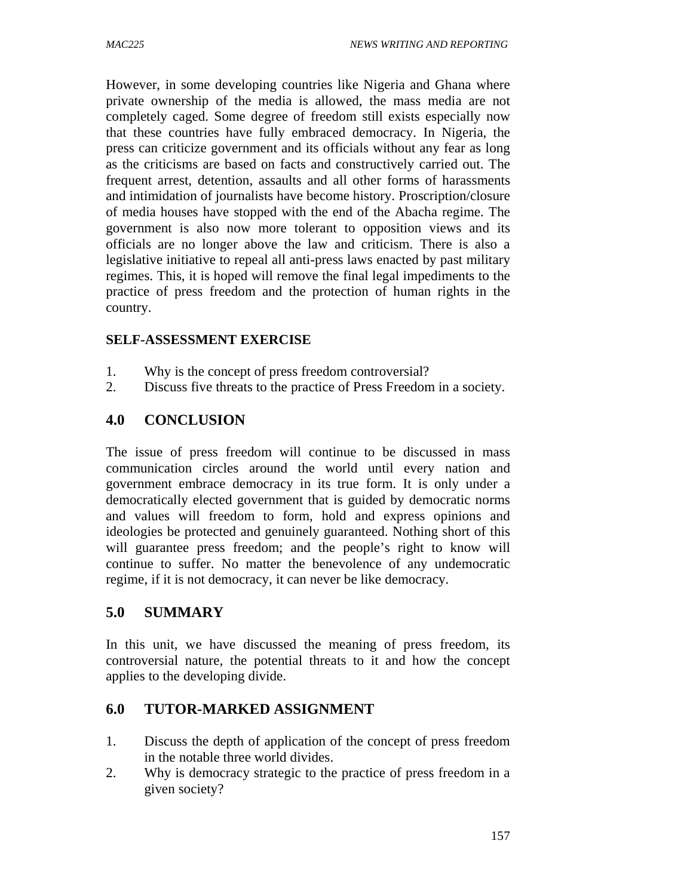However, in some developing countries like Nigeria and Ghana where private ownership of the media is allowed, the mass media are not completely caged. Some degree of freedom still exists especially now that these countries have fully embraced democracy. In Nigeria, the press can criticize government and its officials without any fear as long as the criticisms are based on facts and constructively carried out. The frequent arrest, detention, assaults and all other forms of harassments and intimidation of journalists have become history. Proscription/closure of media houses have stopped with the end of the Abacha regime. The government is also now more tolerant to opposition views and its officials are no longer above the law and criticism. There is also a legislative initiative to repeal all anti-press laws enacted by past military regimes. This, it is hoped will remove the final legal impediments to the practice of press freedom and the protection of human rights in the country.

#### **SELF-ASSESSMENT EXERCISE**

- 1. Why is the concept of press freedom controversial?
- 2. Discuss five threats to the practice of Press Freedom in a society.

### **4.0 CONCLUSION**

The issue of press freedom will continue to be discussed in mass communication circles around the world until every nation and government embrace democracy in its true form. It is only under a democratically elected government that is guided by democratic norms and values will freedom to form, hold and express opinions and ideologies be protected and genuinely guaranteed. Nothing short of this will guarantee press freedom; and the people's right to know will continue to suffer. No matter the benevolence of any undemocratic regime, if it is not democracy, it can never be like democracy.

# **5.0 SUMMARY**

In this unit, we have discussed the meaning of press freedom, its controversial nature, the potential threats to it and how the concept applies to the developing divide.

# **6.0 TUTOR-MARKED ASSIGNMENT**

- 1. Discuss the depth of application of the concept of press freedom in the notable three world divides.
- 2. Why is democracy strategic to the practice of press freedom in a given society?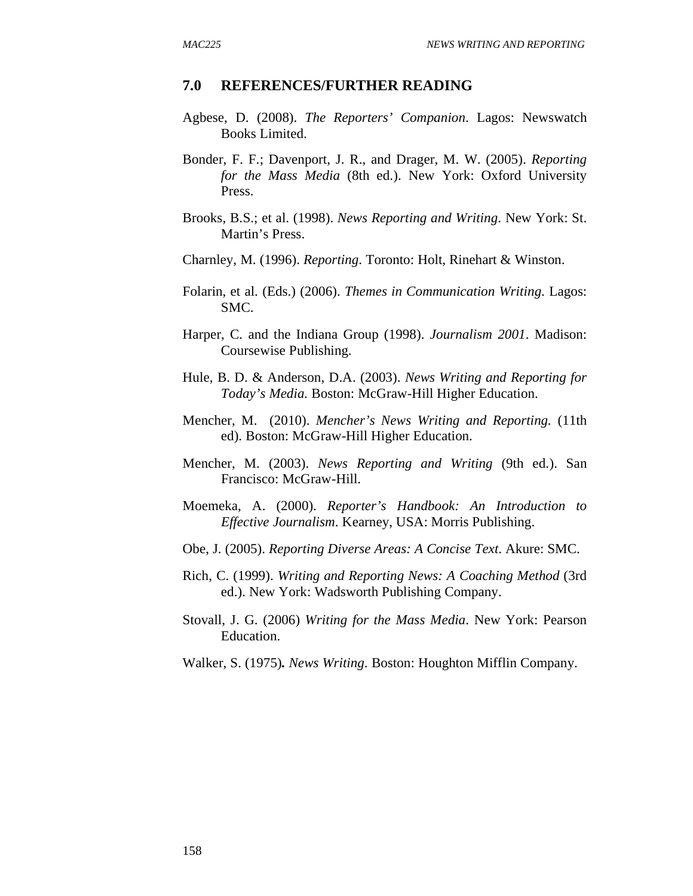#### **7.0 REFERENCES/FURTHER READING**

- Agbese, D. (2008). *The Reporters' Companion*. Lagos: Newswatch Books Limited.
- Bonder, F. F.; Davenport, J. R., and Drager, M. W. (2005). *Reporting for the Mass Media* (8th ed.). New York: Oxford University Press.
- Brooks, B.S.; et al. (1998). *News Reporting and Writing*. New York: St. Martin's Press.
- Charnley, M. (1996). *Reporting*. Toronto: Holt, Rinehart & Winston.
- Folarin, et al. (Eds.) (2006). *Themes in Communication Writing*. Lagos: SMC.
- Harper, C. and the Indiana Group (1998). *Journalism 2001*. Madison: Coursewise Publishing.
- Hule, B. D. & Anderson, D.A. (2003). *News Writing and Reporting for Today's Media.* Boston: McGraw-Hill Higher Education.
- Mencher, M. (2010). *Mencher's News Writing and Reporting.* (11th ed). Boston: McGraw-Hill Higher Education.
- Mencher, M. (2003). *News Reporting and Writing* (9th ed.). San Francisco: McGraw-Hill.
- Moemeka, A. (2000). *Reporter's Handbook: An Introduction to Effective Journalism*. Kearney, USA: Morris Publishing.
- Obe, J. (2005). *Reporting Diverse Areas: A Concise Text*. Akure: SMC.
- Rich, C. (1999). *Writing and Reporting News: A Coaching Method* (3rd ed.). New York: Wadsworth Publishing Company.
- Stovall, J. G. (2006) *Writing for the Mass Media*. New York: Pearson Education.
- Walker, S. (1975)*. News Writing*. Boston: Houghton Mifflin Company.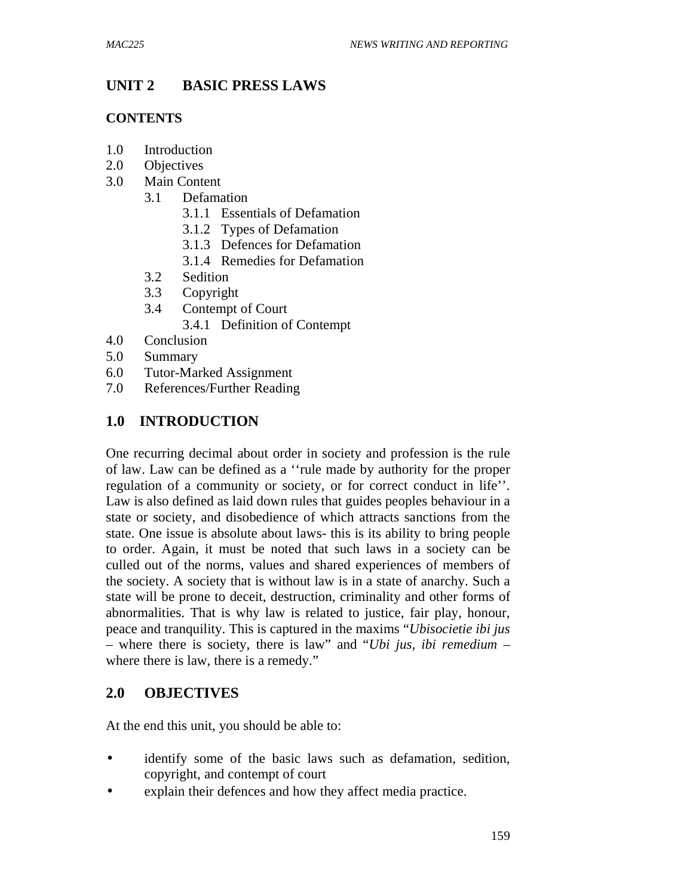# **UNIT 2 BASIC PRESS LAWS**

#### **CONTENTS**

- 1.0 Introduction
- 2.0 Objectives
- 3.0 Main Content
	- 3.1 Defamation
		- 3.1.1 Essentials of Defamation
		- 3.1.2 Types of Defamation
		- 3.1.3 Defences for Defamation
		- 3.1.4 Remedies for Defamation
	- 3.2 Sedition
	- 3.3 Copyright
	- 3.4 Contempt of Court
		- 3.4.1 Definition of Contempt
- 4.0 Conclusion
- 5.0 Summary
- 6.0 Tutor-Marked Assignment
- 7.0 References/Further Reading

# **1.0 INTRODUCTION**

One recurring decimal about order in society and profession is the rule of law. Law can be defined as a ''rule made by authority for the proper regulation of a community or society, or for correct conduct in life''. Law is also defined as laid down rules that guides peoples behaviour in a state or society, and disobedience of which attracts sanctions from the state. One issue is absolute about laws- this is its ability to bring people to order. Again, it must be noted that such laws in a society can be culled out of the norms, values and shared experiences of members of the society. A society that is without law is in a state of anarchy. Such a state will be prone to deceit, destruction, criminality and other forms of abnormalities. That is why law is related to justice, fair play, honour, peace and tranquility. This is captured in the maxims "*Ubisocietie ibi jus* – where there is society, there is law" and "*Ubi jus, ibi remedium* – where there is law, there is a remedy."

#### **2.0 OBJECTIVES**

At the end this unit, you should be able to:

- identify some of the basic laws such as defamation, sedition, copyright, and contempt of court
- explain their defences and how they affect media practice.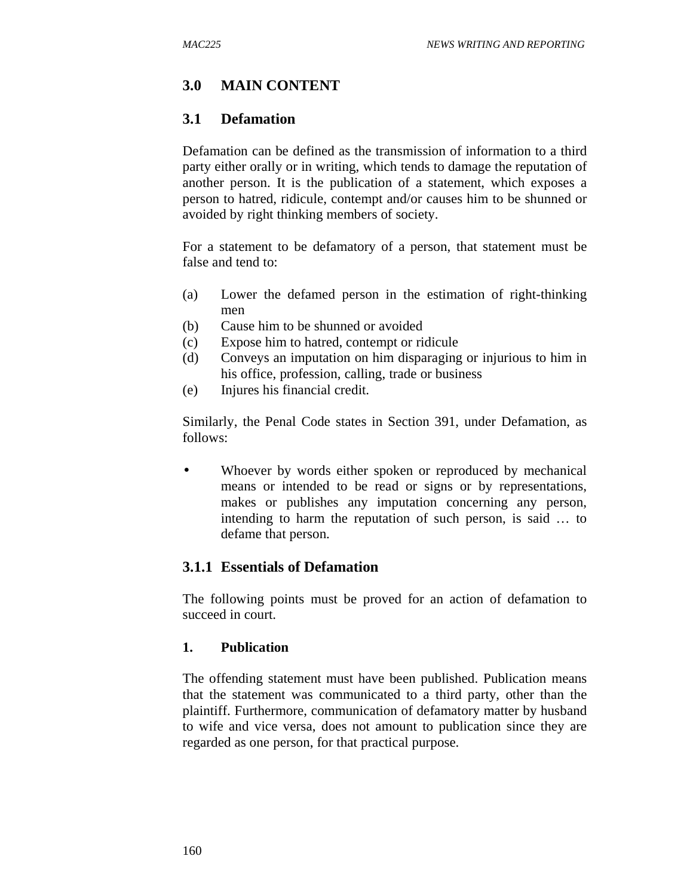# **3.0 MAIN CONTENT**

### **3.1 Defamation**

Defamation can be defined as the transmission of information to a third party either orally or in writing, which tends to damage the reputation of another person. It is the publication of a statement, which exposes a person to hatred, ridicule, contempt and/or causes him to be shunned or avoided by right thinking members of society.

For a statement to be defamatory of a person, that statement must be false and tend to:

- (a) Lower the defamed person in the estimation of right-thinking men
- (b) Cause him to be shunned or avoided
- (c) Expose him to hatred, contempt or ridicule
- (d) Conveys an imputation on him disparaging or injurious to him in his office, profession, calling, trade or business
- (e) Injures his financial credit.

Similarly, the Penal Code states in Section 391, under Defamation, as follows:

• Whoever by words either spoken or reproduced by mechanical means or intended to be read or signs or by representations, makes or publishes any imputation concerning any person, intending to harm the reputation of such person, is said … to defame that person.

# **3.1.1 Essentials of Defamation**

The following points must be proved for an action of defamation to succeed in court.

#### **1. Publication**

The offending statement must have been published. Publication means that the statement was communicated to a third party, other than the plaintiff. Furthermore, communication of defamatory matter by husband to wife and vice versa, does not amount to publication since they are regarded as one person, for that practical purpose.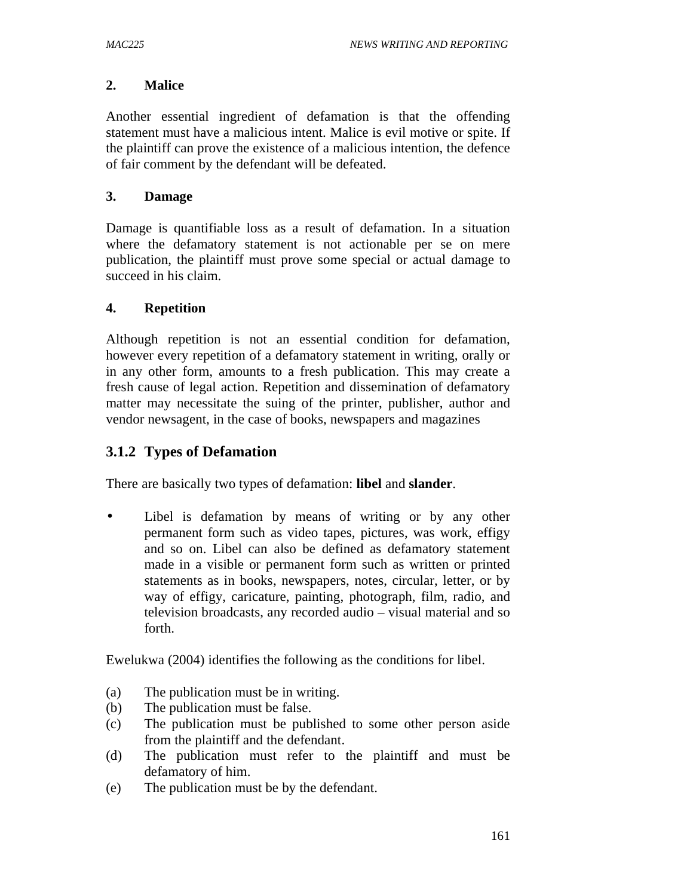#### **2. Malice**

Another essential ingredient of defamation is that the offending statement must have a malicious intent. Malice is evil motive or spite. If the plaintiff can prove the existence of a malicious intention, the defence of fair comment by the defendant will be defeated.

#### **3. Damage**

Damage is quantifiable loss as a result of defamation. In a situation where the defamatory statement is not actionable per se on mere publication, the plaintiff must prove some special or actual damage to succeed in his claim.

#### **4. Repetition**

Although repetition is not an essential condition for defamation, however every repetition of a defamatory statement in writing, orally or in any other form, amounts to a fresh publication. This may create a fresh cause of legal action. Repetition and dissemination of defamatory matter may necessitate the suing of the printer, publisher, author and vendor newsagent, in the case of books, newspapers and magazines

#### **3.1.2 Types of Defamation**

There are basically two types of defamation: **libel** and **slander**.

Libel is defamation by means of writing or by any other permanent form such as video tapes, pictures, was work, effigy and so on. Libel can also be defined as defamatory statement made in a visible or permanent form such as written or printed statements as in books, newspapers, notes, circular, letter, or by way of effigy, caricature, painting, photograph, film, radio, and television broadcasts, any recorded audio – visual material and so forth.

Ewelukwa (2004) identifies the following as the conditions for libel.

- (a) The publication must be in writing.
- (b) The publication must be false.
- (c) The publication must be published to some other person aside from the plaintiff and the defendant.
- (d) The publication must refer to the plaintiff and must be defamatory of him.
- (e) The publication must be by the defendant.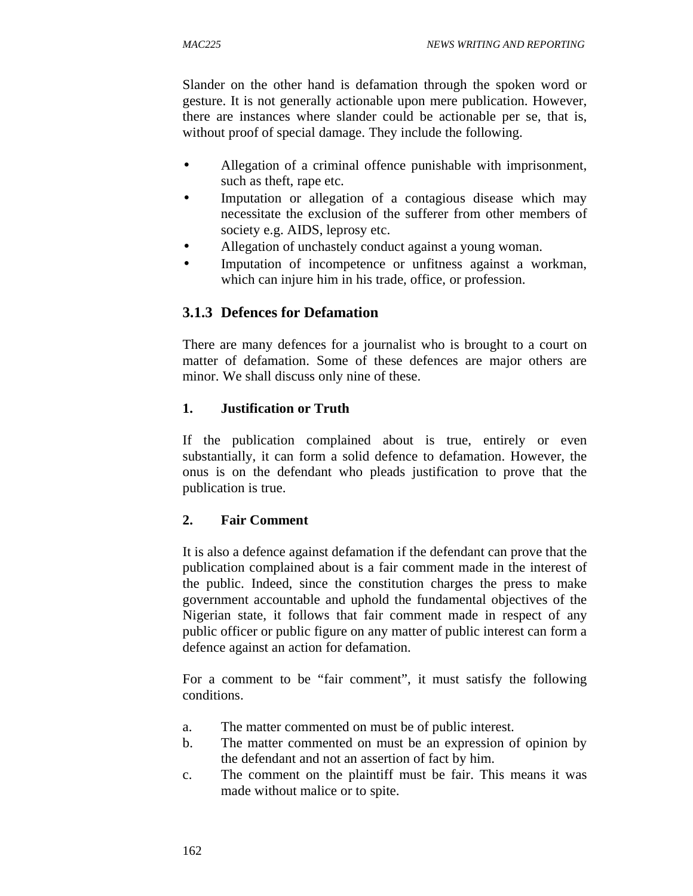Slander on the other hand is defamation through the spoken word or gesture. It is not generally actionable upon mere publication. However, there are instances where slander could be actionable per se, that is, without proof of special damage. They include the following.

- Allegation of a criminal offence punishable with imprisonment, such as theft, rape etc.
- Imputation or allegation of a contagious disease which may necessitate the exclusion of the sufferer from other members of society e.g. AIDS, leprosy etc.
- Allegation of unchastely conduct against a young woman.
- Imputation of incompetence or unfitness against a workman, which can injure him in his trade, office, or profession.

# **3.1.3 Defences for Defamation**

There are many defences for a journalist who is brought to a court on matter of defamation. Some of these defences are major others are minor. We shall discuss only nine of these.

#### **1. Justification or Truth**

If the publication complained about is true, entirely or even substantially, it can form a solid defence to defamation. However, the onus is on the defendant who pleads justification to prove that the publication is true.

#### **2. Fair Comment**

It is also a defence against defamation if the defendant can prove that the publication complained about is a fair comment made in the interest of the public. Indeed, since the constitution charges the press to make government accountable and uphold the fundamental objectives of the Nigerian state, it follows that fair comment made in respect of any public officer or public figure on any matter of public interest can form a defence against an action for defamation.

For a comment to be "fair comment", it must satisfy the following conditions.

- a. The matter commented on must be of public interest.
- b. The matter commented on must be an expression of opinion by the defendant and not an assertion of fact by him.
- c. The comment on the plaintiff must be fair. This means it was made without malice or to spite.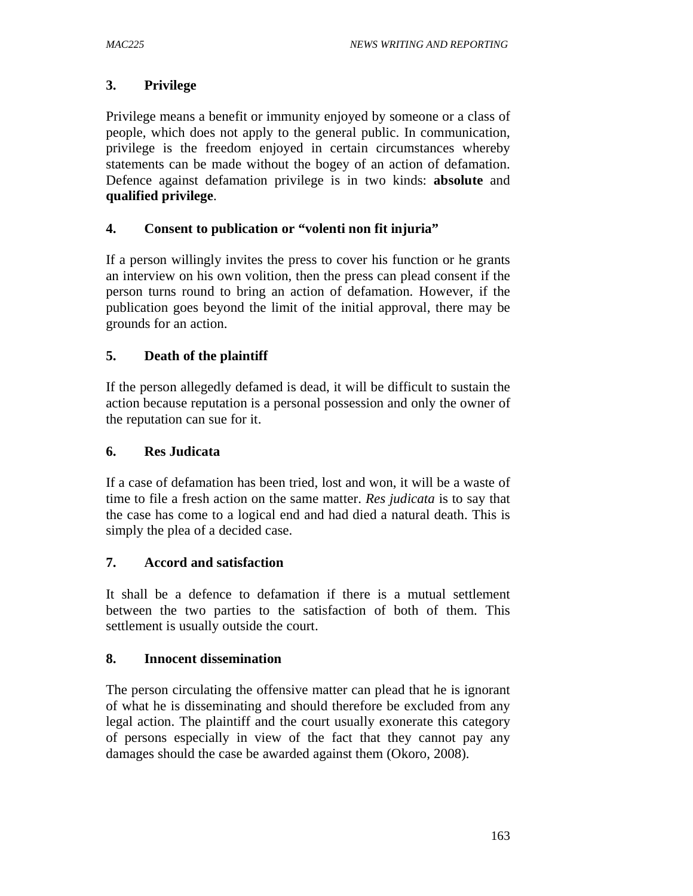## **3. Privilege**

Privilege means a benefit or immunity enjoyed by someone or a class of people, which does not apply to the general public. In communication, privilege is the freedom enjoyed in certain circumstances whereby statements can be made without the bogey of an action of defamation. Defence against defamation privilege is in two kinds: **absolute** and **qualified privilege**.

## **4. Consent to publication or "volenti non fit injuria"**

If a person willingly invites the press to cover his function or he grants an interview on his own volition, then the press can plead consent if the person turns round to bring an action of defamation. However, if the publication goes beyond the limit of the initial approval, there may be grounds for an action.

## **5. Death of the plaintiff**

If the person allegedly defamed is dead, it will be difficult to sustain the action because reputation is a personal possession and only the owner of the reputation can sue for it.

### **6. Res Judicata**

If a case of defamation has been tried, lost and won, it will be a waste of time to file a fresh action on the same matter. *Res judicata* is to say that the case has come to a logical end and had died a natural death. This is simply the plea of a decided case.

### **7. Accord and satisfaction**

It shall be a defence to defamation if there is a mutual settlement between the two parties to the satisfaction of both of them. This settlement is usually outside the court.

### **8. Innocent dissemination**

The person circulating the offensive matter can plead that he is ignorant of what he is disseminating and should therefore be excluded from any legal action. The plaintiff and the court usually exonerate this category of persons especially in view of the fact that they cannot pay any damages should the case be awarded against them (Okoro, 2008).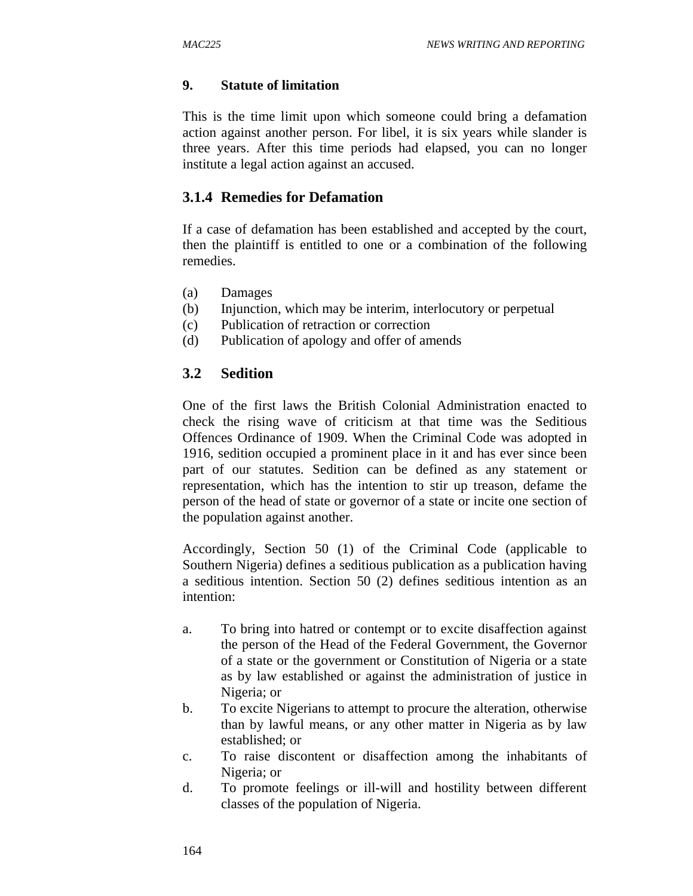### **9. Statute of limitation**

This is the time limit upon which someone could bring a defamation action against another person. For libel, it is six years while slander is three years. After this time periods had elapsed, you can no longer institute a legal action against an accused.

## **3.1.4 Remedies for Defamation**

If a case of defamation has been established and accepted by the court, then the plaintiff is entitled to one or a combination of the following remedies.

- (a) Damages
- (b) Injunction, which may be interim, interlocutory or perpetual
- (c) Publication of retraction or correction
- (d) Publication of apology and offer of amends

### **3.2 Sedition**

One of the first laws the British Colonial Administration enacted to check the rising wave of criticism at that time was the Seditious Offences Ordinance of 1909. When the Criminal Code was adopted in 1916, sedition occupied a prominent place in it and has ever since been part of our statutes. Sedition can be defined as any statement or representation, which has the intention to stir up treason, defame the person of the head of state or governor of a state or incite one section of the population against another.

Accordingly, Section 50 (1) of the Criminal Code (applicable to Southern Nigeria) defines a seditious publication as a publication having a seditious intention. Section 50 (2) defines seditious intention as an intention:

- a. To bring into hatred or contempt or to excite disaffection against the person of the Head of the Federal Government, the Governor of a state or the government or Constitution of Nigeria or a state as by law established or against the administration of justice in Nigeria; or
- b. To excite Nigerians to attempt to procure the alteration, otherwise than by lawful means, or any other matter in Nigeria as by law established; or
- c. To raise discontent or disaffection among the inhabitants of Nigeria; or
- d. To promote feelings or ill-will and hostility between different classes of the population of Nigeria.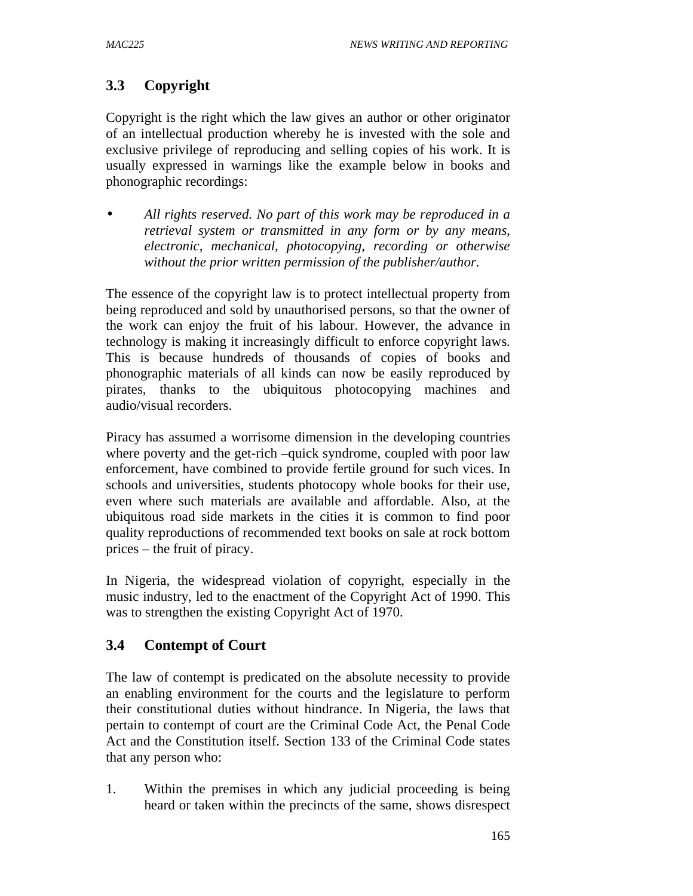# **3.3 Copyright**

Copyright is the right which the law gives an author or other originator of an intellectual production whereby he is invested with the sole and exclusive privilege of reproducing and selling copies of his work. It is usually expressed in warnings like the example below in books and phonographic recordings:

• *All rights reserved. No part of this work may be reproduced in a retrieval system or transmitted in any form or by any means, electronic, mechanical, photocopying, recording or otherwise without the prior written permission of the publisher/author.* 

The essence of the copyright law is to protect intellectual property from being reproduced and sold by unauthorised persons, so that the owner of the work can enjoy the fruit of his labour. However, the advance in technology is making it increasingly difficult to enforce copyright laws. This is because hundreds of thousands of copies of books and phonographic materials of all kinds can now be easily reproduced by pirates, thanks to the ubiquitous photocopying machines and audio/visual recorders.

Piracy has assumed a worrisome dimension in the developing countries where poverty and the get-rich –quick syndrome, coupled with poor law enforcement, have combined to provide fertile ground for such vices. In schools and universities, students photocopy whole books for their use, even where such materials are available and affordable. Also, at the ubiquitous road side markets in the cities it is common to find poor quality reproductions of recommended text books on sale at rock bottom prices – the fruit of piracy.

In Nigeria, the widespread violation of copyright, especially in the music industry, led to the enactment of the Copyright Act of 1990. This was to strengthen the existing Copyright Act of 1970.

# **3.4 Contempt of Court**

The law of contempt is predicated on the absolute necessity to provide an enabling environment for the courts and the legislature to perform their constitutional duties without hindrance. In Nigeria, the laws that pertain to contempt of court are the Criminal Code Act, the Penal Code Act and the Constitution itself. Section 133 of the Criminal Code states that any person who:

1. Within the premises in which any judicial proceeding is being heard or taken within the precincts of the same, shows disrespect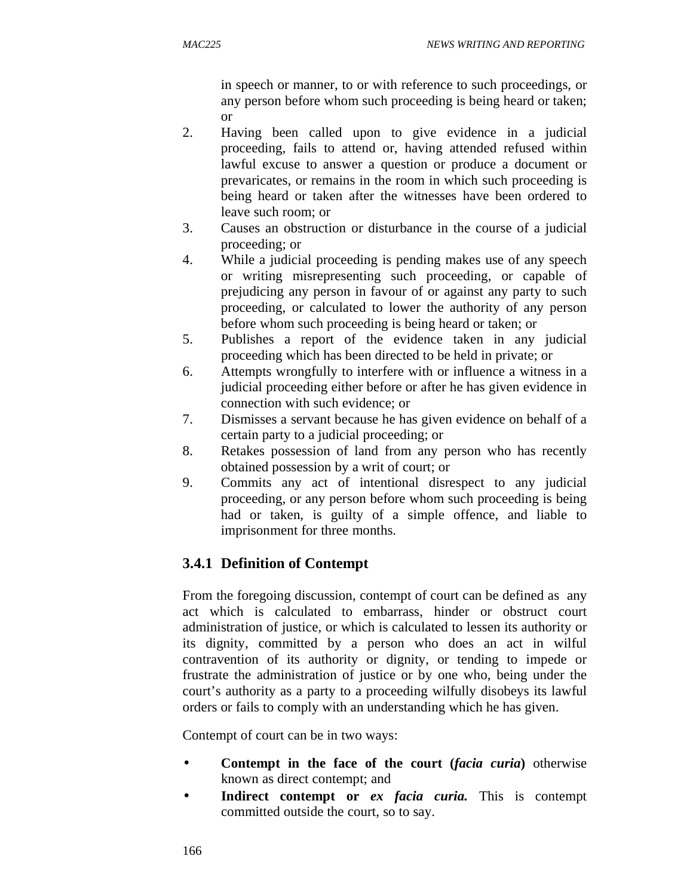in speech or manner, to or with reference to such proceedings, or any person before whom such proceeding is being heard or taken; or

- 2. Having been called upon to give evidence in a judicial proceeding, fails to attend or, having attended refused within lawful excuse to answer a question or produce a document or prevaricates, or remains in the room in which such proceeding is being heard or taken after the witnesses have been ordered to leave such room; or
- 3. Causes an obstruction or disturbance in the course of a judicial proceeding; or
- 4. While a judicial proceeding is pending makes use of any speech or writing misrepresenting such proceeding, or capable of prejudicing any person in favour of or against any party to such proceeding, or calculated to lower the authority of any person before whom such proceeding is being heard or taken; or
- 5. Publishes a report of the evidence taken in any judicial proceeding which has been directed to be held in private; or
- 6. Attempts wrongfully to interfere with or influence a witness in a judicial proceeding either before or after he has given evidence in connection with such evidence; or
- 7. Dismisses a servant because he has given evidence on behalf of a certain party to a judicial proceeding; or
- 8. Retakes possession of land from any person who has recently obtained possession by a writ of court; or
- 9. Commits any act of intentional disrespect to any judicial proceeding, or any person before whom such proceeding is being had or taken, is guilty of a simple offence, and liable to imprisonment for three months.

# **3.4.1 Definition of Contempt**

From the foregoing discussion, contempt of court can be defined as any act which is calculated to embarrass, hinder or obstruct court administration of justice, or which is calculated to lessen its authority or its dignity, committed by a person who does an act in wilful contravention of its authority or dignity, or tending to impede or frustrate the administration of justice or by one who, being under the court's authority as a party to a proceeding wilfully disobeys its lawful orders or fails to comply with an understanding which he has given.

Contempt of court can be in two ways:

- **Contempt in the face of the court (***facia curia***)** otherwise known as direct contempt; and
- **Indirect contempt or** *ex facia curia.* This is contempt committed outside the court, so to say.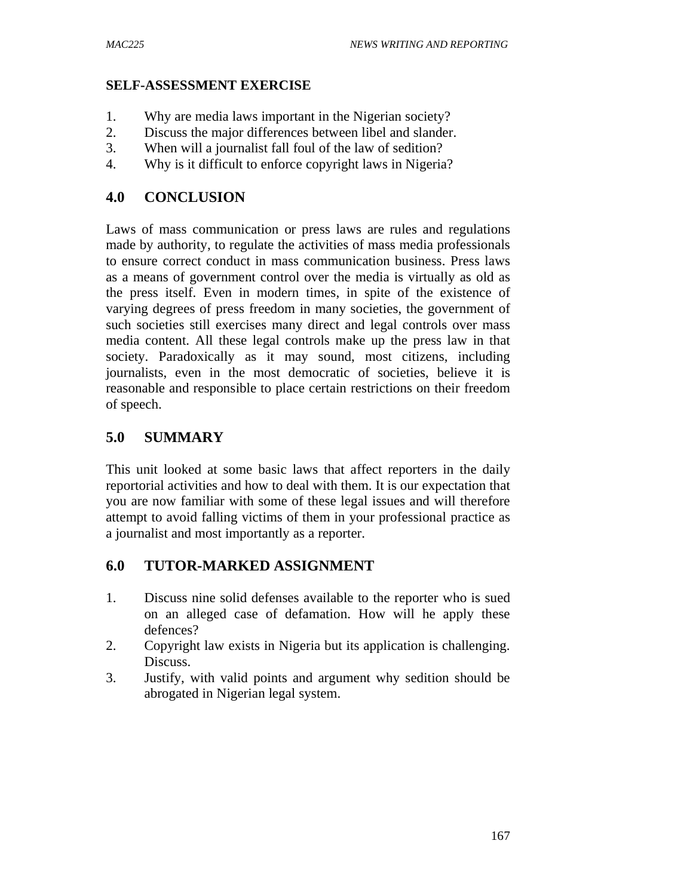#### **SELF-ASSESSMENT EXERCISE**

- 1. Why are media laws important in the Nigerian society?
- 2. Discuss the major differences between libel and slander.
- 3. When will a journalist fall foul of the law of sedition?
- 4. Why is it difficult to enforce copyright laws in Nigeria?

## **4.0 CONCLUSION**

Laws of mass communication or press laws are rules and regulations made by authority, to regulate the activities of mass media professionals to ensure correct conduct in mass communication business. Press laws as a means of government control over the media is virtually as old as the press itself. Even in modern times, in spite of the existence of varying degrees of press freedom in many societies, the government of such societies still exercises many direct and legal controls over mass media content. All these legal controls make up the press law in that society. Paradoxically as it may sound, most citizens, including journalists, even in the most democratic of societies, believe it is reasonable and responsible to place certain restrictions on their freedom of speech.

## **5.0 SUMMARY**

This unit looked at some basic laws that affect reporters in the daily reportorial activities and how to deal with them. It is our expectation that you are now familiar with some of these legal issues and will therefore attempt to avoid falling victims of them in your professional practice as a journalist and most importantly as a reporter.

### **6.0 TUTOR-MARKED ASSIGNMENT**

- 1. Discuss nine solid defenses available to the reporter who is sued on an alleged case of defamation. How will he apply these defences?
- 2. Copyright law exists in Nigeria but its application is challenging. Discuss.
- 3. Justify, with valid points and argument why sedition should be abrogated in Nigerian legal system.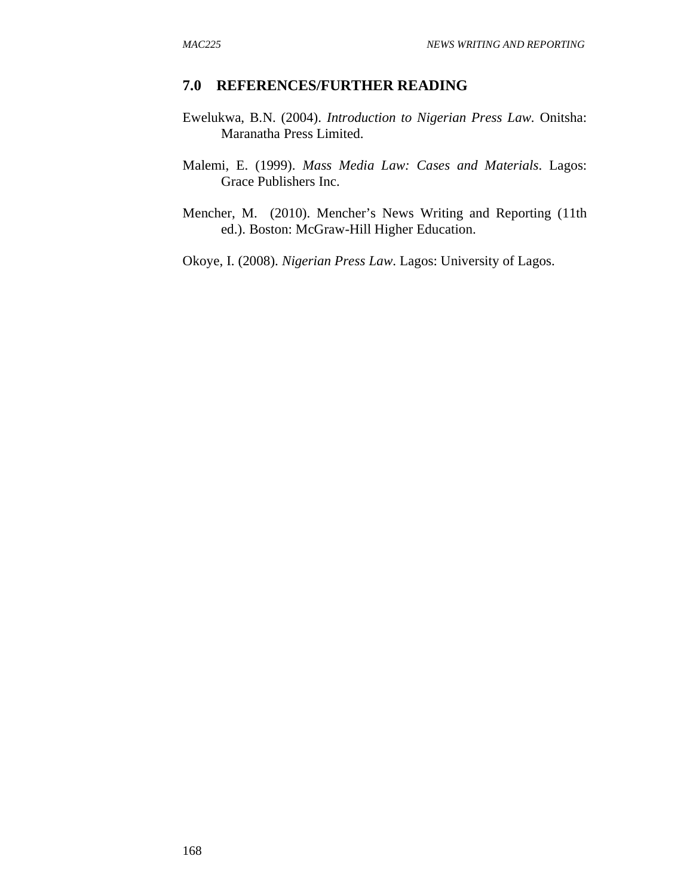#### **7.0 REFERENCES/FURTHER READING**

- Ewelukwa, B.N. (2004). *Introduction to Nigerian Press Law.* Onitsha: Maranatha Press Limited.
- Malemi, E. (1999). *Mass Media Law: Cases and Materials*. Lagos: Grace Publishers Inc.
- Mencher, M. (2010). Mencher's News Writing and Reporting (11th ed.). Boston: McGraw-Hill Higher Education.

Okoye, I. (2008). *Nigerian Press Law*. Lagos: University of Lagos.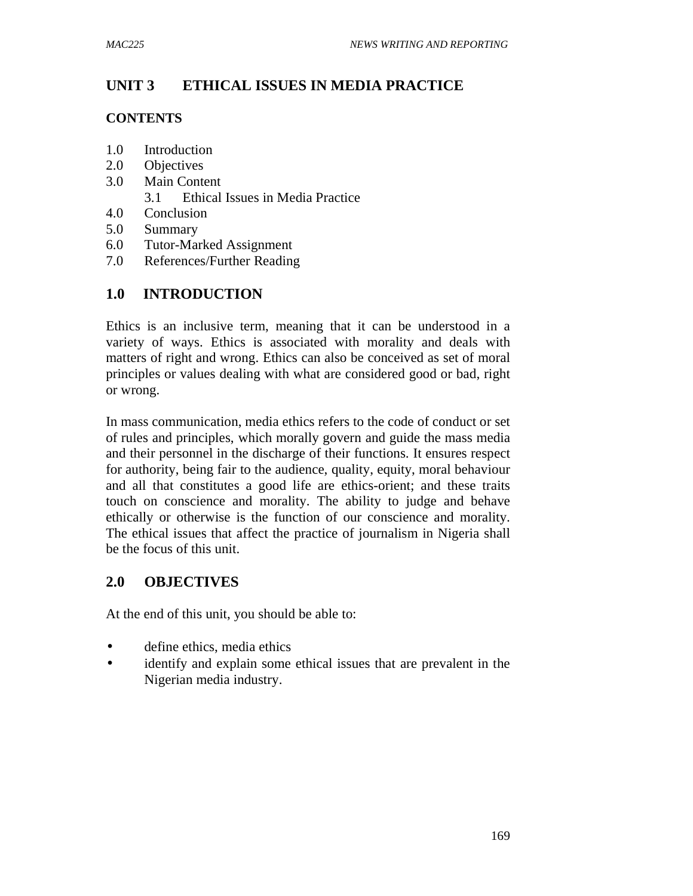# **UNIT 3 ETHICAL ISSUES IN MEDIA PRACTICE**

#### **CONTENTS**

- 1.0 Introduction
- 2.0 Objectives
- 3.0 Main Content
	- 3.1 Ethical Issues in Media Practice
- 4.0 Conclusion
- 5.0 Summary
- 6.0 Tutor-Marked Assignment
- 7.0 References/Further Reading

# **1.0 INTRODUCTION**

Ethics is an inclusive term, meaning that it can be understood in a variety of ways. Ethics is associated with morality and deals with matters of right and wrong. Ethics can also be conceived as set of moral principles or values dealing with what are considered good or bad, right or wrong.

In mass communication, media ethics refers to the code of conduct or set of rules and principles, which morally govern and guide the mass media and their personnel in the discharge of their functions. It ensures respect for authority, being fair to the audience, quality, equity, moral behaviour and all that constitutes a good life are ethics-orient; and these traits touch on conscience and morality. The ability to judge and behave ethically or otherwise is the function of our conscience and morality. The ethical issues that affect the practice of journalism in Nigeria shall be the focus of this unit.

## **2.0 OBJECTIVES**

At the end of this unit, you should be able to:

- define ethics, media ethics
- identify and explain some ethical issues that are prevalent in the Nigerian media industry.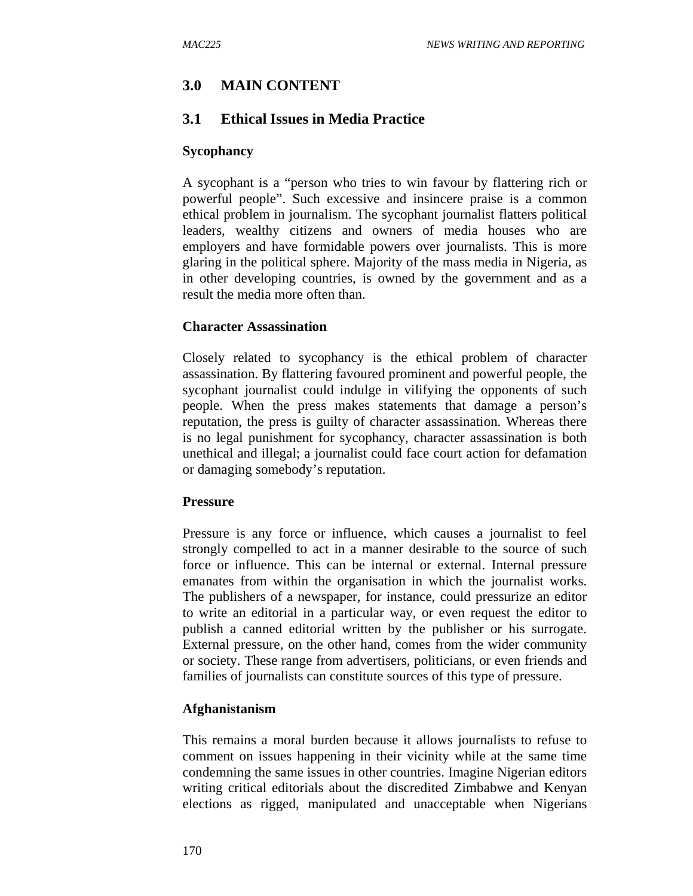# **3.0 MAIN CONTENT**

## **3.1 Ethical Issues in Media Practice**

#### **Sycophancy**

A sycophant is a "person who tries to win favour by flattering rich or powerful people". Such excessive and insincere praise is a common ethical problem in journalism. The sycophant journalist flatters political leaders, wealthy citizens and owners of media houses who are employers and have formidable powers over journalists. This is more glaring in the political sphere. Majority of the mass media in Nigeria, as in other developing countries, is owned by the government and as a result the media more often than.

#### **Character Assassination**

Closely related to sycophancy is the ethical problem of character assassination. By flattering favoured prominent and powerful people, the sycophant journalist could indulge in vilifying the opponents of such people. When the press makes statements that damage a person's reputation, the press is guilty of character assassination. Whereas there is no legal punishment for sycophancy, character assassination is both unethical and illegal; a journalist could face court action for defamation or damaging somebody's reputation.

#### **Pressure**

Pressure is any force or influence, which causes a journalist to feel strongly compelled to act in a manner desirable to the source of such force or influence. This can be internal or external. Internal pressure emanates from within the organisation in which the journalist works. The publishers of a newspaper, for instance, could pressurize an editor to write an editorial in a particular way, or even request the editor to publish a canned editorial written by the publisher or his surrogate. External pressure, on the other hand, comes from the wider community or society. These range from advertisers, politicians, or even friends and families of journalists can constitute sources of this type of pressure.

### **Afghanistanism**

This remains a moral burden because it allows journalists to refuse to comment on issues happening in their vicinity while at the same time condemning the same issues in other countries. Imagine Nigerian editors writing critical editorials about the discredited Zimbabwe and Kenyan elections as rigged, manipulated and unacceptable when Nigerians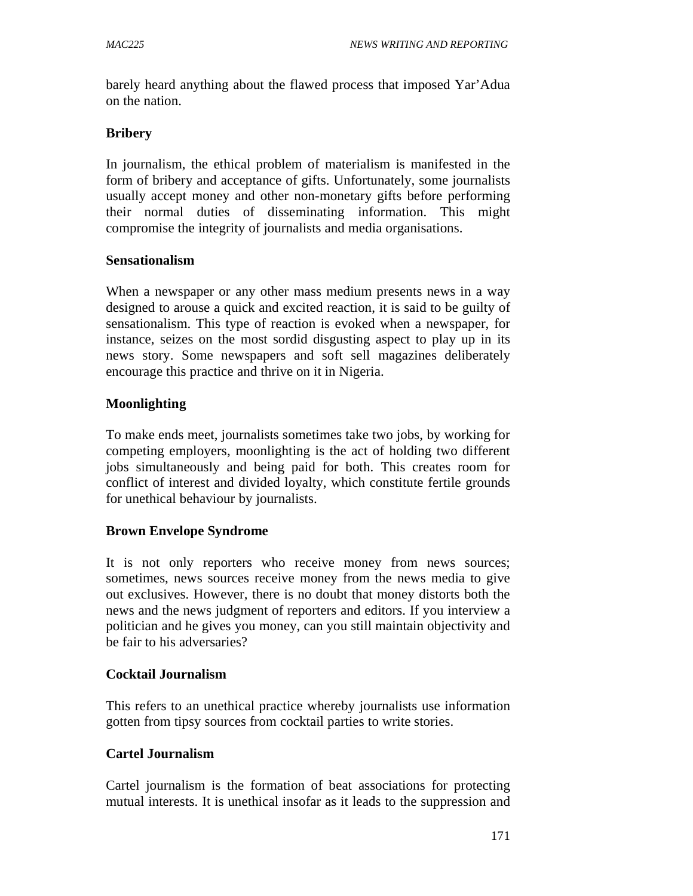barely heard anything about the flawed process that imposed Yar'Adua on the nation.

### **Bribery**

In journalism, the ethical problem of materialism is manifested in the form of bribery and acceptance of gifts. Unfortunately, some journalists usually accept money and other non-monetary gifts before performing their normal duties of disseminating information. This might compromise the integrity of journalists and media organisations.

### **Sensationalism**

When a newspaper or any other mass medium presents news in a way designed to arouse a quick and excited reaction, it is said to be guilty of sensationalism. This type of reaction is evoked when a newspaper, for instance, seizes on the most sordid disgusting aspect to play up in its news story. Some newspapers and soft sell magazines deliberately encourage this practice and thrive on it in Nigeria.

### **Moonlighting**

To make ends meet, journalists sometimes take two jobs, by working for competing employers, moonlighting is the act of holding two different jobs simultaneously and being paid for both. This creates room for conflict of interest and divided loyalty, which constitute fertile grounds for unethical behaviour by journalists.

### **Brown Envelope Syndrome**

It is not only reporters who receive money from news sources; sometimes, news sources receive money from the news media to give out exclusives. However, there is no doubt that money distorts both the news and the news judgment of reporters and editors. If you interview a politician and he gives you money, can you still maintain objectivity and be fair to his adversaries?

### **Cocktail Journalism**

This refers to an unethical practice whereby journalists use information gotten from tipsy sources from cocktail parties to write stories.

### **Cartel Journalism**

Cartel journalism is the formation of beat associations for protecting mutual interests. It is unethical insofar as it leads to the suppression and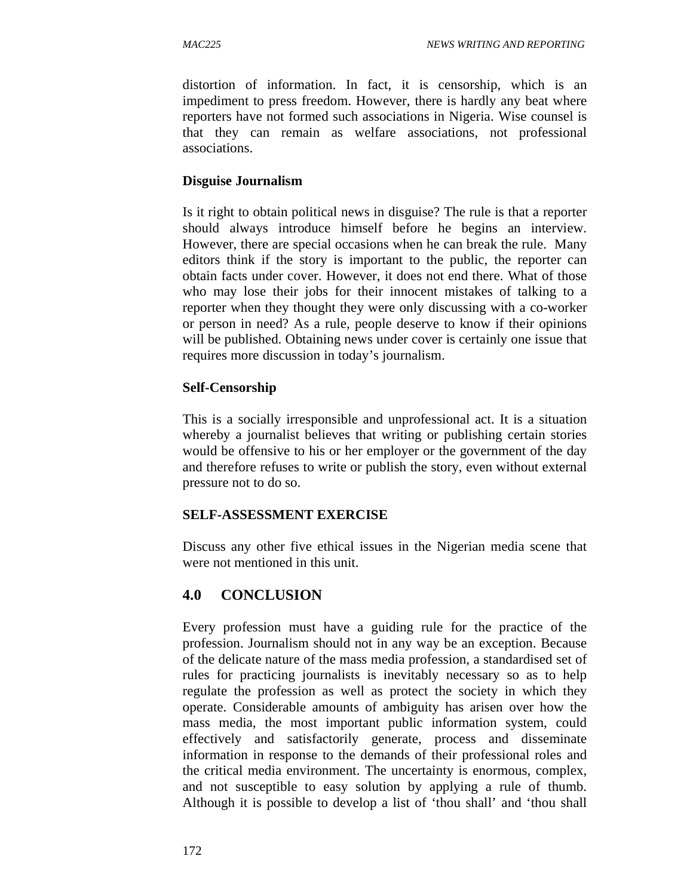distortion of information. In fact, it is censorship, which is an impediment to press freedom. However, there is hardly any beat where reporters have not formed such associations in Nigeria. Wise counsel is that they can remain as welfare associations, not professional associations.

### **Disguise Journalism**

Is it right to obtain political news in disguise? The rule is that a reporter should always introduce himself before he begins an interview. However, there are special occasions when he can break the rule. Many editors think if the story is important to the public, the reporter can obtain facts under cover. However, it does not end there. What of those who may lose their jobs for their innocent mistakes of talking to a reporter when they thought they were only discussing with a co-worker or person in need? As a rule, people deserve to know if their opinions will be published. Obtaining news under cover is certainly one issue that requires more discussion in today's journalism.

### **Self-Censorship**

This is a socially irresponsible and unprofessional act. It is a situation whereby a journalist believes that writing or publishing certain stories would be offensive to his or her employer or the government of the day and therefore refuses to write or publish the story, even without external pressure not to do so.

### **SELF-ASSESSMENT EXERCISE**

Discuss any other five ethical issues in the Nigerian media scene that were not mentioned in this unit.

## **4.0 CONCLUSION**

Every profession must have a guiding rule for the practice of the profession. Journalism should not in any way be an exception. Because of the delicate nature of the mass media profession, a standardised set of rules for practicing journalists is inevitably necessary so as to help regulate the profession as well as protect the society in which they operate. Considerable amounts of ambiguity has arisen over how the mass media, the most important public information system, could effectively and satisfactorily generate, process and disseminate information in response to the demands of their professional roles and the critical media environment. The uncertainty is enormous, complex, and not susceptible to easy solution by applying a rule of thumb. Although it is possible to develop a list of 'thou shall' and 'thou shall